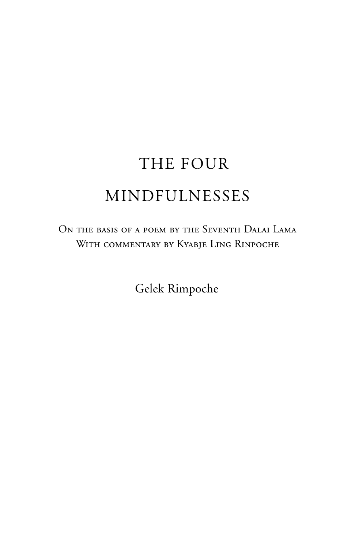# The FOUR MINDFULNESSES

ON THE BASIS OF A POEM BY THE SEVENTH DALAI LAMA WITH COMMENTARY BY KYABJE LING RINPOCHE

Gelek Rimpoche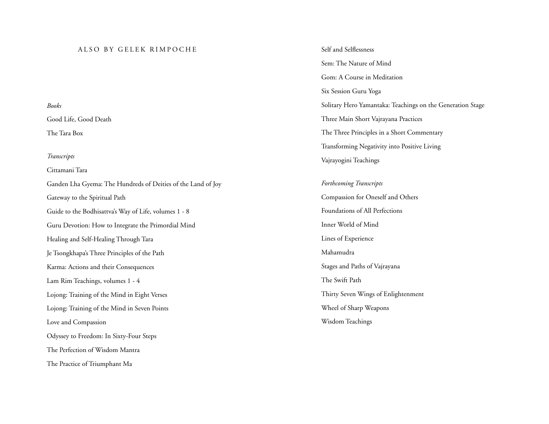#### ALSO BY GELEK RIMPOCHE

*Books* Good Life, Good Death The Tara Box

#### *Transcripts*

Cittamani Tara

Ganden Lha Gyema: The Hundreds of Deities of the Land of Joy Gateway to the Spiritual Path Guide to the Bodhisattva's Way of Life, volumes 1 - 8 Guru Devotion: How to Integrate the Primordial Mind Healing and Self-Healing Through Tara Je Tsongkhapa's Three Principles of the Path Karma: Actions and their Consequences Lam Rim Teachings, volumes 1 - 4 Lojong: Training of the Mind in Eight Verses Lojong: Training of the Mind in Seven Points Love and Compassion Odyssey to Freedom: In Sixty-Four Steps The Perfection of Wisdom Mantra The Practice of Triumphant Ma

Self and Selflessness Sem: The Nature of Mind Gom: A Course in Meditation Six Session Guru Yoga Solitary Hero Yamantaka: Teachings on the Generation Stage Three Main Short Vajrayana Practices The Three Principles in a Short Commentary Transforming Negativity into Positive Living Vajrayogini Teachings

#### *Forthcoming Transcripts*

Compassion for Oneself and Others Foundations of All Perfections Inner World of Mind Lines of Experience Mahamudra Stages and Paths of Vajrayana The Swift Path Thirty Seven Wings of Enlightenment Wheel of Sharp Weapons Wisdom Teachings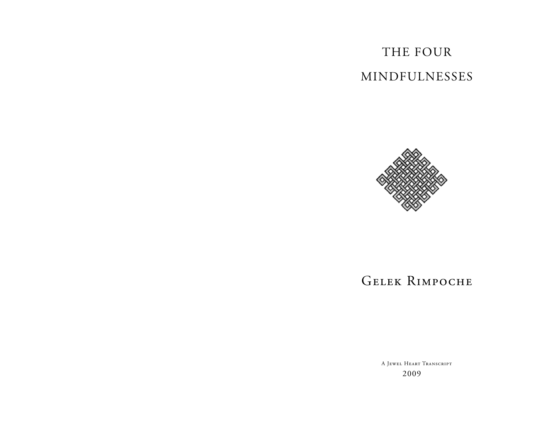# The FOur MINDFULNESSES



# Gelek Rimpoche

A Jewel Heart Transcript 2009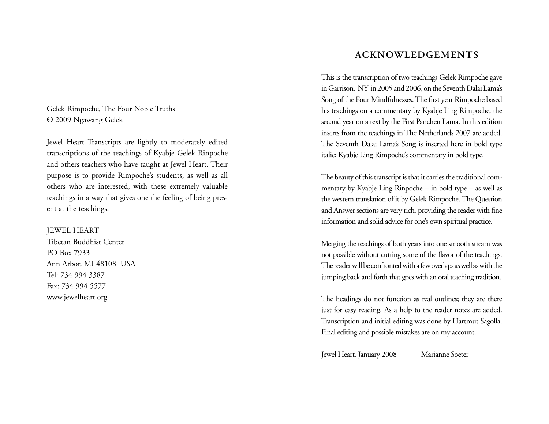Gelek Rimpoche, The Four Noble Truths © 2009 Ngawang Gelek

Jewel Heart Transcripts are lightly to moderately edited transcriptions of the teachings of Kyabje Gelek Rinpoche and others teachers who have taught at Jewel Heart. Their purpose is to provide Rimpoche's students, as well as all others who are interested, with these extremely valuable teachings in a way that gives one the feeling of being present at the teachings.

JEWEL HEART Tibetan Buddhist Center PO Box 7933 Ann Arbor, MI 48108 USA Tel: 734 994 3387 Fax: 734 994 5577 www.jewelheart.org

# **Acknowledgements**

This is the transcription of two teachings Gelek Rimpoche gave in Garrison, NY in 2005 and 2006, on the Seventh Dalai Lama's Song of the Four Mindfulnesses. The first year Rimpoche based his teachings on a commentary by Kyabje Ling Rimpoche, the second year on a text by the First Panchen Lama. In this edition inserts from the teachings in The Netherlands 2007 are added. The Seventh Dalai Lama's Song is inserted here in bold type italic; Kyabje Ling Rimpoche's commentary in bold type.

The beauty of this transcript is that it carries the traditional commentary by Kyabje Ling Rinpoche – in bold type – as well as the western translation of it by Gelek Rimpoche. The Question and Answer sections are very rich, providing the reader with fine information and solid advice for one's own spiritual practice.

Merging the teachings of both years into one smooth stream was not possible without cutting some of the flavor of the teachings. The reader will be confronted with a few overlaps as well as with the jumping back and forth that goes with an oral teaching tradition.

The headings do not function as real outlines; they are there just for easy reading. As a help to the reader notes are added. Transcription and initial editing was done by Hartmut Sagolla. Final editing and possible mistakes are on my account.

Jewel Heart, January 2008 Marianne Soeter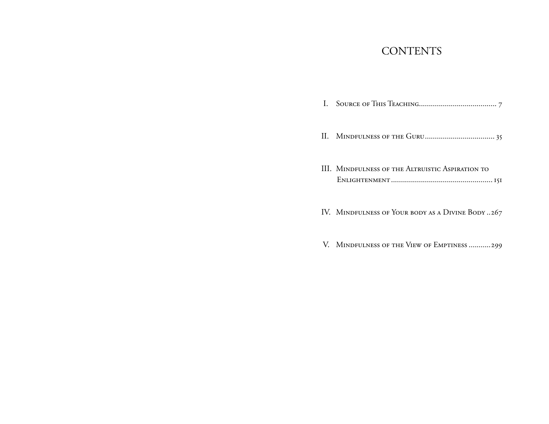# **CONTENTS**

| III. MINDFULNESS OF THE ALTRUISTIC ASPIRATION TO |
|--------------------------------------------------|
| IV. MINDFULNESS OF YOUR BODY AS A DIVINE BODY267 |
| V. MINDFULNESS OF THE VIEW OF EMPTINESS 299      |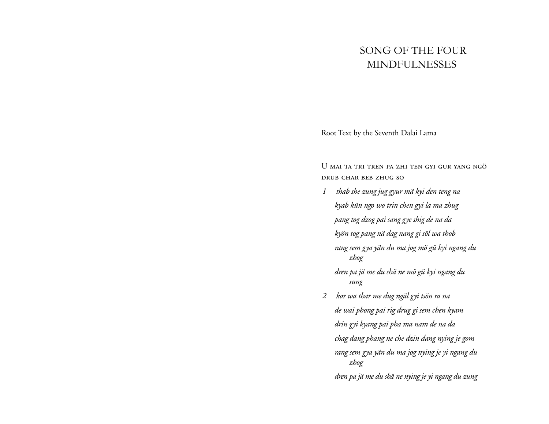# Song of the Four Mindfulnesses

Root Text by the Seventh Dalai Lama

U mai ta tri tren pa zhi ten gyi gur yang ngö drub char beb zhug so

- *1 thab she zung jug gyur mä kyi den teng na kyab kün ngo wo trin chen gyi la ma zhug pang tog dzog pai sang gye shig de na da kyön tog pang nä dag nang gi söl wa thob rang sem gya yän du ma jog mö gü kyi ngang du zhog dren pa jä me du shä ne mö gü kyi ngang du sung*
- *2 kor wa thar me dug ngäl gyi tsön ra na de wai phong pai rig drug gi sem chen kyam drin gyi kyang pai pha ma nam de na da chag dang phang ne che dzin dang nying je gom rang sem gya yän du ma jog nying je yi ngang du zhog dren pa jä me du shä ne nying je yi ngang du zung*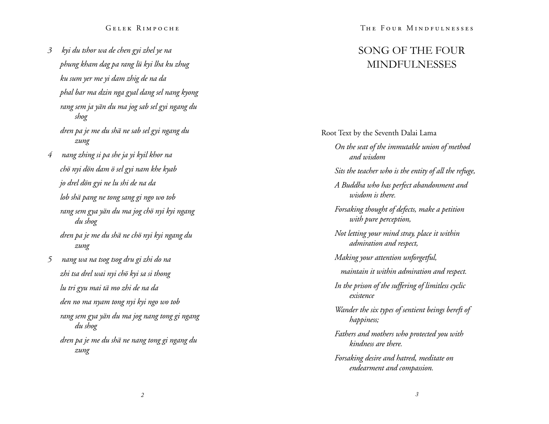*3 kyi du tshor wa de chen gyi zhel ye na phung kham dag pa rang lü kyi lha ku zhug ku sum yer me yi dam zhig de na da phal bar ma dzin nga gyal dang sel nang kyong rang sem ja yän du ma jog sab sel gyi ngang du shog dren pa je me du shä ne sab sel gyi ngang du zung 4 nang zhing si pa she ja yi kyil khor na chö nyi dön dam ö sel gyi nam khe kyab jo drel dön gyi ne lu shi de na da lob shä pang ne tong sang gi ngo wo tob rang sem gya yän du ma jog chö nyi kyi ngang du shog dren pa je me du shä ne chö nyi kyi ngang du* 

*5 nang wa na tsog tsog dru gi zhi do na zhi tsa drel wai nyi chö kyi sa si thong lu tri gyu mai tä mo zhi de na da den no ma nyam tong nyi kyi ngo wo tob rang sem gya yän du ma jog nang tong gi ngang du shog dren pa je me du shä ne nang tong gi ngang du zung*

*zung*

The Four Mindfulnesses

# Song of the Four Mindfulness e s

Root Text by the Seventh Dalai Lama *On the seat of the immutable union of method and wisdom Sits the teacher who is the entity of all the refuge, A Buddha who has perfect abandonment and wisdom is there. Forsaking thought of defects, make a petition with pure perception, Not letting your mind stray, place it within admiration and respect, Making your attention unforgetful, maintain it within admiration and respect. In the prison of the suffering of limitless cyclic existence Wander the six types of sentient beings bereft of happiness; Fathers and mothers who protected you with kindness are there. Forsaking desire and hatred, meditate on endearment and compassion.*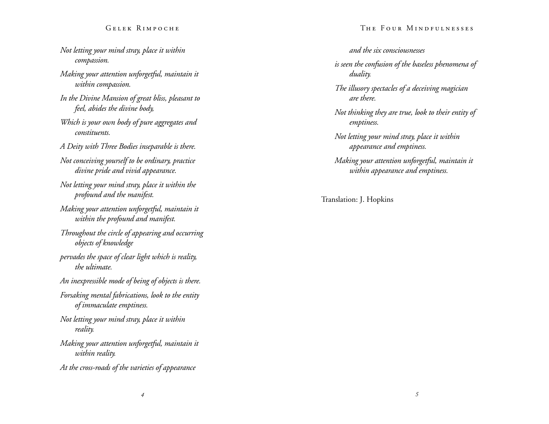- *Not letting your mind stray, place it within compassion.*
- *Making your attention unforgetful, maintain it within compassion.*
- *In the Divine Mansion of great bliss, pleasant to feel, abides the divine body,*
- *Which is your own body of pure aggregates and constituents.*
- *A Deity with Three Bodies inseparable is there.*
- *Not conceiving yourself to be ordinary, practice divine pride and vivid appearance.*
- *Not letting your mind stray, place it within the profound and the manifest.*
- *Making your attention unforgetful, maintain it within the profound and manifest.*
- *Throughout the circle of appearing and occurring objects of knowledge*
- *pervades the space of clear light which is reality, the ultimate.*
- *An inexpressible mode of being of objects is there.*
- *Forsaking mental fabrications, look to the entity of immaculate emptiness.*
- *Not letting your mind stray, place it within reality.*
- *Making your attention unforgetful, maintain it within reality.*
- *At the cross-roads of the varieties of appearance*

#### The Four Mindfulnesses

#### *and the six consciousnesses*

*is seen the confusion of the baseless phenomena of duality.* 

- *The illusory spectacles of a deceiving magician are there.*
- *Not thinking they are true, look to their entity of emptiness.*
- *Not letting your mind stray, place it within appearance and emptiness.*
- *Making your attention unforgetful, maintain it within appearance and emptiness.*

Translation: J. Hopkins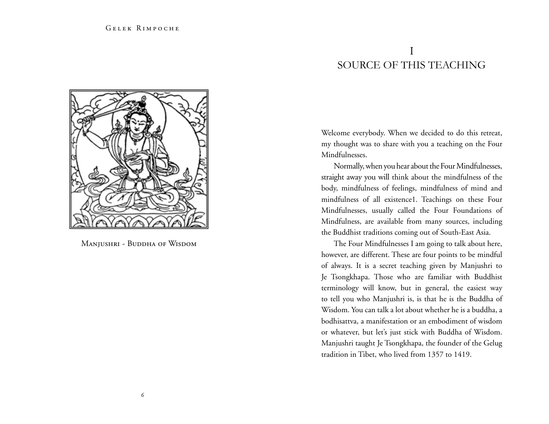# I Source of this Teaching



Manjushri - Buddha of Wisdom

Welcome everybody. When we decided to do this retreat, my thought was to share with you a teaching on the Four Mindfulnesses.

Normally, when you hear about the Four Mindfulnesses, straight away you will think about the mindfulness of the body, mindfulness of feelings, mindfulness of mind and mindfulness of all existence1. Teachings on these Four Mindfulnesses, usually called the Four Foundations of Mindfulness, are available from many sources, including the Buddhist traditions coming out of South-East Asia.

The Four Mindfulnesses I am going to talk about here, however, are different. These are four points to be mindful of always. It is a secret teaching given by Manjushri to Je Tsongkhapa. Those who are familiar with Buddhist terminology will know, but in general, the easiest way to tell you who Manjushri is, is that he is the Buddha of Wisdom. You can talk a lot about whether he is a buddha, a bodhisattva, a manifestation or an embodiment of wisdom or whatever, but let's just stick with Buddha of Wisdom. Manjushri taught Je Tsongkhapa, the founder of the Gelug tradition in Tibet, who lived from 1357 to 1419.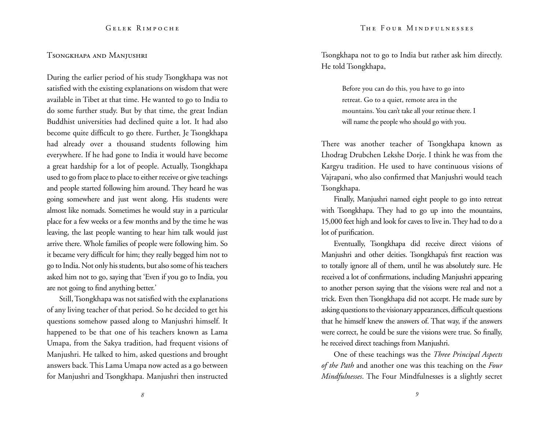#### Tsongkhapa and Manjushri

During the earlier period of his study Tsongkhapa was not satisfied with the existing explanations on wisdom that were available in Tibet at that time. He wanted to go to India to do some further study. But by that time, the great Indian Buddhist universities had declined quite a lot. It had also become quite difficult to go there. Further, Je Tsongkhapa had already over a thousand students following him everywhere. If he had gone to India it would have become a great hardship for a lot of people. Actually, Tsongkhapa used to go from place to place to either receive or give teachings and people started following him around. They heard he was going somewhere and just went along. His students were almost like nomads. Sometimes he would stay in a particular place for a few weeks or a few months and by the time he was leaving, the last people wanting to hear him talk would just arrive there. Whole families of people were following him. So it became very difficult for him; they really begged him not to go to India. Not only his students, but also some of his teachers asked him not to go, saying that 'Even if you go to India, you are not going to find anything better.'

Still, Tsongkhapa was not satisfied with the explanations of any living teacher of that period. So he decided to get his questions somehow passed along to Manjushri himself. It happened to be that one of his teachers known as Lama Umapa, from the Sakya tradition, had frequent visions of Manjushri. He talked to him, asked questions and brought answers back. This Lama Umapa now acted as a go between for Manjushri and Tsongkhapa. Manjushri then instructed Tsongkhapa not to go to India but rather ask him directly. He told Tsongkhapa,

> Before you can do this, you have to go into retreat. Go to a quiet, remote area in the mountains. You can't take all your retinue there. I will name the people who should go with you.

There was another teacher of Tsongkhapa known as Lhodrag Drubchen Lekshe Dorje. I think he was from the Kargyu tradition. He used to have continuous visions of Vajrapani, who also confirmed that Manjushri would teach Tsongkhapa.

Finally, Manjushri named eight people to go into retreat with Tsongkhapa. They had to go up into the mountains, 15,000 feet high and look for caves to live in. They had to do a lot of purification.

Eventually, Tsongkhapa did receive direct visions of Manjushri and other deities. Tsongkhapa's first reaction was to totally ignore all of them, until he was absolutely sure. He received a lot of confirmations, including Manjushri appearing to another person saying that the visions were real and not a trick. Even then Tsongkhapa did not accept. He made sure by asking questions to the visionary appearances, difficult questions that he himself knew the answers of. That way, if the answers were correct, he could be sure the visions were true. So finally, he received direct teachings from Manjushri.

One of these teachings was the *Three Principal Aspects of the Path* and another one was this teaching on the *Four Mindfulnesses*. The Four Mindfulnesses is a slightly secret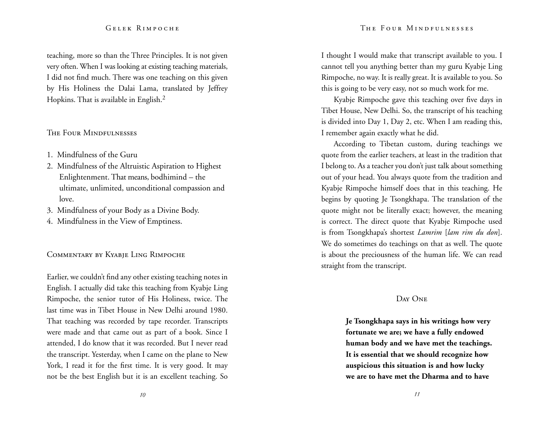teaching, more so than the Three Principles. It is not given very often. When I was looking at existing teaching materials, I did not find much. There was one teaching on this given by His Holiness the Dalai Lama, translated by Jeffrey Hopkins. That is available in English.<sup>2</sup>

#### The Four Mindfulnesses

- 1. Mindfulness of the Guru
- 2. Mindfulness of the Altruistic Aspiration to Highest Enlightenment. That means, bodhimind – the ultimate, unlimited, unconditional compassion and love.
- 3. Mindfulness of your Body as a Divine Body.
- 4. Mindfulness in the View of Emptiness.

#### Commentary by Kyabje Ling Rimpoche

Earlier, we couldn't find any other existing teaching notes in English. I actually did take this teaching from Kyabje Ling Rimpoche, the senior tutor of His Holiness, twice. The last time was in Tibet House in New Delhi around 1980. That teaching was recorded by tape recorder. Transcripts were made and that came out as part of a book. Since I attended, I do know that it was recorded. But I never read the transcript. Yesterday, when I came on the plane to New York, I read it for the first time. It is very good. It may not be the best English but it is an excellent teaching. So I thought I would make that transcript available to you. I cannot tell you anything better than my guru Kyabje Ling Rimpoche, no way. It is really great. It is available to you. So this is going to be very easy, not so much work for me.

Kyabje Rimpoche gave this teaching over five days in Tibet House, New Delhi. So, the transcript of his teaching is divided into Day 1, Day 2, etc. When I am reading this, I remember again exactly what he did.

According to Tibetan custom, during teachings we quote from the earlier teachers, at least in the tradition that I belong to. As a teacher you don't just talk about something out of your head. You always quote from the tradition and Kyabje Rimpoche himself does that in this teaching. He begins by quoting Je Tsongkhapa. The translation of the quote might not be literally exact; however, the meaning is correct. The direct quote that Kyabje Rimpoche used is from Tsongkhapa's shortest *Lamrim* [*lam rim du don*]. We do sometimes do teachings on that as well. The quote is about the preciousness of the human life. We can read straight from the transcript.

#### Day One

**Je Tsongkhapa says in his writings how very fortunate we are; we have a fully endowed human body and we have met the teachings. It is essential that we should recognize how auspicious this situation is and how lucky we are to have met the Dharma and to have**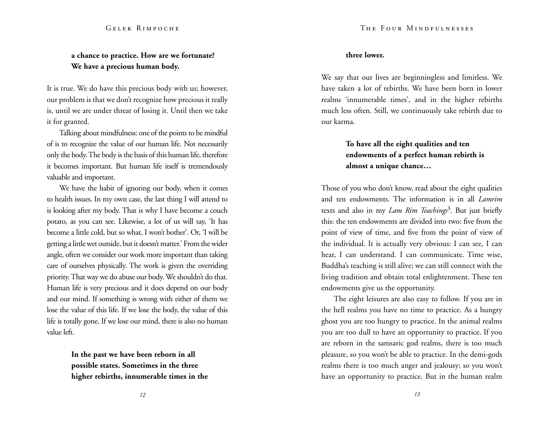### **a chance to practice. How are we fortunate? We have a precious human body.**

It is true. We do have this precious body with us; however, our problem is that we don't recognize how precious it really is, until we are under threat of losing it. Until then we take it for granted.

Talking about mindfulness: one of the points to be mindful of is to recognize the value of our human life. Not necessarily only the body. The body is the basis of this human life, therefore it becomes important. But human life itself is tremendously valuable and important.

We have the habit of ignoring our body, when it comes to health issues. In my own case, the last thing I will attend to is looking after my body. That is why I have become a couch potato, as you can see. Likewise, a lot of us will say, 'It has become a little cold, but so what, I won't bother'. Or, 'I will be getting a little wet outside, but it doesn't matter.' From the wider angle, often we consider our work more important than taking care of ourselves physically. The work is given the overriding priority. That way we do abuse our body. We shouldn't do that. Human life is very precious and it does depend on our body and our mind. If something is wrong with either of them we lose the value of this life. If we lose the body, the value of this life is totally gone. If we lose our mind, there is also no human value left.

> **In the past we have been reborn in all possible states. Sometimes in the three higher rebirths, innumerable times in the**

#### **three lower.**

We say that our lives are beginningless and limitless. We have taken a lot of rebirths. We have been born in lower realms 'innumerable times', and in the higher rebirths much less often. Still, we continuously take rebirth due to our karma.

# **To have all the eight qualities and ten endowments of a perfect human rebirth is almost a unique chance…**

Those of you who don't know, read about the eight qualities and ten endowments. The information is in all *Lamrim*  texts and also in my *Lam Rim Teachings*3. But just briefly this: the ten endowments are divided into two: five from the point of view of time, and five from the point of view of the individual. It is actually very obvious: I can see, I can hear, I can understand. I can communicate. Time wise, Buddha's teaching is still alive; we can still connect with the living tradition and obtain total enlightenment. These ten endowments give us the opportunity.

The eight leisures are also easy to follow. If you are in the hell realms you have no time to practice. As a hungry ghost you are too hungry to practice. In the animal realms you are too dull to have an opportunity to practice. If you are reborn in the samsaric god realms, there is too much pleasure, so you won't be able to practice. In the demi-gods realms there is too much anger and jealousy; so you won't have an opportunity to practice. But in the human realm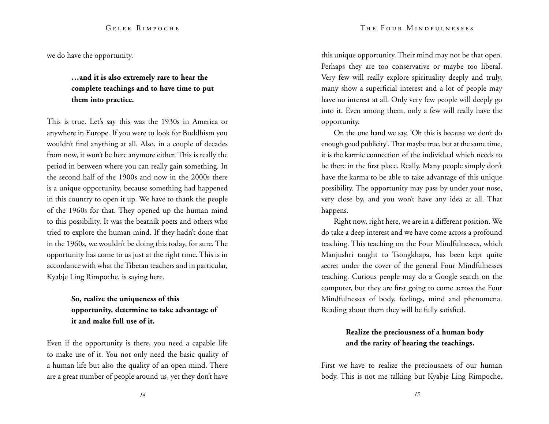we do have the opportunity.

# **…and it is also extremely rare to hear the complete teachings and to have time to put them into practice.**

This is true. Let's say this was the 1930s in America or anywhere in Europe. If you were to look for Buddhism you wouldn't find anything at all. Also, in a couple of decades from now, it won't be here anymore either. This is really the period in between where you can really gain something. In the second half of the 1900s and now in the 2000s there is a unique opportunity, because something had happened in this country to open it up. We have to thank the people of the 1960s for that. They opened up the human mind to this possibility. It was the beatnik poets and others who tried to explore the human mind. If they hadn't done that in the 1960s, we wouldn't be doing this today, for sure. The opportunity has come to us just at the right time. This is in accordance with what the Tibetan teachers and in particular, Kyabje Ling Rimpoche, is saying here.

# **So, realize the uniqueness of this opportunity, determine to take advantage of it and make full use of it.**

Even if the opportunity is there, you need a capable life to make use of it. You not only need the basic quality of a human life but also the quality of an open mind. There are a great number of people around us, yet they don't have

this unique opportunity. Their mind may not be that open. Perhaps they are too conservative or maybe too liberal. Very few will really explore spirituality deeply and truly, many show a superficial interest and a lot of people may have no interest at all. Only very few people will deeply go into it. Even among them, only a few will really have the opportunity.

On the one hand we say, 'Oh this is because we don't do enough good publicity'. That maybe true, but at the same time, it is the karmic connection of the individual which needs to be there in the first place. Really. Many people simply don't have the karma to be able to take advantage of this unique possibility. The opportunity may pass by under your nose, very close by, and you won't have any idea at all. That happens.

Right now, right here, we are in a different position. We do take a deep interest and we have come across a profound teaching. This teaching on the Four Mindfulnesses, which Manjushri taught to Tsongkhapa, has been kept quite secret under the cover of the general Four Mindfulnesses teaching. Curious people may do a Google search on the computer, but they are first going to come across the Four Mindfulnesses of body, feelings, mind and phenomena. Reading about them they will be fully satisfied.

### **Realize the preciousness of a human body and the rarity of hearing the teachings.**

First we have to realize the preciousness of our human body. This is not me talking but Kyabje Ling Rimpoche,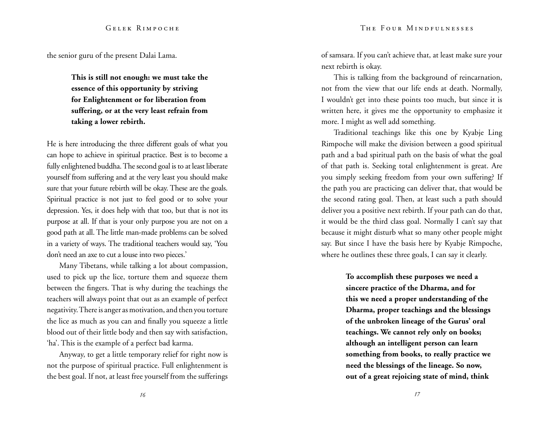the senior guru of the present Dalai Lama.

**This is still not enough: we must take the essence of this opportunity by striving for Enlightenment or for liberation from suffering, or at the very least refrain from taking a lower rebirth.**

He is here introducing the three different goals of what you can hope to achieve in spiritual practice. Best is to become a fully enlightened buddha. The second goal is to at least liberate yourself from suffering and at the very least you should make sure that your future rebirth will be okay. These are the goals. Spiritual practice is not just to feel good or to solve your depression. Yes, it does help with that too, but that is not its purpose at all. If that is your only purpose you are not on a good path at all. The little man-made problems can be solved in a variety of ways. The traditional teachers would say, 'You don't need an axe to cut a louse into two pieces.'

Many Tibetans, while talking a lot about compassion, used to pick up the lice, torture them and squeeze them between the fingers. That is why during the teachings the teachers will always point that out as an example of perfect negativity. There is anger as motivation, and then you torture the lice as much as you can and finally you squeeze a little blood out of their little body and then say with satisfaction, 'ha'. This is the example of a perfect bad karma.

Anyway, to get a little temporary relief for right now is not the purpose of spiritual practice. Full enlightenment is the best goal. If not, at least free yourself from the sufferings of samsara. If you can't achieve that, at least make sure your next rebirth is okay.

This is talking from the background of reincarnation, not from the view that our life ends at death. Normally, I wouldn't get into these points too much, but since it is written here, it gives me the opportunity to emphasize it more. I might as well add something.

Traditional teachings like this one by Kyabje Ling Rimpoche will make the division between a good spiritual path and a bad spiritual path on the basis of what the goal of that path is. Seeking total enlightenment is great. Are you simply seeking freedom from your own suffering? If the path you are practicing can deliver that, that would be the second rating goal. Then, at least such a path should deliver you a positive next rebirth. If your path can do that, it would be the third class goal. Normally I can't say that because it might disturb what so many other people might say. But since I have the basis here by Kyabje Rimpoche, where he outlines these three goals, I can say it clearly.

> **To accomplish these purposes we need a sincere practice of the Dharma, and for this we need a proper understanding of the Dharma, proper teachings and the blessings of the unbroken lineage of the Gurus' oral teachings. We cannot rely only on books; although an intelligent person can learn something from books, to really practice we need the blessings of the lineage. So now, out of a great rejoicing state of mind, think**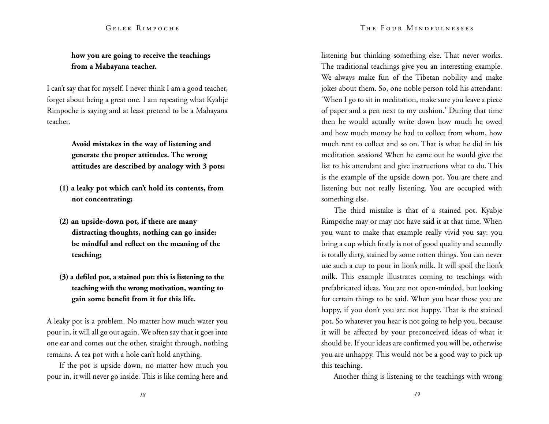#### The Four Mindfulnesses

#### Gelek Rimpoche

## **how you are going to receive the teachings from a Mahayana teacher.**

I can't say that for myself. I never think I am a good teacher, forget about being a great one. I am repeating what Kyabje Rimpoche is saying and at least pretend to be a Mahayana teacher.

> **Avoid mistakes in the way of listening and generate the proper attitudes. The wrong attitudes are described by analogy with 3 pots:**

- **(1) a leaky pot which can't hold its contents, from not concentrating;**
- **(2) an upside-down pot, if there are many distracting thoughts, nothing can go inside: be mindful and reflect on the meaning of the teaching;**
- **(3) a defiled pot, a stained pot: this is listening to the teaching with the wrong motivation, wanting to gain some benefit from it for this life.**

A leaky pot is a problem. No matter how much water you pour in, it will all go out again. We often say that it goes into one ear and comes out the other, straight through, nothing remains. A tea pot with a hole can't hold anything.

If the pot is upside down, no matter how much you pour in, it will never go inside. This is like coming here and listening but thinking something else. That never works. The traditional teachings give you an interesting example. We always make fun of the Tibetan nobility and make jokes about them. So, one noble person told his attendant: 'When I go to sit in meditation, make sure you leave a piece of paper and a pen next to my cushion.' During that time then he would actually write down how much he owed and how much money he had to collect from whom, how much rent to collect and so on. That is what he did in his meditation sessions! When he came out he would give the list to his attendant and give instructions what to do. This is the example of the upside down pot. You are there and listening but not really listening. You are occupied with something else.

The third mistake is that of a stained pot. Kyabje Rimpoche may or may not have said it at that time. When you want to make that example really vivid you say: you bring a cup which firstly is not of good quality and secondly is totally dirty, stained by some rotten things. You can never use such a cup to pour in lion's milk. It will spoil the lion's milk. This example illustrates coming to teachings with prefabricated ideas. You are not open-minded, but looking for certain things to be said. When you hear those you are happy, if you don't you are not happy. That is the stained pot. So whatever you hear is not going to help you, because it will be affected by your preconceived ideas of what it should be. If your ideas are confirmed you will be, otherwise you are unhappy. This would not be a good way to pick up this teaching.

Another thing is listening to the teachings with wrong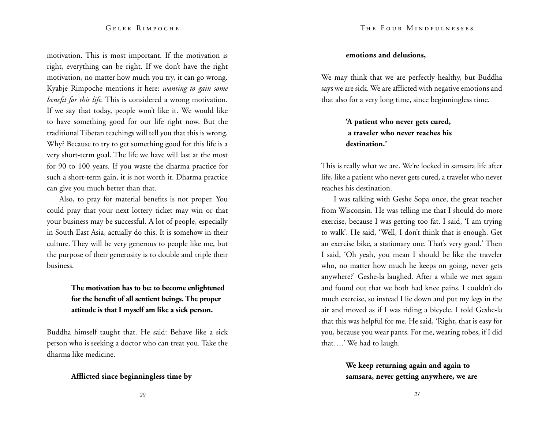motivation. This is most important. If the motivation is right, everything can be right. If we don't have the right motivation, no matter how much you try, it can go wrong. Kyabje Rimpoche mentions it here: *wanting to gain some benefit for this life.* This is considered a wrong motivation. If we say that today, people won't like it. We would like to have something good for our life right now. But the traditional Tibetan teachings will tell you that this is wrong. Why? Because to try to get something good for this life is a very short-term goal. The life we have will last at the most for 90 to 100 years. If you waste the dharma practice for such a short-term gain, it is not worth it. Dharma practice can give you much better than that.

Also, to pray for material benefits is not proper. You could pray that your next lottery ticket may win or that your business may be successful. A lot of people, especially in South East Asia, actually do this. It is somehow in their culture. They will be very generous to people like me, but the purpose of their generosity is to double and triple their business.

### **The motivation has to be: to become enlightened for the benefit of all sentient beings. The proper attitude is that I myself am like a sick person.**

Buddha himself taught that. He said: Behave like a sick person who is seeking a doctor who can treat you. Take the dharma like medicine.

#### **Afflicted since beginningless time by**

#### **emotions and delusions,**

We may think that we are perfectly healthy, but Buddha says we are sick. We are afflicted with negative emotions and that also for a very long time, since beginningless time.

# **'A patient who never gets cured, a traveler who never reaches his destination.'**

This is really what we are. We're locked in samsara life after life, like a patient who never gets cured, a traveler who never reaches his destination.

I was talking with Geshe Sopa once, the great teacher from Wisconsin. He was telling me that I should do more exercise, because I was getting too fat. I said, 'I am trying to walk'. He said, 'Well, I don't think that is enough. Get an exercise bike, a stationary one. That's very good.' Then I said, 'Oh yeah, you mean I should be like the traveler who, no matter how much he keeps on going, never gets anywhere?' Geshe-la laughed. After a while we met again and found out that we both had knee pains. I couldn't do much exercise, so instead I lie down and put my legs in the air and moved as if I was riding a bicycle. I told Geshe-la that this was helpful for me. He said, 'Right, that is easy for you, because you wear pants. For me, wearing robes, if I did that….' We had to laugh.

> **We keep returning again and again to samsara, never getting anywhere, we are**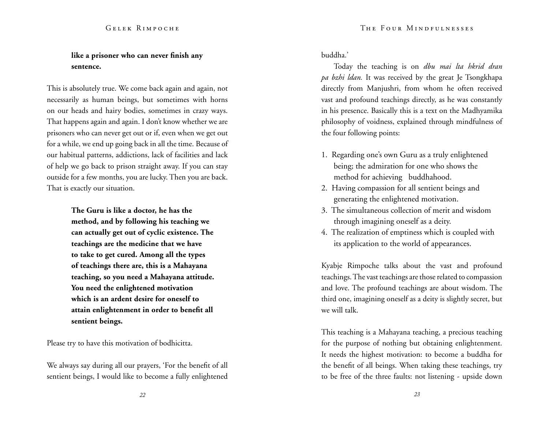# **like a prisoner who can never finish any sentence.**

This is absolutely true. We come back again and again, not necessarily as human beings, but sometimes with horns on our heads and hairy bodies, sometimes in crazy ways. That happens again and again. I don't know whether we are prisoners who can never get out or if, even when we get out for a while, we end up going back in all the time. Because of our habitual patterns, addictions, lack of facilities and lack of help we go back to prison straight away. If you can stay outside for a few months, you are lucky. Then you are back. That is exactly our situation.

> **The Guru is like a doctor, he has the method, and by following his teaching we can actually get out of cyclic existence. The teachings are the medicine that we have to take to get cured. Among all the types of teachings there are, this is a Mahayana teaching, so you need a Mahayana attitude. You need the enlightened motivation which is an ardent desire for oneself to attain enlightenment in order to benefit all sentient beings.**

Please try to have this motivation of bodhicitta.

We always say during all our prayers, 'For the benefit of all sentient beings, I would like to become a fully enlightened buddha.'

Today the teaching is on *dbu mai lta hkrid dran pa bzhi ldan.* It was received by the great Je Tsongkhapa directly from Manjushri, from whom he often received vast and profound teachings directly, as he was constantly in his presence. Basically this is a text on the Madhyamika philosophy of voidness, explained through mindfulness of the four following points:

- 1. Regarding one's own Guru as a truly enlightened being; the admiration for one who shows the method for achieving buddhahood.
- 2. Having compassion for all sentient beings and generating the enlightened motivation.
- 3. The simultaneous collection of merit and wisdom through imagining oneself as a deity.
- 4. The realization of emptiness which is coupled with its application to the world of appearances.

Kyabje Rimpoche talks about the vast and profound teachings. The vast teachings are those related to compassion and love. The profound teachings are about wisdom. The third one, imagining oneself as a deity is slightly secret, but we will talk.

This teaching is a Mahayana teaching, a precious teaching for the purpose of nothing but obtaining enlightenment. It needs the highest motivation: to become a buddha for the benefit of all beings. When taking these teachings, try to be free of the three faults: not listening - upside down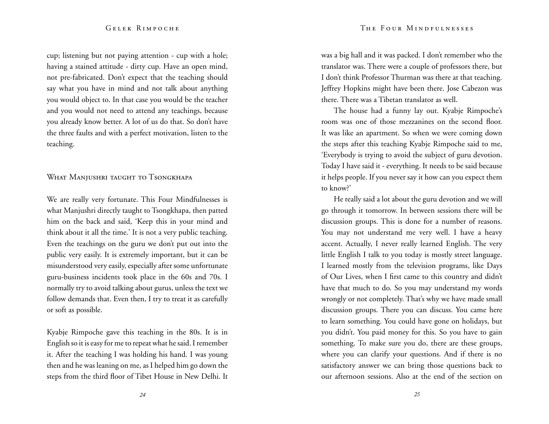cup; listening but not paying attention - cup with a hole; having a stained attitude - dirty cup. Have an open mind, not pre-fabricated. Don't expect that the teaching should say what you have in mind and not talk about anything you would object to. In that case you would be the teacher and you would not need to attend any teachings, because you already know better. A lot of us do that. So don't have the three faults and with a perfect motivation, listen to the teaching.

#### What Manjushri taught to Tsongkhapa

We are really very fortunate. This Four Mindfulnesses is what Manjushri directly taught to Tsongkhapa, then patted him on the back and said, 'Keep this in your mind and think about it all the time.' It is not a very public teaching. Even the teachings on the guru we don't put out into the public very easily. It is extremely important, but it can be misunderstood very easily, especially after some unfortunate guru-business incidents took place in the 60s and 70s. I normally try to avoid talking about gurus, unless the text we follow demands that. Even then, I try to treat it as carefully or soft as possible.

Kyabje Rimpoche gave this teaching in the 80s. It is in English so it is easy for me to repeat what he said. I remember it. After the teaching I was holding his hand. I was young then and he was leaning on me, as I helped him go down the steps from the third floor of Tibet House in New Delhi. It was a big hall and it was packed. I don't remember who the translator was. There were a couple of professors there, but I don't think Professor Thurman was there at that teaching. Jeffrey Hopkins might have been there. Jose Cabezon was there. There was a Tibetan translator as well.

The house had a funny lay out. Kyabje Rimpoche's room was one of those mezzanines on the second floor. It was like an apartment. So when we were coming down the steps after this teaching Kyabje Rimpoche said to me, 'Everybody is trying to avoid the subject of guru devotion. Today I have said it - everything. It needs to be said because it helps people. If you never say it how can you expect them to know?'

He really said a lot about the guru devotion and we will go through it tomorrow. In between sessions there will be discussion groups. This is done for a number of reasons. You may not understand me very well. I have a heavy accent. Actually, I never really learned English. The very little English I talk to you today is mostly street language. I learned mostly from the television programs, like Days of Our Lives, when I first came to this country and didn't have that much to do. So you may understand my words wrongly or not completely. That's why we have made small discussion groups. There you can discuss. You came here to learn something. You could have gone on holidays, but you didn't. You paid money for this. So you have to gain something. To make sure you do, there are these groups, where you can clarify your questions. And if there is no satisfactory answer we can bring those questions back to our afternoon sessions. Also at the end of the section on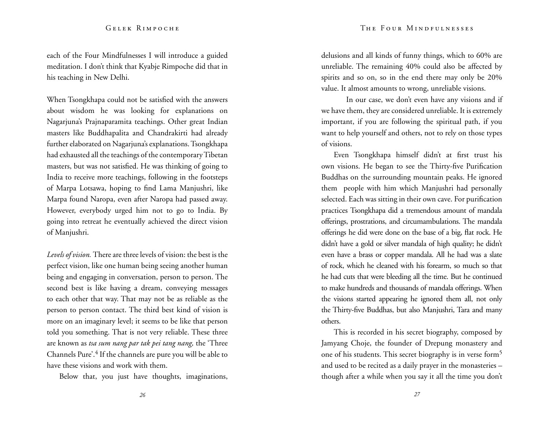each of the Four Mindfulnesses I will introduce a guided meditation. I don't think that Kyabje Rimpoche did that in his teaching in New Delhi.

When Tsongkhapa could not be satisfied with the answers about wisdom he was looking for explanations on Nagarjuna's Prajnaparamita teachings. Other great Indian masters like Buddhapalita and Chandrakirti had already further elaborated on Nagarjuna's explanations. Tsongkhapa had exhausted all the teachings of the contemporary Tibetan masters, but was not satisfied. He was thinking of going to India to receive more teachings, following in the footsteps of Marpa Lotsawa, hoping to find Lama Manjushri, like Marpa found Naropa, even after Naropa had passed away. However, everybody urged him not to go to India. By going into retreat he eventually achieved the direct vision of Manjushri.

*Levels of vision.* There are three levels of vision: the best is the perfect vision, like one human being seeing another human being and engaging in conversation, person to person. The second best is like having a dream, conveying messages to each other that way. That may not be as reliable as the person to person contact. The third best kind of vision is more on an imaginary level; it seems to be like that person told you something. That is not very reliable. These three are known as *tsa sum nang par tak pei tang nang,* the 'Three Channels Pure'.4 If the channels are pure you will be able to have these visions and work with them.

Below that, you just have thoughts, imaginations,

delusions and all kinds of funny things, which to 60% are unreliable. The remaining 40% could also be affected by spirits and so on, so in the end there may only be 20% value. It almost amounts to wrong, unreliable visions.

In our case, we don't even have any visions and if we have them, they are considered unreliable. It is extremely important, if you are following the spiritual path, if you want to help yourself and others, not to rely on those types of visions.

Even Tsongkhapa himself didn't at first trust his own visions. He began to see the Thirty-five Purification Buddhas on the surrounding mountain peaks. He ignored them people with him which Manjushri had personally selected. Each was sitting in their own cave. For purification practices Tsongkhapa did a tremendous amount of mandala offerings, prostrations, and circumambulations. The mandala offerings he did were done on the base of a big, flat rock. He didn't have a gold or silver mandala of high quality; he didn't even have a brass or copper mandala. All he had was a slate of rock, which he cleaned with his forearm, so much so that he had cuts that were bleeding all the time. But he continued to make hundreds and thousands of mandala offerings. When the visions started appearing he ignored them all, not only the Thirty-five Buddhas, but also Manjushri, Tara and many others.

This is recorded in his secret biography, composed by Jamyang Choje, the founder of Drepung monastery and one of his students. This secret biography is in verse form5 and used to be recited as a daily prayer in the monasteries – though after a while when you say it all the time you don't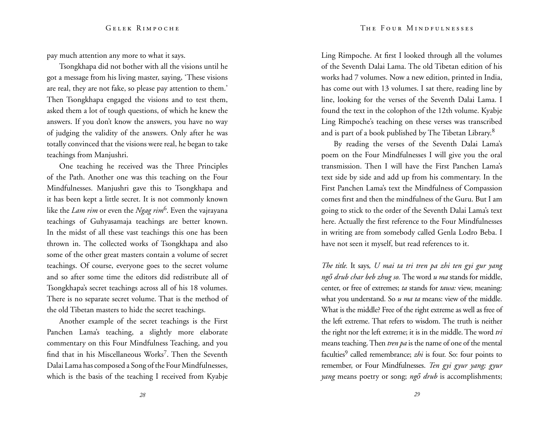pay much attention any more to what it says.

Tsongkhapa did not bother with all the visions until he got a message from his living master, saying, 'These visions are real, they are not fake, so please pay attention to them.' Then Tsongkhapa engaged the visions and to test them, asked them a lot of tough questions, of which he knew the answers. If you don't know the answers, you have no way of judging the validity of the answers. Only after he was totally convinced that the visions were real, he began to take teachings from Manjushri.

One teaching he received was the Three Principles of the Path. Another one was this teaching on the Four Mindfulnesses. Manjushri gave this to Tsongkhapa and it has been kept a little secret. It is not commonly known like the *Lam rim* or even the *Ngag rim*6. Even the vajrayana teachings of Guhyasamaja teachings are better known. In the midst of all these vast teachings this one has been thrown in. The collected works of Tsongkhapa and also some of the other great masters contain a volume of secret teachings. Of course, everyone goes to the secret volume and so after some time the editors did redistribute all of Tsongkhapa's secret teachings across all of his 18 volumes. There is no separate secret volume. That is the method of the old Tibetan masters to hide the secret teachings.

Another example of the secret teachings is the First Panchen Lama's teaching, a slightly more elaborate commentary on this Four Mindfulness Teaching, and you find that in his Miscellaneous Works<sup>7</sup>. Then the Seventh Dalai Lama has composed a Song of the Four Mindfulnesses, which is the basis of the teaching I received from Kyabje Ling Rimpoche. At first I looked through all the volumes of the Seventh Dalai Lama. The old Tibetan edition of his works had 7 volumes. Now a new edition, printed in India, has come out with 13 volumes. I sat there, reading line by line, looking for the verses of the Seventh Dalai Lama. I found the text in the colophon of the 12th volume. Kyabje Ling Rimpoche's teaching on these verses was transcribed and is part of a book published by The Tibetan Library.8

By reading the verses of the Seventh Dalai Lama's poem on the Four Mindfulnesses I will give you the oral transmission. Then I will have the First Panchen Lama's text side by side and add up from his commentary. In the First Panchen Lama's text the Mindfulness of Compassion comes first and then the mindfulness of the Guru. But I am going to stick to the order of the Seventh Dalai Lama's text here. Actually the first reference to the Four Mindfulnesses in writing are from somebody called Genla Lodro Beba. I have not seen it myself, but read references to it.

*The title.* It says*, U mai ta tri tren pa zhi ten gyi gur yang ngő drub char beb zhug so.* The word *u ma* stands for middle, center, or free of extremes; *ta* stands for *tawa:* view, meaning: what you understand. So *u ma ta* means: view of the middle. What is the middle? Free of the right extreme as well as free of the left extreme. That refers to wisdom. The truth is neither the right nor the left extreme; it is in the middle. The word *tri* means teaching. Then *tren pa* is the name of one of the mental faculties<sup>9</sup> called remembrance; *zhi* is four. So: four points to remember, or Four Mindfulnesses. *Ten gyi gyur yang; gyur yang* means poetry or song; *ngő drub* is accomplishments;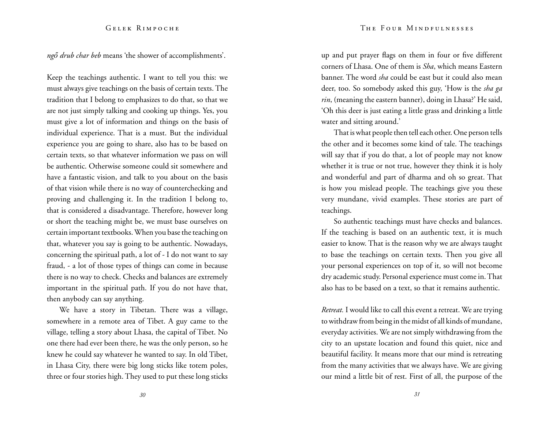*ngő drub char beb* means 'the shower of accomplishments'.

Keep the teachings authentic. I want to tell you this: we must always give teachings on the basis of certain texts. The tradition that I belong to emphasizes to do that, so that we are not just simply talking and cooking up things. Yes, you must give a lot of information and things on the basis of individual experience. That is a must. But the individual experience you are going to share, also has to be based on certain texts, so that whatever information we pass on will be authentic. Otherwise someone could sit somewhere and have a fantastic vision, and talk to you about on the basis of that vision while there is no way of counterchecking and proving and challenging it. In the tradition I belong to, that is considered a disadvantage. Therefore, however long or short the teaching might be, we must base ourselves on certain important textbooks. When you base the teaching on that, whatever you say is going to be authentic. Nowadays, concerning the spiritual path, a lot of - I do not want to say fraud, - a lot of those types of things can come in because there is no way to check. Checks and balances are extremely important in the spiritual path. If you do not have that, then anybody can say anything.

We have a story in Tibetan. There was a village, somewhere in a remote area of Tibet. A guy came to the village, telling a story about Lhasa, the capital of Tibet. No one there had ever been there, he was the only person, so he knew he could say whatever he wanted to say. In old Tibet, in Lhasa City, there were big long sticks like totem poles, three or four stories high. They used to put these long sticks up and put prayer flags on them in four or five different corners of Lhasa. One of them is *Sha*, which means Eastern banner. The word *sha* could be east but it could also mean deer, too. So somebody asked this guy, 'How is the *sha ga rin*, (meaning the eastern banner), doing in Lhasa?' He said, 'Oh this deer is just eating a little grass and drinking a little water and sitting around.'

That is what people then tell each other. One person tells the other and it becomes some kind of tale. The teachings will say that if you do that, a lot of people may not know whether it is true or not true, however they think it is holy and wonderful and part of dharma and oh so great. That is how you mislead people. The teachings give you these very mundane, vivid examples. These stories are part of teachings.

So authentic teachings must have checks and balances. If the teaching is based on an authentic text, it is much easier to know. That is the reason why we are always taught to base the teachings on certain texts. Then you give all your personal experiences on top of it, so will not become dry academic study. Personal experience must come in. That also has to be based on a text, so that it remains authentic.

*Retreat.* I would like to call this event a retreat. We are trying to withdraw from being in the midst of all kinds of mundane, everyday activities. We are not simply withdrawing from the city to an upstate location and found this quiet, nice and beautiful facility. It means more that our mind is retreating from the many activities that we always have. We are giving our mind a little bit of rest. First of all, the purpose of the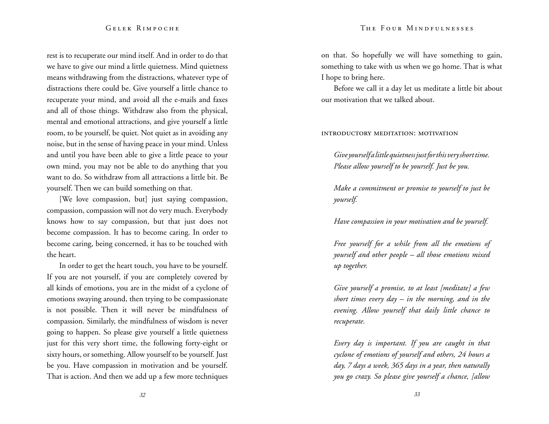rest is to recuperate our mind itself. And in order to do that we have to give our mind a little quietness. Mind quietness means withdrawing from the distractions, whatever type of distractions there could be. Give yourself a little chance to recuperate your mind, and avoid all the e-mails and faxes and all of those things. Withdraw also from the physical, mental and emotional attractions, and give yourself a little room, to be yourself, be quiet. Not quiet as in avoiding any noise, but in the sense of having peace in your mind. Unless and until you have been able to give a little peace to your own mind, you may not be able to do anything that you want to do. So withdraw from all attractions a little bit. Be yourself. Then we can build something on that.

[We love compassion, but] just saying compassion, compassion, compassion will not do very much. Everybody knows how to say compassion, but that just does not become compassion. It has to become caring. In order to become caring, being concerned, it has to be touched with the heart.

In order to get the heart touch, you have to be yourself. If you are not yourself, if you are completely covered by all kinds of emotions, you are in the midst of a cyclone of emotions swaying around, then trying to be compassionate is not possible. Then it will never be mindfulness of compassion. Similarly, the mindfulness of wisdom is never going to happen. So please give yourself a little quietness just for this very short time, the following forty-eight or sixty hours, or something. Allow yourself to be yourself. Just be you. Have compassion in motivation and be yourself. That is action. And then we add up a few more techniques on that. So hopefully we will have something to gain, something to take with us when we go home. That is what I hope to bring here.

Before we call it a day let us meditate a little bit about our motivation that we talked about.

introductory meditation: motivation

*Give yourself a little quietness just for this very short time. Please allow yourself to be yourself. Just be you.* 

*Make a commitment or promise to yourself to just be yourself.* 

*Have compassion in your motivation and be yourself.*

*Free yourself for a while from all the emotions of yourself and other people – all those emotions mixed up together.* 

*Give yourself a promise, to at least [meditate] a few short times every day – in the morning, and in the evening. Allow yourself that daily little chance to recuperate.* 

*Every day is important. If you are caught in that cyclone of emotions of yourself and others, 24 hours a day, 7 days a week, 365 days in a year, then naturally you go crazy. So please give yourself a chance, [allow*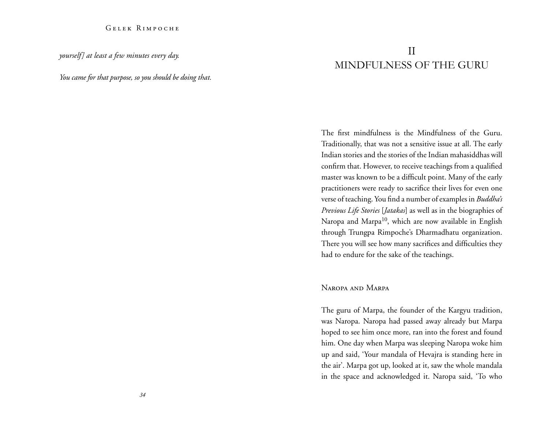*yourself] at least a few minutes every day.* 

*You came for that purpose, so you should be doing that.* 

# II Mindfulness of the Guru

The first mindfulness is the Mindfulness of the Guru. Traditionally, that was not a sensitive issue at all. The early Indian stories and the stories of the Indian mahasiddhas will confirm that. However, to receive teachings from a qualified master was known to be a difficult point. Many of the early practitioners were ready to sacrifice their lives for even one verse of teaching. You find a number of examples in *Buddha's Previous Life Stories* [*Jatakas*] as well as in the biographies of Naropa and Marpa<sup>10</sup>, which are now available in English through Trungpa Rimpoche's Dharmadhatu organization. There you will see how many sacrifices and difficulties they had to endure for the sake of the teachings.

#### Naropa and Marpa

The guru of Marpa, the founder of the Kargyu tradition, was Naropa. Naropa had passed away already but Marpa hoped to see him once more, ran into the forest and found him. One day when Marpa was sleeping Naropa woke him up and said, 'Your mandala of Hevajra is standing here in the air'. Marpa got up, looked at it, saw the whole mandala in the space and acknowledged it. Naropa said, 'To who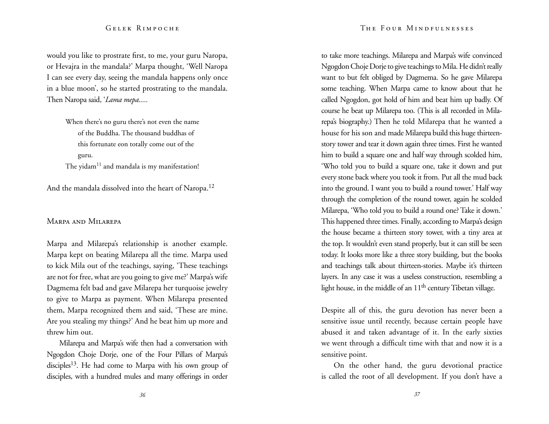would you like to prostrate first, to me, your guru Naropa, or Hevajra in the mandala?' Marpa thought, 'Well Naropa I can see every day, seeing the mandala happens only once in a blue moon', so he started prostrating to the mandala. Then Naropa said, '*Lama mepa.....*

> When there's no guru there's not even the name of the Buddha. The thousand buddhas of this fortunate eon totally come out of the guru. The yidam $11$  and mandala is my manifestation!

And the mandala dissolved into the heart of Naropa.<sup>12</sup>

#### Marpa and Milarepa

Marpa and Milarepa's relationship is another example. Marpa kept on beating Milarepa all the time. Marpa used to kick Mila out of the teachings, saying, 'These teachings are not for free, what are you going to give me?' Marpa's wife Dagmema felt bad and gave Milarepa her turquoise jewelry to give to Marpa as payment. When Milarepa presented them, Marpa recognized them and said, 'These are mine. Are you stealing my things?' And he beat him up more and threw him out.

Milarepa and Marpa's wife then had a conversation with Ngogdon Choje Dorje, one of the Four Pillars of Marpa's disciples<sup>13</sup>. He had come to Marpa with his own group of disciples, with a hundred mules and many offerings in order to take more teachings. Milarepa and Marpa's wife convinced Ngogdon Choje Dorje to give teachings to Mila. He didn't really want to but felt obliged by Dagmema. So he gave Milarepa some teaching. When Marpa came to know about that he called Ngogdon, got hold of him and beat him up badly. Of course he beat up Milarepa too. (This is all recorded in Milarepa's biography.) Then he told Milarepa that he wanted a house for his son and made Milarepa build this huge thirteenstory tower and tear it down again three times. First he wanted him to build a square one and half way through scolded him, 'Who told you to build a square one, take it down and put every stone back where you took it from. Put all the mud back into the ground. I want you to build a round tower.' Half way through the completion of the round tower, again he scolded Milarepa, 'Who told you to build a round one? Take it down.' This happened three times. Finally, according to Marpa's design the house became a thirteen story tower, with a tiny area at the top. It wouldn't even stand properly, but it can still be seen today. It looks more like a three story building, but the books and teachings talk about thirteen-stories. Maybe it's thirteen layers. In any case it was a useless construction, resembling a light house, in the middle of an 11<sup>th</sup> century Tibetan village.

Despite all of this, the guru devotion has never been a sensitive issue until recently, because certain people have abused it and taken advantage of it. In the early sixties we went through a difficult time with that and now it is a sensitive point.

On the other hand, the guru devotional practice is called the root of all development. If you don't have a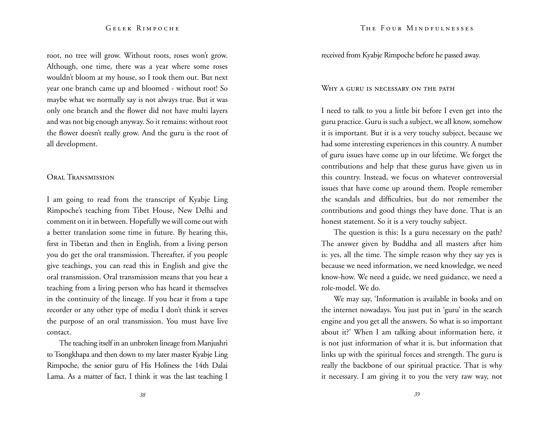root, no tree will grow. Without roots, roses won't grow. Although, one time, there was a year where some roses wouldn't bloom at my house, so I took them out. But next year one branch came up and bloomed - without root! So maybe what we normally say is not always true. But it was only one branch and the flower did not have multi layers and was not big enough anyway. So it remains: without root the flower doesn't really grow. And the guru is the root of all development.

#### Oral Transmission

I am going to read from the transcript of Kyabje Ling Rimpoche's teaching from Tibet House, New Delhi and comment on it in between. Hopefully we will come out with a better translation some time in future. By hearing this, first in Tibetan and then in English, from a living person you do get the oral transmission. Thereafter, if you people give teachings, you can read this in English and give the oral transmission. Oral transmission means that you hear a teaching from a living person who has heard it themselves in the continuity of the lineage. If you hear it from a tape recorder or any other type of media I don't think it serves the purpose of an oral transmission. You must have live contact.

The teaching itself in an unbroken lineage from Manjushri to Tsongkhapa and then down to my later master Kyabje Ling Rimpoche, the senior guru of His Holiness the 14th Dalai Lama. As a matter of fact, I think it was the last teaching I received from Kyabje Rimpoche before he passed away.

#### WHY A GURU IS NECESSARY ON THE PATH

I need to talk to you a little bit before I even get into the guru practice. Guru is such a subject, we all know, somehow it is important. But it is a very touchy subject, because we had some interesting experiences in this country. A number of guru issues have come up in our lifetime. We forget the contributions and help that these gurus have given us in this country. Instead, we focus on whatever controversial issues that have come up around them. People remember the scandals and difficulties, but do not remember the contributions and good things they have done. That is an honest statement. So it is a very touchy subject.

The question is this: Is a guru necessary on the path? The answer given by Buddha and all masters after him is: yes, all the time. The simple reason why they say yes is because we need information, we need knowledge, we need know-how. We need a guide, we need guidance, we need a role-model. We do.

We may say, 'Information is available in books and on the internet nowadays. You just put in 'guru' in the search engine and you get all the answers. So what is so important about it?' When I am talking about information here, it is not just information of what it is, but information that links up with the spiritual forces and strength. The guru is really the backbone of our spiritual practice. That is why it necessary. I am giving it to you the very raw way, not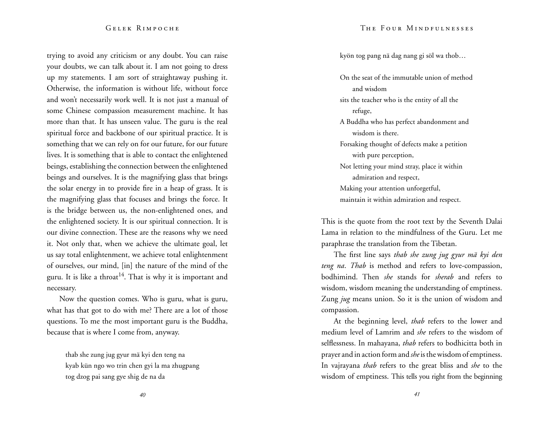trying to avoid any criticism or any doubt. You can raise your doubts, we can talk about it. I am not going to dress up my statements. I am sort of straightaway pushing it. Otherwise, the information is without life, without force and won't necessarily work well. It is not just a manual of some Chinese compassion measurement machine. It has more than that. It has unseen value. The guru is the real spiritual force and backbone of our spiritual practice. It is something that we can rely on for our future, for our future lives. It is something that is able to contact the enlightened beings, establishing the connection between the enlightened beings and ourselves. It is the magnifying glass that brings the solar energy in to provide fire in a heap of grass. It is the magnifying glass that focuses and brings the force. It is the bridge between us, the non-enlightened ones, and the enlightened society. It is our spiritual connection. It is our divine connection. These are the reasons why we need it. Not only that, when we achieve the ultimate goal, let us say total enlightenment, we achieve total enlightenment of ourselves, our mind, [in] the nature of the mind of the guru. It is like a throat<sup>14</sup>. That is why it is important and necessary.

Now the question comes. Who is guru, what is guru, what has that got to do with me? There are a lot of those questions. To me the most important guru is the Buddha, because that is where I come from, anyway.

> thab she zung jug gyur mä kyi den teng na kyab kün ngo wo trin chen gyi la ma zhugpang tog dzog pai sang gye shig de na da

kyön tog pang nä dag nang gi söl wa thob…

On the seat of the immutable union of method and wisdom sits the teacher who is the entity of all the refuge, A Buddha who has perfect abandonment and wisdom is there. Forsaking thought of defects make a petition with pure perception, Not letting your mind stray, place it within admiration and respect, Making your attention unforgetful, maintain it within admiration and respect.

This is the quote from the root text by the Seventh Dalai Lama in relation to the mindfulness of the Guru. Let me paraphrase the translation from the Tibetan.

The first line says *thab she zung jug gyur mä kyi den teng na*. *Thab* is method and refers to love-compassion, bodhimind. Then *she* stands for *sherab* and refers to wisdom, wisdom meaning the understanding of emptiness. Zung *jug* means union. So it is the union of wisdom and compassion.

At the beginning level, *thab* refers to the lower and medium level of Lamrim and *she* refers to the wisdom of selflessness. In mahayana, *thab* refers to bodhicitta both in prayer and in action form and *she* is the wisdom of emptiness. In vajrayana *thab* refers to the great bliss and *she* to the wisdom of emptiness. This tells you right from the beginning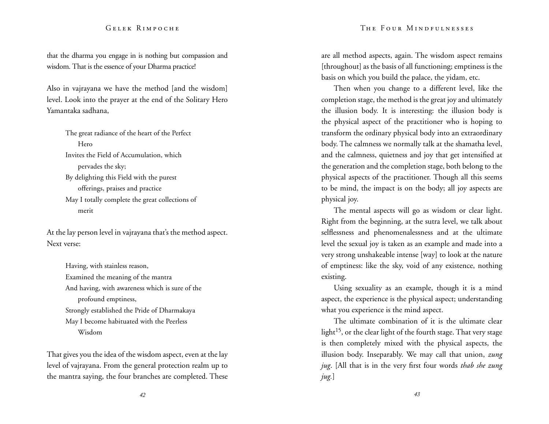#### The Four Mindfulnesses

#### Gelek Rimpoche

that the dharma you engage in is nothing but compassion and wisdom. That is the essence of your Dharma practice!

Also in vajrayana we have the method [and the wisdom] level. Look into the prayer at the end of the Solitary Hero Yamantaka sadhana,

> The great radiance of the heart of the Perfect Hero Invites the Field of Accumulation, which pervades the sky; By delighting this Field with the purest offerings, praises and practice May I totally complete the great collections of merit

At the lay person level in vajrayana that's the method aspect. Next verse:

> Having, with stainless reason, Examined the meaning of the mantra And having, with awareness which is sure of the profound emptiness, Strongly established the Pride of Dharmakaya May I become habituated with the Peerless Wisdom

That gives you the idea of the wisdom aspect, even at the lay level of vajrayana. From the general protection realm up to the mantra saying, the four branches are completed. These are all method aspects, again. The wisdom aspect remains [throughout] as the basis of all functioning; emptiness is the basis on which you build the palace, the yidam, etc.

Then when you change to a different level, like the completion stage, the method is the great joy and ultimately the illusion body. It is interesting: the illusion body is the physical aspect of the practitioner who is hoping to transform the ordinary physical body into an extraordinary body. The calmness we normally talk at the shamatha level, and the calmness, quietness and joy that get intensified at the generation and the completion stage, both belong to the physical aspects of the practitioner. Though all this seems to be mind, the impact is on the body; all joy aspects are physical joy.

The mental aspects will go as wisdom or clear light. Right from the beginning, at the sutra level, we talk about selflessness and phenomenalessness and at the ultimate level the sexual joy is taken as an example and made into a very strong unshakeable intense [way] to look at the nature of emptiness: like the sky, void of any existence, nothing existing.

Using sexuality as an example, though it is a mind aspect, the experience is the physical aspect; understanding what you experience is the mind aspect.

The ultimate combination of it is the ultimate clear light<sup>15</sup>, or the clear light of the fourth stage. That very stage is then completely mixed with the physical aspects, the illusion body. Inseparably. We may call that union, *zung jug*. [All that is in the very first four words *thab she zung jug.*]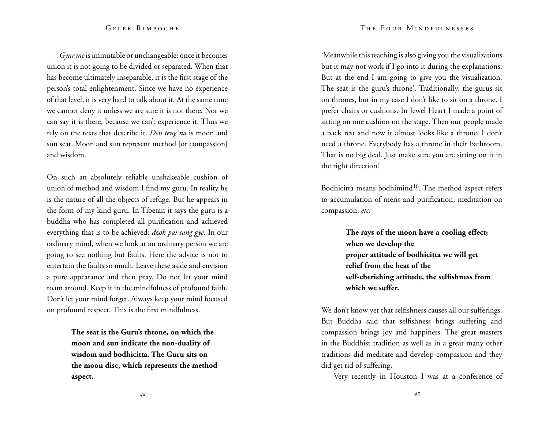*Gyur me* is immutable or unchangeable: once it becomes union it is not going to be divided or separated. When that has become ultimately inseparable, it is the first stage of the person's total enlightenment. Since we have no experience of that level, it is very hard to talk about it. At the same time we cannot deny it unless we are sure it is not there. Nor we can say it is there, because we can't experience it. Thus we rely on the texts that describe it. *Den teng na* is moon and sun seat. Moon and sun represent method [or compassion] and wisdom.

On such an absolutely reliable unshakeable cushion of union of method and wisdom I find my guru. In reality he is the nature of all the objects of refuge. But he appears in the form of my kind guru. In Tibetan it says the guru is a buddha who has completed all purification and achieved everything that is to be achieved: *dzok pai sang gye*. In our ordinary mind, when we look at an ordinary person we are going to see nothing but faults. Here the advice is not to entertain the faults so much. Leave these aside and envision a pure appearance and then pray. Do not let your mind roam around. Keep it in the mindfulness of profound faith. Don't let your mind forget. Always keep your mind focused on profound respect. This is the first mindfulness.

> **The seat is the Guru's throne, on which the moon and sun indicate the non-duality of wisdom and bodhicitta. The Guru sits on the moon disc, which represents the method aspect.**

'Meanwhile this teaching is also giving you the visualizations but it may not work if I go into it during the explanations. But at the end I am going to give you the visualization. The seat is the guru's throne'. Traditionally, the gurus sit on thrones, but in my case I don't like to sit on a throne. I prefer chairs or cushions. In Jewel Heart I made a point of sitting on one cushion on the stage. Then our people made a back rest and now it almost looks like a throne. I don't need a throne. Everybody has a throne in their bathroom. That is no big deal. Just make sure you are sitting on it in the right direction!

Bodhicitta means bodhimind<sup>16</sup>. The method aspect refers to accumulation of merit and purification, meditation on compassion, *etc*.

> **The rays of the moon have a cooling effect; when we develop the proper attitude of bodhicitta we will get relief from the heat of the self-cherishing attitude, the selfishness from which we suffer.**

We don't know yet that selfishness causes all our sufferings. But Buddha said that selfishness brings suffering and compassion brings joy and happiness. The great masters in the Buddhist tradition as well as in a great many other traditions did meditate and develop compassion and they did get rid of suffering.

Very recently in Houston I was at a conference of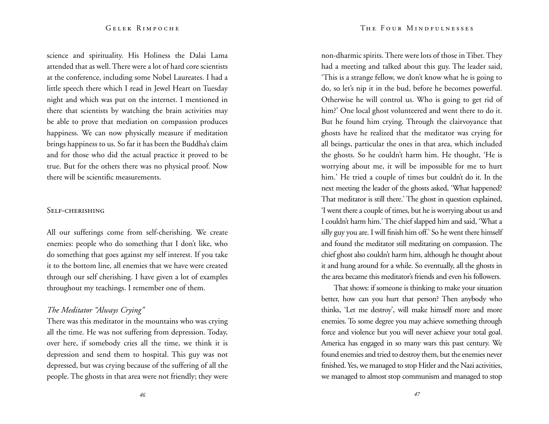science and spirituality. His Holiness the Dalai Lama attended that as well. There were a lot of hard core scientists at the conference, including some Nobel Laureates. I had a little speech there which I read in Jewel Heart on Tuesday night and which was put on the internet. I mentioned in there that scientists by watching the brain activities may be able to prove that mediation on compassion produces happiness. We can now physically measure if meditation brings happiness to us. So far it has been the Buddha's claim and for those who did the actual practice it proved to be true. But for the others there was no physical proof. Now there will be scientific measurements.

#### Self-cherishing

All our sufferings come from self-cherishing. We create enemies: people who do something that I don't like, who do something that goes against my self interest. If you take it to the bottom line, all enemies that we have were created through our self cherishing. I have given a lot of examples throughout my teachings. I remember one of them.

### *The Meditator "Always Crying"*

There was this meditator in the mountains who was crying all the time. He was not suffering from depression. Today, over here, if somebody cries all the time, we think it is depression and send them to hospital. This guy was not depressed, but was crying because of the suffering of all the people. The ghosts in that area were not friendly; they were non-dharmic spirits. There were lots of those in Tibet. They had a meeting and talked about this guy. The leader said, 'This is a strange fellow, we don't know what he is going to do, so let's nip it in the bud, before he becomes powerful. Otherwise he will control us. Who is going to get rid of him?' One local ghost volunteered and went there to do it. But he found him crying. Through the clairvoyance that ghosts have he realized that the meditator was crying for all beings, particular the ones in that area, which included the ghosts. So he couldn't harm him. He thought, 'He is worrying about me, it will be impossible for me to hurt him.' He tried a couple of times but couldn't do it. In the next meeting the leader of the ghosts asked, 'What happened? That meditator is still there.' The ghost in question explained, 'I went there a couple of times, but he is worrying about us and I couldn't harm him.' The chief slapped him and said, 'What a silly guy you are. I will finish him off.' So he went there himself and found the meditator still meditating on compassion. The chief ghost also couldn't harm him, although he thought about it and hung around for a while. So eventually, all the ghosts in the area became this meditator's friends and even his followers.

That shows: if someone is thinking to make your situation better, how can you hurt that person? Then anybody who thinks, 'Let me destroy', will make himself more and more enemies. To some degree you may achieve something through force and violence but you will never achieve your total goal. America has engaged in so many wars this past century. We found enemies and tried to destroy them, but the enemies never finished. Yes, we managed to stop Hitler and the Nazi activities, we managed to almost stop communism and managed to stop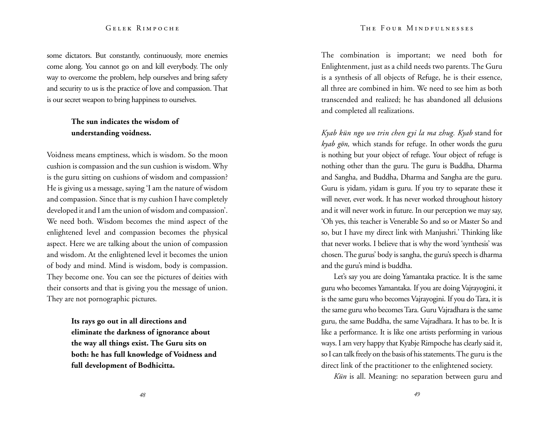#### The Four Mindfulnesses

#### Gelek Rimpoche

some dictators. But constantly, continuously, more enemies come along. You cannot go on and kill everybody. The only way to overcome the problem, help ourselves and bring safety and security to us is the practice of love and compassion. That is our secret weapon to bring happiness to ourselves.

### **The sun indicates the wisdom of understanding voidness.**

Voidness means emptiness, which is wisdom. So the moon cushion is compassion and the sun cushion is wisdom. Why is the guru sitting on cushions of wisdom and compassion? He is giving us a message, saying 'I am the nature of wisdom and compassion. Since that is my cushion I have completely developed it and I am the union of wisdom and compassion'. We need both. Wisdom becomes the mind aspect of the enlightened level and compassion becomes the physical aspect. Here we are talking about the union of compassion and wisdom. At the enlightened level it becomes the union of body and mind. Mind is wisdom, body is compassion. They become one. You can see the pictures of deities with their consorts and that is giving you the message of union. They are not pornographic pictures.

> **Its rays go out in all directions and eliminate the darkness of ignorance about the way all things exist. The Guru sits on both: he has full knowledge of Voidness and full development of Bodhicitta.**

The combination is important; we need both for Enlightenment, just as a child needs two parents. The Guru is a synthesis of all objects of Refuge, he is their essence, all three are combined in him. We need to see him as both transcended and realized; he has abandoned all delusions and completed all realizations.

*Kyab kün ngo wo trin chen gyi la ma zhug. Kyab* stand for *kyab gön,* which stands for refuge. In other words the guru is nothing but your object of refuge. Your object of refuge is nothing other than the guru. The guru is Buddha, Dharma and Sangha, and Buddha, Dharma and Sangha are the guru. Guru is yidam, yidam is guru. If you try to separate these it will never, ever work. It has never worked throughout history and it will never work in future. In our perception we may say, 'Oh yes, this teacher is Venerable So and so or Master So and so, but I have my direct link with Manjushri.' Thinking like that never works. I believe that is why the word 'synthesis' was chosen. The gurus' body is sangha, the guru's speech is dharma and the guru's mind is buddha.

Let's say you are doing Yamantaka practice. It is the same guru who becomes Yamantaka. If you are doing Vajrayogini, it is the same guru who becomes Vajrayogini. If you do Tara, it is the same guru who becomes Tara. Guru Vajradhara is the same guru, the same Buddha, the same Vajradhara. It has to be. It is like a performance. It is like one artists performing in various ways. I am very happy that Kyabje Rimpoche has clearly said it, so I can talk freely on the basis of his statements. The guru is the direct link of the practitioner to the enlightened society.

*Kün* is all. Meaning: no separation between guru and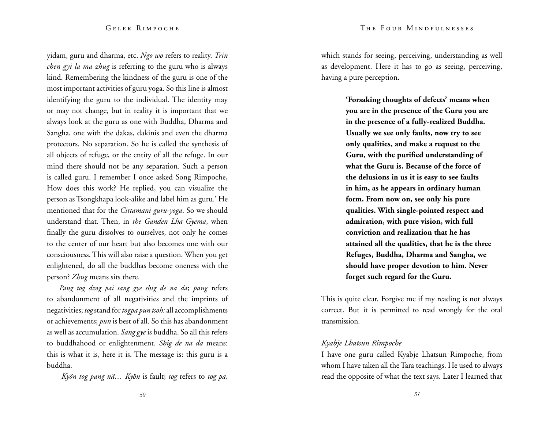yidam, guru and dharma, etc. *Ngo wo* refers to reality. *Trin chen gyi la ma zhug* is referring to the guru who is always kind. Remembering the kindness of the guru is one of the most important activities of guru yoga. So this line is almost identifying the guru to the individual. The identity may or may not change, but in reality it is important that we always look at the guru as one with Buddha, Dharma and Sangha, one with the dakas, dakinis and even the dharma protectors. No separation. So he is called the synthesis of all objects of refuge, or the entity of all the refuge. In our mind there should not be any separation. Such a person is called guru. I remember I once asked Song Rimpoche, How does this work? He replied, you can visualize the person as Tsongkhapa look-alike and label him as guru.' He mentioned that for the *Cittamani guru-yoga*. So we should understand that. Then, in *the Ganden Lha Gyema*, when finally the guru dissolves to ourselves, not only he comes to the center of our heart but also becomes one with our consciousness. This will also raise a question. When you get enlightened, do all the buddhas become oneness with the person? *Zhug* means sits there.

*Pang tog dzog pai sang gye shig de na da*; *pang* refers to abandonment of all negativities and the imprints of negativities; *tog* stand for *togpa pun tsoh:* all accomplishments or achievements; *pun* is best of all. So this has abandonment as well as accumulation. *Sang gye* is buddha. So all this refers to buddhahood or enlightenment. *Shig de na da* means: this is what it is, here it is. The message is: this guru is a buddha.

*Kyön tog pang nä… Kyön* is fault; *tog* refers to *tog pa,*

which stands for seeing, perceiving, understanding as well as development. Here it has to go as seeing, perceiving, having a pure perception.

> **'Forsaking thoughts of defects' means when you are in the presence of the Guru you are in the presence of a fully-realized Buddha. Usually we see only faults, now try to see only qualities, and make a request to the Guru, with the purified understanding of what the Guru is. Because of the force of the delusions in us it is easy to see faults in him, as he appears in ordinary human form. From now on, see only his pure qualities. With single-pointed respect and admiration, with pure vision, with full conviction and realization that he has attained all the qualities, that he is the three Refuges, Buddha, Dharma and Sangha, we should have proper devotion to him. Never forget such regard for the Guru.**

This is quite clear. Forgive me if my reading is not always correct. But it is permitted to read wrongly for the oral transmission.

#### *Kyabje Lhatsun Rimpoche*

I have one guru called Kyabje Lhatsun Rimpoche, from whom I have taken all the Tara teachings. He used to always read the opposite of what the text says. Later I learned that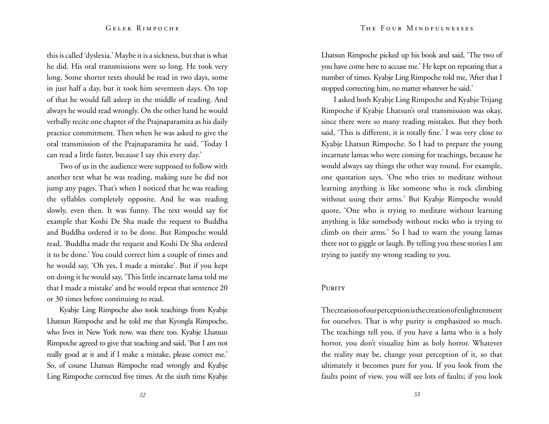this is called 'dyslexia.' Maybe it is a sickness, but that is what he did. His oral transmissions were so long. He took very long. Some shorter texts should be read in two days, some in just half a day, but it took him seventeen days. On top of that he would fall asleep in the middle of reading. And always he would read wrongly. On the other hand he would verbally recite one chapter of the Prajnaparamita as his daily practice commitment. Then when he was asked to give the oral transmission of the Prajnaparamita he said, 'Today I can read a little faster, because I say this every day.'

Two of us in the audience were supposed to follow with another text what he was reading, making sure he did not jump any pages. That's when I noticed that he was reading the syllables completely opposite. And he was reading slowly, even then. It was funny. The text would say for example that Koshi De Sha made the request to Buddha and Buddha ordered it to be done. But Rimpoche would read, 'Buddha made the request and Koshi De Sha ordered it to be done.' You could correct him a couple of times and he would say, 'Oh yes, I made a mistake'. But if you kept on doing it he would say, 'This little incarnate lama told me that I made a mistake' and he would repeat that sentence 20 or 30 times before continuing to read.

Kyabje Ling Rimpoche also took teachings from Kyabje Lhatsun Rimpoche and he told me that Kyongla Rimpoche, who lives in New York now, was there too. Kyabje Lhatsun Rimpoche agreed to give that teaching and said, 'But I am not really good at it and if I make a mistake, please correct me.' So, of course Lhatsun Rimpoche read wrongly and Kyabje Ling Rimpoche corrected five times. At the sixth time Kyabje

Lhatsun Rimpoche picked up his book and said, 'The two of you have come here to accuse me.' He kept on repeating that a number of times. Kyabje Ling Rimpoche told me, 'After that I stopped correcting him, no matter whatever he said.'

I asked both Kyabje Ling Rimpoche and Kyabje Trijang Rimpoche if Kyabje Lhatsun's oral transmission was okay, since there were so many reading mistakes. But they both said, 'This is different, it is totally fine.' I was very close to Kyabje Lhatsun Rimpoche. So I had to prepare the young incarnate lamas who were coming for teachings, because he would always say things the other way round. For example, one quotation says, 'One who tries to meditate without learning anything is like someone who is rock climbing without using their arms.' But Kyabje Rimpoche would quote, 'One who is trying to meditate without learning anything is like somebody without rocks who is trying to climb on their arms.' So I had to warn the young lamas there not to giggle or laugh. By telling you these stories I am trying to justify my wrong reading to you.

#### PURITY

The creation of our perception is the creation of enlightenment for ourselves. That is why purity is emphasized so much. The teachings tell you, if you have a lama who is a holy horror, you don't visualize him as holy horror. Whatever the reality may be, change your perception of it, so that ultimately it becomes pure for you. If you look from the faults point of view, you will see lots of faults; if you look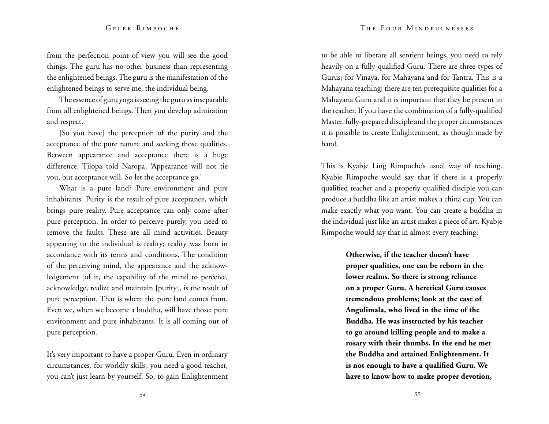from the perfection point of view you will see the good things. The guru has no other business than representing the enlightened beings. The guru is the manifestation of the enlightened beings to serve me, the individual being.

The essence of guru yoga is seeing the guru as inseparable from all enlightened beings. Then you develop admiration and respect.

[So you have] the perception of the purity and the acceptance of the pure nature and seeking those qualities. Between appearance and acceptance there is a huge difference. Tilopa told Naropa, 'Appearance will not tie you, but acceptance will. So let the acceptance go.'

What is a pure land? Pure environment and pure inhabitants. Purity is the result of pure acceptance, which brings pure reality. Pure acceptance can only come after pure perception. In order to perceive purely, you need to remove the faults. These are all mind activities. Beauty appearing to the individual is reality; reality was born in accordance with its terms and conditions. The condition of the perceiving mind, the appearance and the acknowledgement [of it, the capability of the mind to perceive, acknowledge, realize and maintain [purity], is the result of pure perception. That is where the pure land comes from. Even we, when we become a buddha, will have those: pure environment and pure inhabitants. It is all coming out of pure perception.

It's very important to have a proper Guru. Even in ordinary circumstances, for worldly skills, you need a good teacher, you can't just learn by yourself. So, to gain Enlightenment to be able to liberate all sentient beings, you need to rely heavily on a fully-qualified Guru. There are three types of Gurus; for Vinaya, for Mahayana and for Tantra. This is a Mahayana teaching; there are ten prerequisite qualities for a Mahayana Guru and it is important that they be present in the teacher. If you have the combination of a fully-qualified Master, fully-prepared disciple and the proper circumstances it is possible to create Enlightenment, as though made by hand.

This is Kyabje Ling Rimpoche's usual way of teaching. Kyabje Rimpoche would say that if there is a properly qualified teacher and a properly qualified disciple you can produce a buddha like an artist makes a china cup. You can make exactly what you want. You can create a buddha in the individual just like an artist makes a piece of art. Kyabje Rimpoche would say that in almost every teaching:

> **Otherwise, if the teacher doesn't have proper qualities, one can be reborn in the lower realms. So there is strong reliance on a proper Guru. A heretical Guru causes tremendous problems; look at the case of Angulimala, who lived in the time of the Buddha. He was instructed by his teacher to go around killing people and to make a rosary with their thumbs. In the end he met the Buddha and attained Enlightenment. It is not enough to have a qualified Guru. We have to know how to make proper devotion,**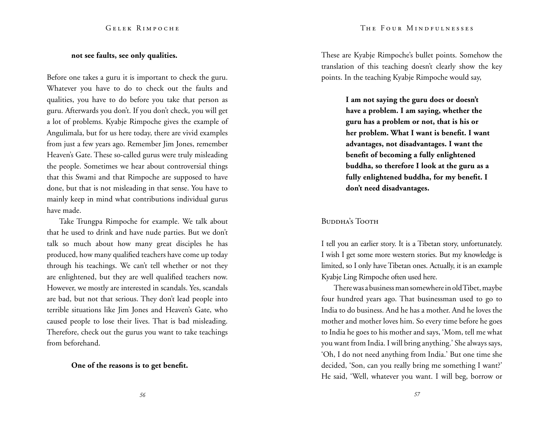#### **not see faults, see only qualities.**

Before one takes a guru it is important to check the guru. Whatever you have to do to check out the faults and qualities, you have to do before you take that person as guru. Afterwards you don't. If you don't check, you will get a lot of problems. Kyabje Rimpoche gives the example of Angulimala, but for us here today, there are vivid examples from just a few years ago. Remember Jim Jones, remember Heaven's Gate. These so-called gurus were truly misleading the people. Sometimes we hear about controversial things that this Swami and that Rimpoche are supposed to have done, but that is not misleading in that sense. You have to mainly keep in mind what contributions individual gurus have made.

Take Trungpa Rimpoche for example. We talk about that he used to drink and have nude parties. But we don't talk so much about how many great disciples he has produced, how many qualified teachers have come up today through his teachings. We can't tell whether or not they are enlightened, but they are well qualified teachers now. However, we mostly are interested in scandals. Yes, scandals are bad, but not that serious. They don't lead people into terrible situations like Jim Jones and Heaven's Gate, who caused people to lose their lives. That is bad misleading. Therefore, check out the gurus you want to take teachings from beforehand.

#### **One of the reasons is to get benefit.**

These are Kyabje Rimpoche's bullet points. Somehow the translation of this teaching doesn't clearly show the key points. In the teaching Kyabje Rimpoche would say,

> **I am not saying the guru does or doesn't have a problem. I am saying, whether the guru has a problem or not, that is his or her problem. What I want is benefit. I want advantages, not disadvantages. I want the benefit of becoming a fully enlightened buddha, so therefore I look at the guru as a fully enlightened buddha, for my benefit. I don't need disadvantages.**

#### Buddha's Tooth

I tell you an earlier story. It is a Tibetan story, unfortunately. I wish I get some more western stories. But my knowledge is limited, so I only have Tibetan ones. Actually, it is an example Kyabje Ling Rimpoche often used here.

There was a business man somewhere in old Tibet, maybe four hundred years ago. That businessman used to go to India to do business. And he has a mother. And he loves the mother and mother loves him. So every time before he goes to India he goes to his mother and says, 'Mom, tell me what you want from India. I will bring anything.' She always says, 'Oh, I do not need anything from India.' But one time she decided, 'Son, can you really bring me something I want?' He said, 'Well, whatever you want. I will beg, borrow or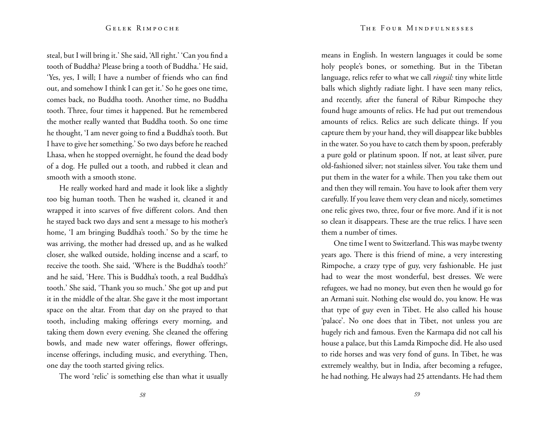steal, but I will bring it.' She said, 'All right.' 'Can you find a tooth of Buddha? Please bring a tooth of Buddha.' He said, 'Yes, yes, I will; I have a number of friends who can find out, and somehow I think I can get it.' So he goes one time, comes back, no Buddha tooth. Another time, no Buddha tooth. Three, four times it happened. But he remembered the mother really wanted that Buddha tooth. So one time he thought, 'I am never going to find a Buddha's tooth. But I have to give her something.' So two days before he reached Lhasa, when he stopped overnight, he found the dead body of a dog. He pulled out a tooth, and rubbed it clean and smooth with a smooth stone.

He really worked hard and made it look like a slightly too big human tooth. Then he washed it, cleaned it and wrapped it into scarves of five different colors. And then he stayed back two days and sent a message to his mother's home, 'I am bringing Buddha's tooth.' So by the time he was arriving, the mother had dressed up, and as he walked closer, she walked outside, holding incense and a scarf, to receive the tooth. She said, 'Where is the Buddha's tooth?' and he said, 'Here. This is Buddha's tooth, a real Buddha's tooth.' She said, 'Thank you so much.' She got up and put it in the middle of the altar. She gave it the most important space on the altar. From that day on she prayed to that tooth, including making offerings every morning, and taking them down every evening. She cleaned the offering bowls, and made new water offerings, flower offerings, incense offerings, including music, and everything. Then, one day the tooth started giving relics.

The word 'relic' is something else than what it usually

means in English. In western languages it could be some holy people's bones, or something. But in the Tibetan language, relics refer to what we call *ringsil:* tiny white little balls which slightly radiate light. I have seen many relics, and recently, after the funeral of Ribur Rimpoche they found huge amounts of relics. He had put out tremendous amounts of relics. Relics are such delicate things. If you capture them by your hand, they will disappear like bubbles in the water. So you have to catch them by spoon, preferably a pure gold or platinum spoon. If not, at least silver, pure old-fashioned silver; not stainless silver. You take them und put them in the water for a while. Then you take them out and then they will remain. You have to look after them very carefully. If you leave them very clean and nicely, sometimes one relic gives two, three, four or five more. And if it is not so clean it disappears. These are the true relics. I have seen them a number of times.

One time I went to Switzerland. This was maybe twenty years ago. There is this friend of mine, a very interesting Rimpoche, a crazy type of guy, very fashionable. He just had to wear the most wonderful, best dresses. We were refugees, we had no money, but even then he would go for an Armani suit. Nothing else would do, you know. He was that type of guy even in Tibet. He also called his house 'palace'. No one does that in Tibet, not unless you are hugely rich and famous. Even the Karmapa did not call his house a palace, but this Lamda Rimpoche did. He also used to ride horses and was very fond of guns. In Tibet, he was extremely wealthy, but in India, after becoming a refugee, he had nothing. He always had 25 attendants. He had them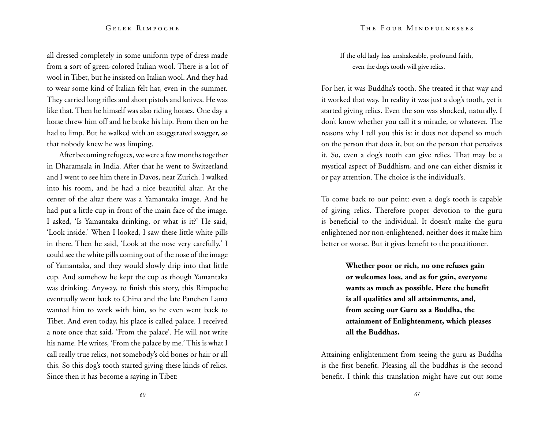all dressed completely in some uniform type of dress made from a sort of green-colored Italian wool. There is a lot of wool in Tibet, but he insisted on Italian wool. And they had to wear some kind of Italian felt hat, even in the summer. They carried long rifles and short pistols and knives. He was like that. Then he himself was also riding horses. One day a horse threw him off and he broke his hip. From then on he had to limp. But he walked with an exaggerated swagger, so that nobody knew he was limping.

After becoming refugees, we were a few months together in Dharamsala in India. After that he went to Switzerland and I went to see him there in Davos, near Zurich. I walked into his room, and he had a nice beautiful altar. At the center of the altar there was a Yamantaka image. And he had put a little cup in front of the main face of the image. I asked, 'Is Yamantaka drinking, or what is it?' He said, 'Look inside.' When I looked, I saw these little white pills in there. Then he said, 'Look at the nose very carefully.' I could see the white pills coming out of the nose of the image of Yamantaka, and they would slowly drip into that little cup. And somehow he kept the cup as though Yamantaka was drinking. Anyway, to finish this story, this Rimpoche eventually went back to China and the late Panchen Lama wanted him to work with him, so he even went back to Tibet. And even today, his place is called palace. I received a note once that said, 'From the palace'. He will not write his name. He writes, 'From the palace by me.' This is what I call really true relics, not somebody's old bones or hair or all this. So this dog's tooth started giving these kinds of relics. Since then it has become a saying in Tibet:

If the old lady has unshakeable, profound faith, even the dog's tooth will give relics.

For her, it was Buddha's tooth. She treated it that way and it worked that way. In reality it was just a dog's tooth, yet it started giving relics. Even the son was shocked, naturally. I don't know whether you call it a miracle, or whatever. The reasons why I tell you this is: it does not depend so much on the person that does it, but on the person that perceives it. So, even a dog's tooth can give relics. That may be a mystical aspect of Buddhism, and one can either dismiss it or pay attention. The choice is the individual's.

To come back to our point: even a dog's tooth is capable of giving relics. Therefore proper devotion to the guru is beneficial to the individual. It doesn't make the guru enlightened nor non-enlightened, neither does it make him better or worse. But it gives benefit to the practitioner.

> **Whether poor or rich, no one refuses gain or welcomes loss, and as for gain, everyone wants as much as possible. Here the benefit is all qualities and all attainments, and, from seeing our Guru as a Buddha, the attainment of Enlightenment, which pleases all the Buddhas.**

Attaining enlightenment from seeing the guru as Buddha is the first benefit. Pleasing all the buddhas is the second benefit. I think this translation might have cut out some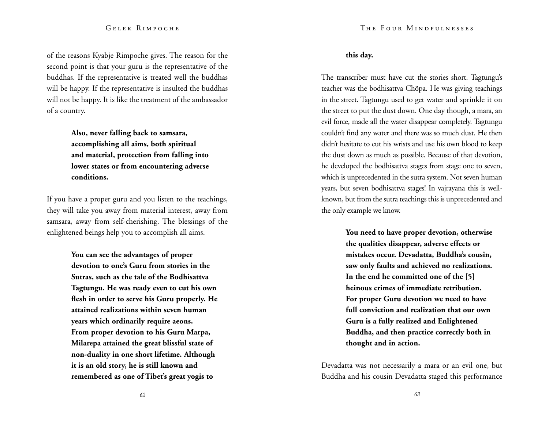of the reasons Kyabje Rimpoche gives. The reason for the second point is that your guru is the representative of the buddhas. If the representative is treated well the buddhas will be happy. If the representative is insulted the buddhas will not be happy. It is like the treatment of the ambassador of a country.

> **Also, never falling back to samsara, accomplishing all aims, both spiritual and material, protection from falling into lower states or from encountering adverse conditions.**

If you have a proper guru and you listen to the teachings, they will take you away from material interest, away from samsara, away from self-cherishing. The blessings of the enlightened beings help you to accomplish all aims.

> **You can see the advantages of proper devotion to one's Guru from stories in the Sutras, such as the tale of the Bodhisattva Tagtungu. He was ready even to cut his own flesh in order to serve his Guru properly. He attained realizations within seven human years which ordinarily require aeons. From proper devotion to his Guru Marpa, Milarepa attained the great blissful state of non-duality in one short lifetime. Although it is an old story, he is still known and remembered as one of Tibet's great yogis to**

# **this day.**

The transcriber must have cut the stories short. Tagtungu's teacher was the bodhisattva Chöpa. He was giving teachings in the street. Tagtungu used to get water and sprinkle it on the street to put the dust down. One day though, a mara, an evil force, made all the water disappear completely. Tagtungu couldn't find any water and there was so much dust. He then didn't hesitate to cut his wrists and use his own blood to keep the dust down as much as possible. Because of that devotion, he developed the bodhisattva stages from stage one to seven, which is unprecedented in the sutra system. Not seven human years, but seven bodhisattva stages! In vajrayana this is wellknown, but from the sutra teachings this is unprecedented and the only example we know.

> **You need to have proper devotion, otherwise the qualities disappear, adverse effects or mistakes occur. Devadatta, Buddha's cousin, saw only faults and achieved no realizations. In the end he committed one of the [5] heinous crimes of immediate retribution. For proper Guru devotion we need to have full conviction and realization that our own Guru is a fully realized and Enlightened Buddha, and then practice correctly both in thought and in action.**

Devadatta was not necessarily a mara or an evil one, but Buddha and his cousin Devadatta staged this performance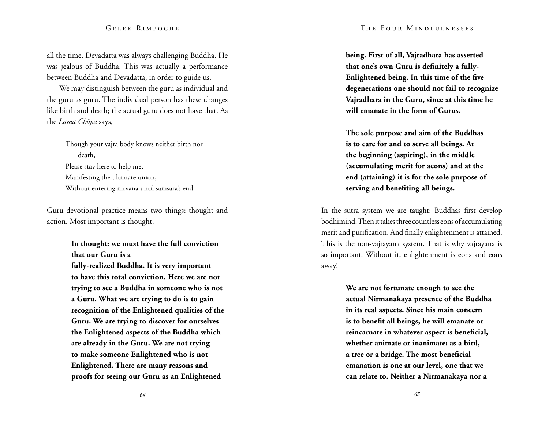#### The Four Mindfulnesses

### Gelek Rimpoche

all the time. Devadatta was always challenging Buddha. He was jealous of Buddha. This was actually a performance between Buddha and Devadatta, in order to guide us.

We may distinguish between the guru as individual and the guru as guru. The individual person has these changes like birth and death; the actual guru does not have that. As the *Lama Chöpa* says,

> Though your vajra body knows neither birth nor death, Please stay here to help me, Manifesting the ultimate union, Without entering nirvana until samsara's end.

Guru devotional practice means two things: thought and action. Most important is thought.

> **In thought: we must have the full conviction that our Guru is a fully-realized Buddha. It is very important to have this total conviction. Here we are not trying to see a Buddha in someone who is not a Guru. What we are trying to do is to gain recognition of the Enlightened qualities of the Guru. We are trying to discover for ourselves the Enlightened aspects of the Buddha which are already in the Guru. We are not trying to make someone Enlightened who is not Enlightened. There are many reasons and proofs for seeing our Guru as an Enlightened**

**being. First of all, Vajradhara has asserted that one's own Guru is definitely a fully-Enlightened being. In this time of the five degenerations one should not fail to recognize Vajradhara in the Guru, since at this time he will emanate in the form of Gurus.**

**The sole purpose and aim of the Buddhas is to care for and to serve all beings. At the beginning (aspiring), in the middle (accumulating merit for aeons) and at the end (attaining) it is for the sole purpose of serving and benefiting all beings.** 

In the sutra system we are taught: Buddhas first develop bodhimind. Then it takes three countless eons of accumulating merit and purification. And finally enlightenment is attained. This is the non-vajrayana system. That is why vajrayana is so important. Without it, enlightenment is eons and eons away!

> **We are not fortunate enough to see the actual Nirmanakaya presence of the Buddha in its real aspects. Since his main concern is to benefit all beings, he will emanate or reincarnate in whatever aspect is beneficial, whether animate or inanimate: as a bird, a tree or a bridge. The most beneficial emanation is one at our level, one that we can relate to. Neither a Nirmanakaya nor a**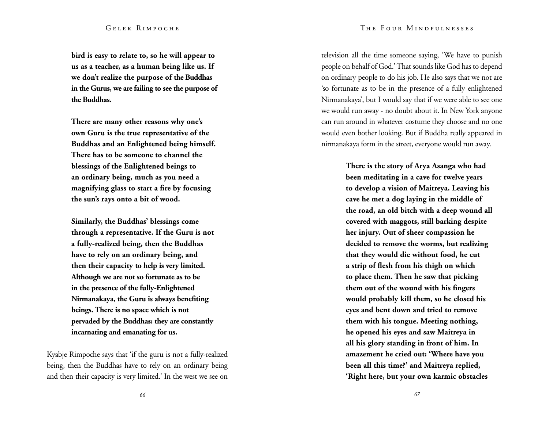#### The Four Mindfulnesses

# Gelek Rimpoche

**bird is easy to relate to, so he will appear to us as a teacher, as a human being like us. If we don't realize the purpose of the Buddhas in the Gurus, we are failing to see the purpose of the Buddhas.**

**There are many other reasons why one's own Guru is the true representative of the Buddhas and an Enlightened being himself. There has to be someone to channel the blessings of the Enlightened beings to an ordinary being, much as you need a magnifying glass to start a fire by focusing the sun's rays onto a bit of wood.** 

**Similarly, the Buddhas' blessings come through a representative. If the Guru is not a fully-realized being, then the Buddhas have to rely on an ordinary being, and then their capacity to help is very limited. Although we are not so fortunate as to be in the presence of the fully-Enlightened Nirmanakaya, the Guru is always benefiting beings. There is no space which is not pervaded by the Buddhas: they are constantly incarnating and emanating for us.**

Kyabje Rimpoche says that 'if the guru is not a fully-realized being, then the Buddhas have to rely on an ordinary being and then their capacity is very limited.' In the west we see on television all the time someone saying, 'We have to punish people on behalf of God.' That sounds like God has to depend on ordinary people to do his job. He also says that we not are 'so fortunate as to be in the presence of a fully enlightened Nirmanakaya', but I would say that if we were able to see one we would run away - no doubt about it. In New York anyone can run around in whatever costume they choose and no one would even bother looking. But if Buddha really appeared in nirmanakaya form in the street, everyone would run away.

> **There is the story of Arya Asanga who had been meditating in a cave for twelve years to develop a vision of Maitreya. Leaving his cave he met a dog laying in the middle of the road, an old bitch with a deep wound all covered with maggots, still barking despite her injury. Out of sheer compassion he decided to remove the worms, but realizing that they would die without food, he cut a strip of flesh from his thigh on which to place them. Then he saw that picking them out of the wound with his fingers would probably kill them, so he closed his eyes and bent down and tried to remove them with his tongue. Meeting nothing, he opened his eyes and saw Maitreya in all his glory standing in front of him. In amazement he cried out: 'Where have you been all this time?' and Maitreya replied, 'Right here, but your own karmic obstacles**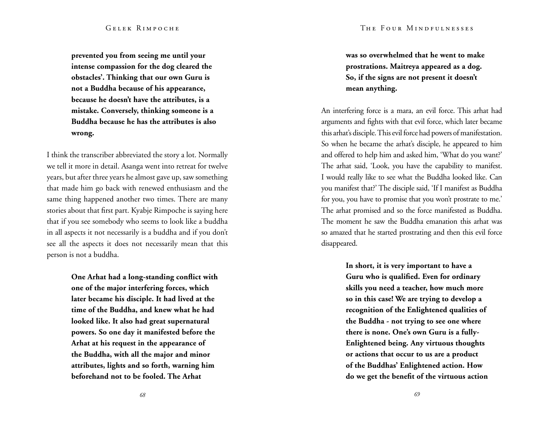**prevented you from seeing me until your intense compassion for the dog cleared the obstacles'. Thinking that our own Guru is not a Buddha because of his appearance, because he doesn't have the attributes, is a mistake. Conversely, thinking someone is a Buddha because he has the attributes is also wrong.** 

I think the transcriber abbreviated the story a lot. Normally we tell it more in detail. Asanga went into retreat for twelve years, but after three years he almost gave up, saw something that made him go back with renewed enthusiasm and the same thing happened another two times. There are many stories about that first part. Kyabje Rimpoche is saying here that if you see somebody who seems to look like a buddha in all aspects it not necessarily is a buddha and if you don't see all the aspects it does not necessarily mean that this person is not a buddha.

> **One Arhat had a long-standing conflict with one of the major interfering forces, which later became his disciple. It had lived at the time of the Buddha, and knew what he had looked like. It also had great supernatural powers. So one day it manifested before the Arhat at his request in the appearance of the Buddha, with all the major and minor attributes, lights and so forth, warning him beforehand not to be fooled. The Arhat**

**was so overwhelmed that he went to make prostrations. Maitreya appeared as a dog. So, if the signs are not present it doesn't mean anything.**

An interfering force is a mara, an evil force. This arhat had arguments and fights with that evil force, which later became this arhat's disciple. This evil force had powers of manifestation. So when he became the arhat's disciple, he appeared to him and offered to help him and asked him, 'What do you want?' The arhat said, 'Look, you have the capability to manifest. I would really like to see what the Buddha looked like. Can you manifest that?' The disciple said, 'If I manifest as Buddha for you, you have to promise that you won't prostrate to me.' The arhat promised and so the force manifested as Buddha. The moment he saw the Buddha emanation this arhat was so amazed that he started prostrating and then this evil force disappeared.

> **In short, it is very important to have a Guru who is qualified. Even for ordinary skills you need a teacher, how much more so in this case! We are trying to develop a recognition of the Enlightened qualities of the Buddha - not trying to see one where there is none. One's own Guru is a fully-Enlightened being. Any virtuous thoughts or actions that occur to us are a product of the Buddhas' Enlightened action. How do we get the benefit of the virtuous action**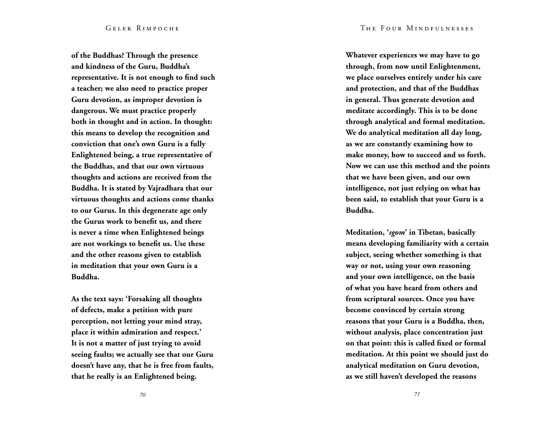**of the Buddhas? Through the presence and kindness of the Guru, Buddha's representative. It is not enough to find such a teacher; we also need to practice proper Guru devotion, as improper devotion is dangerous. We must practice properly both in thought and in action. In thought: this means to develop the recognition and conviction that one's own Guru is a fully Enlightened being, a true representative of the Buddhas, and that our own virtuous thoughts and actions are received from the Buddha. It is stated by Vajradhara that our virtuous thoughts and actions come thanks to our Gurus. In this degenerate age only the Gurus work to benefit us, and there is never a time when Enlightened beings are not workings to benefit us. Use these and the other reasons given to establish in meditation that your own Guru is a Buddha.**

**As the text says: 'Forsaking all thoughts of defects, make a petition with pure perception, not letting your mind stray, place it within admiration and respect.' It is not a matter of just trying to avoid seeing faults; we actually see that our Guru doesn't have any, that he is free from faults, that he really is an Enlightened being.** 

**Whatever experiences we may have to go through, from now until Enlightenment, we place ourselves entirely under his care and protection, and that of the Buddhas in general. Thus generate devotion and meditate accordingly. This is to be done through analytical and formal meditation. We do analytical meditation all day long, as we are constantly examining how to make money, how to succeed and so forth. Now we can use this method and the points that we have been given, and our own intelligence, not just relying on what has been said, to establish that your Guru is a Buddha.**

**Meditation, '***sgom***' in Tibetan, basically means developing familiarity with a certain subject, seeing whether something is that way or not, using your own reasoning and your own intelligence, on the basis of what you have heard from others and from scriptural sources. Once you have become convinced by certain strong reasons that your Guru is a Buddha, then, without analysis, place concentration just on that point: this is called fixed or formal meditation. At this point we should just do analytical meditation on Guru devotion, as we still haven't developed the reasons**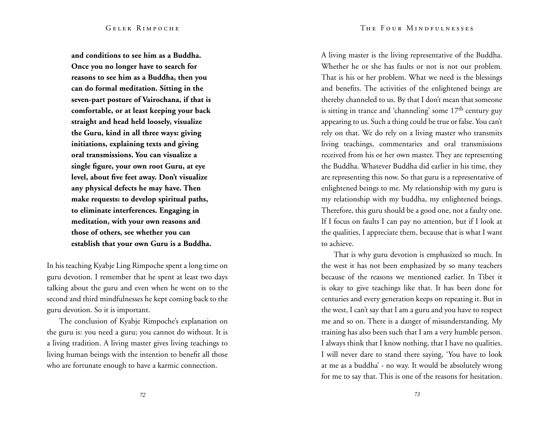**and conditions to see him as a Buddha. Once you no longer have to search for reasons to see him as a Buddha, then you can do formal meditation. Sitting in the seven-part posture of Vairochana, if that is comfortable, or at least keeping your back straight and head held loosely, visualize the Guru, kind in all three ways: giving initiations, explaining texts and giving oral transmissions. You can visualize a single figure, your own root Guru, at eye level, about five feet away. Don't visualize any physical defects he may have. Then make requests: to develop spiritual paths, to eliminate interferences. Engaging in meditation, with your own reasons and those of others, see whether you can establish that your own Guru is a Buddha.** 

In his teaching Kyabje Ling Rimpoche spent a long time on guru devotion. I remember that he spent at least two days talking about the guru and even when he went on to the second and third mindfulnesses he kept coming back to the guru devotion. So it is important.

The conclusion of Kyabje Rimpoche's explanation on the guru is: you need a guru; you cannot do without. It is a living tradition. A living master gives living teachings to living human beings with the intention to benefit all those who are fortunate enough to have a karmic connection.

A living master is the living representative of the Buddha. Whether he or she has faults or not is not our problem. That is his or her problem. What we need is the blessings and benefits. The activities of the enlightened beings are thereby channeled to us. By that I don't mean that someone is sitting in trance and 'channeling' some  $17<sup>th</sup>$  century guy appearing to us. Such a thing could be true or false. You can't rely on that. We do rely on a living master who transmits living teachings, commentaries and oral transmissions received from his or her own master. They are representing the Buddha. Whatever Buddha did earlier in his time, they are representing this now. So that guru is a representative of enlightened beings to me. My relationship with my guru is my relationship with my buddha, my enlightened beings. Therefore, this guru should be a good one, not a faulty one. If I focus on faults I can pay no attention, but if I look at the qualities, I appreciate them, because that is what I want to achieve.

That is why guru devotion is emphasized so much. In the west it has not been emphasized by so many teachers because of the reasons we mentioned earlier. In Tibet it is okay to give teachings like that. It has been done for centuries and every generation keeps on repeating it. But in the west, I can't say that I am a guru and you have to respect me and so on. There is a danger of misunderstanding. My training has also been such that I am a very humble person. I always think that I know nothing, that I have no qualities. I will never dare to stand there saying, 'You have to look at me as a buddha' - no way. It would be absolutely wrong for me to say that. This is one of the reasons for hesitation.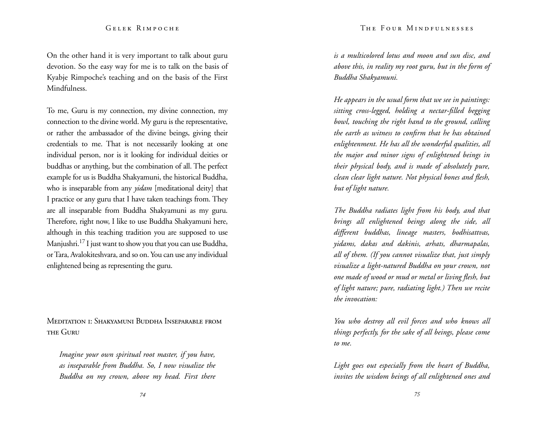On the other hand it is very important to talk about guru devotion. So the easy way for me is to talk on the basis of Kyabje Rimpoche's teaching and on the basis of the First Mindfulness.

To me, Guru is my connection, my divine connection, my connection to the divine world. My guru is the representative, or rather the ambassador of the divine beings, giving their credentials to me. That is not necessarily looking at one individual person, nor is it looking for individual deities or buddhas or anything, but the combination of all. The perfect example for us is Buddha Shakyamuni, the historical Buddha, who is inseparable from any *yidam* [meditational deity] that I practice or any guru that I have taken teachings from. They are all inseparable from Buddha Shakyamuni as my guru. Therefore, right now, I like to use Buddha Shakyamuni here, although in this teaching tradition you are supposed to use Manjushri.17 I just want to show you that you can use Buddha, or Tara, Avalokiteshvara, and so on. You can use any individual enlightened being as representing the guru.

Meditation 1: Shakyamuni Buddha Inseparable from the Guru

*Imagine your own spiritual root master, if you have, as inseparable from Buddha. So, I now visualize the Buddha on my crown, above my head. First there* 

*is a multicolored lotus and moon and sun disc, and above this, in reality my root guru, but in the form of Buddha Shakyamuni.* 

*He appears in the usual form that we see in paintings: sitting cross-legged, holding a nectar-filled begging bowl, touching the right hand to the ground, calling the earth as witness to confirm that he has obtained enlightenment. He has all the wonderful qualities, all the major and minor signs of enlightened beings in their physical body, and is made of absolutely pure, clean clear light nature. Not physical bones and flesh, but of light nature.* 

*The Buddha radiates light from his body, and that brings all enlightened beings along the side, all different buddhas, lineage masters, bodhisattvas, yidams, dakas and dakinis, arhats, dharmapalas, all of them. (If you cannot visualize that, just simply visualize a light-natured Buddha on your crown, not one made of wood or mud or metal or living flesh, but of light nature; pure, radiating light.) Then we recite the invocation:*

*You who destroy all evil forces and who knows all things perfectly, for the sake of all beings, please come to me.*

*Light goes out especially from the heart of Buddha, invites the wisdom beings of all enlightened ones and*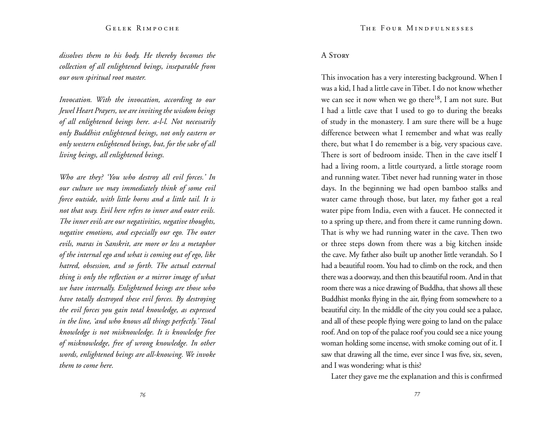*dissolves them to his body. He thereby becomes the collection of all enlightened beings, inseparable from our own spiritual root master.*

*Invocation. With the invocation, according to our Jewel Heart Prayers, we are inviting the wisdom beings of all enlightened beings here. a-l-l. Not necessarily only Buddhist enlightened beings, not only eastern or only western enlightened beings, but, for the sake of all living beings, all enlightened beings.* 

*Who are they? 'You who destroy all evil forces.' In our culture we may immediately think of some evil force outside, with little horns and a little tail. It is not that way. Evil here refers to inner and outer evils. The inner evils are our negativities, negative thoughts, negative emotions, and especially our ego. The outer evils, maras in Sanskrit, are more or less a metaphor of the internal ego and what is coming out of ego, like hatred, obsession, and so forth. The actual external thing is only the reflection or a mirror image of what we have internally. Enlightened beings are those who have totally destroyed these evil forces. By destroying the evil forces you gain total knowledge, as expressed in the line, 'and who knows all things perfectly.' Total knowledge is not misknowledge. It is knowledge free of misknowledge, free of wrong knowledge. In other words, enlightened beings are all-knowing. We invoke them to come here.* 

# A Story

This invocation has a very interesting background. When I was a kid, I had a little cave in Tibet. I do not know whether we can see it now when we go there<sup>18</sup>, I am not sure. But I had a little cave that I used to go to during the breaks of study in the monastery. I am sure there will be a huge difference between what I remember and what was really there, but what I do remember is a big, very spacious cave. There is sort of bedroom inside. Then in the cave itself I had a living room, a little courtyard, a little storage room and running water. Tibet never had running water in those days. In the beginning we had open bamboo stalks and water came through those, but later, my father got a real water pipe from India, even with a faucet. He connected it to a spring up there, and from there it came running down. That is why we had running water in the cave. Then two or three steps down from there was a big kitchen inside the cave. My father also built up another little verandah. So I had a beautiful room. You had to climb on the rock, and then there was a doorway, and then this beautiful room. And in that room there was a nice drawing of Buddha, that shows all these Buddhist monks flying in the air, flying from somewhere to a beautiful city. In the middle of the city you could see a palace, and all of these people flying were going to land on the palace roof. And on top of the palace roof you could see a nice young woman holding some incense, with smoke coming out of it. I saw that drawing all the time, ever since I was five, six, seven, and I was wondering: what is this?

Later they gave me the explanation and this is confirmed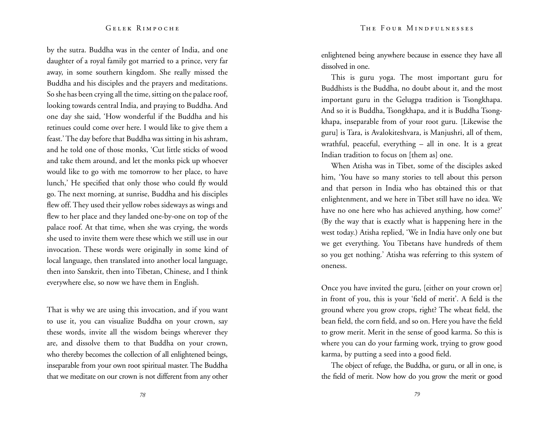by the sutra. Buddha was in the center of India, and one daughter of a royal family got married to a prince, very far away, in some southern kingdom. She really missed the Buddha and his disciples and the prayers and meditations. So she has been crying all the time, sitting on the palace roof, looking towards central India, and praying to Buddha. And one day she said, 'How wonderful if the Buddha and his retinues could come over here. I would like to give them a feast.' The day before that Buddha was sitting in his ashram, and he told one of those monks, 'Cut little sticks of wood and take them around, and let the monks pick up whoever would like to go with me tomorrow to her place, to have lunch,' He specified that only those who could fly would go. The next morning, at sunrise, Buddha and his disciples flew off. They used their yellow robes sideways as wings and flew to her place and they landed one-by-one on top of the palace roof. At that time, when she was crying, the words she used to invite them were these which we still use in our invocation. These words were originally in some kind of local language, then translated into another local language, then into Sanskrit, then into Tibetan, Chinese, and I think everywhere else, so now we have them in English.

That is why we are using this invocation, and if you want to use it, you can visualize Buddha on your crown, say these words, invite all the wisdom beings wherever they are, and dissolve them to that Buddha on your crown, who thereby becomes the collection of all enlightened beings, inseparable from your own root spiritual master. The Buddha that we meditate on our crown is not different from any other

enlightened being anywhere because in essence they have all dissolved in one.

This is guru yoga. The most important guru for Buddhists is the Buddha, no doubt about it, and the most important guru in the Gelugpa tradition is Tsongkhapa. And so it is Buddha, Tsongkhapa, and it is Buddha Tsong khapa, inseparable from of your root guru. [Likewise the guru] is Tara, is Avalokiteshvara, is Manjushri, all of them, wrathful, peaceful, everything – all in one. It is a great Indian tradition to focus on [them as] one.

When Atisha was in Tibet, some of the disciples asked him, 'You have so many stories to tell about this person and that person in India who has obtained this or that enlightenment, and we here in Tibet still have no idea. We have no one here who has achieved anything, how come?' (By the way that is exactly what is happening here in the west today.) Atisha replied, 'We in India have only one but we get everything. You Tibetans have hundreds of them so you get nothing.' Atisha was referring to this system of oneness.

Once you have invited the guru, [either on your crown or] in front of you, this is your 'field of merit'. A field is the ground where you grow crops, right? The wheat field, the bean field, the corn field, and so on. Here you have the field to grow merit. Merit in the sense of good karma. So this is where you can do your farming work, trying to grow good karma, by putting a seed into a good field.

The object of refuge, the Buddha, or guru, or all in one, is the field of merit. Now how do you grow the merit or good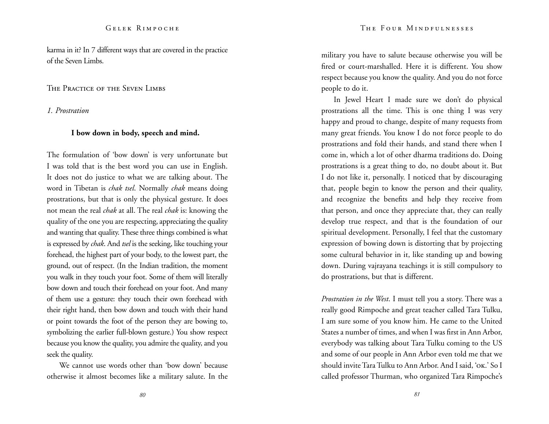karma in it? In 7 different ways that are covered in the practice of the Seven Limbs.

The Practice of the Seven Limbs

*1. Prostration*

# **I bow down in body, speech and mind.**

The formulation of 'bow down' is very unfortunate but I was told that is the best word you can use in English. It does not do justice to what we are talking about. The word in Tibetan is *chak tsel*. Normally *chak* means doing prostrations, but that is only the physical gesture. It does not mean the real *chak* at all. The real *chak* is: knowing the quality of the one you are respecting, appreciating the quality and wanting that quality. These three things combined is what is expressed by *chak*. And *tsel* is the seeking, like touching your forehead, the highest part of your body, to the lowest part, the ground, out of respect. (In the Indian tradition, the moment you walk in they touch your foot. Some of them will literally bow down and touch their forehead on your foot. And many of them use a gesture: they touch their own forehead with their right hand, then bow down and touch with their hand or point towards the foot of the person they are bowing to, symbolizing the earlier full-blown gesture.) You show respect because you know the quality, you admire the quality, and you seek the quality.

We cannot use words other than 'bow down' because otherwise it almost becomes like a military salute. In the military you have to salute because otherwise you will be fired or court-marshalled. Here it is different. You show respect because you know the quality. And you do not force people to do it.

In Jewel Heart I made sure we don't do physical prostrations all the time. This is one thing I was very happy and proud to change, despite of many requests from many great friends. You know I do not force people to do prostrations and fold their hands, and stand there when I come in, which a lot of other dharma traditions do. Doing prostrations is a great thing to do, no doubt about it. But I do not like it, personally. I noticed that by discouraging that, people begin to know the person and their quality, and recognize the benefits and help they receive from that person, and once they appreciate that, they can really develop true respect, and that is the foundation of our spiritual development. Personally, I feel that the customary expression of bowing down is distorting that by projecting some cultural behavior in it, like standing up and bowing down. During vajrayana teachings it is still compulsory to do prostrations, but that is different.

*Prostration in the West*. I must tell you a story. There was a really good Rimpoche and great teacher called Tara Tulku, I am sure some of you know him. He came to the United States a number of times, and when I was first in Ann Arbor, everybody was talking about Tara Tulku coming to the US and some of our people in Ann Arbor even told me that we should invite Tara Tulku to Ann Arbor. And I said, 'ok.' So I called professor Thurman, who organized Tara Rimpoche's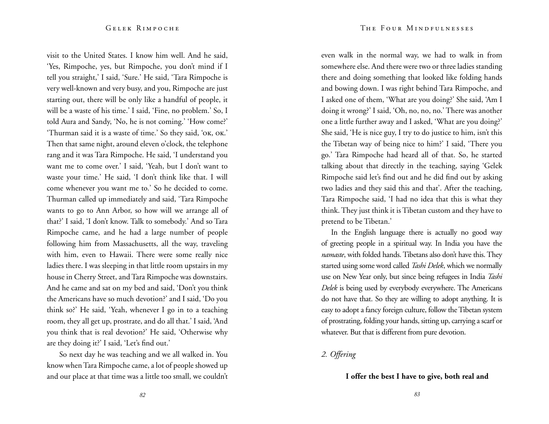visit to the United States. I know him well. And he said, 'Yes, Rimpoche, yes, but Rimpoche, you don't mind if I tell you straight,' I said, 'Sure.' He said, 'Tara Rimpoche is very well-known and very busy, and you, Rimpoche are just starting out, there will be only like a handful of people, it will be a waste of his time.' I said, 'Fine, no problem.' So, I told Aura and Sandy, 'No, he is not coming.' 'How come?' 'Thurman said it is a waste of time.' So they said, 'ok, ok.' Then that same night, around eleven o'clock, the telephone rang and it was Tara Rimpoche. He said, 'I understand you want me to come over.' I said, 'Yeah, but I don't want to waste your time.' He said, 'I don't think like that. I will come whenever you want me to.' So he decided to come. Thurman called up immediately and said, 'Tara Rimpoche wants to go to Ann Arbor, so how will we arrange all of that?' I said, 'I don't know. Talk to somebody.' And so Tara Rimpoche came, and he had a large number of people following him from Massachusetts, all the way, traveling with him, even to Hawaii. There were some really nice ladies there. I was sleeping in that little room upstairs in my house in Cherry Street, and Tara Rimpoche was downstairs. And he came and sat on my bed and said, 'Don't you think the Americans have so much devotion?' and I said, 'Do you think so?' He said, 'Yeah, whenever I go in to a teaching room, they all get up, prostrate, and do all that.' I said, 'And you think that is real devotion?' He said, 'Otherwise why are they doing it?' I said, 'Let's find out.'

So next day he was teaching and we all walked in. You know when Tara Rimpoche came, a lot of people showed up and our place at that time was a little too small, we couldn't

even walk in the normal way, we had to walk in from somewhere else. And there were two or three ladies standing there and doing something that looked like folding hands and bowing down. I was right behind Tara Rimpoche, and I asked one of them, 'What are you doing?' She said, 'Am I doing it wrong?' I said, 'Oh, no, no, no.' There was another one a little further away and I asked, 'What are you doing?' She said, 'He is nice guy, I try to do justice to him, isn't this the Tibetan way of being nice to him?' I said, 'There you go.' Tara Rimpoche had heard all of that. So, he started talking about that directly in the teaching, saying 'Gelek Rimpoche said let's find out and he did find out by asking two ladies and they said this and that'. After the teaching, Tara Rimpoche said, 'I had no idea that this is what they think. They just think it is Tibetan custom and they have to pretend to be Tibetan.'

In the English language there is actually no good way of greeting people in a spiritual way. In India you have the *namaste*, with folded hands. Tibetans also don't have this. They started using some word called *Tashi Delek*, which we normally use on New Year only, but since being refugees in India *Tashi Delek* is being used by everybody everywhere. The Americans do not have that. So they are willing to adopt anything. It is easy to adopt a fancy foreign culture, follow the Tibetan system of prostrating, folding your hands, sitting up, carrying a scarf or whatever. But that is different from pure devotion.

*2. Offering*

# **I offer the best I have to give, both real and**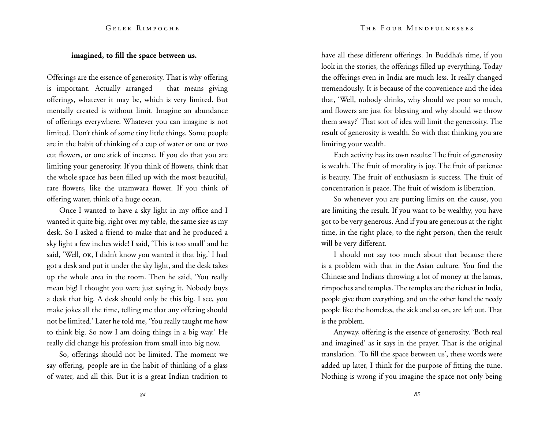# **imagined, to fill the space between us.**

Offerings are the essence of generosity. That is why offering is important. Actually arranged – that means giving offerings, whatever it may be, which is very limited. But mentally created is without limit. Imagine an abundance of offerings everywhere. Whatever you can imagine is not limited. Don't think of some tiny little things. Some people are in the habit of thinking of a cup of water or one or two cut flowers, or one stick of incense. If you do that you are limiting your generosity. If you think of flowers, think that the whole space has been filled up with the most beautiful, rare flowers, like the utamwara flower. If you think of offering water, think of a huge ocean.

Once I wanted to have a sky light in my office and I wanted it quite big, right over my table, the same size as my desk. So I asked a friend to make that and he produced a sky light a few inches wide! I said, 'This is too small' and he said, 'Well, OK, I didn't know you wanted it that big.' I had got a desk and put it under the sky light, and the desk takes up the whole area in the room. Then he said, 'You really mean big! I thought you were just saying it. Nobody buys a desk that big. A desk should only be this big. I see, you make jokes all the time, telling me that any offering should not be limited.' Later he told me, 'You really taught me how to think big. So now I am doing things in a big way.' He really did change his profession from small into big now.

So, offerings should not be limited. The moment we say offering, people are in the habit of thinking of a glass of water, and all this. But it is a great Indian tradition to

have all these different offerings. In Buddha's time, if you look in the stories, the offerings filled up everything. Today the offerings even in India are much less. It really changed tremendously. It is because of the convenience and the idea that, 'Well, nobody drinks, why should we pour so much, and flowers are just for blessing and why should we throw them away?' That sort of idea will limit the generosity. The result of generosity is wealth. So with that thinking you are limiting your wealth.

Each activity has its own results: The fruit of generosity is wealth. The fruit of morality is joy. The fruit of patience is beauty. The fruit of enthusiasm is success. The fruit of concentration is peace. The fruit of wisdom is liberation.

So whenever you are putting limits on the cause, you are limiting the result. If you want to be wealthy, you have got to be very generous. And if you are generous at the right time, in the right place, to the right person, then the result will be very different.

I should not say too much about that because there is a problem with that in the Asian culture. You find the Chinese and Indians throwing a lot of money at the lamas, rimpoches and temples. The temples are the richest in India, people give them everything, and on the other hand the needy people like the homeless, the sick and so on, are left out. That is the problem.

Anyway, offering is the essence of generosity. 'Both real and imagined' as it says in the prayer. That is the original translation. 'To fill the space between us', these words were added up later, I think for the purpose of fitting the tune. Nothing is wrong if you imagine the space not only being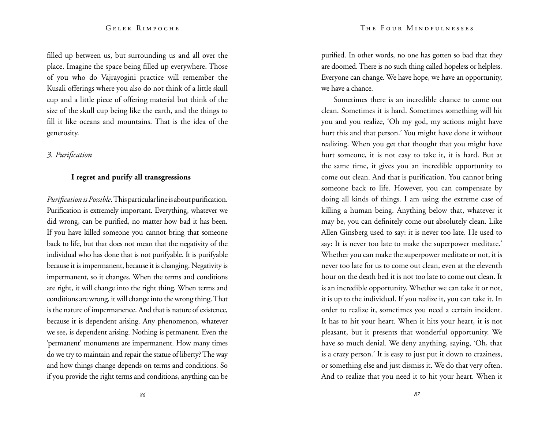filled up between us, but surrounding us and all over the place. Imagine the space being filled up everywhere. Those of you who do Vajrayogini practice will remember the Kusali offerings where you also do not think of a little skull cup and a little piece of offering material but think of the size of the skull cup being like the earth, and the things to fill it like oceans and mountains. That is the idea of the generosity.

# *3. Purification*

# **I regret and purify all transgressions**

*Purification is Possible*. This particular line is about purification. Purification is extremely important. Everything, whatever we did wrong, can be purified, no matter how bad it has been. If you have killed someone you cannot bring that someone back to life, but that does not mean that the negativity of the individual who has done that is not purifyable. It is purifyable because it is impermanent, because it is changing. Negativity is impermanent, so it changes. When the terms and conditions are right, it will change into the right thing. When terms and conditions are wrong, it will change into the wrong thing. That is the nature of impermanence. And that is nature of existence, because it is dependent arising. Any phenomenon, whatever we see, is dependent arising. Nothing is permanent. Even the 'permanent' monuments are impermanent. How many times do we try to maintain and repair the statue of liberty? The way and how things change depends on terms and conditions. So if you provide the right terms and conditions, anything can be purified. In other words, no one has gotten so bad that they are doomed. There is no such thing called hopeless or helpless. Everyone can change. We have hope, we have an opportunity, we have a chance.

Sometimes there is an incredible chance to come out clean. Sometimes it is hard. Sometimes something will hit you and you realize, 'Oh my god, my actions might have hurt this and that person.' You might have done it without realizing. When you get that thought that you might have hurt someone, it is not easy to take it, it is hard. But at the same time, it gives you an incredible opportunity to come out clean. And that is purification. You cannot bring someone back to life. However, you can compensate by doing all kinds of things. I am using the extreme case of killing a human being. Anything below that, whatever it may be, you can definitely come out absolutely clean. Like Allen Ginsberg used to say: it is never too late. He used to say: It is never too late to make the superpower meditate.' Whether you can make the superpower meditate or not, it is never too late for us to come out clean, even at the eleventh hour on the death bed it is not too late to come out clean. It is an incredible opportunity. Whether we can take it or not, it is up to the individual. If you realize it, you can take it. In order to realize it, sometimes you need a certain incident. It has to hit your heart. When it hits your heart, it is not pleasant, but it presents that wonderful opportunity. We have so much denial. We deny anything, saying, 'Oh, that is a crazy person.' It is easy to just put it down to craziness, or something else and just dismiss it. We do that very often. And to realize that you need it to hit your heart. When it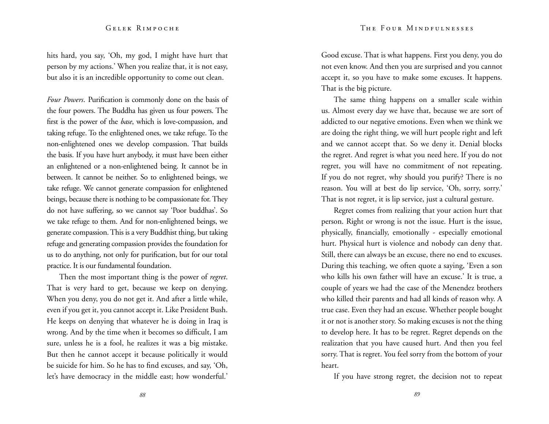hits hard, you say, 'Oh, my god, I might have hurt that person by my actions.' When you realize that, it is not easy, but also it is an incredible opportunity to come out clean.

*Four Powers*. Purification is commonly done on the basis of the four powers. The Buddha has given us four powers. The first is the power of the *base*, which is love-compassion, and taking refuge. To the enlightened ones, we take refuge. To the non-enlightened ones we develop compassion. That builds the basis. If you have hurt anybody, it must have been either an enlightened or a non-enlightened being. It cannot be in between. It cannot be neither. So to enlightened beings, we take refuge. We cannot generate compassion for enlightened beings, because there is nothing to be compassionate for. They do not have suffering, so we cannot say 'Poor buddhas'. So we take refuge to them. And for non-enlightened beings, we generate compassion. This is a very Buddhist thing, but taking refuge and generating compassion provides the foundation for us to do anything, not only for purification, but for our total practice. It is our fundamental foundation.

Then the most important thing is the power of *regret*. That is very hard to get, because we keep on denying. When you deny, you do not get it. And after a little while, even if you get it, you cannot accept it. Like President Bush. He keeps on denying that whatever he is doing in Iraq is wrong. And by the time when it becomes so difficult, I am sure, unless he is a fool, he realizes it was a big mistake. But then he cannot accept it because politically it would be suicide for him. So he has to find excuses, and say, 'Oh, let's have democracy in the middle east; how wonderful.'

Good excuse. That is what happens. First you deny, you do not even know. And then you are surprised and you cannot accept it, so you have to make some excuses. It happens. That is the big picture.

The same thing happens on a smaller scale within us. Almost every day we have that, because we are sort of addicted to our negative emotions. Even when we think we are doing the right thing, we will hurt people right and left and we cannot accept that. So we deny it. Denial blocks the regret. And regret is what you need here. If you do not regret, you will have no commitment of not repeating. If you do not regret, why should you purify? There is no reason. You will at best do lip service, 'Oh, sorry, sorry.' That is not regret, it is lip service, just a cultural gesture.

Regret comes from realizing that your action hurt that person. Right or wrong is not the issue. Hurt is the issue, physically, financially, emotionally - especially emotional hurt. Physical hurt is violence and nobody can deny that. Still, there can always be an excuse, there no end to excuses. During this teaching, we often quote a saying, 'Even a son who kills his own father will have an excuse.' It is true, a couple of years we had the case of the Menendez brothers who killed their parents and had all kinds of reason why. A true case. Even they had an excuse. Whether people bought it or not is another story. So making excuses is not the thing to develop here. It has to be regret. Regret depends on the realization that you have caused hurt. And then you feel sorry. That is regret. You feel sorry from the bottom of your heart.

If you have strong regret, the decision not to repeat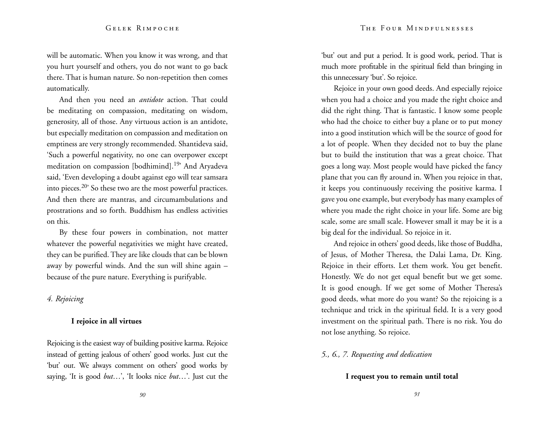will be automatic. When you know it was wrong, and that you hurt yourself and others, you do not want to go back there. That is human nature. So non-repetition then comes automatically.

And then you need an *antidote* action. That could be meditating on compassion, meditating on wisdom, generosity, all of those. Any virtuous action is an antidote, but especially meditation on compassion and meditation on emptiness are very strongly recommended. Shantideva said, 'Such a powerful negativity, no one can overpower except meditation on compassion [bodhimind].<sup>19</sup>' And Aryadeva said, 'Even developing a doubt against ego will tear samsara into pieces.20' So these two are the most powerful practices. And then there are mantras, and circumambulations and prostrations and so forth. Buddhism has endless activities on this.

By these four powers in combination, not matter whatever the powerful negativities we might have created, they can be purified. They are like clouds that can be blown away by powerful winds. And the sun will shine again – because of the pure nature. Everything is purifyable.

# *4. Rejoicing*

# **I rejoice in all virtues**

Rejoicing is the easiest way of building positive karma. Rejoice instead of getting jealous of others' good works. Just cut the 'but' out. We always comment on others' good works by saying, 'It is good *but*…', 'It looks nice *but*…'. Just cut the 'but' out and put a period. It is good work, period. That is much more profitable in the spiritual field than bringing in this unnecessary 'but'. So rejoice.

Rejoice in your own good deeds. And especially rejoice when you had a choice and you made the right choice and did the right thing. That is fantastic. I know some people who had the choice to either buy a plane or to put money into a good institution which will be the source of good for a lot of people. When they decided not to buy the plane but to build the institution that was a great choice. That goes a long way. Most people would have picked the fancy plane that you can fly around in. When you rejoice in that, it keeps you continuously receiving the positive karma. I gave you one example, but everybody has many examples of where you made the right choice in your life. Some are big scale, some are small scale. However small it may be it is a big deal for the individual. So rejoice in it.

And rejoice in others' good deeds, like those of Buddha, of Jesus, of Mother Theresa, the Dalai Lama, Dr. King. Rejoice in their efforts. Let them work. You get benefit. Honestly. We do not get equal benefit but we get some. It is good enough. If we get some of Mother Theresa's good deeds, what more do you want? So the rejoicing is a technique and trick in the spiritual field. It is a very good investment on the spiritual path. There is no risk. You do not lose anything. So rejoice.

# *5., 6., 7. Requesting and dedication*

# **I request you to remain until total**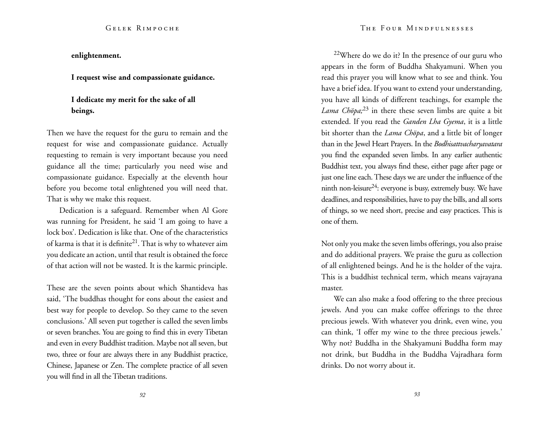**enlightenment.**

**I request wise and compassionate guidance.**

# **I dedicate my merit for the sake of all beings.**

Then we have the request for the guru to remain and the request for wise and compassionate guidance. Actually requesting to remain is very important because you need guidance all the time; particularly you need wise and compassionate guidance. Especially at the eleventh hour before you become total enlightened you will need that. That is why we make this request.

Dedication is a safeguard. Remember when Al Gore was running for President, he said 'I am going to have a lock box'. Dedication is like that. One of the characteristics of karma is that it is definite<sup>21</sup>. That is why to whatever aim you dedicate an action, until that result is obtained the force of that action will not be wasted. It is the karmic principle.

These are the seven points about which Shantideva has said, 'The buddhas thought for eons about the easiest and best way for people to develop. So they came to the seven conclusions.' All seven put together is called the seven limbs or seven branches. You are going to find this in every Tibetan and even in every Buddhist tradition. Maybe not all seven, but two, three or four are always there in any Buddhist practice, Chinese, Japanese or Zen. The complete practice of all seven you will find in all the Tibetan traditions.

 $22$ Where do we do it? In the presence of our guru who appears in the form of Buddha Shakyamuni. When you read this prayer you will know what to see and think. You have a brief idea. If you want to extend your understanding, you have all kinds of different teachings, for example the *Lama Chöpa;*23 in there these seven limbs are quite a bit extended. If you read the *Ganden Lha Gyema*, it is a little bit shorter than the *Lama Chöpa*, and a little bit of longer than in the Jewel Heart Prayers. In the *Bodhisattvacharyavatara*  you find the expanded seven limbs. In any earlier authentic Buddhist text, you always find these, either page after page or just one line each. These days we are under the influence of the ninth non-leisure<sup>24</sup>: everyone is busy, extremely busy. We have deadlines, and responsibilities, have to pay the bills, and all sorts of things, so we need short, precise and easy practices. This is one of them.

Not only you make the seven limbs offerings, you also praise and do additional prayers. We praise the guru as collection of all enlightened beings. And he is the holder of the vajra. This is a buddhist technical term, which means vajrayana master.

We can also make a food offering to the three precious jewels. And you can make coffee offerings to the three precious jewels. With whatever you drink, even wine, you can think, 'I offer my wine to the three precious jewels.' Why not? Buddha in the Shakyamuni Buddha form may not drink, but Buddha in the Buddha Vajradhara form drinks. Do not worry about it.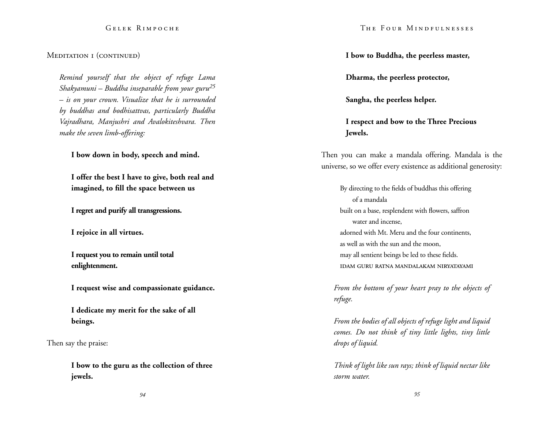# Meditation I (continued)

*Remind yourself that the object of refuge Lama Shakyamuni – Buddha inseparable from your guru25 – is on your crown. Visualize that he is surrounded by buddhas and bodhisattvas, particularly Buddha Vajradhara, Manjushri and Avalokiteshvara. Then make the seven limb-offering:* 

**I bow down in body, speech and mind.** 

**I offer the best I have to give, both real and imagined, to fill the space between us**

**I regret and purify all transgressions.**

**I rejoice in all virtues.**

**I request you to remain until total enlightenment.**

**I request wise and compassionate guidance.**

**I dedicate my merit for the sake of all beings.**

Then say the praise:

**I bow to the guru as the collection of three jewels.** 

**I bow to Buddha, the peerless master,** 

**Dharma, the peerless protector,**

**Sangha, the peerless helper.** 

**I respect and bow to the Three Precious Jewels.** 

Then you can make a mandala offering. Mandala is the universe, so we offer every existence as additional generosity:

By directing to the fields of buddhas this offering of a mandala built on a base, resplendent with flowers, saffron water and incense, adorned with Mt. Meru and the four continents, as well as with the sun and the moon, may all sentient beings be led to these fields. idam guru ratna mandalakam niryatayami

*From the bottom of your heart pray to the objects of refuge.* 

*From the bodies of all objects of refuge light and liquid comes. Do not think of tiny little lights, tiny little drops of liquid.* 

*Think of light like sun rays; think of liquid nectar like storm water.*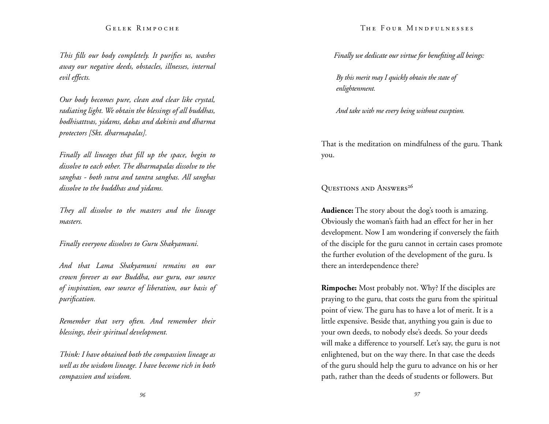*This fills our body completely. It purifies us, washes away our negative deeds, obstacles, illnesses, internal evil effects.* 

*Our body becomes pure, clean and clear like crystal, radiating light. We obtain the blessings of all buddhas, bodhisattvas, yidams, dakas and dakinis and dharma protectors [Skt. dharmapalas].* 

*Finally all lineages that fill up the space, begin to dissolve to each other. The dharmapalas dissolve to the sanghas - both sutra and tantra sanghas. All sanghas dissolve to the buddhas and yidams.* 

*They all dissolve to the masters and the lineage masters.* 

*Finally everyone dissolves to Guru Shakyamuni.* 

*And that Lama Shakyamuni remains on our crown forever as our Buddha, our guru, our source of inspiration, our source of liberation, our basis of purification.* 

*Remember that very often. And remember their blessings, their spiritual development.* 

*Think: I have obtained both the compassion lineage as well as the wisdom lineage. I have become rich in both compassion and wisdom.* 

#### The Four Mindfulnesses

*Finally we dedicate our virtue for benefiting all beings:* 

*By this merit may I quickly obtain the state of enlightenment.* 

*And take with me every being without exception.*

That is the meditation on mindfulness of the guru. Thank you.

OUESTIONS AND ANSWERS<sup>26</sup>

**Audience:** The story about the dog's tooth is amazing. Obviously the woman's faith had an effect for her in her development. Now I am wondering if conversely the faith of the disciple for the guru cannot in certain cases promote the further evolution of the development of the guru. Is there an interdependence there?

**Rimpoche:** Most probably not. Why? If the disciples are praying to the guru, that costs the guru from the spiritual point of view. The guru has to have a lot of merit. It is a little expensive. Beside that, anything you gain is due to your own deeds, to nobody else's deeds. So your deeds will make a difference to yourself. Let's say, the guru is not enlightened, but on the way there. In that case the deeds of the guru should help the guru to advance on his or her path, rather than the deeds of students or followers. But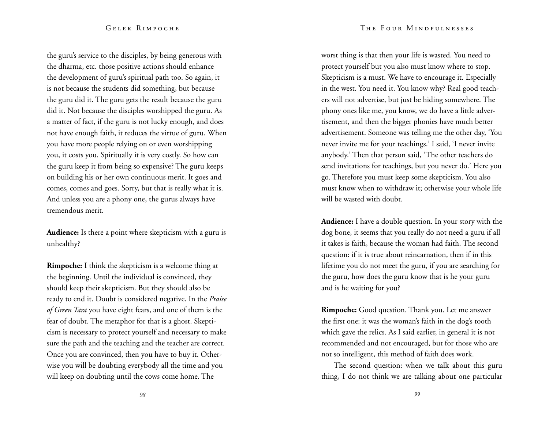the guru's service to the disciples, by being generous with the dharma, etc. those positive actions should enhance the development of guru's spiritual path too. So again, it is not because the students did something, but because the guru did it. The guru gets the result because the guru did it. Not because the disciples worshipped the guru. As a matter of fact, if the guru is not lucky enough, and does not have enough faith, it reduces the virtue of guru. When you have more people relying on or even worshipping you, it costs you. Spiritually it is very costly. So how can the guru keep it from being so expensive? The guru keeps on building his or her own continuous merit. It goes and comes, comes and goes. Sorry, but that is really what it is. And unless you are a phony one, the gurus always have tremendous merit.

**Audience:** Is there a point where skepticism with a guru is unhealthy?

**Rimpoche:** I think the skepticism is a welcome thing at the beginning. Until the individual is convinced, they should keep their skepticism. But they should also be ready to end it. Doubt is considered negative. In the *Praise of Green Tara* you have eight fears, and one of them is the fear of doubt. The metaphor for that is a ghost. Skepticism is necessary to protect yourself and necessary to make sure the path and the teaching and the teacher are correct. Once you are convinced, then you have to buy it. Otherwise you will be doubting everybody all the time and you will keep on doubting until the cows come home. The

worst thing is that then your life is wasted. You need to protect yourself but you also must know where to stop. Skepticism is a must. We have to encourage it. Especially in the west. You need it. You know why? Real good teachers will not advertise, but just be hiding somewhere. The phony ones like me, you know, we do have a little advertisement, and then the bigger phonies have much better advertisement. Someone was telling me the other day, 'You never invite me for your teachings.' I said, 'I never invite anybody.' Then that person said, 'The other teachers do send invitations for teachings, but you never do.' Here you go. Therefore you must keep some skepticism. You also must know when to withdraw it; otherwise your whole life will be wasted with doubt.

**Audience:** I have a double question. In your story with the dog bone, it seems that you really do not need a guru if all it takes is faith, because the woman had faith. The second question: if it is true about reincarnation, then if in this lifetime you do not meet the guru, if you are searching for the guru, how does the guru know that is he your guru and is he waiting for you?

**Rimpoche:** Good question. Thank you. Let me answer the first one: it was the woman's faith in the dog's tooth which gave the relics. As I said earlier, in general it is not recommended and not encouraged, but for those who are not so intelligent, this method of faith does work.

The second question: when we talk about this guru thing, I do not think we are talking about one particular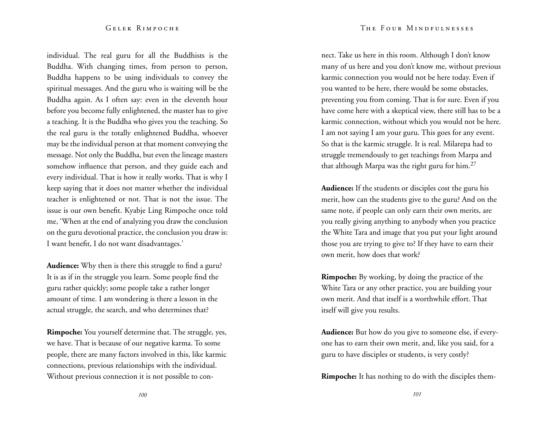individual. The real guru for all the Buddhists is the Buddha. With changing times, from person to person, Buddha happens to be using individuals to convey the spiritual messages. And the guru who is waiting will be the Buddha again. As I often say: even in the eleventh hour before you become fully enlightened, the master has to give a teaching. It is the Buddha who gives you the teaching. So the real guru is the totally enlightened Buddha, whoever may be the individual person at that moment conveying the message. Not only the Buddha, but even the lineage masters somehow influence that person, and they guide each and every individual. That is how it really works. That is why I keep saying that it does not matter whether the individual teacher is enlightened or not. That is not the issue. The issue is our own benefit. Kyabje Ling Rimpoche once told me, 'When at the end of analyzing you draw the conclusion on the guru devotional practice, the conclusion you draw is: I want benefit, I do not want disadvantages.'

**Audience:** Why then is there this struggle to find a guru? It is as if in the struggle you learn. Some people find the guru rather quickly; some people take a rather longer amount of time. I am wondering is there a lesson in the actual struggle, the search, and who determines that?

**Rimpoche:** You yourself determine that. The struggle, yes, we have. That is because of our negative karma. To some people, there are many factors involved in this, like karmic connections, previous relationships with the individual. Without previous connection it is not possible to con-

nect. Take us here in this room. Although I don't know many of us here and you don't know me, without previous karmic connection you would not be here today. Even if you wanted to be here, there would be some obstacles, preventing you from coming. That is for sure. Even if you have come here with a skeptical view, there still has to be a karmic connection, without which you would not be here. I am not saying I am your guru. This goes for any event. So that is the karmic struggle. It is real. Milarepa had to struggle tremendously to get teachings from Marpa and that although Marpa was the right guru for him.27

**Audience:** If the students or disciples cost the guru his merit, how can the students give to the guru? And on the same note, if people can only earn their own merits, are you really giving anything to anybody when you practice the White Tara and image that you put your light around those you are trying to give to? If they have to earn their own merit, how does that work?

**Rimpoche:** By working, by doing the practice of the White Tara or any other practice, you are building your own merit. And that itself is a worthwhile effort. That itself will give you results.

**Audience:** But how do you give to someone else, if everyone has to earn their own merit, and, like you said, for a guru to have disciples or students, is very costly?

**Rimpoche:** It has nothing to do with the disciples them-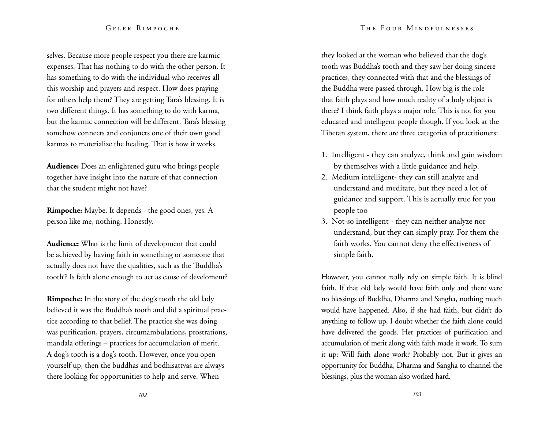#### The Four Mindfulnesses

# Gelek Rimpoche

selves. Because more people respect you there are karmic expenses. That has nothing to do with the other person. It has something to do with the individual who receives all this worship and prayers and respect. How does praying for others help them? They are getting Tara's blessing. It is two different things. It has something to do with karma, but the karmic connection will be different. Tara's blessing somehow connects and conjuncts one of their own good karmas to materialize the healing. That is how it works.

**Audience:** Does an enlightened guru who brings people together have insight into the nature of that connection that the student might not have?

**Rimpoche:** Maybe. It depends - the good ones, yes. A person like me, nothing. Honestly.

**Audience:** What is the limit of development that could be achieved by having faith in something or someone that actually does not have the qualities, such as the 'Buddha's tooth'? Is faith alone enough to act as cause of develoment?

**Rimpoche:** In the story of the dog's tooth the old lady believed it was the Buddha's tooth and did a spiritual practice according to that belief. The practice she was doing was purification, prayers, circumambulations, prostrations, mandala offerings – practices for accumulation of merit. A dog's tooth is a dog's tooth. However, once you open yourself up, then the buddhas and bodhisattvas are always there looking for opportunities to help and serve. When

they looked at the woman who believed that the dog's tooth was Buddha's tooth and they saw her doing sincere practices, they connected with that and the blessings of the Buddha were passed through. How big is the role that faith plays and how much reality of a holy object is there? I think faith plays a major role. This is not for you educated and intelligent people though. If you look at the Tibetan system, there are three categories of practitioners:

- 1. Intelligent they can analyze, think and gain wisdom by themselves with a little guidance and help.
- 2. Medium intelligent- they can still analyze and understand and meditate, but they need a lot of guidance and support. This is actually true for you people too
- 3. Not-so intelligent they can neither analyze nor understand, but they can simply pray. For them the faith works. You cannot deny the effectiveness of simple faith.

However, you cannot really rely on simple faith. It is blind faith. If that old lady would have faith only and there were no blessings of Buddha, Dharma and Sangha, nothing much would have happened. Also, if she had faith, but didn't do anything to follow up, I doubt whether the faith alone could have delivered the goods. Her practices of purification and accumulation of merit along with faith made it work. To sum it up: Will faith alone work? Probably not. But it gives an opportunity for Buddha, Dharma and Sangha to channel the blessings, plus the woman also worked hard.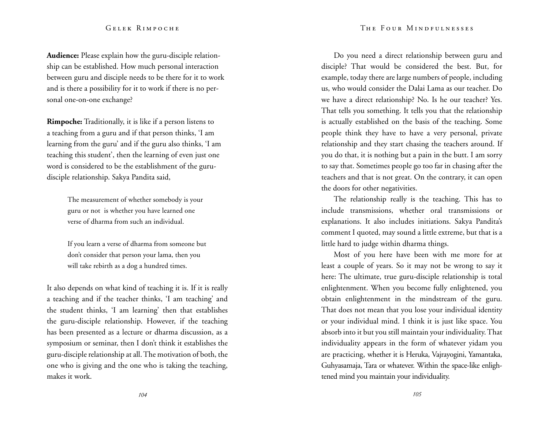**Audience:** Please explain how the guru-disciple relationship can be established. How much personal interaction between guru and disciple needs to be there for it to work and is there a possibility for it to work if there is no personal one-on-one exchange?

**Rimpoche:** Traditionally, it is like if a person listens to a teaching from a guru and if that person thinks, 'I am learning from the guru' and if the guru also thinks, 'I am teaching this student', then the learning of even just one word is considered to be the establishment of the gurudisciple relationship. Sakya Pandita said,

> The measurement of whether somebody is your guru or not is whether you have learned one verse of dharma from such an individual.

If you learn a verse of dharma from someone but don't consider that person your lama, then you will take rebirth as a dog a hundred times.

It also depends on what kind of teaching it is. If it is really a teaching and if the teacher thinks, 'I am teaching' and the student thinks, 'I am learning' then that establishes the guru-disciple relationship. However, if the teaching has been presented as a lecture or dharma discussion, as a symposium or seminar, then I don't think it establishes the guru-disciple relationship at all. The motivation of both, the one who is giving and the one who is taking the teaching, makes it work.

Do you need a direct relationship between guru and disciple? That would be considered the best. But, for example, today there are large numbers of people, including us, who would consider the Dalai Lama as our teacher. Do we have a direct relationship? No. Is he our teacher? Yes. That tells you something. It tells you that the relationship is actually established on the basis of the teaching. Some people think they have to have a very personal, private relationship and they start chasing the teachers around. If you do that, it is nothing but a pain in the butt. I am sorry to say that. Sometimes people go too far in chasing after the teachers and that is not great. On the contrary, it can open the doors for other negativities.

The relationship really is the teaching. This has to include transmissions, whether oral transmissions or explanations. It also includes initiations. Sakya Pandita's comment I quoted, may sound a little extreme, but that is a little hard to judge within dharma things.

Most of you here have been with me more for at least a couple of years. So it may not be wrong to say it here: The ultimate, true guru-disciple relationship is total enlightenment. When you become fully enlightened, you obtain enlightenment in the mindstream of the guru. That does not mean that you lose your individual identity or your individual mind. I think it is just like space. You absorb into it but you still maintain your individuality. That individuality appears in the form of whatever yidam you are practicing, whether it is Heruka, Vajrayogini, Yamantaka, Guhyasamaja, Tara or whatever. Within the space-like enlightened mind you maintain your individuality.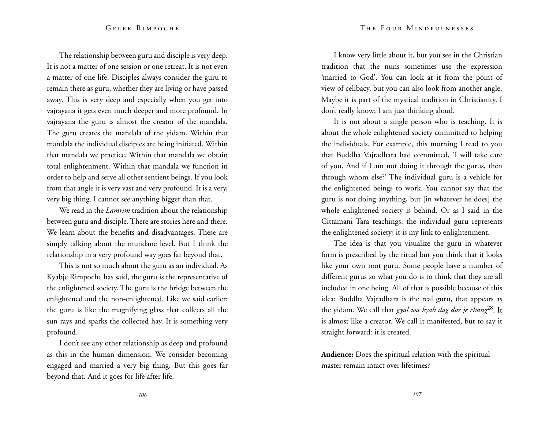The relationship between guru and disciple is very deep. It is not a matter of one session or one retreat. It is not even a matter of one life. Disciples always consider the guru to remain there as guru, whether they are living or have passed away. This is very deep and especially when you get into vajrayana it gets even much deeper and more profound. In vajrayana the guru is almost the creator of the mandala. The guru creates the mandala of the yidam. Within that mandala the individual disciples are being initiated. Within that mandala we practice. Within that mandala we obtain total enlightenment. Within that mandala we function in order to help and serve all other sentient beings. If you look from that angle it is very vast and very profound. It is a very, very big thing. I cannot see anything bigger than that.

We read in the *Lamrim* tradition about the relationship between guru and disciple. There are stories here and there. We learn about the benefits and disadvantages. These are simply talking about the mundane level. But I think the relationship in a very profound way goes far beyond that.

This is not so much about the guru as an individual. As Kyabje Rimpoche has said, the guru is the representative of the enlightened society. The guru is the bridge between the enlightened and the non-enlightened. Like we said earlier: the guru is like the magnifying glass that collects all the sun rays and sparks the collected hay. It is something very profound.

I don't see any other relationship as deep and profound as this in the human dimension. We consider becoming engaged and married a very big thing. But this goes far beyond that. And it goes for life after life.

I know very little about it, but you see in the Christian tradition that the nuns sometimes use the expression 'married to God'. You can look at it from the point of view of celibacy, but you can also look from another angle. Maybe it is part of the mystical tradition in Christianity. I don't really know; I am just thinking aloud.

It is not about a single person who is teaching. It is about the whole enlightened society committed to helping the individuals. For example, this morning I read to you that Buddha Vajradhara had committed, 'I will take care of you. And if I am not doing it through the gurus, then through whom else?' The individual guru is a vehicle for the enlightened beings to work. You cannot say that the guru is not doing anything, but [in whatever he does] the whole enlightened society is behind. Or as I said in the Cittamani Tara teachings: the individual guru represents the enlightened society; it is my link to enlightenment.

The idea is that you visualize the guru in whatever form is prescribed by the ritual but you think that it looks like your own root guru. Some people have a number of different gurus so what you do is to think that they are all included in one being. All of that is possible because of this idea: Buddha Vajradhara is the real guru, that appears as the yidam. We call that *gyal wa kyab dag dor je chang*28. It is almost like a creator. We call it manifested, but to say it straight forward: it is created.

**Audience:** Does the spiritual relation with the spiritual master remain intact over lifetimes?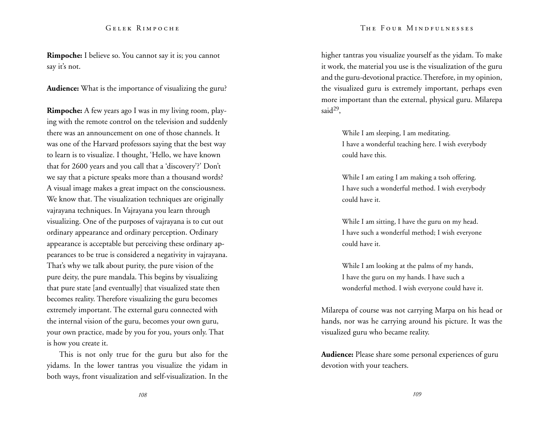**Rimpoche:** I believe so. You cannot say it is; you cannot say it's not.

**Audience:** What is the importance of visualizing the guru?

**Rimpoche:** A few years ago I was in my living room, playing with the remote control on the television and suddenly there was an announcement on one of those channels. It was one of the Harvard professors saying that the best way to learn is to visualize. I thought, 'Hello, we have known that for 2600 years and you call that a 'discovery'?' Don't we say that a picture speaks more than a thousand words? A visual image makes a great impact on the consciousness. We know that. The visualization techniques are originally vajrayana techniques. In Vajrayana you learn through visualizing. One of the purposes of vajrayana is to cut out ordinary appearance and ordinary perception. Ordinary appearance is acceptable but perceiving these ordinary appearances to be true is considered a negativity in vajrayana. That's why we talk about purity, the pure vision of the pure deity, the pure mandala. This begins by visualizing that pure state [and eventually] that visualized state then becomes reality. Therefore visualizing the guru becomes extremely important. The external guru connected with the internal vision of the guru, becomes your own guru, your own practice, made by you for you, yours only. That is how you create it.

This is not only true for the guru but also for the yidams. In the lower tantras you visualize the yidam in both ways, front visualization and self-visualization. In the The Four Mindfulnesses

higher tantras you visualize yourself as the yidam. To make it work, the material you use is the visualization of the guru and the guru-devotional practice. Therefore, in my opinion, the visualized guru is extremely important, perhaps even more important than the external, physical guru. Milarepa said $^{29}$ ,

> While I am sleeping, I am meditating. I have a wonderful teaching here. I wish everybody could have this.

While I am eating I am making a tsoh offering. I have such a wonderful method. I wish everybody could have it.

While I am sitting, I have the guru on my head. I have such a wonderful method; I wish everyone could have it.

While I am looking at the palms of my hands, I have the guru on my hands. I have such a wonderful method. I wish everyone could have it.

Milarepa of course was not carrying Marpa on his head or hands, nor was he carrying around his picture. It was the visualized guru who became reality.

**Audience:** Please share some personal experiences of guru devotion with your teachers.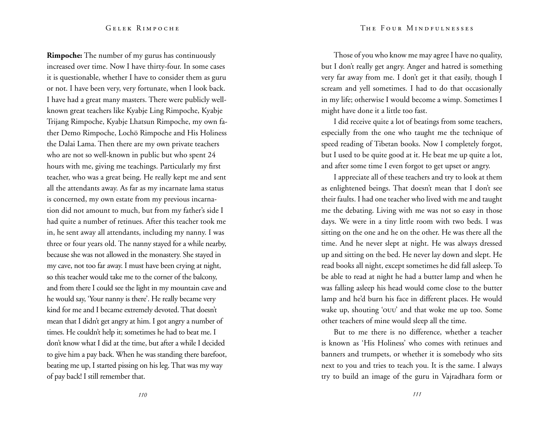**Rimpoche:** The number of my gurus has continuously increased over time. Now I have thirty-four. In some cases it is questionable, whether I have to consider them as guru or not. I have been very, very fortunate, when I look back. I have had a great many masters. There were publicly wellknown great teachers like Kyabje Ling Rimpoche, Kyabje Trijang Rimpoche, Kyabje Lhatsun Rimpoche, my own father Demo Rimpoche, Lochö Rimpoche and His Holiness the Dalai Lama. Then there are my own private teachers who are not so well-known in public but who spent 24 hours with me, giving me teachings. Particularly my first teacher, who was a great being. He really kept me and sent all the attendants away. As far as my incarnate lama status is concerned, my own estate from my previous incarnation did not amount to much, but from my father's side I had quite a number of retinues. After this teacher took me in, he sent away all attendants, including my nanny. I was three or four years old. The nanny stayed for a while nearby, because she was not allowed in the monastery. She stayed in my cave, not too far away. I must have been crying at night, so this teacher would take me to the corner of the balcony, and from there I could see the light in my mountain cave and he would say, 'Your nanny is there'. He really became very kind for me and I became extremely devoted. That doesn't mean that I didn't get angry at him. I got angry a number of times. He couldn't help it; sometimes he had to beat me. I don't know what I did at the time, but after a while I decided to give him a pay back. When he was standing there barefoot, beating me up, I started pissing on his leg. That was my way of pay back! I still remember that.

Those of you who know me may agree I have no quality, but I don't really get angry. Anger and hatred is something very far away from me. I don't get it that easily, though I scream and yell sometimes. I had to do that occasionally in my life; otherwise I would become a wimp. Sometimes I might have done it a little too fast.

I did receive quite a lot of beatings from some teachers, especially from the one who taught me the technique of speed reading of Tibetan books. Now I completely forgot, but I used to be quite good at it. He beat me up quite a lot, and after some time I even forgot to get upset or angry.

I appreciate all of these teachers and try to look at them as enlightened beings. That doesn't mean that I don't see their faults. I had one teacher who lived with me and taught me the debating. Living with me was not so easy in those days. We were in a tiny little room with two beds. I was sitting on the one and he on the other. He was there all the time. And he never slept at night. He was always dressed up and sitting on the bed. He never lay down and slept. He read books all night, except sometimes he did fall asleep. To be able to read at night he had a butter lamp and when he was falling asleep his head would come close to the butter lamp and he'd burn his face in different places. He would wake up, shouting 'ouu' and that woke me up too. Some other teachers of mine would sleep all the time.

But to me there is no difference, whether a teacher is known as 'His Holiness' who comes with retinues and banners and trumpets, or whether it is somebody who sits next to you and tries to teach you. It is the same. I always try to build an image of the guru in Vajradhara form or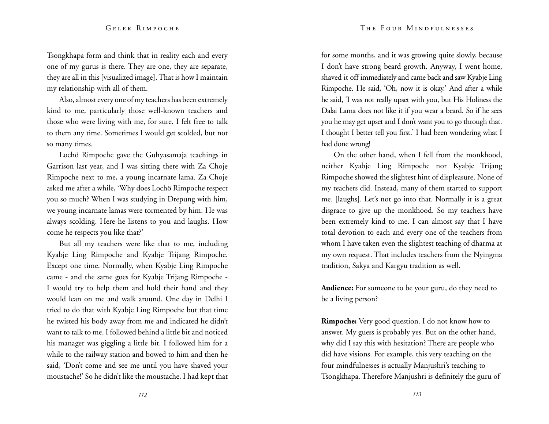Tsongkhapa form and think that in reality each and every one of my gurus is there. They are one, they are separate, they are all in this [visualized image]. That is how I maintain my relationship with all of them.

Also, almost every one of my teachers has been extremely kind to me, particularly those well-known teachers and those who were living with me, for sure. I felt free to talk to them any time. Sometimes I would get scolded, but not so many times.

Lochö Rimpoche gave the Guhyasamaja teachings in Garrison last year, and I was sitting there with Za Choje Rimpoche next to me, a young incarnate lama. Za Choje asked me after a while, 'Why does Lochö Rimpoche respect you so much? When I was studying in Drepung with him, we young incarnate lamas were tormented by him. He was always scolding. Here he listens to you and laughs. How come he respects you like that?'

But all my teachers were like that to me, including Kyabje Ling Rimpoche and Kyabje Trijang Rimpoche. Except one time. Normally, when Kyabje Ling Rimpoche came - and the same goes for Kyabje Trijang Rimpoche - I would try to help them and hold their hand and they would lean on me and walk around. One day in Delhi I tried to do that with Kyabje Ling Rimpoche but that time he twisted his body away from me and indicated he didn't want to talk to me. I followed behind a little bit and noticed his manager was giggling a little bit. I followed him for a while to the railway station and bowed to him and then he said, 'Don't come and see me until you have shaved your moustache!' So he didn't like the moustache. I had kept that

for some months, and it was growing quite slowly, because I don't have strong beard growth. Anyway, I went home, shaved it off immediately and came back and saw Kyabje Ling Rimpoche. He said, 'Oh, now it is okay.' And after a while he said, 'I was not really upset with you, but His Holiness the Dalai Lama does not like it if you wear a beard. So if he sees you he may get upset and I don't want you to go through that. I thought I better tell you first.' I had been wondering what I had done wrong!

On the other hand, when I fell from the monkhood, neither Kyabje Ling Rimpoche nor Kyabje Trijang Rimpoche showed the slightest hint of displeasure. None of my teachers did. Instead, many of them started to support me. [laughs]. Let's not go into that. Normally it is a great disgrace to give up the monkhood. So my teachers have been extremely kind to me. I can almost say that I have total devotion to each and every one of the teachers from whom I have taken even the slightest teaching of dharma at my own request. That includes teachers from the Nyingma tradition, Sakya and Kargyu tradition as well.

**Audience:** For someone to be your guru, do they need to be a living person?

**Rimpoche:** Very good question. I do not know how to answer. My guess is probably yes. But on the other hand, why did I say this with hesitation? There are people who did have visions. For example, this very teaching on the four mindfulnesses is actually Manjushri's teaching to Tsongkhapa. Therefore Manjushri is definitely the guru of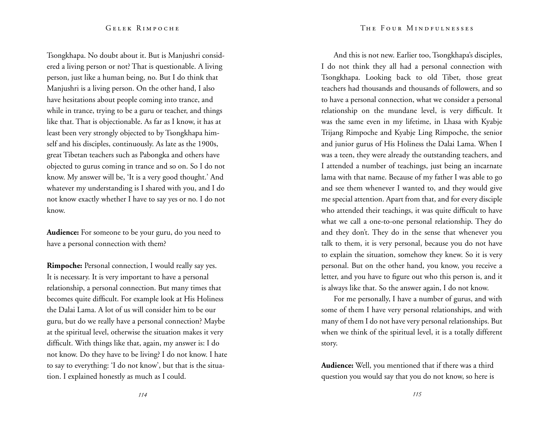Tsongkhapa. No doubt about it. But is Manjushri considered a living person or not? That is questionable. A living person, just like a human being, no. But I do think that Manjushri is a living person. On the other hand, I also have hesitations about people coming into trance, and while in trance, trying to be a guru or teacher, and things like that. That is objectionable. As far as I know, it has at least been very strongly objected to by Tsongkhapa himself and his disciples, continuously. As late as the 1900s, great Tibetan teachers such as Pabongka and others have objected to gurus coming in trance and so on. So I do not know. My answer will be, 'It is a very good thought.' And whatever my understanding is I shared with you, and I do not know exactly whether I have to say yes or no. I do not know.

**Audience:** For someone to be your guru, do you need to have a personal connection with them?

**Rimpoche:** Personal connection, I would really say yes. It is necessary. It is very important to have a personal relationship, a personal connection. But many times that becomes quite difficult. For example look at His Holiness the Dalai Lama. A lot of us will consider him to be our guru, but do we really have a personal connection? Maybe at the spiritual level, otherwise the situation makes it very difficult. With things like that, again, my answer is: I do not know. Do they have to be living? I do not know. I hate to say to everything: 'I do not know', but that is the situation. I explained honestly as much as I could.

And this is not new. Earlier too, Tsongkhapa's disciples, I do not think they all had a personal connection with Tsongkhapa. Looking back to old Tibet, those great teachers had thousands and thousands of followers, and so to have a personal connection, what we consider a personal relationship on the mundane level, is very difficult. It was the same even in my lifetime, in Lhasa with Kyabje Trijang Rimpoche and Kyabje Ling Rimpoche, the senior and junior gurus of His Holiness the Dalai Lama. When I was a teen, they were already the outstanding teachers, and I attended a number of teachings, just being an incarnate lama with that name. Because of my father I was able to go and see them whenever I wanted to, and they would give me special attention. Apart from that, and for every disciple who attended their teachings, it was quite difficult to have what we call a one-to-one personal relationship. They do and they don't. They do in the sense that whenever you talk to them, it is very personal, because you do not have to explain the situation, somehow they knew. So it is very personal. But on the other hand, you know, you receive a letter, and you have to figure out who this person is, and it is always like that. So the answer again, I do not know.

For me personally, I have a number of gurus, and with some of them I have very personal relationships, and with many of them I do not have very personal relationships. But when we think of the spiritual level, it is a totally different story.

**Audience:** Well, you mentioned that if there was a third question you would say that you do not know, so here is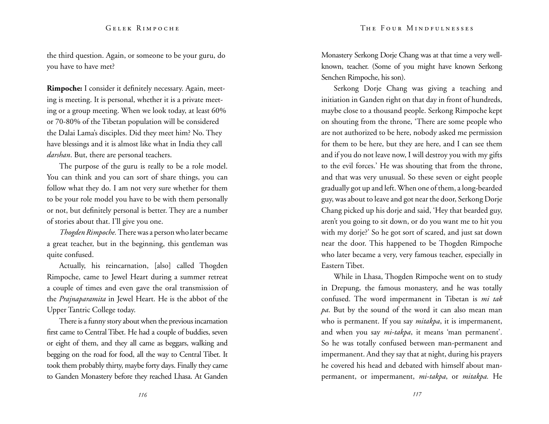the third question. Again, or someone to be your guru, do you have to have met?

**Rimpoche:** I consider it definitely necessary. Again, meeting is meeting. It is personal, whether it is a private meeting or a group meeting. When we look today, at least 60% or 70-80% of the Tibetan population will be considered the Dalai Lama's disciples. Did they meet him? No. They have blessings and it is almost like what in India they call *darshan*. But, there are personal teachers.

The purpose of the guru is really to be a role model. You can think and you can sort of share things, you can follow what they do. I am not very sure whether for them to be your role model you have to be with them personally or not, but definitely personal is better. They are a number of stories about that. I'll give you one.

*Thogden Rimpoche.* There was a person who later became a great teacher, but in the beginning, this gentleman was quite confused.

Actually, his reincarnation, [also] called Thogden Rimpoche, came to Jewel Heart during a summer retreat a couple of times and even gave the oral transmission of the *Prajnaparamita* in Jewel Heart. He is the abbot of the Upper Tantric College today.

There is a funny story about when the previous incarnation first came to Central Tibet. He had a couple of buddies, seven or eight of them, and they all came as beggars, walking and begging on the road for food, all the way to Central Tibet. It took them probably thirty, maybe forty days. Finally they came to Ganden Monastery before they reached Lhasa. At Ganden Monastery Serkong Dorje Chang was at that time a very wellknown, teacher. (Some of you might have known Serkong Senchen Rimpoche, his son).

Serkong Dorje Chang was giving a teaching and initiation in Ganden right on that day in front of hundreds, maybe close to a thousand people. Serkong Rimpoche kept on shouting from the throne, 'There are some people who are not authorized to be here, nobody asked me permission for them to be here, but they are here, and I can see them and if you do not leave now, I will destroy you with my gifts to the evil forces.' He was shouting that from the throne, and that was very unusual. So these seven or eight people gradually got up and left. When one of them, a long-bearded guy, was about to leave and got near the door, Serkong Dorje Chang picked up his dorje and said, 'Hey that bearded guy, aren't you going to sit down, or do you want me to hit you with my dorje?' So he got sort of scared, and just sat down near the door. This happened to be Thogden Rimpoche who later became a very, very famous teacher, especially in Eastern Tibet.

While in Lhasa, Thogden Rimpoche went on to study in Drepung, the famous monastery, and he was totally confused. The word impermanent in Tibetan is *mi tak pa*. But by the sound of the word it can also mean man who is permanent. If you say *mitakpa*, it is impermanent, and when you say *mi-takpa*, it means 'man permanent'. So he was totally confused between man-permanent and impermanent. And they say that at night, during his prayers he covered his head and debated with himself about manpermanent, or impermanent, *mi-takpa*, or *mitakpa.* He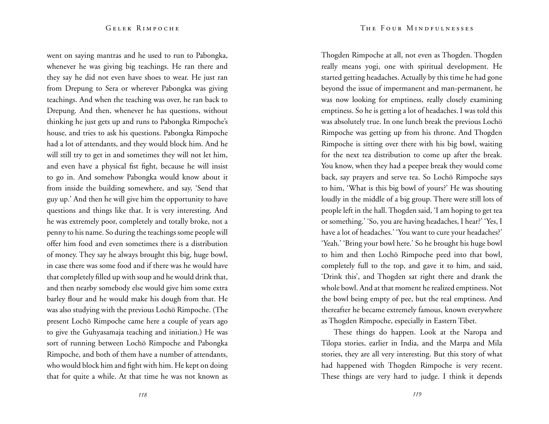went on saying mantras and he used to run to Pabongka, whenever he was giving big teachings. He ran there and they say he did not even have shoes to wear. He just ran from Drepung to Sera or wherever Pabongka was giving teachings. And when the teaching was over, he ran back to Drepung. And then, whenever he has questions, without thinking he just gets up and runs to Pabongka Rimpoche's house, and tries to ask his questions. Pabongka Rimpoche had a lot of attendants, and they would block him. And he will still try to get in and sometimes they will not let him, and even have a physical fist fight, because he will insist to go in. And somehow Pabongka would know about it from inside the building somewhere, and say, 'Send that guy up.' And then he will give him the opportunity to have questions and things like that. It is very interesting. And he was extremely poor, completely and totally broke, not a penny to his name. So during the teachings some people will offer him food and even sometimes there is a distribution of money. They say he always brought this big, huge bowl, in case there was some food and if there was he would have that completely filled up with soup and he would drink that, and then nearby somebody else would give him some extra barley flour and he would make his dough from that. He was also studying with the previous Lochö Rimpoche. (The present Lochö Rimpoche came here a couple of years ago to give the Guhyasamaja teaching and initiation.) He was sort of running between Lochö Rimpoche and Pabongka Rimpoche, and both of them have a number of attendants, who would block him and fight with him. He kept on doing that for quite a while. At that time he was not known as

Thogden Rimpoche at all, not even as Thogden. Thogden really means yogi, one with spiritual development. He started getting headaches. Actually by this time he had gone beyond the issue of impermanent and man-permanent, he was now looking for emptiness, really closely examining emptiness. So he is getting a lot of headaches. I was told this was absolutely true. In one lunch break the previous Lochö Rimpoche was getting up from his throne. And Thogden Rimpoche is sitting over there with his big bowl, waiting for the next tea distribution to come up after the break. You know, when they had a peepee break they would come back, say prayers and serve tea. So Lochö Rimpoche says to him, 'What is this big bowl of yours?' He was shouting loudly in the middle of a big group. There were still lots of people left in the hall. Thogden said, 'I am hoping to get tea or something.' 'So, you are having headaches, I hear?' 'Yes, I have a lot of headaches.' 'You want to cure your headaches?' 'Yeah.' 'Bring your bowl here.' So he brought his huge bowl to him and then Lochö Rimpoche peed into that bowl, completely full to the top, and gave it to him, and said, 'Drink this', and Thogden sat right there and drank the whole bowl. And at that moment he realized emptiness. Not the bowl being empty of pee, but the real emptiness. And thereafter he became extremely famous, known everywhere as Thogden Rimpoche, especially in Eastern Tibet.

These things do happen. Look at the Naropa and Tilopa stories, earlier in India, and the Marpa and Mila stories, they are all very interesting. But this story of what had happened with Thogden Rimpoche is very recent. These things are very hard to judge. I think it depends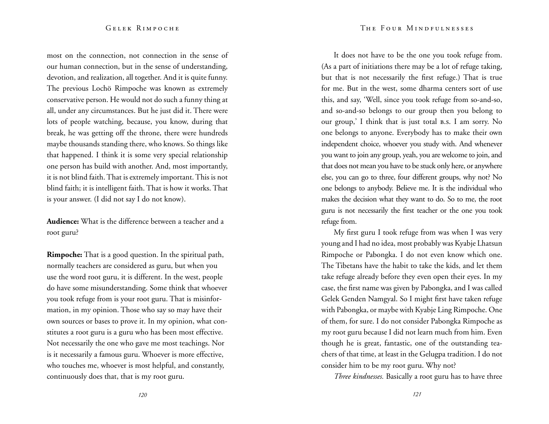most on the connection, not connection in the sense of our human connection, but in the sense of understanding, devotion, and realization, all together. And it is quite funny. The previous Lochö Rimpoche was known as extremely conservative person. He would not do such a funny thing at all, under any circumstances. But he just did it. There were lots of people watching, because, you know, during that break, he was getting off the throne, there were hundreds maybe thousands standing there, who knows. So things like that happened. I think it is some very special relationship one person has build with another. And, most importantly, it is not blind faith. That is extremely important. This is not blind faith; it is intelligent faith. That is how it works. That is your answer. (I did not say I do not know).

**Audience:** What is the difference between a teacher and a root guru?

**Rimpoche:** That is a good question. In the spiritual path, normally teachers are considered as guru, but when you use the word root guru, it is different. In the west, people do have some misunderstanding. Some think that whoever you took refuge from is your root guru. That is misinformation, in my opinion. Those who say so may have their own sources or bases to prove it. In my opinion, what constitutes a root guru is a guru who has been most effective. Not necessarily the one who gave me most teachings. Nor is it necessarily a famous guru. Whoever is more effective, who touches me, whoever is most helpful, and constantly, continuously does that, that is my root guru.

It does not have to be the one you took refuge from. (As a part of initiations there may be a lot of refuge taking, but that is not necessarily the first refuge.) That is true for me. But in the west, some dharma centers sort of use this, and say, 'Well, since you took refuge from so-and-so, and so-and-so belongs to our group then you belong to our group,' I think that is just total b.s. I am sorry. No one belongs to anyone. Everybody has to make their own independent choice, whoever you study with. And whenever you want to join any group, yeah, you are welcome to join, and that does not mean you have to be stuck only here, or anywhere else, you can go to three, four different groups, why not? No one belongs to anybody. Believe me. It is the individual who makes the decision what they want to do. So to me, the root guru is not necessarily the first teacher or the one you took refuge from.

My first guru I took refuge from was when I was very young and I had no idea, most probably was Kyabje Lhatsun Rimpoche or Pabongka. I do not even know which one. The Tibetans have the habit to take the kids, and let them take refuge already before they even open their eyes. In my case, the first name was given by Pabongka, and I was called Gelek Genden Namgyal. So I might first have taken refuge with Pabongka, or maybe with Kyabje Ling Rimpoche. One of them, for sure. I do not consider Pabongka Rimpoche as my root guru because I did not learn much from him. Even though he is great, fantastic, one of the outstanding teachers of that time, at least in the Gelugpa tradition. I do not consider him to be my root guru. Why not?

*Three kindnesses.* Basically a root guru has to have three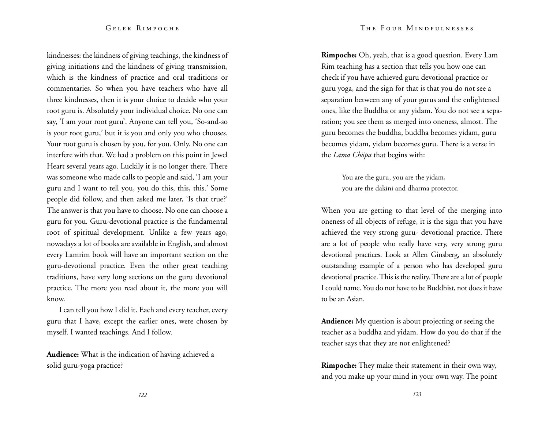kindnesses: the kindness of giving teachings, the kindness of giving initiations and the kindness of giving transmission, which is the kindness of practice and oral traditions or commentaries. So when you have teachers who have all three kindnesses, then it is your choice to decide who your root guru is. Absolutely your individual choice. No one can say, 'I am your root guru'. Anyone can tell you, 'So-and-so is your root guru,' but it is you and only you who chooses. Your root guru is chosen by you, for you. Only. No one can interfere with that. We had a problem on this point in Jewel Heart several years ago. Luckily it is no longer there. There was someone who made calls to people and said, 'I am your guru and I want to tell you, you do this, this, this.' Some people did follow, and then asked me later, 'Is that true?' The answer is that you have to choose. No one can choose a guru for you. Guru-devotional practice is the fundamental root of spiritual development. Unlike a few years ago, nowadays a lot of books are available in English, and almost every Lamrim book will have an important section on the guru-devotional practice. Even the other great teaching traditions, have very long sections on the guru devotional practice. The more you read about it, the more you will know.

I can tell you how I did it. Each and every teacher, every guru that I have, except the earlier ones, were chosen by myself. I wanted teachings. And I follow.

**Audience:** What is the indication of having achieved a solid guru-yoga practice?

**Rimpoche:** Oh, yeah, that is a good question. Every Lam Rim teaching has a section that tells you how one can check if you have achieved guru devotional practice or guru yoga, and the sign for that is that you do not see a separation between any of your gurus and the enlightened ones, like the Buddha or any yidam. You do not see a separation; you see them as merged into oneness, almost. The guru becomes the buddha, buddha becomes yidam, guru becomes yidam, yidam becomes guru. There is a verse in the *Lama Chöpa* that begins with:

> You are the guru, you are the yidam, you are the dakini and dharma protector.

When you are getting to that level of the merging into oneness of all objects of refuge, it is the sign that you have achieved the very strong guru- devotional practice. There are a lot of people who really have very, very strong guru devotional practices. Look at Allen Ginsberg, an absolutely outstanding example of a person who has developed guru devotional practice. This is the reality. There are a lot of people I could name. You do not have to be Buddhist, not does it have to be an Asian.

**Audience:** My question is about projecting or seeing the teacher as a buddha and yidam. How do you do that if the teacher says that they are not enlightened?

**Rimpoche:** They make their statement in their own way, and you make up your mind in your own way. The point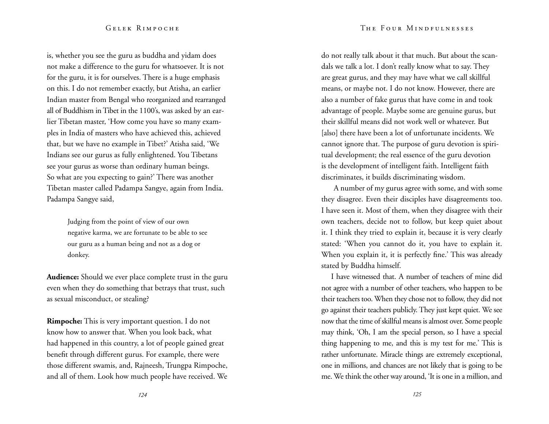is, whether you see the guru as buddha and yidam does not make a difference to the guru for whatsoever. It is not for the guru, it is for ourselves. There is a huge emphasis on this. I do not remember exactly, but Atisha, an earlier Indian master from Bengal who reorganized and rearranged all of Buddhism in Tibet in the 1100's, was asked by an earlier Tibetan master, 'How come you have so many examples in India of masters who have achieved this, achieved that, but we have no example in Tibet?' Atisha said, 'We Indians see our gurus as fully enlightened. You Tibetans see your gurus as worse than ordinary human beings. So what are you expecting to gain?' There was another Tibetan master called Padampa Sangye, again from India. Padampa Sangye said,

> Judging from the point of view of our own negative karma, we are fortunate to be able to see our guru as a human being and not as a dog or donkey.

**Audience:** Should we ever place complete trust in the guru even when they do something that betrays that trust, such as sexual misconduct, or stealing?

**Rimpoche:** This is very important question. I do not know how to answer that. When you look back, what had happened in this country, a lot of people gained great benefit through different gurus. For example, there were those different swamis, and, Rajneesh, Trungpa Rimpoche, and all of them. Look how much people have received. We

do not really talk about it that much. But about the scandals we talk a lot. I don't really know what to say. They are great gurus, and they may have what we call skillful means, or maybe not. I do not know. However, there are also a number of fake gurus that have come in and took advantage of people. Maybe some are genuine gurus, but their skillful means did not work well or whatever. But [also] there have been a lot of unfortunate incidents. We cannot ignore that. The purpose of guru devotion is spiritual development; the real essence of the guru devotion is the development of intelligent faith. Intelligent faith discriminates, it builds discriminating wisdom.

A number of my gurus agree with some, and with some they disagree. Even their disciples have disagreements too. I have seen it. Most of them, when they disagree with their own teachers, decide not to follow, but keep quiet about it. I think they tried to explain it, because it is very clearly stated: 'When you cannot do it, you have to explain it. When you explain it, it is perfectly fine.' This was already stated by Buddha himself.

I have witnessed that. A number of teachers of mine did not agree with a number of other teachers, who happen to be their teachers too. When they chose not to follow, they did not go against their teachers publicly. They just kept quiet. We see now that the time of skillful means is almost over. Some people may think, 'Oh, I am the special person, so I have a special thing happening to me, and this is my test for me.' This is rather unfortunate. Miracle things are extremely exceptional, one in millions, and chances are not likely that is going to be me. We think the other way around, 'It is one in a million, and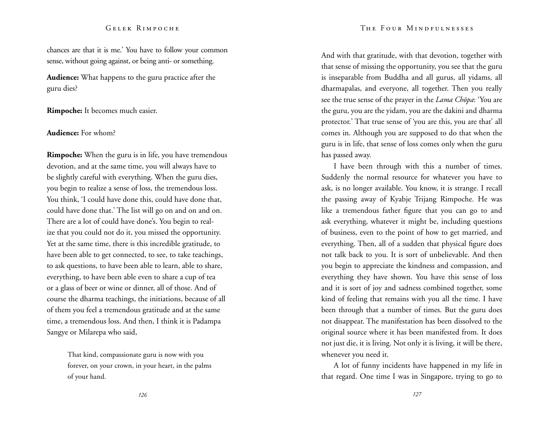#### The Four Mindfulnesses

### Gelek Rimpoche

chances are that it is me.' You have to follow your common sense, without going against, or being anti- or something.

**Audience:** What happens to the guru practice after the guru dies?

**Rimpoche:** It becomes much easier.

# **Audience:** For whom?

**Rimpoche:** When the guru is in life, you have tremendous devotion, and at the same time, you will always have to be slightly careful with everything. When the guru dies, you begin to realize a sense of loss, the tremendous loss. You think, 'I could have done this, could have done that, could have done that.' The list will go on and on and on. There are a lot of could have done's. You begin to realize that you could not do it, you missed the opportunity. Yet at the same time, there is this incredible gratitude, to have been able to get connected, to see, to take teachings, to ask questions, to have been able to learn, able to share, everything, to have been able even to share a cup of tea or a glass of beer or wine or dinner, all of those. And of course the dharma teachings, the initiations, because of all of them you feel a tremendous gratitude and at the same time, a tremendous loss. And then, I think it is Padampa Sangye or Milarepa who said,

> That kind, compassionate guru is now with you forever, on your crown, in your heart, in the palms of your hand.

And with that gratitude, with that devotion, together with that sense of missing the opportunity, you see that the guru is inseparable from Buddha and all gurus, all yidams, all dharmapalas, and everyone, all together. Then you really see the true sense of the prayer in the *Lama Chöpa*: 'You are the guru, you are the yidam, you are the dakini and dharma protector.' That true sense of 'you are this, you are that' all comes in. Although you are supposed to do that when the guru is in life, that sense of loss comes only when the guru has passed away.

I have been through with this a number of times. Suddenly the normal resource for whatever you have to ask, is no longer available. You know, it is strange. I recall the passing away of Kyabje Trijang Rimpoche. He was like a tremendous father figure that you can go to and ask everything, whatever it might be, including questions of business, even to the point of how to get married, and everything. Then, all of a sudden that physical figure does not talk back to you. It is sort of unbelievable. And then you begin to appreciate the kindness and compassion, and everything they have shown. You have this sense of loss and it is sort of joy and sadness combined together, some kind of feeling that remains with you all the time. I have been through that a number of times. But the guru does not disappear. The manifestation has been dissolved to the original source where it has been manifested from. It does not just die, it is living. Not only it is living, it will be there, whenever you need it.

A lot of funny incidents have happened in my life in that regard. One time I was in Singapore, trying to go to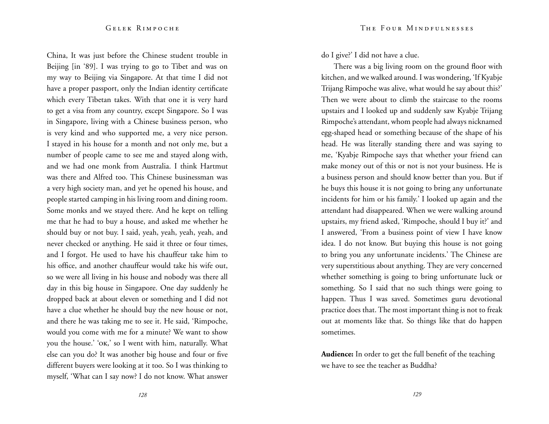China, It was just before the Chinese student trouble in Beijing [in '89]. I was trying to go to Tibet and was on my way to Beijing via Singapore. At that time I did not have a proper passport, only the Indian identity certificate which every Tibetan takes. With that one it is very hard to get a visa from any country, except Singapore. So I was in Singapore, living with a Chinese business person, who is very kind and who supported me, a very nice person. I stayed in his house for a month and not only me, but a number of people came to see me and stayed along with, and we had one monk from Australia. I think Hartmut was there and Alfred too. This Chinese businessman was a very high society man, and yet he opened his house, and people started camping in his living room and dining room. Some monks and we stayed there. And he kept on telling me that he had to buy a house, and asked me whether he should buy or not buy. I said, yeah, yeah, yeah, yeah, and never checked or anything. He said it three or four times, and I forgot. He used to have his chauffeur take him to his office, and another chauffeur would take his wife out, so we were all living in his house and nobody was there all day in this big house in Singapore. One day suddenly he dropped back at about eleven or something and I did not have a clue whether he should buy the new house or not, and there he was taking me to see it. He said, 'Rimpoche, would you come with me for a minute? We want to show you the house.' 'ok,' so I went with him, naturally. What else can you do? It was another big house and four or five different buyers were looking at it too. So I was thinking to myself, 'What can I say now? I do not know. What answer do I give?' I did not have a clue.

There was a big living room on the ground floor with kitchen, and we walked around. I was wondering, 'If Kyabje Trijang Rimpoche was alive, what would he say about this?' Then we were about to climb the staircase to the rooms upstairs and I looked up and suddenly saw Kyabje Trijang Rimpoche's attendant, whom people had always nicknamed egg-shaped head or something because of the shape of his head. He was literally standing there and was saying to me, 'Kyabje Rimpoche says that whether your friend can make money out of this or not is not your business. He is a business person and should know better than you. But if he buys this house it is not going to bring any unfortunate incidents for him or his family.' I looked up again and the attendant had disappeared. When we were walking around upstairs, my friend asked, 'Rimpoche, should I buy it?' and I answered, 'From a business point of view I have know idea. I do not know. But buying this house is not going to bring you any unfortunate incidents.' The Chinese are very superstitious about anything. They are very concerned whether something is going to bring unfortunate luck or something. So I said that no such things were going to happen. Thus I was saved. Sometimes guru devotional practice does that. The most important thing is not to freak out at moments like that. So things like that do happen sometimes.

**Audience:** In order to get the full benefit of the teaching we have to see the teacher as Buddha?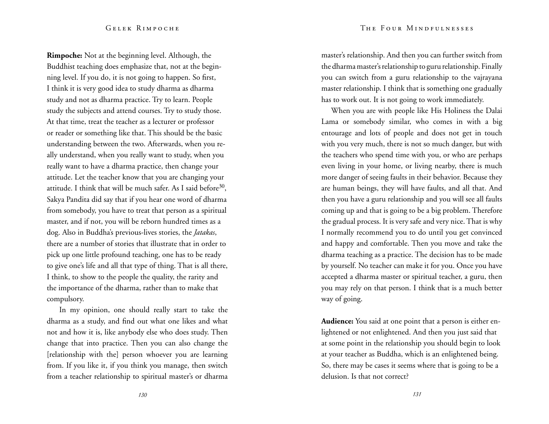**Rimpoche:** Not at the beginning level. Although, the Buddhist teaching does emphasize that, not at the beginning level. If you do, it is not going to happen. So first, I think it is very good idea to study dharma as dharma study and not as dharma practice. Try to learn. People study the subjects and attend courses. Try to study those. At that time, treat the teacher as a lecturer or professor or reader or something like that. This should be the basic understanding between the two. Afterwards, when you really understand, when you really want to study, when you really want to have a dharma practice, then change your attitude. Let the teacher know that you are changing your attitude. I think that will be much safer. As I said before<sup>30</sup>, Sakya Pandita did say that if you hear one word of dharma from somebody, you have to treat that person as a spiritual master, and if not, you will be reborn hundred times as a dog. Also in Buddha's previous-lives stories, the *Jatakas*, there are a number of stories that illustrate that in order to pick up one little profound teaching, one has to be ready to give one's life and all that type of thing. That is all there, I think, to show to the people the quality, the rarity and the importance of the dharma, rather than to make that compulsory.

In my opinion, one should really start to take the dharma as a study, and find out what one likes and what not and how it is, like anybody else who does study. Then change that into practice. Then you can also change the [relationship with the] person whoever you are learning from. If you like it, if you think you manage, then switch from a teacher relationship to spiritual master's or dharma

master's relationship. And then you can further switch from the dharma master's relationship to guru relationship. Finally you can switch from a guru relationship to the vajrayana master relationship. I think that is something one gradually has to work out. It is not going to work immediately.

When you are with people like His Holiness the Dalai Lama or somebody similar, who comes in with a big entourage and lots of people and does not get in touch with you very much, there is not so much danger, but with the teachers who spend time with you, or who are perhaps even living in your home, or living nearby, there is much more danger of seeing faults in their behavior. Because they are human beings, they will have faults, and all that. And then you have a guru relationship and you will see all faults coming up and that is going to be a big problem. Therefore the gradual process. It is very safe and very nice. That is why I normally recommend you to do until you get convinced and happy and comfortable. Then you move and take the dharma teaching as a practice. The decision has to be made by yourself. No teacher can make it for you. Once you have accepted a dharma master or spiritual teacher, a guru, then you may rely on that person. I think that is a much better way of going.

**Audience:** You said at one point that a person is either enlightened or not enlightened. And then you just said that at some point in the relationship you should begin to look at your teacher as Buddha, which is an enlightened being. So, there may be cases it seems where that is going to be a delusion. Is that not correct?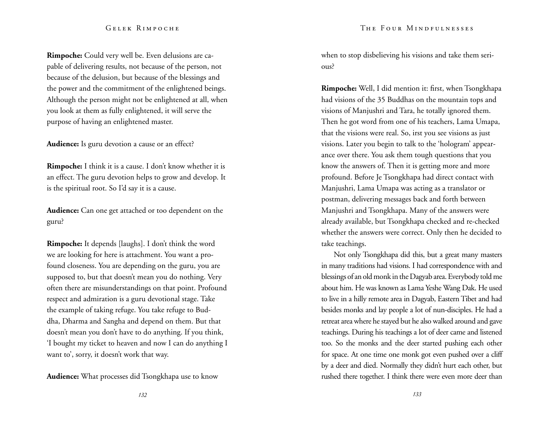**Rimpoche:** Could very well be. Even delusions are capable of delivering results, not because of the person, not because of the delusion, but because of the blessings and the power and the commitment of the enlightened beings. Although the person might not be enlightened at all, when you look at them as fully enlightened, it will serve the purpose of having an enlightened master.

**Audience:** Is guru devotion a cause or an effect?

**Rimpoche:** I think it is a cause. I don't know whether it is an effect. The guru devotion helps to grow and develop. It is the spiritual root. So I'd say it is a cause.

**Audience:** Can one get attached or too dependent on the guru?

**Rimpoche:** It depends [laughs]. I don't think the word we are looking for here is attachment. You want a profound closeness. You are depending on the guru, you are supposed to, but that doesn't mean you do nothing. Very often there are misunderstandings on that point. Profound respect and admiration is a guru devotional stage. Take the example of taking refuge. You take refuge to Buddha, Dharma and Sangha and depend on them. But that doesn't mean you don't have to do anything. If you think, 'I bought my ticket to heaven and now I can do anything I want to', sorry, it doesn't work that way.

**Audience:** What processes did Tsongkhapa use to know

when to stop disbelieving his visions and take them serious?

**Rimpoche:** Well, I did mention it: first, when Tsongkhapa had visions of the 35 Buddhas on the mountain tops and visions of Manjushri and Tara, he totally ignored them. Then he got word from one of his teachers, Lama Umapa, that the visions were real. So, irst you see visions as just visions. Later you begin to talk to the 'hologram' appearance over there. You ask them tough questions that you know the answers of. Then it is getting more and more profound. Before Je Tsongkhapa had direct contact with Manjushri, Lama Umapa was acting as a translator or postman, delivering messages back and forth between Manjushri and Tsongkhapa. Many of the answers were already available, but Tsongkhapa checked and re-checked whether the answers were correct. Only then he decided to take teachings.

Not only Tsongkhapa did this, but a great many masters in many traditions had visions. I had correspondence with and blessings of an old monk in the Dagyab area. Everybody told me about him. He was known as Lama Yeshe Wang Dak. He used to live in a hilly remote area in Dagyab, Eastern Tibet and had besides monks and lay people a lot of nun-disciples. He had a retreat area where he stayed but he also walked around and gave teachings. During his teachings a lot of deer came and listened too. So the monks and the deer started pushing each other for space. At one time one monk got even pushed over a cliff by a deer and died. Normally they didn't hurt each other, but rushed there together. I think there were even more deer than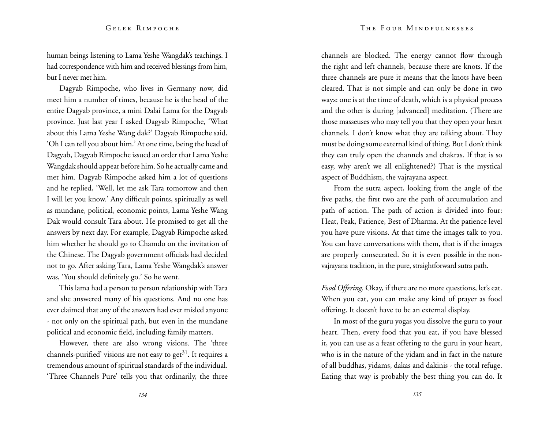human beings listening to Lama Yeshe Wangdak's teachings. I had correspondence with him and received blessings from him, but I never met him.

Dagyab Rimpoche, who lives in Germany now, did meet him a number of times, because he is the head of the entire Dagyab province, a mini Dalai Lama for the Dagyab province. Just last year I asked Dagyab Rimpoche, 'What about this Lama Yeshe Wang dak?' Dagyab Rimpoche said, 'Oh I can tell you about him.' At one time, being the head of Dagyab, Dagyab Rimpoche issued an order that Lama Yeshe Wangdak should appear before him. So he actually came and met him. Dagyab Rimpoche asked him a lot of questions and he replied, 'Well, let me ask Tara tomorrow and then I will let you know.' Any difficult points, spiritually as well as mundane, political, economic points, Lama Yeshe Wang Dak would consult Tara about. He promised to get all the answers by next day. For example, Dagyab Rimpoche asked him whether he should go to Chamdo on the invitation of the Chinese. The Dagyab government officials had decided not to go. After asking Tara, Lama Yeshe Wangdak's answer was, 'You should definitely go.' So he went.

This lama had a person to person relationship with Tara and she answered many of his questions. And no one has ever claimed that any of the answers had ever misled anyone - not only on the spiritual path, but even in the mundane political and economic field, including family matters.

However, there are also wrong visions. The 'three channels-purified' visions are not easy to get<sup>31</sup>. It requires a tremendous amount of spiritual standards of the individual. 'Three Channels Pure' tells you that ordinarily, the three channels are blocked. The energy cannot flow through the right and left channels, because there are knots. If the three channels are pure it means that the knots have been cleared. That is not simple and can only be done in two ways: one is at the time of death, which is a physical process and the other is during [advanced] meditation. (There are those masseuses who may tell you that they open your heart channels. I don't know what they are talking about. They must be doing some external kind of thing. But I don't think they can truly open the channels and chakras. If that is so easy, why aren't we all enlightened?) That is the mystical aspect of Buddhism, the vajrayana aspect.

From the sutra aspect, looking from the angle of the five paths, the first two are the path of accumulation and path of action. The path of action is divided into four: Heat, Peak, Patience, Best of Dharma. At the patience level you have pure visions. At that time the images talk to you. You can have conversations with them, that is if the images are properly consecrated. So it is even possible in the nonvajrayana tradition, in the pure, straightforward sutra path.

*Food Offering.* Okay, if there are no more questions, let's eat. When you eat, you can make any kind of prayer as food offering. It doesn't have to be an external display.

In most of the guru yogas you dissolve the guru to your heart. Then, every food that you eat, if you have blessed it, you can use as a feast offering to the guru in your heart, who is in the nature of the yidam and in fact in the nature of all buddhas, yidams, dakas and dakinis - the total refuge. Eating that way is probably the best thing you can do. It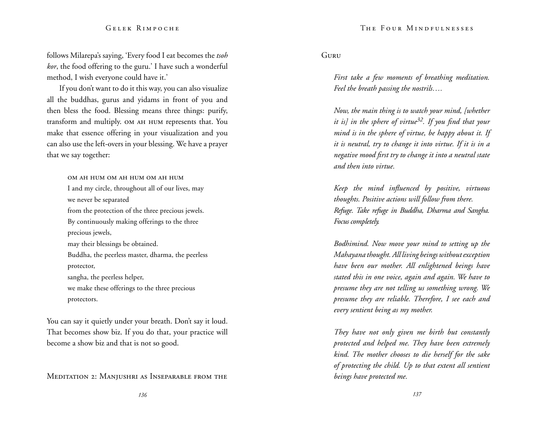follows Milarepa's saying, 'Every food I eat becomes the *tsoh kor*, the food offering to the guru.' I have such a wonderful method, I wish everyone could have it.'

If you don't want to do it this way, you can also visualize all the buddhas, gurus and yidams in front of you and then bless the food. Blessing means three things: purify, transform and multiply. om ah hum represents that. You make that essence offering in your visualization and you can also use the left-overs in your blessing. We have a prayer that we say together:

> om ah hum om ah hum om ah hum I and my circle, throughout all of our lives, may we never be separated from the protection of the three precious jewels. By continuously making offerings to the three precious jewels, may their blessings be obtained. Buddha, the peerless master, dharma, the peerless protector, sangha, the peerless helper, we make these offerings to the three precious protectors.

You can say it quietly under your breath. Don't say it loud. That becomes show biz. If you do that, your practice will become a show biz and that is not so good.

Meditation 2: Manjushri as Inseparable from the

Guru

*First take a few moments of breathing meditation. Feel the breath passing the nostrils….*

*Now, the main thing is to watch your mind, [whether it is] in the sphere of virtue32. If you find that your mind is in the sphere of virtue, be happy about it. If it is neutral, try to change it into virtue. If it is in a negative mood first try to change it into a neutral state and then into virtue.* 

*Keep the mind influenced by positive, virtuous thoughts. Positive actions will follow from there. Refuge. Take refuge in Buddha, Dharma and Sangha. Focus completely.*

*Bodhimind. Now move your mind to setting up the Mahayana thought. All living beings without exception have been our mother. All enlightened beings have stated this in one voice, again and again. We have to presume they are not telling us something wrong. We presume they are reliable. Therefore, I see each and every sentient being as my mother.*

*They have not only given me birth but constantly protected and helped me. They have been extremely kind. The mother chooses to die herself for the sake of protecting the child. Up to that extent all sentient beings have protected me.*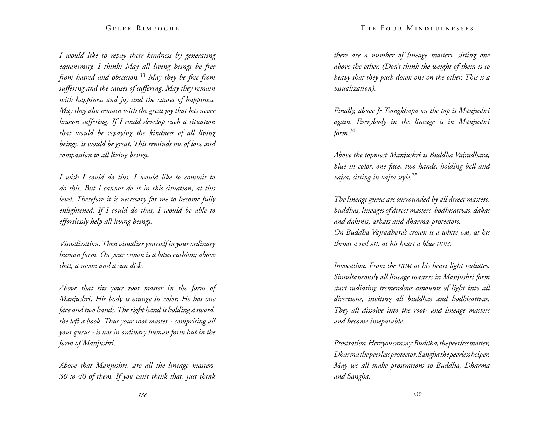#### The Four Mindfulnesses

### Gelek Rimpoche

*I would like to repay their kindness by generating equanimity. I think: May all living beings be free from hatred and obsession.33 May they be free from suffering and the causes of suffering. May they remain with happiness and joy and the causes of happiness. May they also remain with the great joy that has never known suffering. If I could develop such a situation that would be repaying the kindness of all living beings, it would be great. This reminds me of love and compassion to all living beings.*

*I wish I could do this. I would like to commit to do this. But I cannot do it in this situation, at this level. Therefore it is necessary for me to become fully enlightened. If I could do that, I would be able to effortlessly help all living beings.* 

*Visualization. Then visualize yourself in your ordinary human form. On your crown is a lotus cushion; above that, a moon and a sun disk.* 

*Above that sits your root master in the form of Manjushri. His body is orange in color. He has one face and two hands. The right hand is holding a sword, the left a book. Thus your root master - comprising all your gurus - is not in ordinary human form but in the form of Manjushri.* 

*Above that Manjushri, are all the lineage masters, 30 to 40 of them. If you can't think that, just think*  *there are a number of lineage masters, sitting one above the other. (Don't think the weight of them is so heavy that they push down one on the other. This is a visualization).*

*Finally, above Je Tsongkhapa on the top is Manjushri again. Everybody in the lineage is in Manjushri form.*<sup>34</sup>

*Above the topmost Manjushri is Buddha Vajradhara, blue in color, one face, two hands, holding bell and vajra, sitting in vajra style.*<sup>35</sup>

*The lineage gurus are surrounded by all direct masters, buddhas, lineages of direct masters, bodhisattvas, dakas and dakinis, arhats and dharma-protectors. On Buddha Vajradhara's crown is a white om, at his throat a red ah, at his heart a blue hum.* 

*Invocation. From the hum at his heart light radiates. Simultaneously all lineage masters in Manjushri form start radiating tremendous amounts of light into all directions, inviting all buddhas and bodhisattvas. They all dissolve into the root- and lineage masters and become inseparable.* 

*Prostration. Here you can say: Buddha, the peerless master, Dharma the peerless protector, Sangha the peerless helper. May we all make prostrations to Buddha, Dharma and Sangha.*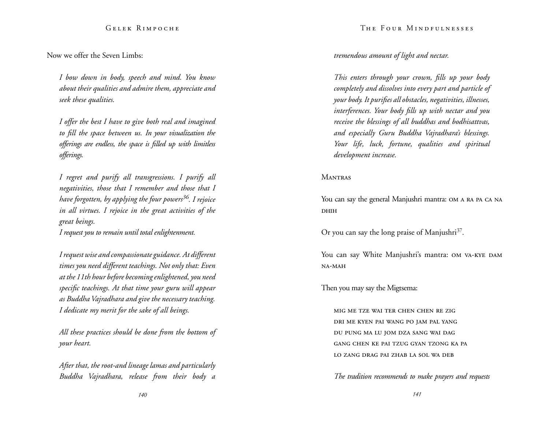Now we offer the Seven Limbs:

*I bow down in body, speech and mind. You know about their qualities and admire them, appreciate and seek these qualities.* 

*I offer the best I have to give both real and imagined to fill the space between us. In your visualization the offerings are endless, the space is filled up with limitless offerings.* 

*I regret and purify all transgressions. I purify all negativities, those that I remember and those that I have forgotten, by applying the four powers36. I rejoice in all virtues. I rejoice in the great activities of the great beings.* 

*I request you to remain until total enlightenment.* 

*I request wise and compassionate guidance. At different times you need different teachings. Not only that: Even at the 11th hour before becoming enlightened, you need specific teachings. At that time your guru will appear as Buddha Vajradhara and give the necessary teaching. I dedicate my merit for the sake of all beings.* 

*All these practices should be done from the bottom of your heart.* 

*After that, the root-and lineage lamas and particularly Buddha Vajradhara, release from their body a*  The Four Mindfulnesses

# *tremendous amount of light and nectar.*

*This enters through your crown, fills up your body completely and dissolves into every part and particle of your body. It purifies all obstacles, negativities, illnesses, interferences. Your body fills up with nectar and you receive the blessings of all buddhas and bodhisattvas, and especially Guru Buddha Vajradhara's blessings. Your life, luck, fortune, qualities and spiritual development increase.* 

#### **MANTRAS**

You can say the general Manjushri mantra: OM A RA PA CA NA DHIH

Or you can say the long praise of Manjushri $37$ .

You can say White Manjushri's mantra: OM VA-KYE DAM NA-MAH

Then you may say the Migtsema:

mig me tze wai ter chen chen re zig dri me kyen pai wang po jam pal yang du pung ma lu jom dza sang wai dag gang chen ke pai tzug gyan tzong ka pa lo zang drag pai zhab la sol wa deb

*The tradition recommends to make prayers and requests*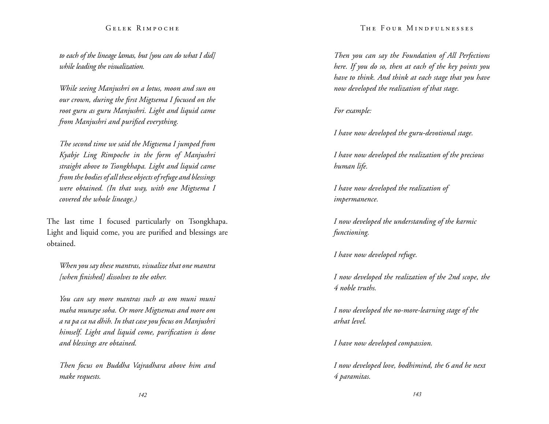*to each of the lineage lamas, but [you can do what I did] while leading the visualization.*

*While seeing Manjushri on a lotus, moon and sun on our crown, during the first Migtsema I focused on the root guru as guru Manjushri. Light and liquid came from Manjushri and purified everything.* 

*The second time we said the Migtsema I jumped from Kyabje Ling Rimpoche in the form of Manjushri straight above to Tsongkhapa. Light and liquid came from the bodies of all these objects of refuge and blessings were obtained. (In that way, with one Migtsema I covered the whole lineage.)* 

The last time I focused particularly on Tsongkhapa. Light and liquid come, you are purified and blessings are obtained.

*When you say these mantras, visualize that one mantra [when finished] dissolves to the other.*

*You can say more mantras such as om muni muni maha munaye soha. Or more Migtsemas and more om a ra pa ca na dhih. In that case you focus on Manjushri himself. Light and liquid come, purification is done and blessings are obtained.* 

*Then focus on Buddha Vajradhara above him and make requests.*

#### The Four Mindfulnesses

*Then you can say the Foundation of All Perfections here. If you do so, then at each of the key points you have to think. And think at each stage that you have now developed the realization of that stage.* 

*For example:* 

*I have now developed the guru-devotional stage.* 

*I have now developed the realization of the precious human life.* 

*I have now developed the realization of impermanence.* 

*I now developed the understanding of the karmic functioning.* 

*I have now developed refuge.* 

*I now developed the realization of the 2nd scope, the 4 noble truths.* 

*I now developed the no-more-learning stage of the arhat level.* 

*I have now developed compassion.* 

*I now developed love, bodhimind, the 6 and he next 4 paramitas.*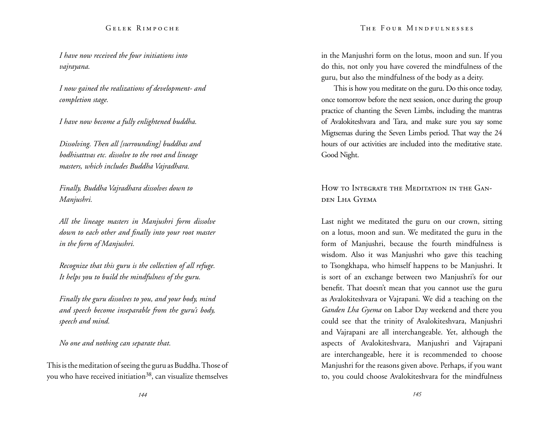*I have now received the four initiations into vajrayana.* 

*I now gained the realizations of development- and completion stage.* 

*I have now become a fully enlightened buddha.* 

*Dissolving. Then all [surrounding] buddhas and bodhisattvas etc. dissolve to the root and lineage masters, which includes Buddha Vajradhara.* 

*Finally, Buddha Vajradhara dissolves down to Manjushri.*

*All the lineage masters in Manjushri form dissolve down to each other and finally into your root master in the form of Manjushri.* 

*Recognize that this guru is the collection of all refuge. It helps you to build the mindfulness of the guru.* 

*Finally the guru dissolves to you, and your body, mind and speech become inseparable from the guru's body, speech and mind.* 

*No one and nothing can separate that.* 

This is the meditation of seeing the guru as Buddha. Those of you who have received initiation<sup>38</sup>, can visualize themselves in the Manjushri form on the lotus, moon and sun. If you do this, not only you have covered the mindfulness of the guru, but also the mindfulness of the body as a deity.

This is how you meditate on the guru. Do this once today, once tomorrow before the next session, once during the group practice of chanting the Seven Limbs, including the mantras of Avalokiteshvara and Tara, and make sure you say some Migtsemas during the Seven Limbs period. That way the 24 hours of our activities are included into the meditative state. Good Night.

# How to Integrate the Meditation in the Ganden Lha Gyema

Last night we meditated the guru on our crown, sitting on a lotus, moon and sun. We meditated the guru in the form of Manjushri, because the fourth mindfulness is wisdom. Also it was Manjushri who gave this teaching to Tsongkhapa, who himself happens to be Manjushri. It is sort of an exchange between two Manjushri's for our benefit. That doesn't mean that you cannot use the guru as Avalokiteshvara or Vajrapani. We did a teaching on the *Ganden Lha Gyema* on Labor Day weekend and there you could see that the trinity of Avalokiteshvara, Manjushri and Vajrapani are all interchangeable. Yet, although the aspects of Avalokiteshvara, Manjushri and Vajrapani are interchangeable, here it is recommended to choose Manjushri for the reasons given above. Perhaps, if you want to, you could choose Avalokiteshvara for the mindfulness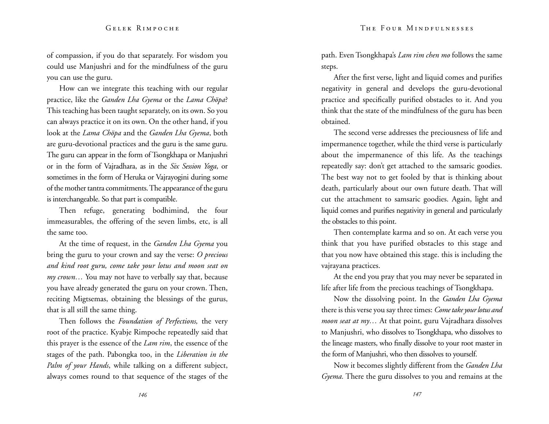of compassion, if you do that separately. For wisdom you could use Manjushri and for the mindfulness of the guru you can use the guru.

How can we integrate this teaching with our regular practice, like the *Ganden Lha Gyema* or the *Lama Chöpa*? This teaching has been taught separately, on its own. So you can always practice it on its own. On the other hand, if you look at the *Lama Chöpa* and the *Ganden Lha Gyema*, both are guru-devotional practices and the guru is the same guru. The guru can appear in the form of Tsongkhapa or Manjushri or in the form of Vajradhara, as in the *Six Session Yoga*, or sometimes in the form of Heruka or Vajrayogini during some of the mother tantra commitments. The appearance of the guru is interchangeable. So that part is compatible.

Then refuge, generating bodhimind, the four immeasurables, the offering of the seven limbs, etc, is all the same too.

At the time of request, in the *Ganden Lha Gyema* you bring the guru to your crown and say the verse: *O precious and kind root guru, come take your lotus and moon seat on my crown…* You may not have to verbally say that, because you have already generated the guru on your crown. Then, reciting Migtsemas, obtaining the blessings of the gurus, that is all still the same thing.

Then follows the *Foundation of Perfections,* the very root of the practice. Kyabje Rimpoche repeatedly said that this prayer is the essence of the *Lam rim*, the essence of the stages of the path. Pabongka too, in the *Liberation in the Palm of your Hands*, while talking on a different subject, always comes round to that sequence of the stages of the path. Even Tsongkhapa's *Lam rim chen mo* follows the same steps.

After the first verse, light and liquid comes and purifies negativity in general and develops the guru-devotional practice and specifically purified obstacles to it. And you think that the state of the mindfulness of the guru has been obtained.

The second verse addresses the preciousness of life and impermanence together, while the third verse is particularly about the impermanence of this life. As the teachings repeatedly say: don't get attached to the samsaric goodies. The best way not to get fooled by that is thinking about death, particularly about our own future death. That will cut the attachment to samsaric goodies. Again, light and liquid comes and purifies negativity in general and particularly the obstacles to this point.

Then contemplate karma and so on. At each verse you think that you have purified obstacles to this stage and that you now have obtained this stage. this is including the vajrayana practices.

At the end you pray that you may never be separated in life after life from the precious teachings of Tsongkhapa.

Now the dissolving point. In the *Ganden Lha Gyema* there is this verse you say three times: *Come take your lotus and moon seat at my…* At that point, guru Vajradhara dissolves to Manjushri, who dissolves to Tsongkhapa, who dissolves to the lineage masters, who finally dissolve to your root master in the form of Manjushri, who then dissolves to yourself.

Now it becomes slightly different from the *Ganden Lha Gyema.* There the guru dissolves to you and remains at the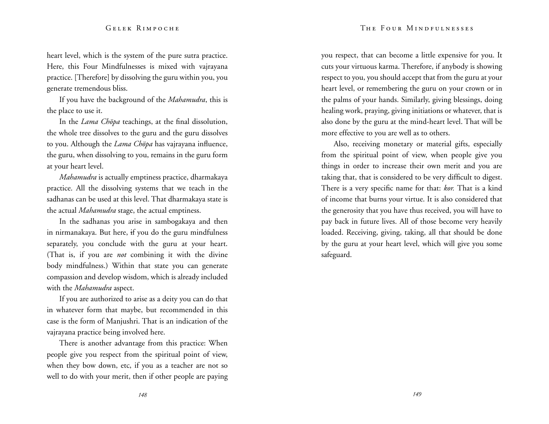heart level, which is the system of the pure sutra practice. Here, this Four Mindfulnesses is mixed with vajrayana practice. [Therefore] by dissolving the guru within you, you generate tremendous bliss.

If you have the background of the *Mahamudra*, this is the place to use it.

In the *Lama Chöpa* teachings, at the final dissolution, the whole tree dissolves to the guru and the guru dissolves to you. Although the *Lama Chöpa* has vajrayana influence, the guru, when dissolving to you, remains in the guru form at your heart level.

*Mahamudra* is actually emptiness practice, dharmakaya practice. All the dissolving systems that we teach in the sadhanas can be used at this level. That dharmakaya state is the actual *Mahamudra* stage, the actual emptiness.

In the sadhanas you arise in sambogakaya and then in nirmanakaya. But here, if you do the guru mindfulness separately, you conclude with the guru at your heart. (That is, if you are *not* combining it with the divine body mindfulness.) Within that state you can generate compassion and develop wisdom, which is already included with the *Mahamudra* aspect.

If you are authorized to arise as a deity you can do that in whatever form that maybe, but recommended in this case is the form of Manjushri. That is an indication of the vajrayana practice being involved here.

There is another advantage from this practice: When people give you respect from the spiritual point of view, when they bow down, etc, if you as a teacher are not so well to do with your merit, then if other people are paying you respect, that can become a little expensive for you. It cuts your virtuous karma. Therefore, if anybody is showing respect to you, you should accept that from the guru at your heart level, or remembering the guru on your crown or in the palms of your hands. Similarly, giving blessings, doing healing work, praying, giving initiations or whatever, that is also done by the guru at the mind-heart level. That will be more effective to you are well as to others.

Also, receiving monetary or material gifts, especially from the spiritual point of view, when people give you things in order to increase their own merit and you are taking that, that is considered to be very difficult to digest. There is a very specific name for that: *kor.* That is a kind of income that burns your virtue. It is also considered that the generosity that you have thus received, you will have to pay back in future lives. All of those become very heavily loaded. Receiving, giving, taking, all that should be done by the guru at your heart level, which will give you some safeguard.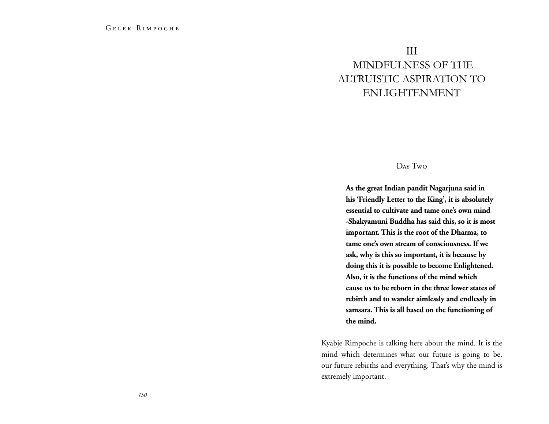# III Mindfulness of the altruistic aspiration to enlightenment

# Day Two

**As the great Indian pandit Nagarjuna said in his 'Friendly Letter to the King', it is absolutely essential to cultivate and tame one's own mind -Shakyamuni Buddha has said this, so it is most important. This is the root of the Dharma, to tame one's own stream of consciousness. If we ask, why is this so important, it is because by doing this it is possible to become Enlightened. Also, it is the functions of the mind which cause us to be reborn in the three lower states of rebirth and to wander aimlessly and endlessly in samsara. This is all based on the functioning of the mind.** 

Kyabje Rimpoche is talking here about the mind. It is the mind which determines what our future is going to be, our future rebirths and everything. That's why the mind is extremely important.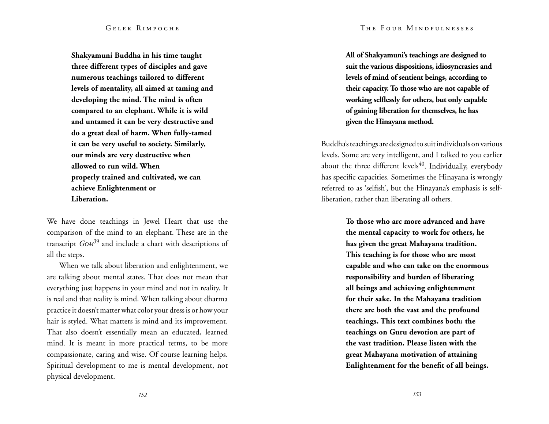#### The Four Mindfulnesses

#### Gelek Rimpoche

**Shakyamuni Buddha in his time taught three different types of disciples and gave numerous teachings tailored to different levels of mentality, all aimed at taming and developing the mind. The mind is often compared to an elephant. While it is wild and untamed it can be very destructive and do a great deal of harm. When fully-tamed it can be very useful to society. Similarly, our minds are very destructive when allowed to run wild. When properly trained and cultivated, we can achieve Enlightenment or Liberation.**

We have done teachings in Jewel Heart that use the comparison of the mind to an elephant. These are in the transcript *Gom*<sup>39</sup> and include a chart with descriptions of all the steps.

When we talk about liberation and enlightenment, we are talking about mental states. That does not mean that everything just happens in your mind and not in reality. It is real and that reality is mind. When talking about dharma practice it doesn't matter what color your dress is or how your hair is styled. What matters is mind and its improvement. That also doesn't essentially mean an educated, learned mind. It is meant in more practical terms, to be more compassionate, caring and wise. Of course learning helps. Spiritual development to me is mental development, not physical development.

**All of Shakyamuni's teachings are designed to suit the various dispositions, idiosyncrasies and levels of mind of sentient beings, according to their capacity. To those who are not capable of working selflessly for others, but only capable of gaining liberation for themselves, he has given the Hinayana method.** 

Buddha's teachings are designed to suit individuals on various levels. Some are very intelligent, and I talked to you earlier about the three different levels $40$ . Individually, everybody has specific capacities. Sometimes the Hinayana is wrongly referred to as 'selfish', but the Hinayana's emphasis is selfliberation, rather than liberating all others.

> **To those who arc more advanced and have the mental capacity to work for others, he has given the great Mahayana tradition. This teaching is for those who are most capable and who can take on the enormous responsibility and burden of liberating all beings and achieving enlightenment for their sake. In the Mahayana tradition there are both the vast and the profound teachings. This text combines both: the teachings on Guru devotion are part of the vast tradition. Please listen with the great Mahayana motivation of attaining Enlightenment for the benefit of all beings.**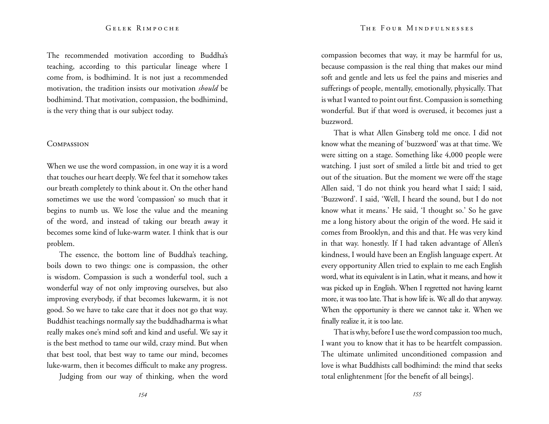The recommended motivation according to Buddha's teaching, according to this particular lineage where I come from, is bodhimind. It is not just a recommended motivation, the tradition insists our motivation *should* be bodhimind. That motivation, compassion, the bodhimind, is the very thing that is our subject today.

#### **COMPASSION**

When we use the word compassion, in one way it is a word that touches our heart deeply. We feel that it somehow takes our breath completely to think about it. On the other hand sometimes we use the word 'compassion' so much that it begins to numb us. We lose the value and the meaning of the word, and instead of taking our breath away it becomes some kind of luke-warm water. I think that is our problem.

The essence, the bottom line of Buddha's teaching, boils down to two things: one is compassion, the other is wisdom. Compassion is such a wonderful tool, such a wonderful way of not only improving ourselves, but also improving everybody, if that becomes lukewarm, it is not good. So we have to take care that it does not go that way. Buddhist teachings normally say the buddhadharma is what really makes one's mind soft and kind and useful. We say it is the best method to tame our wild, crazy mind. But when that best tool, that best way to tame our mind, becomes luke-warm, then it becomes difficult to make any progress.

Judging from our way of thinking, when the word

compassion becomes that way, it may be harmful for us, because compassion is the real thing that makes our mind soft and gentle and lets us feel the pains and miseries and sufferings of people, mentally, emotionally, physically. That is what I wanted to point out first. Compassion is something wonderful. But if that word is overused, it becomes just a buzzword.

That is what Allen Ginsberg told me once. I did not know what the meaning of 'buzzword' was at that time. We were sitting on a stage. Something like 4,000 people were watching. I just sort of smiled a little bit and tried to get out of the situation. But the moment we were off the stage Allen said, 'I do not think you heard what I said; I said, 'Buzzword'. I said, 'Well, I heard the sound, but I do not know what it means.' He said, 'I thought so.' So he gave me a long history about the origin of the word. He said it comes from Brooklyn, and this and that. He was very kind in that way. honestly. If I had taken advantage of Allen's kindness, I would have been an English language expert. At every opportunity Allen tried to explain to me each English word, what its equivalent is in Latin, what it means, and how it was picked up in English. When I regretted not having learnt more, it was too late. That is how life is. We all do that anyway. When the opportunity is there we cannot take it. When we finally realize it, it is too late.

That is why, before I use the word compassion too much, I want you to know that it has to be heartfelt compassion. The ultimate unlimited unconditioned compassion and love is what Buddhists call bodhimind: the mind that seeks total enlightenment [for the benefit of all beings].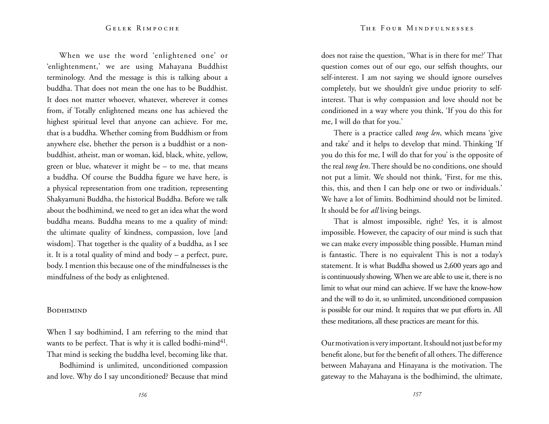When we use the word 'enlightened one' or 'enlightenment,' we are using Mahayana Buddhist terminology. And the message is this is talking about a buddha. That does not mean the one has to be Buddhist. It does not matter whoever, whatever, wherever it comes from, if Totally enlightened means one has achieved the highest spiritual level that anyone can achieve. For me, that is a buddha. Whether coming from Buddhism or from anywhere else, bhether the person is a buddhist or a nonbuddhist, atheist, man or woman, kid, black, white, yellow, green or blue, whatever it might be – to me, that means a buddha. Of course the Buddha figure we have here, is a physical representation from one tradition, representing Shakyamuni Buddha, the historical Buddha. Before we talk about the bodhimind, we need to get an idea what the word buddha means. Buddha means to me a quality of mind: the ultimate quality of kindness, compassion, love [and wisdom]. That together is the quality of a buddha, as I see it. It is a total quality of mind and body – a perfect, pure, body. I mention this because one of the mindfulnesses is the mindfulness of the body as enlightened.

#### **BODHIMIND**

When I say bodhimind, I am referring to the mind that wants to be perfect. That is why it is called bodhi-mind<sup>41</sup>. That mind is seeking the buddha level, becoming like that.

Bodhimind is unlimited, unconditioned compassion and love. Why do I say unconditioned? Because that mind The Four Mindfulnesses

does not raise the question, 'What is in there for me?' That question comes out of our ego, our selfish thoughts, our self-interest. I am not saying we should ignore ourselves completely, but we shouldn't give undue priority to selfinterest. That is why compassion and love should not be conditioned in a way where you think, 'If you do this for me, I will do that for you.'

There is a practice called *tong len*, which means 'give and take' and it helps to develop that mind. Thinking 'If you do this for me, I will do that for you' is the opposite of the real *tong len*. There should be no conditions, one should not put a limit. We should not think, 'First, for me this, this, this, and then I can help one or two or individuals.' We have a lot of limits. Bodhimind should not be limited. It should be for *all* living beings.

That is almost impossible, right? Yes, it is almost impossible. However, the capacity of our mind is such that we can make every impossible thing possible. Human mind is fantastic. There is no equivalent This is not a today's statement. It is what Buddha showed us 2,600 years ago and is continuously showing. When we are able to use it, there is no limit to what our mind can achieve. If we have the know-how and the will to do it, so unlimited, unconditioned compassion is possible for our mind. It requires that we put efforts in. All these meditations, all these practices are meant for this.

Our motivation is very important. It should not just be for my benefit alone, but for the benefit of all others. The difference between Mahayana and Hinayana is the motivation. The gateway to the Mahayana is the bodhimind, the ultimate,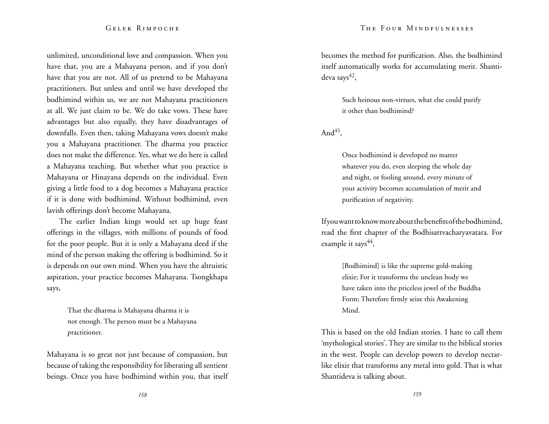unlimited, unconditional love and compassion. When you have that, you are a Mahayana person, and if you don't have that you are not. All of us pretend to be Mahayana practitioners. But unless and until we have developed the bodhimind within us, we are not Mahayana practitioners at all. We just claim to be. We do take vows. These have advantages but also equally, they have disadvantages of downfalls. Even then, taking Mahayana vows doesn't make you a Mahayana practitioner. The dharma you practice does not make the difference. Yes, what we do here is called a Mahayana teaching. But whether what you practice is Mahayana or Hinayana depends on the individual. Even giving a little food to a dog becomes a Mahayana practice if it is done with bodhimind. Without bodhimind, even lavish offerings don't become Mahayana.

The earlier Indian kings would set up huge feast offerings in the villages, with millions of pounds of food for the poor people. But it is only a Mahayana deed if the mind of the person making the offering is bodhimind. So it is depends on our own mind. When you have the altruistic aspiration, your practice becomes Mahayana. Tsongkhapa says,

> That the dharma is Mahayana dharma it is not enough. The person must be a Mahayana practitioner.

Mahayana is so great not just because of compassion, but because of taking the responsibility for liberating all sentient beings. Once you have bodhimind within you, that itself becomes the method for purification. Also, the bodhimind itself automatically works for accumulating merit. Shantideva says $42$ ,

> Such heinous non-virtues, what else could purify it other than bodhimind?

And $43$ ,

Once bodhimind is developed no matter whatever you do, even sleeping the whole day and night, or fooling around, every minute of your activity becomes accumulation of merit and purification of negativity.

If you want to know more about the benefits of the bodhimind, read the first chapter of the Bodhisattvacharyavatara. For example it says $44$ ,

> [Bodhimind] is like the supreme gold-making elixir; For it transforms the unclean body we have taken into the priceless jewel of the Buddha Form; Therefore firmly seize this Awakening Mind.

This is based on the old Indian stories. I hate to call them 'mythological stories'. They are similar to the biblical stories in the west. People can develop powers to develop nectarlike elixir that transforms any metal into gold. That is what Shantideva is talking about.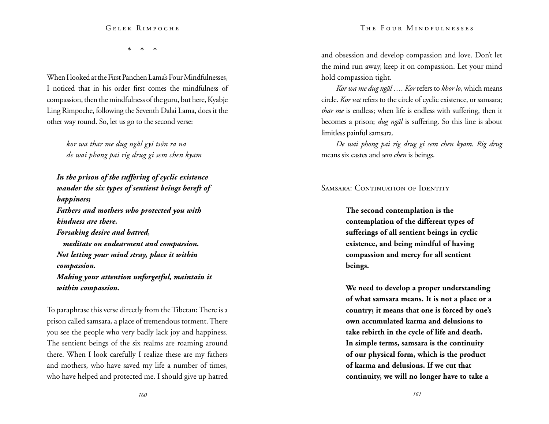\* \* \*

When I looked at the First Panchen Lama's Four Mindfulnesses, I noticed that in his order first comes the mindfulness of compassion, then the mindfulness of the guru, but here, Kyabje Ling Rimpoche, following the Seventh Dalai Lama, does it the other way round. So, let us go to the second verse:

> *kor wa thar me dug ngäl gyi tsön ra na de wai phong pai rig drug gi sem chen kyam*

*In the prison of the suffering of cyclic existence wander the six types of sentient beings bereft of happiness; Fathers and mothers who protected you with kindness are there. Forsaking desire and hatred, meditate on endearment and compassion. Not letting your mind stray, place it within compassion. Making your attention unforgetful, maintain it within compassion.* 

To paraphrase this verse directly from the Tibetan: There is a prison called samsara, a place of tremendous torment. There you see the people who very badly lack joy and happiness. The sentient beings of the six realms are roaming around there. When I look carefully I realize these are my fathers and mothers, who have saved my life a number of times, who have helped and protected me. I should give up hatred

and obsession and develop compassion and love. Don't let the mind run away, keep it on compassion. Let your mind hold compassion tight.

*Kor wa me dug ngäl …. Kor* refers to *khor lo*, which means circle. *Kor wa* refers to the circle of cyclic existence, or samsara; *thar me* is endless; when life is endless with suffering, then it becomes a prison; *dug ngäl* is suffering. So this line is about limitless painful samsara.

*De wai phong pai rig drug gi sem chen kyam. Rig drug* means six castes and *sem chen* is beings.

SAMSARA: CONTINUATION OF IDENTITY

**The second contemplation is the contemplation of the different types of sufferings of all sentient beings in cyclic existence, and being mindful of having compassion and mercy for all sentient beings.** 

**We need to develop a proper understanding of what samsara means. It is not a place or a country; it means that one is forced by one's own accumulated karma and delusions to take rebirth in the cycle of life and death. In simple terms, samsara is the continuity of our physical form, which is the product of karma and delusions. If we cut that continuity, we will no longer have to take a**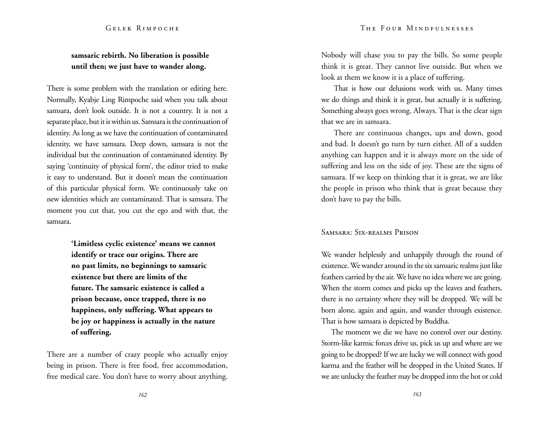# **samsaric rebirth. No liberation is possible until then; we just have to wander along.**

There is some problem with the translation or editing here. Normally, Kyabje Ling Rimpoche said when you talk about samsara, don't look outside. It is not a country. It is not a separate place, but it is within us. Samsara is the continuation of identity. As long as we have the continuation of contaminated identity, we have samsara. Deep down, samsara is not the individual but the continuation of contaminated identity. By saying 'continuity of physical form', the editor tried to make it easy to understand. But it doesn't mean the continuation of this particular physical form. We continuously take on new identities which are contaminated. That is samsara. The moment you cut that, you cut the ego and with that, the samsara.

> **'Limitless cyclic existence' means we cannot identify or trace our origins. There are no past limits, no beginnings to samsaric existence but there are limits of the future. The samsaric existence is called a prison because, once trapped, there is no happiness, only suffering. What appears to be joy or happiness is actually in the nature of suffering.**

There are a number of crazy people who actually enjoy being in prison. There is free food, free accommodation, free medical care. You don't have to worry about anything.

Nobody will chase you to pay the bills. So some people think it is great. They cannot live outside. But when we look at them we know it is a place of suffering.

That is how our delusions work with us. Many times we do things and think it is great, but actually it is suffering. Something always goes wrong. Always. That is the clear sign that we are in samsara.

There are continuous changes, ups and down, good and bad. It doesn't go turn by turn either. All of a sudden anything can happen and it is always more on the side of suffering and less on the side of joy. These are the signs of samsara. If we keep on thinking that it is great, we are like the people in prison who think that is great because they don't have to pay the bills.

# Samsara: Six-realms Prison

We wander helplessly and unhappily through the round of existence. We wander around in the six samsaric realms just like feathers carried by the air. We have no idea where we are going. When the storm comes and picks up the leaves and feathers, there is no certainty where they will be dropped. We will be born alone, again and again, and wander through existence. That is how samsara is depicted by Buddha.

The moment we die we have no control over our destiny. Storm-like karmic forces drive us, pick us up and where are we going to be dropped? If we are lucky we will connect with good karma and the feather will be dropped in the United States. If we are unlucky the feather may be dropped into the hot or cold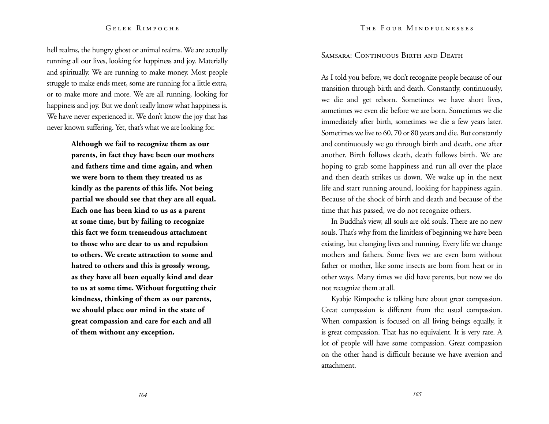hell realms, the hungry ghost or animal realms. We are actually running all our lives, looking for happiness and joy. Materially and spiritually. We are running to make money. Most people struggle to make ends meet, some are running for a little extra, or to make more and more. We are all running, looking for happiness and joy. But we don't really know what happiness is. We have never experienced it. We don't know the joy that has never known suffering. Yet, that's what we are looking for.

> **Although we fail to recognize them as our parents, in fact they have been our mothers and fathers time and time again, and when we were born to them they treated us as kindly as the parents of this life. Not being partial we should see that they are all equal. Each one has been kind to us as a parent at some time, but by failing to recognize this fact we form tremendous attachment to those who are dear to us and repulsion to others. We create attraction to some and hatred to others and this is grossly wrong, as they have all been equally kind and dear to us at some time. Without forgetting their kindness, thinking of them as our parents, we should place our mind in the state of great compassion and care for each and all of them without any exception.**

# SAMSARA: CONTINUOUS BIRTH AND DEATH

As I told you before, we don't recognize people because of our transition through birth and death. Constantly, continuously, we die and get reborn. Sometimes we have short lives, sometimes we even die before we are born. Sometimes we die immediately after birth, sometimes we die a few years later. Sometimes we live to 60, 70 or 80 years and die. But constantly and continuously we go through birth and death, one after another. Birth follows death, death follows birth. We are hoping to grab some happiness and run all over the place and then death strikes us down. We wake up in the next life and start running around, looking for happiness again. Because of the shock of birth and death and because of the time that has passed, we do not recognize others.

In Buddha's view, all souls are old souls. There are no new souls. That's why from the limitless of beginning we have been existing, but changing lives and running. Every life we change mothers and fathers. Some lives we are even born without father or mother, like some insects are born from heat or in other ways. Many times we did have parents, but now we do not recognize them at all.

Kyabje Rimpoche is talking here about great compassion. Great compassion is different from the usual compassion. When compassion is focused on all living beings equally, it is great compassion. That has no equivalent. It is very rare. A lot of people will have some compassion. Great compassion on the other hand is difficult because we have aversion and attachment.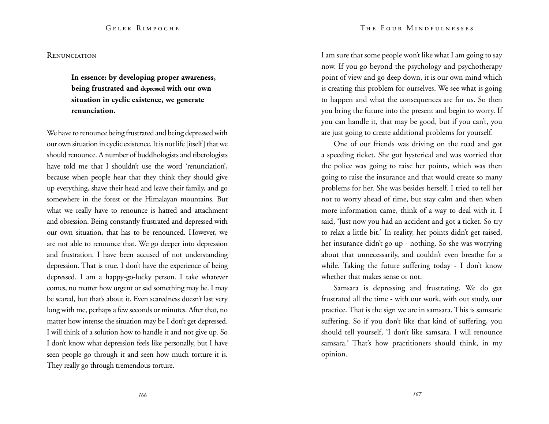#### **RENUNCIATION**

**In essence: by developing proper awareness, being frustrated and depressed with our own situation in cyclic existence, we generate renunciation.** 

We have to renounce being frustrated and being depressed with our own situation in cyclic existence. It is not life [itself] that we should renounce. A number of buddhologists and tibetologists have told me that I shouldn't use the word 'renunciation', because when people hear that they think they should give up everything, shave their head and leave their family, and go somewhere in the forest or the Himalayan mountains. But what we really have to renounce is hatred and attachment and obsession. Being constantly frustrated and depressed with our own situation, that has to be renounced. However, we are not able to renounce that. We go deeper into depression and frustration. I have been accused of not understanding depression. That is true. I don't have the experience of being depressed. I am a happy-go-lucky person. I take whatever comes, no matter how urgent or sad something may be. I may be scared, but that's about it. Even scaredness doesn't last very long with me, perhaps a few seconds or minutes. After that, no matter how intense the situation may be I don't get depressed. I will think of a solution how to handle it and not give up. So I don't know what depression feels like personally, but I have seen people go through it and seen how much torture it is. They really go through tremendous torture.

I am sure that some people won't like what I am going to say now. If you go beyond the psychology and psychotherapy point of view and go deep down, it is our own mind which is creating this problem for ourselves. We see what is going to happen and what the consequences are for us. So then you bring the future into the present and begin to worry. If you can handle it, that may be good, but if you can't, you are just going to create additional problems for yourself.

One of our friends was driving on the road and got a speeding ticket. She got hysterical and was worried that the police was going to raise her points, which was then going to raise the insurance and that would create so many problems for her. She was besides herself. I tried to tell her not to worry ahead of time, but stay calm and then when more information came, think of a way to deal with it. I said, 'Just now you had an accident and got a ticket. So try to relax a little bit.' In reality, her points didn't get raised, her insurance didn't go up - nothing. So she was worrying about that unnecessarily, and couldn't even breathe for a while. Taking the future suffering today - I don't know whether that makes sense or not.

Samsara is depressing and frustrating. We do get frustrated all the time - with our work, with out study, our practice. That is the sign we are in samsara. This is samsaric suffering. So if you don't like that kind of suffering, you should tell yourself, 'I don't like samsara. I will renounce samsara.' That's how practitioners should think, in my opinion.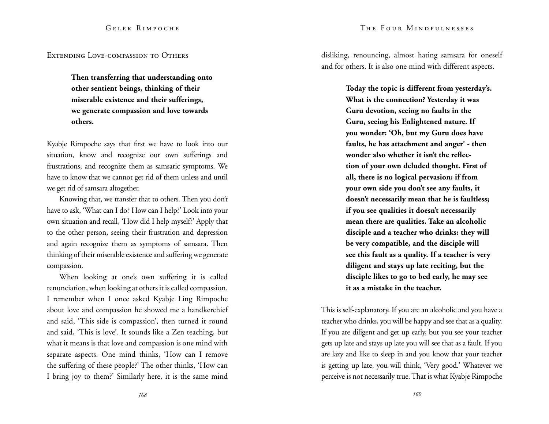Extending Love-compassion to Others

**Then transferring that understanding onto other sentient beings, thinking of their miserable existence and their sufferings, we generate compassion and love towards others.** 

Kyabje Rimpoche says that first we have to look into our situation, know and recognize our own sufferings and frustrations, and recognize them as samsaric symptoms. We have to know that we cannot get rid of them unless and until we get rid of samsara altogether.

Knowing that, we transfer that to others. Then you don't have to ask, 'What can I do? How can I help?' Look into your own situation and recall, 'How did I help myself?' Apply that to the other person, seeing their frustration and depression and again recognize them as symptoms of samsara. Then thinking of their miserable existence and suffering we generate compassion.

When looking at one's own suffering it is called renunciation, when looking at others it is called compassion. I remember when I once asked Kyabje Ling Rimpoche about love and compassion he showed me a handkerchief and said, 'This side is compassion', then turned it round and said, 'This is love'. It sounds like a Zen teaching, but what it means is that love and compassion is one mind with separate aspects. One mind thinks, 'How can I remove the suffering of these people?' The other thinks, 'How can I bring joy to them?' Similarly here, it is the same mind

*168*

disliking, renouncing, almost hating samsara for oneself and for others. It is also one mind with different aspects.

> **Today the topic is different from yesterday's. What is the connection? Yesterday it was Guru devotion, seeing no faults in the Guru, seeing his Enlightened nature. If you wonder: 'Oh, but my Guru does have faults, he has attachment and anger' - then wonder also whether it isn't the reflection of your own deluded thought. First of all, there is no logical pervasion: if from your own side you don't see any faults, it doesn't necessarily mean that he is faultless; if you see qualities it doesn't necessarily mean there are qualities. Take an alcoholic disciple and a teacher who drinks: they will be very compatible, and the disciple will see this fault as a quality. If a teacher is very diligent and stays up late reciting, but the disciple likes to go to bed early, he may see it as a mistake in the teacher.**

This is self-explanatory. If you are an alcoholic and you have a teacher who drinks, you will be happy and see that as a quality. If you are diligent and get up early, but you see your teacher gets up late and stays up late you will see that as a fault. If you are lazy and like to sleep in and you know that your teacher is getting up late, you will think, 'Very good.' Whatever we perceive is not necessarily true. That is what Kyabje Rimpoche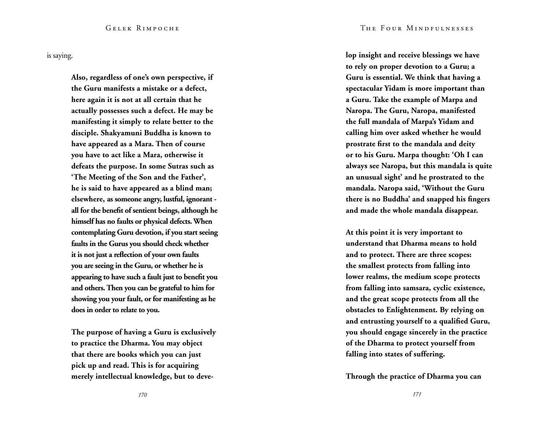is saying.

**Also, regardless of one's own perspective, if the Guru manifests a mistake or a defect, here again it is not at all certain that he actually possesses such a defect. He may be manifesting it simply to relate better to the disciple. Shakyamuni Buddha is known to have appeared as a Mara. Then of course you have to act like a Mara, otherwise it defeats the purpose. In some Sutras such as 'The Meeting of the Son and the Father', he is said to have appeared as a blind man; elsewhere, as someone angry, lustful, ignorant all for the benefit of sentient beings, although he himself has no faults or physical defects. When contemplating Guru devotion, if you start seeing faults in the Gurus you should check whether it is not just a reflection of your own faults you are seeing in the Guru, or whether he is appearing to have such a fault just to benefit you and others. Then you can be grateful to him for showing you your fault, or for manifesting as he does in order to relate to you.**

**The purpose of having a Guru is exclusively to practice the Dharma. You may object that there are books which you can just pick up and read. This is for acquiring merely intellectual knowledge, but to deve-** **lop insight and receive blessings we have to rely on proper devotion to a Guru; a Guru is essential. We think that having a spectacular Yidam is more important than a Guru. Take the example of Marpa and Naropa. The Guru, Naropa, manifested the full mandala of Marpa's Yidam and calling him over asked whether he would prostrate first to the mandala and deity or to his Guru. Marpa thought: 'Oh I can always see Naropa, but this mandala is quite an unusual sight' and he prostrated to the mandala. Naropa said, 'Without the Guru there is no Buddha' and snapped his fingers and made the whole mandala disappear.**

**At this point it is very important to understand that Dharma means to hold and to protect. There are three scopes: the smallest protects from falling into lower realms, the medium scope protects from falling into samsara, cyclic existence, and the great scope protects from all the obstacles to Enlightenment. By relying on and entrusting yourself to a qualified Guru, you should engage sincerely in the practice of the Dharma to protect yourself from falling into states of suffering.** 

**Through the practice of Dharma you can**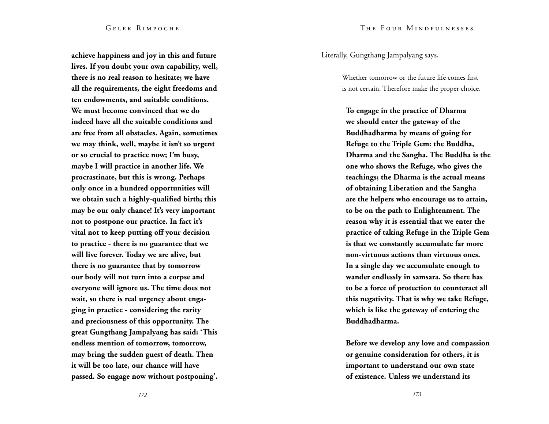**achieve happiness and joy in this and future lives. If you doubt your own capability, well, there is no real reason to hesitate; we have all the requirements, the eight freedoms and ten endowments, and suitable conditions. We must become convinced that we do indeed have all the suitable conditions and are free from all obstacles. Again, sometimes we may think, well, maybe it isn't so urgent or so crucial to practice now; I'm busy, maybe I will practice in another life. We procrastinate, but this is wrong. Perhaps only once in a hundred opportunities will we obtain such a highly-qualified birth; this may be our only chance! It's very important not to postpone our practice. In fact it's vital not to keep putting off your decision to practice - there is no guarantee that we will live forever. Today we are alive, but there is no guarantee that by tomorrow our body will not turn into a corpse and everyone will ignore us. The time does not wait, so there is real urgency about engaging in practice - considering the rarity and preciousness of this opportunity. The great Gungthang Jampalyang has said: 'This endless mention of tomorrow, tomorrow, may bring the sudden guest of death. Then it will be too late, our chance will have passed. So engage now without postponing'.** 

Literally, Gungthang Jampalyang says,

Whether tomorrow or the future life comes first is not certain. Therefore make the proper choice.

**To engage in the practice of Dharma we should enter the gateway of the Buddhadharma by means of going for Refuge to the Triple Gem: the Buddha, Dharma and the Sangha. The Buddha is the one who shows the Refuge, who gives the teachings; the Dharma is the actual means of obtaining Liberation and the Sangha are the helpers who encourage us to attain, to be on the path to Enlightenment. The reason why it is essential that we enter the practice of taking Refuge in the Triple Gem is that we constantly accumulate far more non-virtuous actions than virtuous ones. In a single day we accumulate enough to wander endlessly in samsara. So there has to be a force of protection to counteract all this negativity. That is why we take Refuge, which is like the gateway of entering the Buddhadharma.** 

**Before we develop any love and compassion or genuine consideration for others, it is important to understand our own state of existence. Unless we understand its**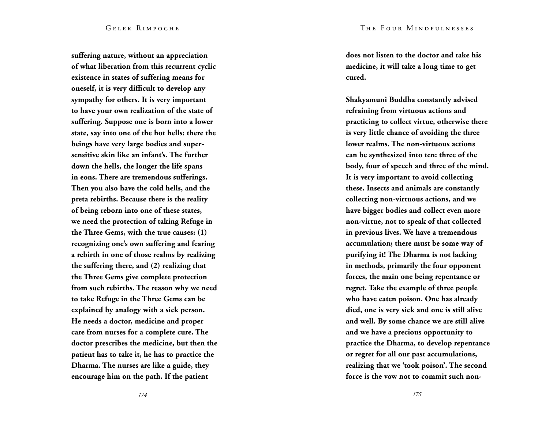**suffering nature, without an appreciation of what liberation from this recurrent cyclic existence in states of suffering means for oneself, it is very difficult to develop any sympathy for others. It is very important to have your own realization of the state of suffering. Suppose one is born into a lower state, say into one of the hot hells: there the beings have very large bodies and supersensitive skin like an infant's. The further down the hells, the longer the life spans in eons. There are tremendous sufferings. Then you also have the cold hells, and the preta rebirths. Because there is the reality of being reborn into one of these states, we need the protection of taking Refuge in the Three Gems, with the true causes: (1) recognizing one's own suffering and fearing a rebirth in one of those realms by realizing the suffering there, and (2) realizing that the Three Gems give complete protection from such rebirths. The reason why we need to take Refuge in the Three Gems can be explained by analogy with a sick person. He needs a doctor, medicine and proper care from nurses for a complete cure. The doctor prescribes the medicine, but then the patient has to take it, he has to practice the Dharma. The nurses are like a guide, they encourage him on the path. If the patient** 

**does not listen to the doctor and take his medicine, it will take a long time to get cured.**

**Shakyamuni Buddha constantly advised refraining from virtuous actions and practicing to collect virtue, otherwise there is very little chance of avoiding the three lower realms. The non-virtuous actions can be synthesized into ten: three of the body, four of speech and three of the mind. It is very important to avoid collecting these. Insects and animals are constantly collecting non-virtuous actions, and we have bigger bodies and collect even more non-virtue, not to speak of that collected in previous lives. We have a tremendous accumulation; there must be some way of purifying it! The Dharma is not lacking in methods, primarily the four opponent forces, the main one being repentance or regret. Take the example of three people who have eaten poison. One has already died, one is very sick and one is still alive and well. By some chance we are still alive and we have a precious opportunity to practice the Dharma, to develop repentance or regret for all our past accumulations, realizing that we 'took poison'. The second force is the vow not to commit such non-**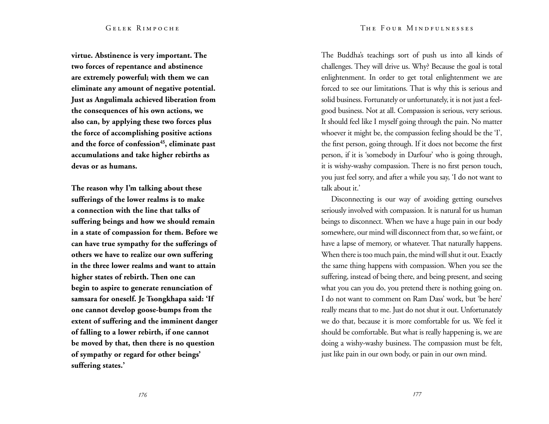**virtue. Abstinence is very important. The two forces of repentance and abstinence are extremely powerful; with them we can eliminate any amount of negative potential. Just as Angulimala achieved liberation from the consequences of his own actions, we also can, by applying these two forces plus the force of accomplishing positive actions and the force of confession<sup>45</sup>, eliminate past accumulations and take higher rebirths as devas or as humans.**

**The reason why I'm talking about these sufferings of the lower realms is to make a connection with the line that talks of suffering beings and how we should remain in a state of compassion for them. Before we can have true sympathy for the sufferings of others we have to realize our own suffering in the three lower realms and want to attain higher states of rebirth. Then one can begin to aspire to generate renunciation of samsara for oneself. Je Tsongkhapa said: 'If one cannot develop goose-bumps from the extent of suffering and the imminent danger of falling to a lower rebirth, if one cannot be moved by that, then there is no question of sympathy or regard for other beings' suffering states.'**

The Buddha's teachings sort of push us into all kinds of challenges. They will drive us. Why? Because the goal is total enlightenment. In order to get total enlightenment we are forced to see our limitations. That is why this is serious and solid business. Fortunately or unfortunately, it is not just a feelgood business. Not at all. Compassion is serious, very serious. It should feel like I myself going through the pain. No matter whoever it might be, the compassion feeling should be the 'I', the first person, going through. If it does not become the first person, if it is 'somebody in Darfour' who is going through, it is wishy-washy compassion. There is no first person touch, you just feel sorry, and after a while you say, 'I do not want to talk about it.'

Disconnecting is our way of avoiding getting ourselves seriously involved with compassion. It is natural for us human beings to disconnect. When we have a huge pain in our body somewhere, our mind will disconnect from that, so we faint, or have a lapse of memory, or whatever. That naturally happens. When there is too much pain, the mind will shut it out. Exactly the same thing happens with compassion. When you see the suffering, instead of being there, and being present, and seeing what you can you do, you pretend there is nothing going on. I do not want to comment on Ram Dass' work, but 'be here' really means that to me. Just do not shut it out. Unfortunately we do that, because it is more comfortable for us. We feel it should be comfortable. But what is really happening is, we are doing a wishy-washy business. The compassion must be felt, just like pain in our own body, or pain in our own mind.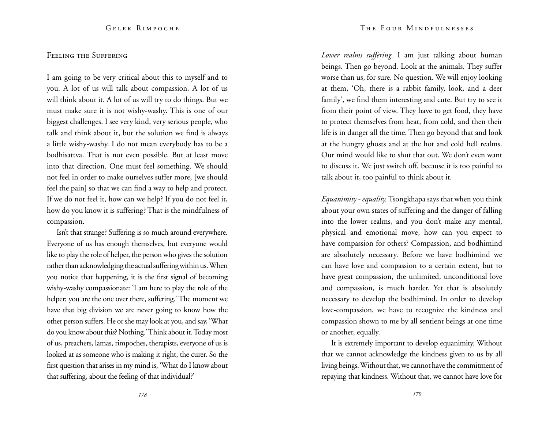# FEELING THE SUFFERING

I am going to be very critical about this to myself and to you. A lot of us will talk about compassion. A lot of us will think about it. A lot of us will try to do things. But we must make sure it is not wishy-washy. This is one of our biggest challenges. I see very kind, very serious people, who talk and think about it, but the solution we find is always a little wishy-washy. I do not mean everybody has to be a bodhisattva. That is not even possible. But at least move into that direction. One must feel something. We should not feel in order to make ourselves suffer more, [we should feel the pain] so that we can find a way to help and protect. If we do not feel it, how can we help? If you do not feel it, how do you know it is suffering? That is the mindfulness of compassion.

Isn't that strange? Suffering is so much around everywhere. Everyone of us has enough themselves, but everyone would like to play the role of helper, the person who gives the solution rather than acknowledging the actual suffering within us. When you notice that happening, it is the first signal of becoming wishy-washy compassionate: 'I am here to play the role of the helper; you are the one over there, suffering.' The moment we have that big division we are never going to know how the other person suffers. He or she may look at you, and say, 'What do you know about this? Nothing.' Think about it. Today most of us, preachers, lamas, rimpoches, therapists, everyone of us is looked at as someone who is making it right, the curer. So the first question that arises in my mind is, 'What do I know about that suffering, about the feeling of that individual?'

*Lower realms suffering.* I am just talking about human beings. Then go beyond. Look at the animals. They suffer worse than us, for sure. No question. We will enjoy looking at them, 'Oh, there is a rabbit family, look, and a deer family', we find them interesting and cute. But try to see it from their point of view. They have to get food, they have to protect themselves from heat, from cold, and then their life is in danger all the time. Then go beyond that and look at the hungry ghosts and at the hot and cold hell realms. Our mind would like to shut that out. We don't even want to discuss it. We just switch off, because it is too painful to talk about it, too painful to think about it.

*Equanimity - equality.* Tsongkhapa says that when you think about your own states of suffering and the danger of falling into the lower realms, and you don't make any mental, physical and emotional move, how can you expect to have compassion for others? Compassion, and bodhimind are absolutely necessary. Before we have bodhimind we can have love and compassion to a certain extent, but to have great compassion, the unlimited, unconditional love and compassion, is much harder. Yet that is absolutely necessary to develop the bodhimind. In order to develop love-compassion, we have to recognize the kindness and compassion shown to me by all sentient beings at one time or another, equally.

It is extremely important to develop equanimity. Without that we cannot acknowledge the kindness given to us by all living beings. Without that, we cannot have the commitment of repaying that kindness. Without that, we cannot have love for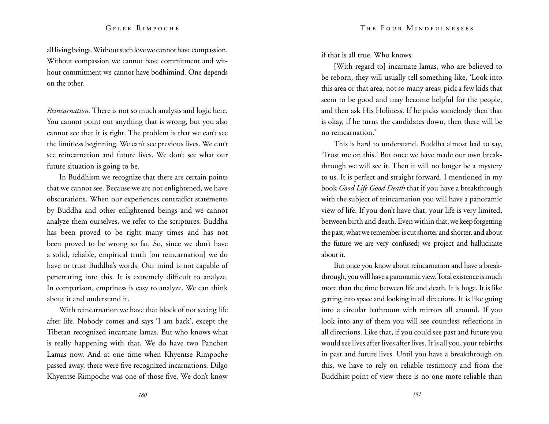all living beings. Without such love we cannot have compassion. Without compassion we cannot have commitment and without commitment we cannot have bodhimind. One depends on the other.

*Reincarnation.* There is not so much analysis and logic here. You cannot point out anything that is wrong, but you also cannot see that it is right. The problem is that we can't see the limitless beginning. We can't see previous lives. We can't see reincarnation and future lives. We don't see what our future situation is going to be.

In Buddhism we recognize that there are certain points that we cannot see. Because we are not enlightened, we have obscurations. When our experiences contradict statements by Buddha and other enlightened beings and we cannot analyze them ourselves, we refer to the scriptures. Buddha has been proved to be right many times and has not been proved to be wrong so far. So, since we don't have a solid, reliable, empirical truth [on reincarnation] we do have to trust Buddha's words. Our mind is not capable of penetrating into this. It is extremely difficult to analyze. In comparison, emptiness is easy to analyze. We can think about it and understand it.

With reincarnation we have that block of not seeing life after life. Nobody comes and says 'I am back', except the Tibetan recognized incarnate lamas. But who knows what is really happening with that. We do have two Panchen Lamas now. And at one time when Khyentse Rimpoche passed away, there were five recognized incarnations. Dilgo Khyentse Rimpoche was one of those five. We don't know if that is all true. Who knows.

[With regard to] incarnate lamas, who are believed to be reborn, they will usually tell something like, 'Look into this area or that area, not so many areas; pick a few kids that seem to be good and may become helpful for the people, and then ask His Holiness. If he picks somebody then that is okay, if he turns the candidates down, then there will be no reincarnation.'

This is hard to understand. Buddha almost had to say, 'Trust me on this.' But once we have made our own breakthrough we will see it. Then it will no longer be a mystery to us. It is perfect and straight forward. I mentioned in my book *Good Life Good Death* that if you have a breakthrough with the subject of reincarnation you will have a panoramic view of life. If you don't have that, your life is very limited, between birth and death. Even within that, we keep forgetting the past, what we remember is cut shorter and shorter, and about the future we are very confused; we project and hallucinate about it.

But once you know about reincarnation and have a breakthrough, you will have a panoramic view. Total existence is much more than the time between life and death. It is huge. It is like getting into space and looking in all directions. It is like going into a circular bathroom with mirrors all around. If you look into any of them you will see countless reflections in all directions. Like that, if you could see past and future you would see lives after lives after lives. It is all you, your rebirths in past and future lives. Until you have a breakthrough on this, we have to rely on reliable testimony and from the Buddhist point of view there is no one more reliable than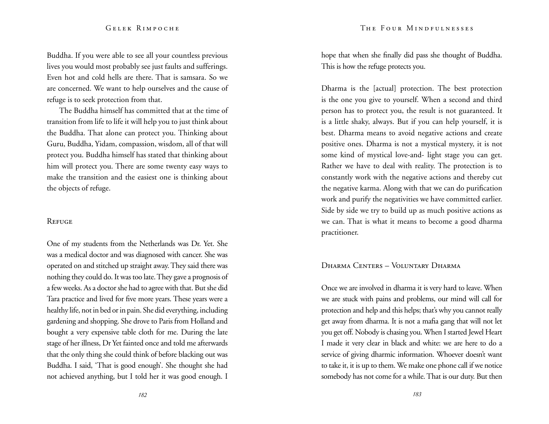Buddha. If you were able to see all your countless previous lives you would most probably see just faults and sufferings. Even hot and cold hells are there. That is samsara. So we are concerned. We want to help ourselves and the cause of refuge is to seek protection from that.

The Buddha himself has committed that at the time of transition from life to life it will help you to just think about the Buddha. That alone can protect you. Thinking about Guru, Buddha, Yidam, compassion, wisdom, all of that will protect you. Buddha himself has stated that thinking about him will protect you. There are some twenty easy ways to make the transition and the easiest one is thinking about the objects of refuge.

# **REFUGE**

One of my students from the Netherlands was Dr. Yet. She was a medical doctor and was diagnosed with cancer. She was operated on and stitched up straight away. They said there was nothing they could do. It was too late. They gave a prognosis of a few weeks. As a doctor she had to agree with that. But she did Tara practice and lived for five more years. These years were a healthy life, not in bed or in pain. She did everything, including gardening and shopping. She drove to Paris from Holland and bought a very expensive table cloth for me. During the late stage of her illness, Dr Yet fainted once and told me afterwards that the only thing she could think of before blacking out was Buddha. I said, 'That is good enough'. She thought she had not achieved anything, but I told her it was good enough. I

hope that when she finally did pass she thought of Buddha. This is how the refuge protects you.

Dharma is the [actual] protection. The best protection is the one you give to yourself. When a second and third person has to protect you, the result is not guaranteed. It is a little shaky, always. But if you can help yourself, it is best. Dharma means to avoid negative actions and create positive ones. Dharma is not a mystical mystery, it is not some kind of mystical love-and- light stage you can get. Rather we have to deal with reality. The protection is to constantly work with the negative actions and thereby cut the negative karma. Along with that we can do purification work and purify the negativities we have committed earlier. Side by side we try to build up as much positive actions as we can. That is what it means to become a good dharma practitioner.

# Dharma Centers – Voluntary Dharma

Once we are involved in dharma it is very hard to leave. When we are stuck with pains and problems, our mind will call for protection and help and this helps; that's why you cannot really get away from dharma. It is not a mafia gang that will not let you get off. Nobody is chasing you. When I started Jewel Heart I made it very clear in black and white: we are here to do a service of giving dharmic information. Whoever doesn't want to take it, it is up to them. We make one phone call if we notice somebody has not come for a while. That is our duty. But then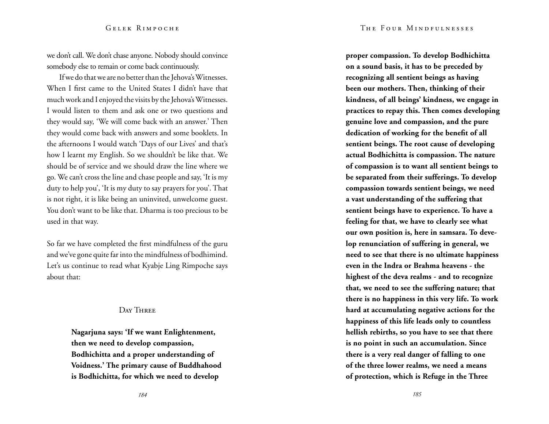we don't call. We don't chase anyone. Nobody should convince somebody else to remain or come back continuously.

If we do that we are no better than the Jehova's Witnesses. When I first came to the United States I didn't have that much work and I enjoyed the visits by the Jehova's Witnesses. I would listen to them and ask one or two questions and they would say, 'We will come back with an answer.' Then they would come back with answers and some booklets. In the afternoons I would watch 'Days of our Lives' and that's how I learnt my English. So we shouldn't be like that. We should be of service and we should draw the line where we go. We can't cross the line and chase people and say, 'It is my duty to help you', 'It is my duty to say prayers for you'. That is not right, it is like being an uninvited, unwelcome guest. You don't want to be like that. Dharma is too precious to be used in that way.

So far we have completed the first mindfulness of the guru and we've gone quite far into the mindfulness of bodhimind. Let's us continue to read what Kyabje Ling Rimpoche says about that:

# DAY THREE

**Nagarjuna says: 'If we want Enlightenment, then we need to develop compassion, Bodhichitta and a proper understanding of Voidness.' The primary cause of Buddhahood is Bodhichitta, for which we need to develop** 

**proper compassion. To develop Bodhichitta on a sound basis, it has to be preceded by recognizing all sentient beings as having been our mothers. Then, thinking of their kindness, of all beings' kindness, we engage in practices to repay this. Then comes developing genuine love and compassion, and the pure dedication of working for the benefit of all sentient beings. The root cause of developing actual Bodhichitta is compassion. The nature of compassion is to want all sentient beings to be separated from their sufferings. To develop compassion towards sentient beings, we need a vast understanding of the suffering that sentient beings have to experience. To have a feeling for that, we have to clearly see what our own position is, here in samsara. To develop renunciation of suffering in general, we need to see that there is no ultimate happiness even in the Indra or Brahma heavens - the highest of the deva realms - and to recognize that, we need to see the suffering nature; that there is no happiness in this very life. To work hard at accumulating negative actions for the happiness of this life leads only to countless hellish rebirths, so you have to see that there is no point in such an accumulation. Since there is a very real danger of falling to one of the three lower realms, we need a means of protection, which is Refuge in the Three**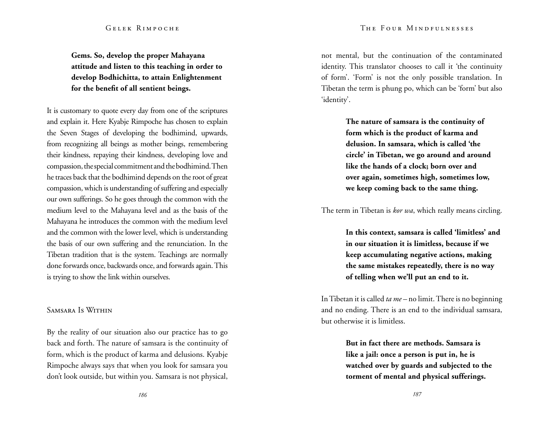**Gems. So, develop the proper Mahayana attitude and listen to this teaching in order to develop Bodhichitta, to attain Enlightenment for the benefit of all sentient beings.**

It is customary to quote every day from one of the scriptures and explain it. Here Kyabje Rimpoche has chosen to explain the Seven Stages of developing the bodhimind, upwards, from recognizing all beings as mother beings, remembering their kindness, repaying their kindness, developing love and compassion, the special commitment and the bodhimind. Then he traces back that the bodhimind depends on the root of great compassion, which is understanding of suffering and especially our own sufferings. So he goes through the common with the medium level to the Mahayana level and as the basis of the Mahayana he introduces the common with the medium level and the common with the lower level, which is understanding the basis of our own suffering and the renunciation. In the Tibetan tradition that is the system. Teachings are normally done forwards once, backwards once, and forwards again. This is trying to show the link within ourselves.

# Samsara Is Within

By the reality of our situation also our practice has to go back and forth. The nature of samsara is the continuity of form, which is the product of karma and delusions. Kyabje Rimpoche always says that when you look for samsara you don't look outside, but within you. Samsara is not physical,

not mental, but the continuation of the contaminated identity. This translator chooses to call it 'the continuity of form'. 'Form' is not the only possible translation. In Tibetan the term is phung po, which can be 'form' but also 'identity'.

> **The nature of samsara is the continuity of form which is the product of karma and delusion. In samsara, which is called 'the circle' in Tibetan, we go around and around like the hands of a clock; born over and over again, sometimes high, sometimes low, we keep coming back to the same thing.**

The term in Tibetan is *kor wa*, which really means circling.

**In this context, samsara is called 'limitless' and in our situation it is limitless, because if we keep accumulating negative actions, making the same mistakes repeatedly, there is no way of telling when we'll put an end to it.**

In Tibetan it is called *ta me –* no limit. There is no beginning and no ending. There is an end to the individual samsara, but otherwise it is limitless.

> **But in fact there are methods. Samsara is like a jail: once a person is put in, he is watched over by guards and subjected to the torment of mental and physical sufferings.**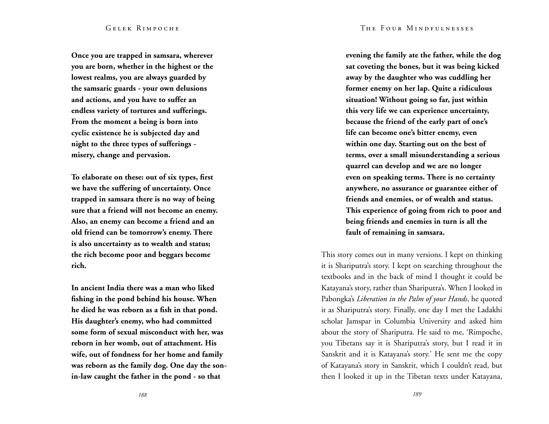#### The Four Mindfulnesses

#### Gelek Rimpoche

**Once you are trapped in samsara, wherever you are born, whether in the highest or the lowest realms, you are always guarded by the samsaric guards - your own delusions and actions, and you have to suffer an endless variety of tortures and sufferings. From the moment a being is born into cyclic existence he is subjected day and night to the three types of sufferings misery, change and pervasion.** 

**To elaborate on these: out of six types, first we have the suffering of uncertainty. Once trapped in samsara there is no way of being sure that a friend will not become an enemy. Also, an enemy can become a friend and an old friend can be tomorrow's enemy. There is also uncertainty as to wealth and status; the rich become poor and beggars become rich.** 

**In ancient India there was a man who liked fishing in the pond behind his house. When he died he was reborn as a fish in that pond. His daughter's enemy, who had committed some form of sexual misconduct with her, was reborn in her womb, out of attachment. His wife, out of fondness for her home and family was reborn as the family dog. One day the sonin-law caught the father in the pond - so that** 

**evening the family ate the father, while the dog sat coveting the bones, but it was being kicked away by the daughter who was cuddling her former enemy on her lap. Quite a ridiculous situation! Without going so far, just within this very life we can experience uncertainty, because the friend of the early part of one's life can become one's bitter enemy, even within one day. Starting out on the best of terms, over a small misunderstanding a serious quarrel can develop and we are no longer even on speaking terms. There is no certainty anywhere, no assurance or guarantee either of friends and enemies, or of wealth and status. This experience of going from rich to poor and being friends and enemies in turn is all the fault of remaining in samsara.** 

This story comes out in many versions. I kept on thinking it is Shariputra's story. I kept on searching throughout the textbooks and in the back of mind I thought it could be Katayana's story, rather than Shariputra's. When I looked in Pabongka's *Liberation in the Palm of your Hands*, he quoted it as Shariputra's story. Finally, one day I met the Ladakhi scholar Jamspar in Columbia University and asked him about the story of Shariputra. He said to me, 'Rimpoche, you Tibetans say it is Shariputra's story, but I read it in Sanskrit and it is Katayana's story.' He sent me the copy of Katayana's story in Sanskrit, which I couldn't read, but then I looked it up in the Tibetan texts under Katayana,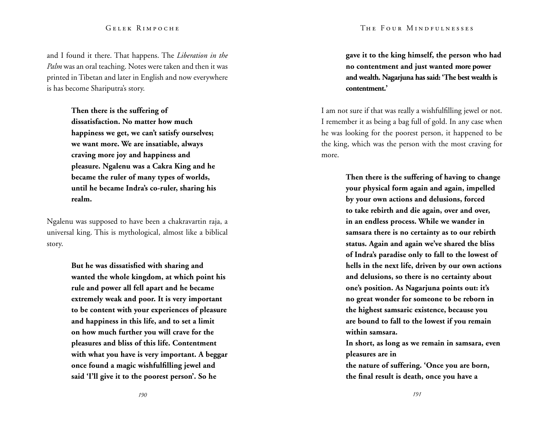and I found it there. That happens. The *Liberation in the Palm* was an oral teaching. Notes were taken and then it was printed in Tibetan and later in English and now everywhere is has become Shariputra's story.

> **Then there is the suffering of dissatisfaction. No matter how much happiness we get, we can't satisfy ourselves; we want more. We are insatiable, always craving more joy and happiness and pleasure. Ngalenu was a Cakra King and he became the ruler of many types of worlds, until he became Indra's co-ruler, sharing his realm.**

Ngalenu was supposed to have been a chakravartin raja, a universal king. This is mythological, almost like a biblical story.

> **But he was dissatisfied with sharing and wanted the whole kingdom, at which point his rule and power all fell apart and he became extremely weak and poor. It is very important to be content with your experiences of pleasure and happiness in this life, and to set a limit on how much further you will crave for the pleasures and bliss of this life. Contentment with what you have is very important. A beggar once found a magic wishfulfilling jewel and said 'I'll give it to the poorest person'. So he**

**gave it to the king himself, the person who had no contentment and just wanted more power and wealth. Nagarjuna has said: 'The best wealth is contentment.'**

I am not sure if that was really a wishfulfilling jewel or not. I remember it as being a bag full of gold. In any case when he was looking for the poorest person, it happened to be the king, which was the person with the most craving for more.

> **Then there is the suffering of having to change your physical form again and again, impelled by your own actions and delusions, forced to take rebirth and die again, over and over, in an endless process. While we wander in samsara there is no certainty as to our rebirth status. Again and again we've shared the bliss of Indra's paradise only to fall to the lowest of hells in the next life, driven by our own actions and delusions, so there is no certainty about one's position. As Nagarjuna points out: it's no great wonder for someone to be reborn in the highest samsaric existence, because you are bound to fall to the lowest if you remain within samsara.**

**In short, as long as we remain in samsara, even pleasures are in the nature of suffering. 'Once you are born, the final result is death, once you have a**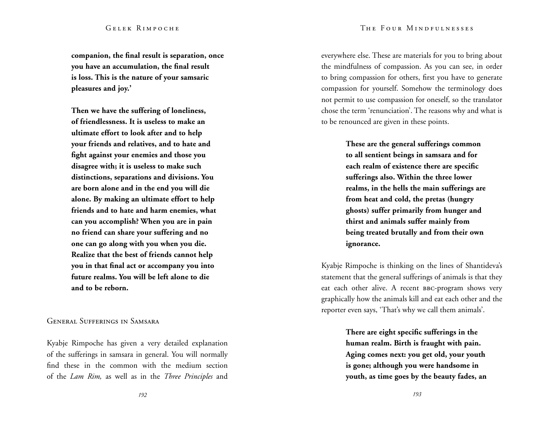**companion, the final result is separation, once you have an accumulation, the final result is loss. This is the nature of your samsaric pleasures and joy.'** 

**Then we have the suffering of loneliness, of friendlessness. It is useless to make an ultimate effort to look after and to help your friends and relatives, and to hate and fight against your enemies and those you disagree with; it is useless to make such distinctions, separations and divisions. You are born alone and in the end you will die alone. By making an ultimate effort to help friends and to hate and harm enemies, what can you accomplish? When you are in pain no friend can share your suffering and no one can go along with you when you die. Realize that the best of friends cannot help you in that final act or accompany you into future realms. You will be left alone to die and to be reborn.** 

General Sufferings in Samsara

Kyabje Rimpoche has given a very detailed explanation of the sufferings in samsara in general. You will normally find these in the common with the medium section of the *Lam Rim,* as well as in the *Three Principles* and

everywhere else. These are materials for you to bring about the mindfulness of compassion. As you can see, in order to bring compassion for others, first you have to generate compassion for yourself. Somehow the terminology does not permit to use compassion for oneself, so the translator chose the term 'renunciation'. The reasons why and what is to be renounced are given in these points.

> **These are the general sufferings common to all sentient beings in samsara and for each realm of existence there are specific sufferings also. Within the three lower realms, in the hells the main sufferings are from heat and cold, the pretas (hungry ghosts) suffer primarily from hunger and thirst and animals suffer mainly from being treated brutally and from their own ignorance.**

Kyabje Rimpoche is thinking on the lines of Shantideva's statement that the general sufferings of animals is that they eat each other alive. A recent BBC-program shows very graphically how the animals kill and eat each other and the reporter even says, 'That's why we call them animals'.

> **There are eight specific sufferings in the human realm. Birth is fraught with pain. Aging comes next: you get old, your youth is gone; although you were handsome in youth, as time goes by the beauty fades, an**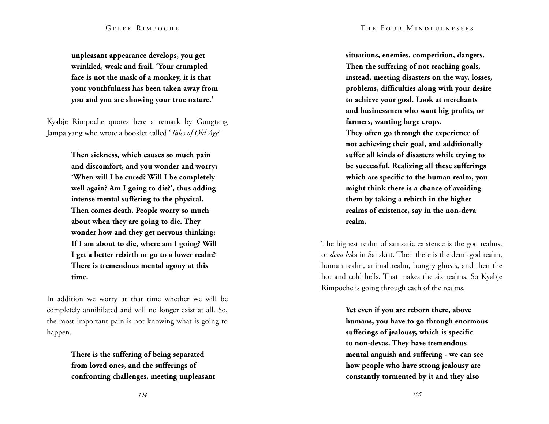**unpleasant appearance develops, you get wrinkled, weak and frail. 'Your crumpled face is not the mask of a monkey, it is that your youthfulness has been taken away from you and you are showing your true nature.'** 

Kyabje Rimpoche quotes here a remark by Gungtang Jampalyang who wrote a booklet called '*Tales of Old Age'*

> **Then sickness, which causes so much pain and discomfort, and you wonder and worry: 'When will I be cured? Will I be completely well again? Am I going to die?', thus adding intense mental suffering to the physical. Then comes death. People worry so much about when they are going to die. They wonder how and they get nervous thinking: If I am about to die, where am I going? Will I get a better rebirth or go to a lower realm? There is tremendous mental agony at this time.**

In addition we worry at that time whether we will be completely annihilated and will no longer exist at all. So, the most important pain is not knowing what is going to happen.

> **There is the suffering of being separated from loved ones, and the sufferings of confronting challenges, meeting unpleasant**

**situations, enemies, competition, dangers. Then the suffering of not reaching goals, instead, meeting disasters on the way, losses, problems, difficulties along with your desire to achieve your goal. Look at merchants and businessmen who want big profits, or farmers, wanting large crops. They often go through the experience of not achieving their goal, and additionally suffer all kinds of disasters while trying to be successful. Realizing all these sufferings which are specific to the human realm, you might think there is a chance of avoiding them by taking a rebirth in the higher** 

**realms of existence, say in the non-deva realm.** 

The highest realm of samsaric existence is the god realms, or *deva lok*a in Sanskrit. Then there is the demi-god realm, human realm, animal realm, hungry ghosts, and then the hot and cold hells. That makes the six realms. So Kyabje Rimpoche is going through each of the realms.

> **Yet even if you are reborn there, above humans, you have to go through enormous sufferings of jealousy, which is specific to non-devas. They have tremendous mental anguish and suffering - we can see how people who have strong jealousy are constantly tormented by it and they also**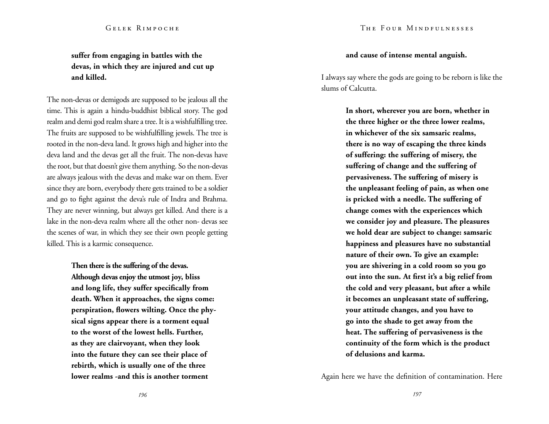# **suffer from engaging in battles with the devas, in which they are injured and cut up and killed.**

The non-devas or demigods are supposed to be jealous all the time. This is again a hindu-buddhist biblical story. The god realm and demi god realm share a tree. It is a wishfulfilling tree. The fruits are supposed to be wishfulfilling jewels. The tree is rooted in the non-deva land. It grows high and higher into the deva land and the devas get all the fruit. The non-devas have the root, but that doesn't give them anything. So the non-devas are always jealous with the devas and make war on them. Ever since they are born, everybody there gets trained to be a soldier and go to fight against the deva's rule of Indra and Brahma. They are never winning, but always get killed. And there is a lake in the non-deva realm where all the other non- devas see the scenes of war, in which they see their own people getting killed. This is a karmic consequence.

> **Then there is the suffering of the devas. Although devas enjoy the utmost joy, bliss and long life, they suffer specifically from death. When it approaches, the signs come: perspiration, flowers wilting. Once the physical signs appear there is a torment equal to the worst of the lowest hells. Further, as they are clairvoyant, when they look into the future they can see their place of rebirth, which is usually one of the three lower realms -and this is another torment**

# **and cause of intense mental anguish.**

I always say where the gods are going to be reborn is like the slums of Calcutta.

> **In short, wherever you are born, whether in the three higher or the three lower realms, in whichever of the six samsaric realms, there is no way of escaping the three kinds of suffering: the suffering of misery, the suffering of change and the suffering of pervasiveness. The suffering of misery is the unpleasant feeling of pain, as when one is pricked with a needle. The suffering of change comes with the experiences which we consider joy and pleasure. The pleasures we hold dear are subject to change: samsaric happiness and pleasures have no substantial nature of their own. To give an example: you are shivering in a cold room so you go out into the sun. At first it's a big relief from the cold and very pleasant, but after a while it becomes an unpleasant state of suffering, your attitude changes, and you have to go into the shade to get away from the heat. The suffering of pervasiveness is the continuity of the form which is the product of delusions and karma.**

Again here we have the definition of contamination. Here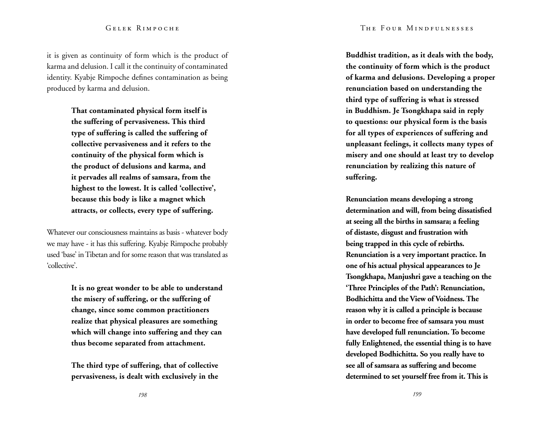it is given as continuity of form which is the product of karma and delusion. I call it the continuity of contaminated identity. Kyabje Rimpoche defines contamination as being produced by karma and delusion.

> **That contaminated physical form itself is the suffering of pervasiveness. This third type of suffering is called the suffering of collective pervasiveness and it refers to the continuity of the physical form which is the product of delusions and karma, and it pervades all realms of samsara, from the highest to the lowest. It is called 'collective', because this body is like a magnet which attracts, or collects, every type of suffering.**

Whatever our consciousness maintains as basis - whatever body we may have - it has this suffering. Kyabje Rimpoche probably used 'base' in Tibetan and for some reason that was translated as 'collective'.

> **It is no great wonder to be able to understand the misery of suffering, or the suffering of change, since some common practitioners realize that physical pleasures are something which will change into suffering and they can thus become separated from attachment.**

**The third type of suffering, that of collective pervasiveness, is dealt with exclusively in the**  **Buddhist tradition, as it deals with the body, the continuity of form which is the product of karma and delusions. Developing a proper renunciation based on understanding the third type of suffering is what is stressed in Buddhism. Je Tsongkhapa said in reply to questions: our physical form is the basis for all types of experiences of suffering and unpleasant feelings, it collects many types of misery and one should at least try to develop renunciation by realizing this nature of suffering.** 

**Renunciation means developing a strong determination and will, from being dissatisfied at seeing all the births in samsara; a feeling of distaste, disgust and frustration with being trapped in this cycle of rebirths. Renunciation is a very important practice. In one of his actual physical appearances to Je Tsongkhapa, Manjushri gave a teaching on the 'Three Principles of the Path': Renunciation, Bodhichitta and the View of Voidness. The reason why it is called a principle is because in order to become free of samsara you must have developed full renunciation. To become fully Enlightened, the essential thing is to have developed Bodhichitta. So you really have to see all of samsara as suffering and become determined to set yourself free from it. This is**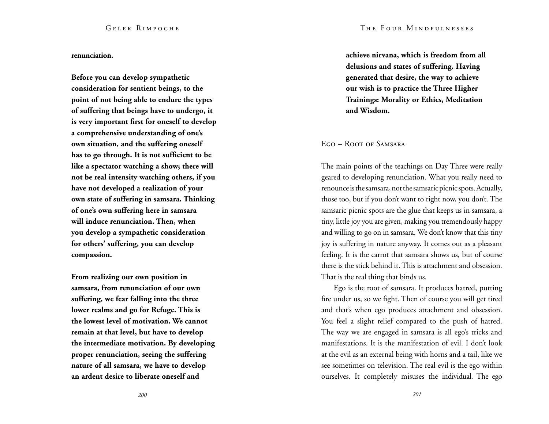#### **renunciation.**

**Before you can develop sympathetic consideration for sentient beings, to the point of not being able to endure the types of suffering that beings have to undergo, it is very important first for oneself to develop a comprehensive understanding of one's own situation, and the suffering oneself has to go through. It is not sufficient to be like a spectator watching a show; there will not be real intensity watching others, if you have not developed a realization of your own state of suffering in samsara. Thinking of one's own suffering here in samsara will induce renunciation. Then, when you develop a sympathetic consideration for others' suffering, you can develop compassion.** 

**From realizing our own position in samsara, from renunciation of our own suffering, we fear falling into the three lower realms and go for Refuge. This is the lowest level of motivation. We cannot remain at that level, but have to develop the intermediate motivation. By developing proper renunciation, seeing the suffering nature of all samsara, we have to develop an ardent desire to liberate oneself and** 

**achieve nirvana, which is freedom from all delusions and states of suffering. Having generated that desire, the way to achieve our wish is to practice the Three Higher Trainings: Morality or Ethics, Meditation and Wisdom.**

Ego – Root of Samsara

The main points of the teachings on Day Three were really geared to developing renunciation. What you really need to renounce is the samsara, not the samsaric picnic spots. Actually, those too, but if you don't want to right now, you don't. The samsaric picnic spots are the glue that keeps us in samsara, a tiny, little joy you are given, making you tremendously happy and willing to go on in samsara. We don't know that this tiny joy is suffering in nature anyway. It comes out as a pleasant feeling. It is the carrot that samsara shows us, but of course there is the stick behind it. This is attachment and obsession. That is the real thing that binds us.

Ego is the root of samsara. It produces hatred, putting fire under us, so we fight. Then of course you will get tired and that's when ego produces attachment and obsession. You feel a slight relief compared to the push of hatred. The way we are engaged in samsara is all ego's tricks and manifestations. It is the manifestation of evil. I don't look at the evil as an external being with horns and a tail, like we see sometimes on television. The real evil is the ego within ourselves. It completely misuses the individual. The ego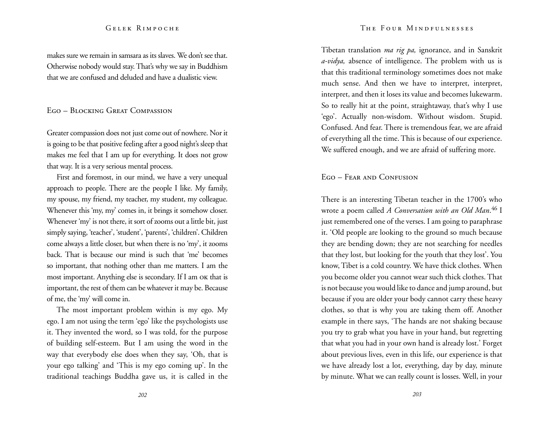makes sure we remain in samsara as its slaves. We don't see that. Otherwise nobody would stay. That's why we say in Buddhism that we are confused and deluded and have a dualistic view.

# Ego – Blocking Great Compassion

Greater compassion does not just come out of nowhere. Nor it is going to be that positive feeling after a good night's sleep that makes me feel that I am up for everything. It does not grow that way. It is a very serious mental process.

First and foremost, in our mind, we have a very unequal approach to people. There are the people I like. My family, my spouse, my friend, my teacher, my student, my colleague. Whenever this 'my, my' comes in, it brings it somehow closer. Whenever 'my' is not there, it sort of zooms out a little bit, just simply saying, 'teacher', 'student', 'parents', 'children'. Children come always a little closer, but when there is no 'my', it zooms back. That is because our mind is such that 'me' becomes so important, that nothing other than me matters. I am the most important. Anything else is secondary. If I am ok that is important, the rest of them can be whatever it may be. Because of me, the 'my' will come in.

The most important problem within is my ego. My ego. I am not using the term 'ego' like the psychologists use it. They invented the word, so I was told, for the purpose of building self-esteem. But I am using the word in the way that everybody else does when they say, 'Oh, that is your ego talking' and 'This is my ego coming up'. In the traditional teachings Buddha gave us, it is called in the Tibetan translation *ma rig pa,* ignorance, and in Sanskrit *a-vidya,* absence of intelligence. The problem with us is that this traditional terminology sometimes does not make much sense. And then we have to interpret, interpret, interpret, and then it loses its value and becomes lukewarm. So to really hit at the point, straightaway, that's why I use 'ego'. Actually non-wisdom. Without wisdom. Stupid. Confused. And fear. There is tremendous fear, we are afraid of everything all the time. This is because of our experience. We suffered enough, and we are afraid of suffering more.

## Ego – Fear and Confusion

There is an interesting Tibetan teacher in the 1700's who wrote a poem called *A Conversation with an Old Man*. 46 I just remembered one of the verses. I am going to paraphrase it. 'Old people are looking to the ground so much because they are bending down; they are not searching for needles that they lost, but looking for the youth that they lost'. You know, Tibet is a cold country. We have thick clothes. When you become older you cannot wear such thick clothes. That is not because you would like to dance and jump around, but because if you are older your body cannot carry these heavy clothes, so that is why you are taking them off. Another example in there says, 'The hands are not shaking because you try to grab what you have in your hand, but regretting that what you had in your own hand is already lost.' Forget about previous lives, even in this life, our experience is that we have already lost a lot, everything, day by day, minute by minute. What we can really count is losses. Well, in your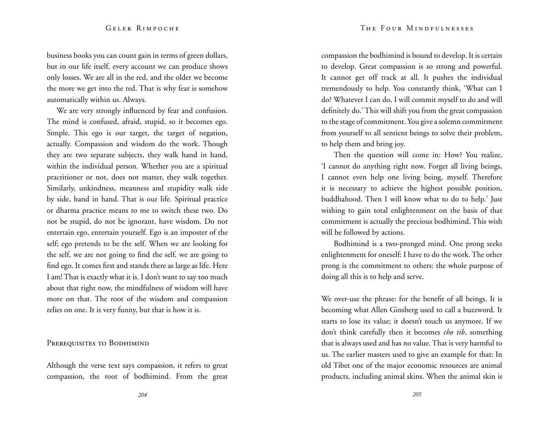business books you can count gain in terms of green dollars, but in our life itself, every account we can produce shows only losses. We are all in the red, and the older we become the more we get into the red. That is why fear is somehow automatically within us. Always.

We are very strongly influenced by fear and confusion. The mind is confused, afraid, stupid, so it becomes ego. Simple. This ego is our target, the target of negation, actually. Compassion and wisdom do the work. Though they are two separate subjects, they walk hand in hand, within the individual person. Whether you are a spiritual practitioner or not, does not matter, they walk together. Similarly, unkindness, meanness and stupidity walk side by side, hand in hand. That is our life. Spiritual practice or dharma practice means to me to switch these two. Do not be stupid, do not be ignorant, have wisdom. Do not entertain ego, entertain yourself. Ego is an imposter of the self; ego pretends to be the self. When we are looking for the self, we are not going to find the self, we are going to find ego. It comes first and stands there as large as life. Here I am! That is exactly what it is. I don't want to say too much about that right now, the mindfulness of wisdom will have more on that. The root of the wisdom and compassion relies on one. It is very funny, but that is how it is.

# PREREQUISITES TO BODHIMIND

Although the verse text says compassion, it refers to great compassion, the root of bodhimind. From the great compassion the bodhimind is bound to develop. It is certain to develop. Great compassion is so strong and powerful. It cannot get off track at all. It pushes the individual tremendously to help. You constantly think, 'What can I do? Whatever I can do, I will commit myself to do and will definitely do.' This will shift you from the great compassion to the stage of commitment. You give a solemn commitment from yourself to all sentient beings to solve their problem, to help them and bring joy.

Then the question will come in: How? You realize, 'I cannot do anything right now. Forget all living beings, I cannot even help one living being, myself. Therefore it is necessary to achieve the highest possible position, buddhahood. Then I will know what to do to help.' Just wishing to gain total enlightenment on the basis of that commitment is actually the precious bodhimind. This wish will be followed by actions.

Bodhimind is a two-pronged mind. One prong seeks enlightenment for oneself: I have to do the work. The other prong is the commitment to others: the whole purpose of doing all this is to help and serve.

We over-use the phrase: for the benefit of all beings. It is becoming what Allen Ginsberg used to call a buzzword. It starts to lose its value; it doesn't touch us anymore. If we don't think carefully then it becomes *cho tib*, something that is always used and has no value. That is very harmful to us. The earlier masters used to give an example for that: In old Tibet one of the major economic resources are animal products, including animal skins. When the animal skin is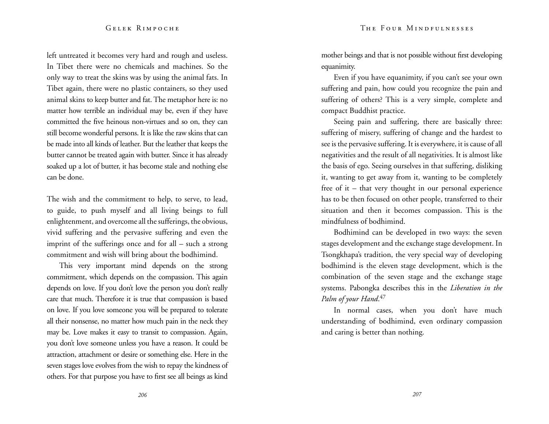left untreated it becomes very hard and rough and useless. In Tibet there were no chemicals and machines. So the only way to treat the skins was by using the animal fats. In Tibet again, there were no plastic containers, so they used animal skins to keep butter and fat. The metaphor here is: no matter how terrible an individual may be, even if they have committed the five heinous non-virtues and so on, they can still become wonderful persons. It is like the raw skins that can be made into all kinds of leather. But the leather that keeps the butter cannot be treated again with butter. Since it has already soaked up a lot of butter, it has become stale and nothing else can be done.

The wish and the commitment to help, to serve, to lead, to guide, to push myself and all living beings to full enlightenment, and overcome all the sufferings, the obvious, vivid suffering and the pervasive suffering and even the imprint of the sufferings once and for all – such a strong commitment and wish will bring about the bodhimind.

This very important mind depends on the strong commitment, which depends on the compassion. This again depends on love. If you don't love the person you don't really care that much. Therefore it is true that compassion is based on love. If you love someone you will be prepared to tolerate all their nonsense, no matter how much pain in the neck they may be. Love makes it easy to transit to compassion. Again, you don't love someone unless you have a reason. It could be attraction, attachment or desire or something else. Here in the seven stages love evolves from the wish to repay the kindness of others. For that purpose you have to first see all beings as kind mother beings and that is not possible without first developing equanimity.

Even if you have equanimity, if you can't see your own suffering and pain, how could you recognize the pain and suffering of others? This is a very simple, complete and compact Buddhist practice.

Seeing pain and suffering, there are basically three: suffering of misery, suffering of change and the hardest to see is the pervasive suffering. It is everywhere, it is cause of all negativities and the result of all negativities. It is almost like the basis of ego. Seeing ourselves in that suffering, disliking it, wanting to get away from it, wanting to be completely free of it – that very thought in our personal experience has to be then focused on other people, transferred to their situation and then it becomes compassion. This is the mindfulness of bodhimind.

Bodhimind can be developed in two ways: the seven stages development and the exchange stage development. In Tsongkhapa's tradition, the very special way of developing bodhimind is the eleven stage development, which is the combination of the seven stage and the exchange stage systems. Pabongka describes this in the *Liberation in the Palm of your Hand*. 47

In normal cases, when you don't have much understanding of bodhimind, even ordinary compassion and caring is better than nothing.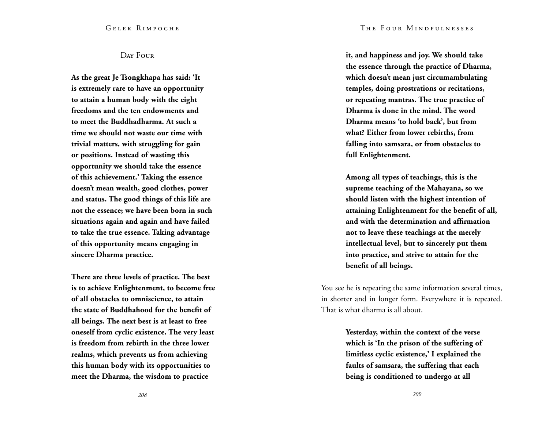Day Four

**As the great Je Tsongkhapa has said: 'It is extremely rare to have an opportunity to attain a human body with the eight freedoms and the ten endowments and to meet the Buddhadharma. At such a time we should not waste our time with trivial matters, with struggling for gain or positions. Instead of wasting this opportunity we should take the essence of this achievement.' Taking the essence doesn't mean wealth, good clothes, power and status. The good things of this life are not the essence; we have been born in such situations again and again and have failed to take the true essence. Taking advantage of this opportunity means engaging in sincere Dharma practice.**

**There are three levels of practice. The best is to achieve Enlightenment, to become free of all obstacles to omniscience, to attain the state of Buddhahood for the benefit of all beings. The next best is at least to free oneself from cyclic existence. The very least is freedom from rebirth in the three lower realms, which prevents us from achieving this human body with its opportunities to meet the Dharma, the wisdom to practice** 

**it, and happiness and joy. We should take the essence through the practice of Dharma, which doesn't mean just circumambulating temples, doing prostrations or recitations, or repeating mantras. The true practice of Dharma is done in the mind. The word Dharma means 'to hold back', but from what? Either from lower rebirths, from falling into samsara, or from obstacles to full Enlightenment.**

**Among all types of teachings, this is the supreme teaching of the Mahayana, so we should listen with the highest intention of attaining Enlightenment for the benefit of all, and with the determination and affirmation not to leave these teachings at the merely intellectual level, but to sincerely put them into practice, and strive to attain for the benefit of all beings.**

You see he is repeating the same information several times, in shorter and in longer form. Everywhere it is repeated. That is what dharma is all about.

> **Yesterday, within the context of the verse which is 'In the prison of the suffering of limitless cyclic existence,' I explained the faults of samsara, the suffering that each being is conditioned to undergo at all**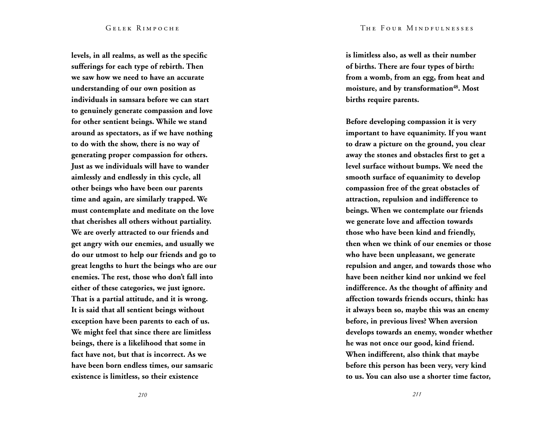**levels, in all realms, as well as the specific sufferings for each type of rebirth. Then we saw how we need to have an accurate understanding of our own position as individuals in samsara before we can start to genuinely generate compassion and love for other sentient beings. While we stand around as spectators, as if we have nothing to do with the show, there is no way of generating proper compassion for others. Just as we individuals will have to wander aimlessly and endlessly in this cycle, all other beings who have been our parents time and again, are similarly trapped. We must contemplate and meditate on the love that cherishes all others without partiality. We are overly attracted to our friends and get angry with our enemies, and usually we do our utmost to help our friends and go to great lengths to hurt the beings who are our enemies. The rest, those who don't fall into either of these categories, we just ignore. That is a partial attitude, and it is wrong. It is said that all sentient beings without exception have been parents to each of us. We might feel that since there are limitless beings, there is a likelihood that some in fact have not, but that is incorrect. As we have been born endless times, our samsaric existence is limitless, so their existence** 

**is limitless also, as well as their number of births. There are four types of birth: from a womb, from an egg, from heat and moisture, and by transformation<sup>48</sup>. Most births require parents.**

**Before developing compassion it is very important to have equanimity. If you want to draw a picture on the ground, you clear away the stones and obstacles first to get a level surface without bumps. We need the smooth surface of equanimity to develop compassion free of the great obstacles of attraction, repulsion and indifference to beings. When we contemplate our friends we generate love and affection towards those who have been kind and friendly, then when we think of our enemies or those who have been unpleasant, we generate repulsion and anger, and towards those who have been neither kind nor unkind we feel indifference. As the thought of affinity and affection towards friends occurs, think: has it always been so, maybe this was an enemy before, in previous lives? When aversion develops towards an enemy, wonder whether he was not once our good, kind friend. When indifferent, also think that maybe before this person has been very, very kind to us. You can also use a shorter time factor,**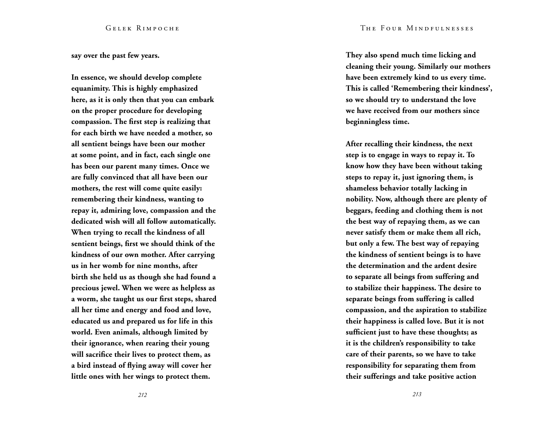**say over the past few years.**

**In essence, we should develop complete equanimity. This is highly emphasized here, as it is only then that you can embark on the proper procedure for developing compassion. The first step is realizing that for each birth we have needed a mother, so all sentient beings have been our mother at some point, and in fact, each single one has been our parent many times. Once we are fully convinced that all have been our mothers, the rest will come quite easily: remembering their kindness, wanting to repay it, admiring love, compassion and the dedicated wish will all follow automatically. When trying to recall the kindness of all sentient beings, first we should think of the kindness of our own mother. After carrying us in her womb for nine months, after birth she held us as though she had found a precious jewel. When we were as helpless as a worm, she taught us our first steps, shared all her time and energy and food and love, educated us and prepared us for life in this world. Even animals, although limited by their ignorance, when rearing their young will sacrifice their lives to protect them, as a bird instead of flying away will cover her little ones with her wings to protect them.** 

**They also spend much time licking and cleaning their young. Similarly our mothers have been extremely kind to us every time. This is called 'Remembering their kindness', so we should try to understand the love we have received from our mothers since beginningless time.**

**After recalling their kindness, the next step is to engage in ways to repay it. To know how they have been without taking steps to repay it, just ignoring them, is shameless behavior totally lacking in nobility. Now, although there are plenty of beggars, feeding and clothing them is not the best way of repaying them, as we can never satisfy them or make them all rich, but only a few. The best way of repaying the kindness of sentient beings is to have the determination and the ardent desire to separate all beings from suffering and to stabilize their happiness. The desire to separate beings from suffering is called compassion, and the aspiration to stabilize their happiness is called love. But it is not sufficient just to have these thoughts; as it is the children's responsibility to take care of their parents, so we have to take responsibility for separating them from their sufferings and take positive action**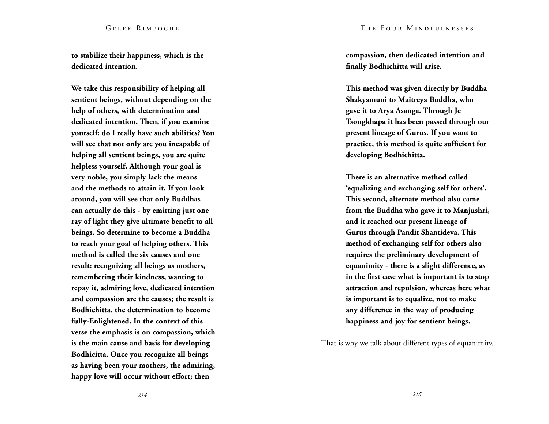**to stabilize their happiness, which is the dedicated intention.**

**We take this responsibility of helping all sentient beings, without depending on the help of others, with determination and dedicated intention. Then, if you examine yourself: do I really have such abilities? You will see that not only are you incapable of helping all sentient beings, you are quite helpless yourself. Although your goal is very noble, you simply lack the means and the methods to attain it. If you look around, you will see that only Buddhas can actually do this - by emitting just one ray of light they give ultimate benefit to all beings. So determine to become a Buddha to reach your goal of helping others. This method is called the six causes and one result: recognizing all beings as mothers, remembering their kindness, wanting to repay it, admiring love, dedicated intention and compassion are the causes; the result is Bodhichitta, the determination to become fully-Enlightened. In the context of this verse the emphasis is on compassion, which is the main cause and basis for developing Bodhicitta. Once you recognize all beings as having been your mothers, the admiring, happy love will occur without effort; then** 

**compassion, then dedicated intention and finally Bodhichitta will arise.**

**This method was given directly by Buddha Shakyamuni to Maitreya Buddha, who gave it to Arya Asanga. Through Je Tsongkhapa it has been passed through our present lineage of Gurus. If you want to practice, this method is quite sufficient for developing Bodhichitta.** 

**There is an alternative method called 'equalizing and exchanging self for others'. This second, alternate method also came from the Buddha who gave it to Manjushri, and it reached our present lineage of Gurus through Pandit Shantideva. This method of exchanging self for others also requires the preliminary development of equanimity - there is a slight difference, as in the first case what is important is to stop attraction and repulsion, whereas here what is important is to equalize, not to make any difference in the way of producing happiness and joy for sentient beings.**

That is why we talk about different types of equanimity.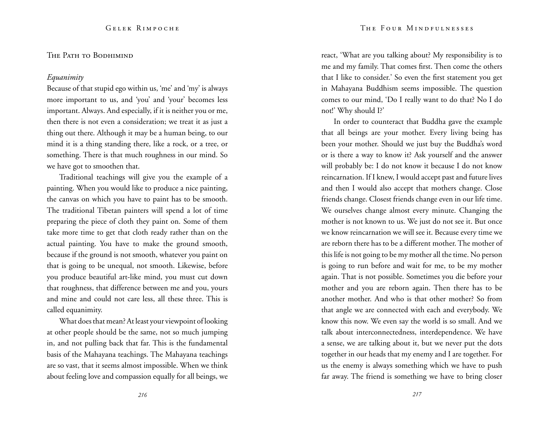## THE PATH TO BODHIMIND

## *Equanimity*

Because of that stupid ego within us, 'me' and 'my' is always more important to us, and 'you' and 'your' becomes less important. Always. And especially, if it is neither you or me, then there is not even a consideration; we treat it as just a thing out there. Although it may be a human being, to our mind it is a thing standing there, like a rock, or a tree, or something. There is that much roughness in our mind. So we have got to smoothen that.

Traditional teachings will give you the example of a painting. When you would like to produce a nice painting, the canvas on which you have to paint has to be smooth. The traditional Tibetan painters will spend a lot of time preparing the piece of cloth they paint on. Some of them take more time to get that cloth ready rather than on the actual painting. You have to make the ground smooth, because if the ground is not smooth, whatever you paint on that is going to be unequal, not smooth. Likewise, before you produce beautiful art-like mind, you must cut down that roughness, that difference between me and you, yours and mine and could not care less, all these three. This is called equanimity.

What does that mean? At least your viewpoint of looking at other people should be the same, not so much jumping in, and not pulling back that far. This is the fundamental basis of the Mahayana teachings. The Mahayana teachings are so vast, that it seems almost impossible. When we think about feeling love and compassion equally for all beings, we react, 'What are you talking about? My responsibility is to me and my family. That comes first. Then come the others that I like to consider.' So even the first statement you get in Mahayana Buddhism seems impossible. The question comes to our mind, 'Do I really want to do that? No I do not!' Why should I?'

In order to counteract that Buddha gave the example that all beings are your mother. Every living being has been your mother. Should we just buy the Buddha's word or is there a way to know it? Ask yourself and the answer will probably be: I do not know it because I do not know reincarnation. If I knew, I would accept past and future lives and then I would also accept that mothers change. Close friends change. Closest friends change even in our life time. We ourselves change almost every minute. Changing the mother is not known to us. We just do not see it. But once we know reincarnation we will see it. Because every time we are reborn there has to be a different mother. The mother of this life is not going to be my mother all the time. No person is going to run before and wait for me, to be my mother again. That is not possible. Sometimes you die before your mother and you are reborn again. Then there has to be another mother. And who is that other mother? So from that angle we are connected with each and everybody. We know this now. We even say the world is so small. And we talk about interconnectedness, interdependence. We have a sense, we are talking about it, but we never put the dots together in our heads that my enemy and I are together. For us the enemy is always something which we have to push far away. The friend is something we have to bring closer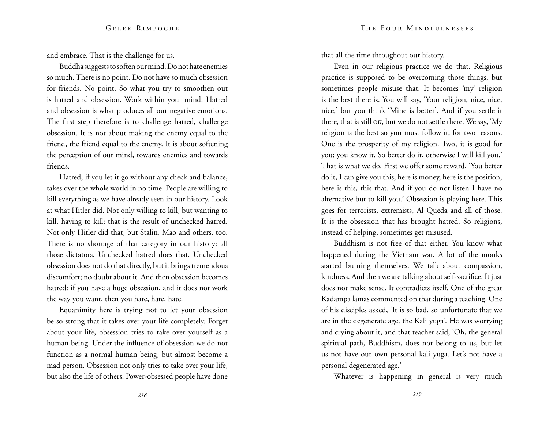and embrace. That is the challenge for us.

Buddha suggests to soften our mind. Do not hate enemies so much. There is no point. Do not have so much obsession for friends. No point. So what you try to smoothen out is hatred and obsession. Work within your mind. Hatred and obsession is what produces all our negative emotions. The first step therefore is to challenge hatred, challenge obsession. It is not about making the enemy equal to the friend, the friend equal to the enemy. It is about softening the perception of our mind, towards enemies and towards friends.

Hatred, if you let it go without any check and balance, takes over the whole world in no time. People are willing to kill everything as we have already seen in our history. Look at what Hitler did. Not only willing to kill, but wanting to kill, having to kill; that is the result of unchecked hatred. Not only Hitler did that, but Stalin, Mao and others, too. There is no shortage of that category in our history: all those dictators. Unchecked hatred does that. Unchecked obsession does not do that directly, but it brings tremendous discomfort; no doubt about it. And then obsession becomes hatred: if you have a huge obsession, and it does not work the way you want, then you hate, hate, hate.

Equanimity here is trying not to let your obsession be so strong that it takes over your life completely. Forget about your life, obsession tries to take over yourself as a human being. Under the influence of obsession we do not function as a normal human being, but almost become a mad person. Obsession not only tries to take over your life, but also the life of others. Power-obsessed people have done that all the time throughout our history.

Even in our religious practice we do that. Religious practice is supposed to be overcoming those things, but sometimes people misuse that. It becomes 'my' religion is the best there is. You will say, 'Your religion, nice, nice, nice,' but you think 'Mine is better'. And if you settle it there, that is still ok, but we do not settle there. We say, 'My religion is the best so you must follow it, for two reasons. One is the prosperity of my religion. Two, it is good for you; you know it. So better do it, otherwise I will kill you.' That is what we do. First we offer some reward, 'You better do it, I can give you this, here is money, here is the position, here is this, this that. And if you do not listen I have no alternative but to kill you.' Obsession is playing here. This goes for terrorists, extremists, Al Queda and all of those. It is the obsession that has brought hatred. So religions, instead of helping, sometimes get misused.

Buddhism is not free of that either. You know what happened during the Vietnam war. A lot of the monks started burning themselves. We talk about compassion, kindness. And then we are talking about self-sacrifice. It just does not make sense. It contradicts itself. One of the great Kadampa lamas commented on that during a teaching. One of his disciples asked, 'It is so bad, so unfortunate that we are in the degenerate age, the Kali yuga'. He was worrying and crying about it, and that teacher said, 'Oh, the general spiritual path, Buddhism, does not belong to us, but let us not have our own personal kali yuga. Let's not have a personal degenerated age.'

Whatever is happening in general is very much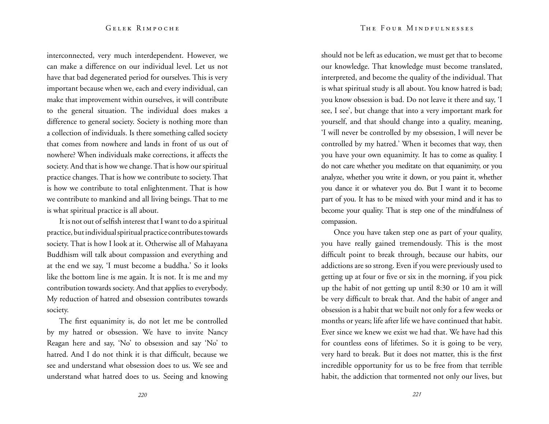interconnected, very much interdependent. However, we can make a difference on our individual level. Let us not have that bad degenerated period for ourselves. This is very important because when we, each and every individual, can make that improvement within ourselves, it will contribute to the general situation. The individual does makes a difference to general society. Society is nothing more than a collection of individuals. Is there something called society that comes from nowhere and lands in front of us out of nowhere? When individuals make corrections, it affects the society. And that is how we change. That is how our spiritual practice changes. That is how we contribute to society. That is how we contribute to total enlightenment. That is how we contribute to mankind and all living beings. That to me is what spiritual practice is all about.

It is not out of selfish interest that I want to do a spiritual practice, but individual spiritual practice contributes towards society. That is how I look at it. Otherwise all of Mahayana Buddhism will talk about compassion and everything and at the end we say, 'I must become a buddha.' So it looks like the bottom line is me again. It is not. It is me and my contribution towards society. And that applies to everybody. My reduction of hatred and obsession contributes towards society.

The first equanimity is, do not let me be controlled by my hatred or obsession. We have to invite Nancy Reagan here and say, 'No' to obsession and say 'No' to hatred. And I do not think it is that difficult, because we see and understand what obsession does to us. We see and understand what hatred does to us. Seeing and knowing should not be left as education, we must get that to become our knowledge. That knowledge must become translated, interpreted, and become the quality of the individual. That is what spiritual study is all about. You know hatred is bad; you know obsession is bad. Do not leave it there and say, 'I see, I see', but change that into a very important mark for yourself, and that should change into a quality, meaning, 'I will never be controlled by my obsession, I will never be controlled by my hatred.' When it becomes that way, then you have your own equanimity. It has to come as quality. I do not care whether you meditate on that equanimity, or you analyze, whether you write it down, or you paint it, whether you dance it or whatever you do. But I want it to become part of you. It has to be mixed with your mind and it has to become your quality. That is step one of the mindfulness of compassion.

Once you have taken step one as part of your quality, you have really gained tremendously. This is the most difficult point to break through, because our habits, our addictions are so strong. Even if you were previously used to getting up at four or five or six in the morning, if you pick up the habit of not getting up until 8:30 or 10 am it will be very difficult to break that. And the habit of anger and obsession is a habit that we built not only for a few weeks or months or years; life after life we have continued that habit. Ever since we knew we exist we had that. We have had this for countless eons of lifetimes. So it is going to be very, very hard to break. But it does not matter, this is the first incredible opportunity for us to be free from that terrible habit, the addiction that tormented not only our lives, but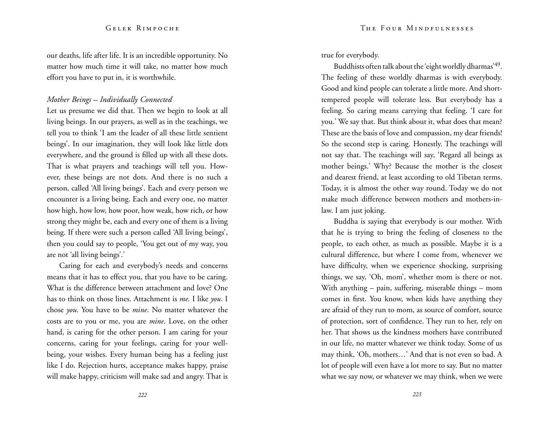our deaths, life after life. It is an incredible opportunity. No matter how much time it will take, no matter how much effort you have to put in, it is worthwhile.

## *Mother Beings – Individually Connected*

Let us presume we did that. Then we begin to look at all living beings. In our prayers, as well as in the teachings, we tell you to think 'I am the leader of all these little sentient beings'. In our imagination, they will look like little dots everywhere, and the ground is filled up with all these dots. That is what prayers and teachings will tell you. However, these beings are not dots. And there is no such a person, called 'All living beings'. Each and every person we encounter is a living being. Each and every one, no matter how high, how low, how poor, how weak, how rich, or how strong they might be, each and every one of them is a living being. If there were such a person called 'All living beings', then you could say to people, 'You get out of my way, you are not 'all living beings'.'

Caring for each and everybody's needs and concerns means that it has to effect you, that you have to be caring. What is the difference between attachment and love? One has to think on those lines. Attachment is *me*. I like *you*. I chose *you*. You have to be *mine*. No matter whatever the costs are to you or me, you are *mine*. Love, on the other hand, is caring for the other person. I am caring for your concerns, caring for your feelings, caring for your wellbeing, your wishes. Every human being has a feeling just like I do. Rejection hurts, acceptance makes happy, praise will make happy, criticism will make sad and angry. That is true for everybody.

Buddhists often talk about the 'eight worldly dharmas'49. The feeling of these worldly dharmas is with everybody. Good and kind people can tolerate a little more. And shorttempered people will tolerate less. But everybody has a feeling. So caring means carrying that feeling. 'I care for you.' We say that. But think about it, what does that mean? These are the basis of love and compassion, my dear friends! So the second step is caring. Honestly. The teachings will not say that. The teachings will say, 'Regard all beings as mother beings.' Why? Because the mother is the closest and dearest friend, at least according to old Tibetan terms. Today, it is almost the other way round. Today we do not make much difference between mothers and mothers-inlaw. I am just joking.

Buddha is saying that everybody is our mother. With that he is trying to bring the feeling of closeness to the people, to each other, as much as possible. Maybe it is a cultural difference, but where I come from, whenever we have difficulty, when we experience shocking, surprising things, we say, 'Oh, mom', whether mom is there or not. With anything – pain, suffering, miserable things – mom comes in first. You know, when kids have anything they are afraid of they run to mom, as source of comfort, source of protection, sort of confidence. They run to her, rely on her. That shows us the kindness mothers have contributed in our life, no matter whatever we think today. Some of us may think, 'Oh, mothers…' And that is not even so bad. A lot of people will even have a lot more to say. But no matter what we say now, or whatever we may think, when we were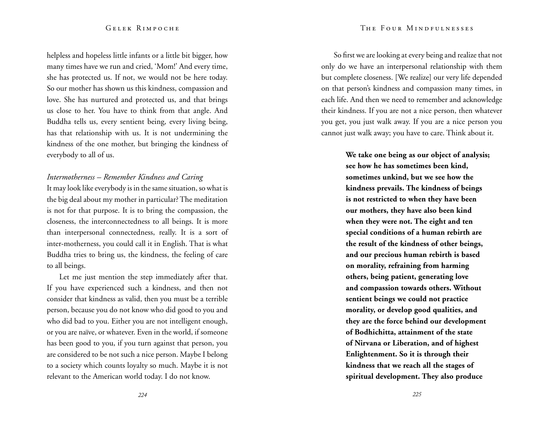helpless and hopeless little infants or a little bit bigger, how many times have we run and cried, 'Mom!' And every time, she has protected us. If not, we would not be here today. So our mother has shown us this kindness, compassion and love. She has nurtured and protected us, and that brings us close to her. You have to think from that angle. And Buddha tells us, every sentient being, every living being, has that relationship with us. It is not undermining the kindness of the one mother, but bringing the kindness of everybody to all of us.

## *Intermotherness – Remember Kindness and Caring*

It may look like everybody is in the same situation, so what is the big deal about my mother in particular? The meditation is not for that purpose. It is to bring the compassion, the closeness, the interconnectedness to all beings. It is more than interpersonal connectedness, really. It is a sort of inter-motherness, you could call it in English. That is what Buddha tries to bring us, the kindness, the feeling of care to all beings.

Let me just mention the step immediately after that. If you have experienced such a kindness, and then not consider that kindness as valid, then you must be a terrible person, because you do not know who did good to you and who did bad to you. Either you are not intelligent enough, or you are naïve, or whatever. Even in the world, if someone has been good to you, if you turn against that person, you are considered to be not such a nice person. Maybe I belong to a society which counts loyalty so much. Maybe it is not relevant to the American world today. I do not know.

So first we are looking at every being and realize that not only do we have an interpersonal relationship with them but complete closeness. [We realize] our very life depended on that person's kindness and compassion many times, in each life. And then we need to remember and acknowledge their kindness. If you are not a nice person, then whatever you get, you just walk away. If you are a nice person you cannot just walk away; you have to care. Think about it.

> **We take one being as our object of analysis; see how he has sometimes been kind, sometimes unkind, but we see how the kindness prevails. The kindness of beings is not restricted to when they have been our mothers, they have also been kind when they were not. The eight and ten special conditions of a human rebirth are the result of the kindness of other beings, and our precious human rebirth is based on morality, refraining from harming others, being patient, generating love and compassion towards others. Without sentient beings we could not practice morality, or develop good qualities, and they are the force behind our development of Bodhichitta, attainment of the state of Nirvana or Liberation, and of highest Enlightenment. So it is through their kindness that we reach all the stages of spiritual development. They also produce**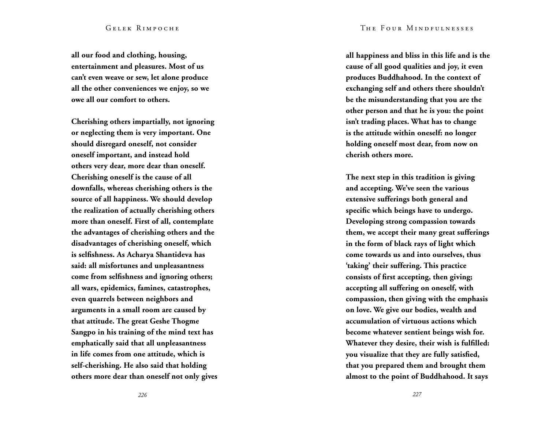**all our food and clothing, housing, entertainment and pleasures. Most of us can't even weave or sew, let alone produce all the other conveniences we enjoy, so we owe all our comfort to others.**

**Cherishing others impartially, not ignoring or neglecting them is very important. One should disregard oneself, not consider oneself important, and instead hold others very dear, more dear than oneself. Cherishing oneself is the cause of all downfalls, whereas cherishing others is the source of all happiness. We should develop the realization of actually cherishing others more than oneself. First of all, contemplate the advantages of cherishing others and the disadvantages of cherishing oneself, which is selfishness. As Acharya Shantideva has said: all misfortunes and unpleasantness come from selfishness and ignoring others; all wars, epidemics, famines, catastrophes, even quarrels between neighbors and arguments in a small room are caused by that attitude. The great Geshe Thogme Sangpo in his training of the mind text has emphatically said that all unpleasantness in life comes from one attitude, which is self-cherishing. He also said that holding others more dear than oneself not only gives**  **all happiness and bliss in this life and is the cause of all good qualities and joy, it even produces Buddhahood. In the context of exchanging self and others there shouldn't be the misunderstanding that you are the other person and that he is you: the point isn't trading places. What has to change is the attitude within oneself: no longer holding oneself most dear, from now on cherish others more.**

**The next step in this tradition is giving and accepting. We've seen the various extensive sufferings both general and specific which beings have to undergo. Developing strong compassion towards them, we accept their many great sufferings in the form of black rays of light which come towards us and into ourselves, thus 'taking' their suffering. This practice consists of first accepting, then giving; accepting all suffering on oneself, with compassion, then giving with the emphasis on love. We give our bodies, wealth and accumulation of virtuous actions which become whatever sentient beings wish for. Whatever they desire, their wish is fulfilled: you visualize that they are fully satisfied, that you prepared them and brought them almost to the point of Buddhahood. It says**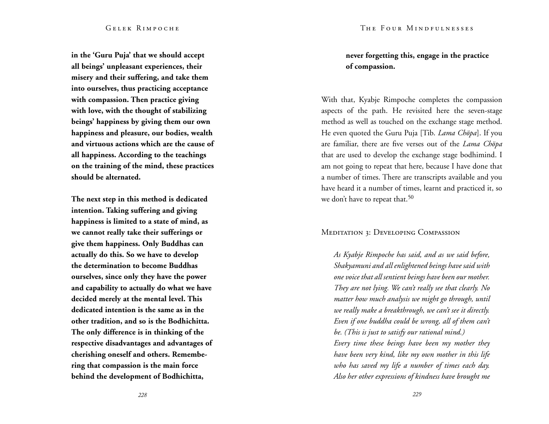**in the 'Guru Puja' that we should accept all beings' unpleasant experiences, their misery and their suffering, and take them into ourselves, thus practicing acceptance with compassion. Then practice giving with love, with the thought of stabilizing beings' happiness by giving them our own happiness and pleasure, our bodies, wealth and virtuous actions which are the cause of all happiness. According to the teachings on the training of the mind, these practices should be alternated.**

**The next step in this method is dedicated intention. Taking suffering and giving happiness is limited to a state of mind, as we cannot really take their sufferings or give them happiness. Only Buddhas can actually do this. So we have to develop the determination to become Buddhas ourselves, since only they have the power and capability to actually do what we have decided merely at the mental level. This dedicated intention is the same as in the other tradition, and so is the Bodhichitta. The only difference is in thinking of the respective disadvantages and advantages of cherishing oneself and others. Remembering that compassion is the main force behind the development of Bodhichitta,** 

## **never forgetting this, engage in the practice of compassion.**

With that, Kyabje Rimpoche completes the compassion aspects of the path. He revisited here the seven-stage method as well as touched on the exchange stage method. He even quoted the Guru Puja [Tib. *Lama Chöpa*]. If you are familiar, there are five verses out of the *Lama Chöpa* that are used to develop the exchange stage bodhimind. I am not going to repeat that here, because I have done that a number of times. There are transcripts available and you have heard it a number of times, learnt and practiced it, so we don't have to repeat that.<sup>50</sup>

## MEDITATION 3: DEVELOPING COMPASSION

*As Kyabje Rimpoche has said, and as we said before, Shakyamuni and all enlightened beings have said with one voice that all sentient beings have been our mother. They are not lying. We can't really see that clearly. No matter how much analysis we might go through, until we really make a breakthrough, we can't see it directly. Even if one buddha could be wrong, all of them can't be. (This is just to satisfy our rational mind.) Every time these beings have been my mother they have been very kind, like my own mother in this life who has saved my life a number of times each day. Also her other expressions of kindness have brought me*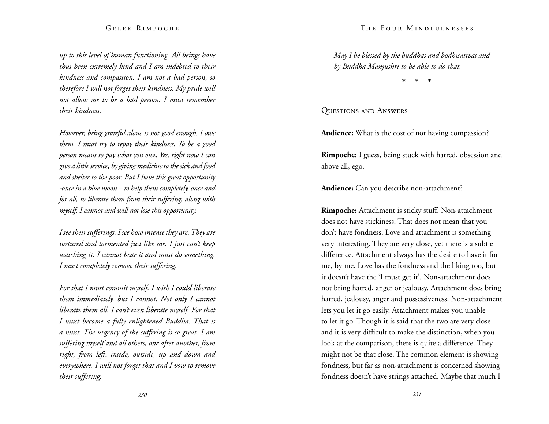*up to this level of human functioning. All beings have thus been extremely kind and I am indebted to their kindness and compassion. I am not a bad person, so therefore I will not forget their kindness. My pride will not allow me to be a bad person. I must remember their kindness.* 

*However, being grateful alone is not good enough. I owe them. I must try to repay their kindness. To be a good person means to pay what you owe. Yes, right now I can give a little service, by giving medicine to the sick and food and shelter to the poor. But I have this great opportunity -once in a blue moon – to help them completely, once and for all, to liberate them from their suffering, along with myself. I cannot and will not lose this opportunity.* 

*I see their sufferings. I see how intense they are. They are tortured and tormented just like me. I just can't keep watching it. I cannot bear it and must do something. I must completely remove their suffering.* 

*For that I must commit myself. I wish I could liberate them immediately, but I cannot. Not only I cannot liberate them all. I can't even liberate myself. For that I must become a fully enlightened Buddha. That is a must. The urgency of the suffering is so great. I am suffering myself and all others, one after another, from right, from left, inside, outside, up and down and everywhere. I will not forget that and I vow to remove their suffering.* 

*May I be blessed by the buddhas and bodhisattvas and by Buddha Manjushri to be able to do that.* 

\* \* \*

## Questions and Answers

**Audience:** What is the cost of not having compassion?

**Rimpoche:** I guess, being stuck with hatred, obsession and above all, ego.

**Audience:** Can you describe non-attachment?

**Rimpoche:** Attachment is sticky stuff. Non-attachment does not have stickiness. That does not mean that you don't have fondness. Love and attachment is something very interesting. They are very close, yet there is a subtle difference. Attachment always has the desire to have it for me, by me. Love has the fondness and the liking too, but it doesn't have the 'I must get it'. Non-attachment does not bring hatred, anger or jealousy. Attachment does bring hatred, jealousy, anger and possessiveness. Non-attachment lets you let it go easily. Attachment makes you unable to let it go. Though it is said that the two are very close and it is very difficult to make the distinction, when you look at the comparison, there is quite a difference. They might not be that close. The common element is showing fondness, but far as non-attachment is concerned showing fondness doesn't have strings attached. Maybe that much I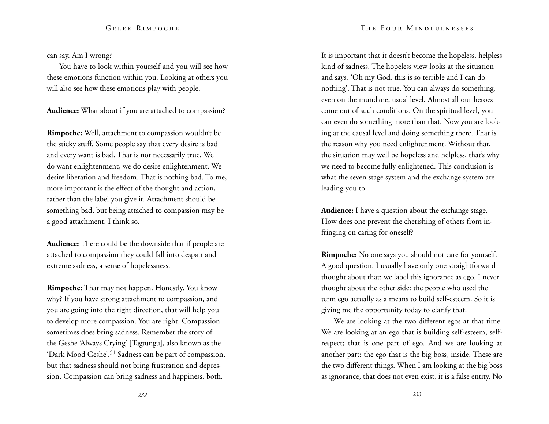can say. Am I wrong?

You have to look within yourself and you will see how these emotions function within you. Looking at others you will also see how these emotions play with people.

**Audience:** What about if you are attached to compassion?

**Rimpoche:** Well, attachment to compassion wouldn't be the sticky stuff. Some people say that every desire is bad and every want is bad. That is not necessarily true. We do want enlightenment, we do desire enlightenment. We desire liberation and freedom. That is nothing bad. To me, more important is the effect of the thought and action, rather than the label you give it. Attachment should be something bad, but being attached to compassion may be a good attachment. I think so.

**Audience:** There could be the downside that if people are attached to compassion they could fall into despair and extreme sadness, a sense of hopelessness.

**Rimpoche:** That may not happen. Honestly. You know why? If you have strong attachment to compassion, and you are going into the right direction, that will help you to develop more compassion. You are right. Compassion sometimes does bring sadness. Remember the story of the Geshe 'Always Crying' [Tagtungu], also known as the 'Dark Mood Geshe'.<sup>51</sup> Sadness can be part of compassion, but that sadness should not bring frustration and depression. Compassion can bring sadness and happiness, both.

It is important that it doesn't become the hopeless, helpless kind of sadness. The hopeless view looks at the situation and says, 'Oh my God, this is so terrible and I can do nothing'. That is not true. You can always do something, even on the mundane, usual level. Almost all our heroes come out of such conditions. On the spiritual level, you can even do something more than that. Now you are looking at the causal level and doing something there. That is the reason why you need enlightenment. Without that, the situation may well be hopeless and helpless, that's why we need to become fully enlightened. This conclusion is what the seven stage system and the exchange system are leading you to.

**Audience:** I have a question about the exchange stage. How does one prevent the cherishing of others from infringing on caring for oneself?

**Rimpoche:** No one says you should not care for yourself. A good question. I usually have only one straightforward thought about that: we label this ignorance as ego. I never thought about the other side: the people who used the term ego actually as a means to build self-esteem. So it is giving me the opportunity today to clarify that.

We are looking at the two different egos at that time. We are looking at an ego that is building self-esteem, selfrespect; that is one part of ego. And we are looking at another part: the ego that is the big boss, inside. These are the two different things. When I am looking at the big boss as ignorance, that does not even exist, it is a false entity. No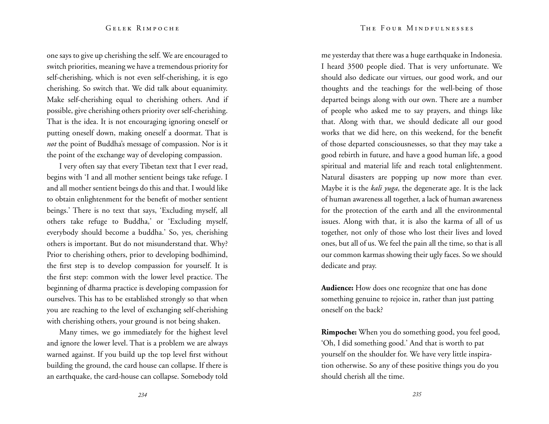one says to give up cherishing the self. We are encouraged to switch priorities, meaning we have a tremendous priority for self-cherishing, which is not even self-cherishing, it is ego cherishing. So switch that. We did talk about equanimity. Make self-cherishing equal to cherishing others. And if possible, give cherishing others priority over self-cherishing. That is the idea. It is not encouraging ignoring oneself or putting oneself down, making oneself a doormat. That is *not* the point of Buddha's message of compassion. Nor is it the point of the exchange way of developing compassion.

I very often say that every Tibetan text that I ever read, begins with 'I and all mother sentient beings take refuge. I and all mother sentient beings do this and that. I would like to obtain enlightenment for the benefit of mother sentient beings.' There is no text that says, 'Excluding myself, all others take refuge to Buddha,' or 'Excluding myself, everybody should become a buddha.' So, yes, cherishing others is important. But do not misunderstand that. Why? Prior to cherishing others, prior to developing bodhimind, the first step is to develop compassion for yourself. It is the first step: common with the lower level practice. The beginning of dharma practice is developing compassion for ourselves. This has to be established strongly so that when you are reaching to the level of exchanging self-cherishing with cherishing others, your ground is not being shaken.

Many times, we go immediately for the highest level and ignore the lower level. That is a problem we are always warned against. If you build up the top level first without building the ground, the card house can collapse. If there is an earthquake, the card-house can collapse. Somebody told

me yesterday that there was a huge earthquake in Indonesia. I heard 3500 people died. That is very unfortunate. We should also dedicate our virtues, our good work, and our thoughts and the teachings for the well-being of those departed beings along with our own. There are a number of people who asked me to say prayers, and things like that. Along with that, we should dedicate all our good works that we did here, on this weekend, for the benefit of those departed consciousnesses, so that they may take a good rebirth in future, and have a good human life, a good spiritual and material life and reach total enlightenment. Natural disasters are popping up now more than ever. Maybe it is the *kali yuga*, the degenerate age. It is the lack of human awareness all together, a lack of human awareness for the protection of the earth and all the environmental issues. Along with that, it is also the karma of all of us together, not only of those who lost their lives and loved ones, but all of us. We feel the pain all the time, so that is all our common karmas showing their ugly faces. So we should dedicate and pray.

**Audience:** How does one recognize that one has done something genuine to rejoice in, rather than just patting oneself on the back?

**Rimpoche:** When you do something good, you feel good, 'Oh, I did something good.' And that is worth to pat yourself on the shoulder for. We have very little inspiration otherwise. So any of these positive things you do you should cherish all the time.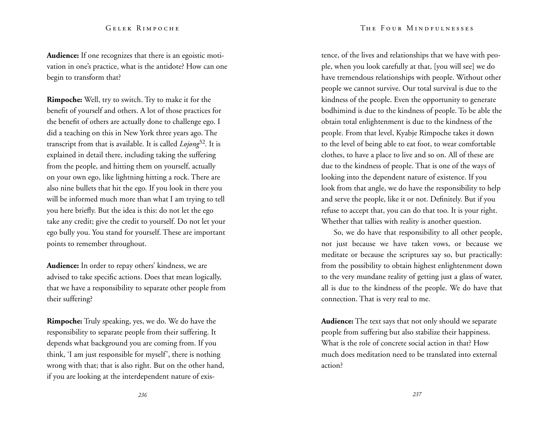**Audience:** If one recognizes that there is an egoistic motivation in one's practice, what is the antidote? How can one begin to transform that?

**Rimpoche:** Well, try to switch. Try to make it for the benefit of yourself and others. A lot of those practices for the benefit of others are actually done to challenge ego. I did a teaching on this in New York three years ago. The transcript from that is available. It is called *Lojong*52*.* It is explained in detail there, including taking the suffering from the people, and hitting them on yourself, actually on your own ego, like lightning hitting a rock. There are also nine bullets that hit the ego. If you look in there you will be informed much more than what I am trying to tell you here briefly. But the idea is this: do not let the ego take any credit; give the credit to yourself. Do not let your ego bully you. You stand for yourself. These are important points to remember throughout.

**Audience:** In order to repay others' kindness, we are advised to take specific actions. Does that mean logically, that we have a responsibility to separate other people from their suffering?

**Rimpoche:** Truly speaking, yes, we do. We do have the responsibility to separate people from their suffering. It depends what background you are coming from. If you think, 'I am just responsible for myself', there is nothing wrong with that; that is also right. But on the other hand, if you are looking at the interdependent nature of exis-

tence, of the lives and relationships that we have with people, when you look carefully at that, [you will see] we do have tremendous relationships with people. Without other people we cannot survive. Our total survival is due to the kindness of the people. Even the opportunity to generate bodhimind is due to the kindness of people. To be able the obtain total enlightenment is due to the kindness of the people. From that level, Kyabje Rimpoche takes it down to the level of being able to eat foot, to wear comfortable clothes, to have a place to live and so on. All of these are due to the kindness of people. That is one of the ways of looking into the dependent nature of existence. If you look from that angle, we do have the responsibility to help and serve the people, like it or not. Definitely. But if you refuse to accept that, you can do that too. It is your right. Whether that tallies with reality is another question.

So, we do have that responsibility to all other people, not just because we have taken vows, or because we meditate or because the scriptures say so, but practically: from the possibility to obtain highest enlightenment down to the very mundane reality of getting just a glass of water, all is due to the kindness of the people. We do have that connection. That is very real to me.

**Audience:** The text says that not only should we separate people from suffering but also stabilize their happiness. What is the role of concrete social action in that? How much does meditation need to be translated into external action?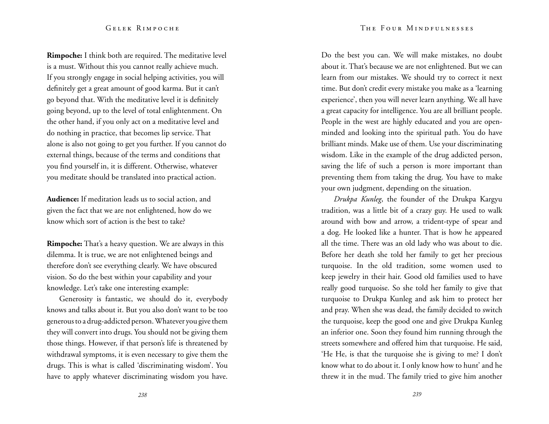**Rimpoche:** I think both are required. The meditative level is a must. Without this you cannot really achieve much. If you strongly engage in social helping activities, you will definitely get a great amount of good karma. But it can't go beyond that. With the meditative level it is definitely going beyond, up to the level of total enlightenment. On the other hand, if you only act on a meditative level and do nothing in practice, that becomes lip service. That alone is also not going to get you further. If you cannot do external things, because of the terms and conditions that you find yourself in, it is different. Otherwise, whatever you meditate should be translated into practical action.

**Audience:** If meditation leads us to social action, and given the fact that we are not enlightened, how do we know which sort of action is the best to take?

**Rimpoche:** That's a heavy question. We are always in this dilemma. It is true, we are not enlightened beings and therefore don't see everything clearly. We have obscured vision. So do the best within your capability and your knowledge. Let's take one interesting example:

Generosity is fantastic, we should do it, everybody knows and talks about it. But you also don't want to be too generous to a drug-addicted person. Whatever you give them they will convert into drugs. You should not be giving them those things. However, if that person's life is threatened by withdrawal symptoms, it is even necessary to give them the drugs. This is what is called 'discriminating wisdom'. You have to apply whatever discriminating wisdom you have.

Do the best you can. We will make mistakes, no doubt about it. That's because we are not enlightened. But we can learn from our mistakes. We should try to correct it next time. But don't credit every mistake you make as a 'learning experience', then you will never learn anything. We all have a great capacity for intelligence. You are all brilliant people. People in the west are highly educated and you are openminded and looking into the spiritual path. You do have brilliant minds. Make use of them. Use your discriminating wisdom. Like in the example of the drug addicted person, saving the life of such a person is more important than preventing them from taking the drug. You have to make your own judgment, depending on the situation.

*Drukpa Kunleg*, the founder of the Drukpa Kargyu tradition, was a little bit of a crazy guy. He used to walk around with bow and arrow, a trident-type of spear and a dog. He looked like a hunter. That is how he appeared all the time. There was an old lady who was about to die. Before her death she told her family to get her precious turquoise. In the old tradition, some women used to keep jewelry in their hair. Good old families used to have really good turquoise. So she told her family to give that turquoise to Drukpa Kunleg and ask him to protect her and pray. When she was dead, the family decided to switch the turquoise, keep the good one and give Drukpa Kunleg an inferior one. Soon they found him running through the streets somewhere and offered him that turquoise. He said, 'He He, is that the turquoise she is giving to me? I don't know what to do about it. I only know how to hunt' and he threw it in the mud. The family tried to give him another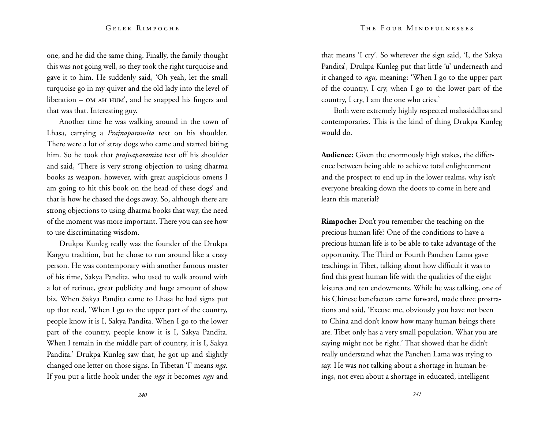one, and he did the same thing. Finally, the family thought this was not going well, so they took the right turquoise and gave it to him. He suddenly said, 'Oh yeah, let the small turquoise go in my quiver and the old lady into the level of liberation  $-$  OM AH HUM', and he snapped his fingers and that was that. Interesting guy.

Another time he was walking around in the town of Lhasa, carrying a *Prajnaparamita* text on his shoulder. There were a lot of stray dogs who came and started biting him. So he took that *prajnaparamita* text off his shoulder and said, 'There is very strong objection to using dharma books as weapon, however, with great auspicious omens I am going to hit this book on the head of these dogs' and that is how he chased the dogs away. So, although there are strong objections to using dharma books that way, the need of the moment was more important. There you can see how to use discriminating wisdom.

Drukpa Kunleg really was the founder of the Drukpa Kargyu tradition, but he chose to run around like a crazy person. He was contemporary with another famous master of his time, Sakya Pandita, who used to walk around with a lot of retinue, great publicity and huge amount of show biz. When Sakya Pandita came to Lhasa he had signs put up that read, 'When I go to the upper part of the country, people know it is I, Sakya Pandita. When I go to the lower part of the country, people know it is I, Sakya Pandita. When I remain in the middle part of country, it is I, Sakya Pandita.' Drukpa Kunleg saw that, he got up and slightly changed one letter on those signs. In Tibetan 'I' means *nga.*  If you put a little hook under the *nga* it becomes *ngu* and that means 'I cry'. So wherever the sign said, 'I, the Sakya Pandita', Drukpa Kunleg put that little 'u' underneath and it changed to *ngu,* meaning: 'When I go to the upper part of the country, I cry, when I go to the lower part of the country, I cry, I am the one who cries.'

Both were extremely highly respected mahasiddhas and contemporaries. This is the kind of thing Drukpa Kunleg would do.

**Audience:** Given the enormously high stakes, the difference between being able to achieve total enlightenment and the prospect to end up in the lower realms, why isn't everyone breaking down the doors to come in here and learn this material?

**Rimpoche:** Don't you remember the teaching on the precious human life? One of the conditions to have a precious human life is to be able to take advantage of the opportunity. The Third or Fourth Panchen Lama gave teachings in Tibet, talking about how difficult it was to find this great human life with the qualities of the eight leisures and ten endowments. While he was talking, one of his Chinese benefactors came forward, made three prostrations and said, 'Excuse me, obviously you have not been to China and don't know how many human beings there are. Tibet only has a very small population. What you are saying might not be right.' That showed that he didn't really understand what the Panchen Lama was trying to say. He was not talking about a shortage in human beings, not even about a shortage in educated, intelligent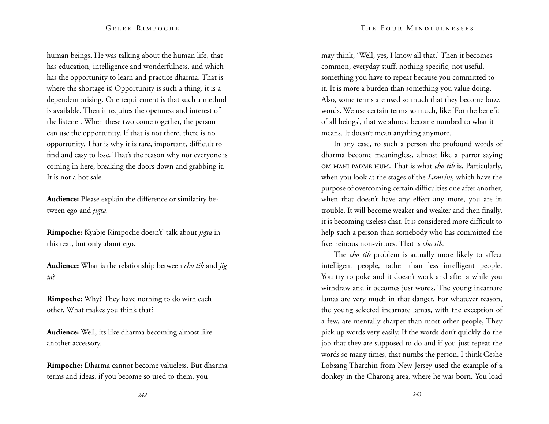human beings. He was talking about the human life, that has education, intelligence and wonderfulness, and which has the opportunity to learn and practice dharma. That is where the shortage is! Opportunity is such a thing, it is a dependent arising. One requirement is that such a method is available. Then it requires the openness and interest of the listener. When these two come together, the person can use the opportunity. If that is not there, there is no opportunity. That is why it is rare, important, difficult to find and easy to lose. That's the reason why not everyone is coming in here, breaking the doors down and grabbing it. It is not a hot sale.

**Audience:** Please explain the difference or similarity between ego and *jigta.* 

**Rimpoche:** Kyabje Rimpoche doesn't' talk about *jigta* in this text, but only about ego.

**Audience:** What is the relationship between *cho tib* and *jig ta*?

**Rimpoche:** Why? They have nothing to do with each other. What makes you think that?

**Audience:** Well, its like dharma becoming almost like another accessory.

**Rimpoche:** Dharma cannot become valueless. But dharma terms and ideas, if you become so used to them, you

may think, 'Well, yes, I know all that.' Then it becomes common, everyday stuff, nothing specific, not useful, something you have to repeat because you committed to it. It is more a burden than something you value doing. Also, some terms are used so much that they become buzz words. We use certain terms so much, like 'For the benefit of all beings', that we almost become numbed to what it means. It doesn't mean anything anymore.

In any case, to such a person the profound words of dharma become meaningless, almost like a parrot saying om mani padme hum. That is what *cho tib* is. Particularly, when you look at the stages of the *Lamrim*, which have the purpose of overcoming certain difficulties one after another, when that doesn't have any effect any more, you are in trouble. It will become weaker and weaker and then finally, it is becoming useless chat. It is considered more difficult to help such a person than somebody who has committed the five heinous non-virtues. That is *cho tib.*

The *cho tib* problem is actually more likely to affect intelligent people, rather than less intelligent people. You try to poke and it doesn't work and after a while you withdraw and it becomes just words. The young incarnate lamas are very much in that danger. For whatever reason, the young selected incarnate lamas, with the exception of a few, are mentally sharper than most other people, They pick up words very easily. If the words don't quickly do the job that they are supposed to do and if you just repeat the words so many times, that numbs the person. I think Geshe Lobsang Tharchin from New Jersey used the example of a donkey in the Charong area, where he was born. You load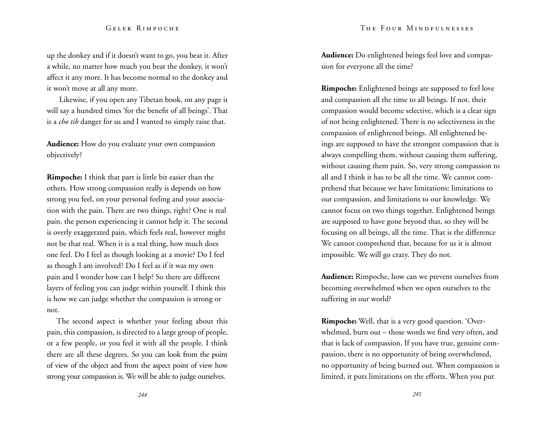up the donkey and if it doesn't want to go, you beat it. After a while, no matter how much you beat the donkey, it won't affect it any more. It has become normal to the donkey and it won't move at all any more.

Likewise, if you open any Tibetan book, on any page it will say a hundred times 'for the benefit of all beings'. That is a *cho tib* danger for us and I wanted to simply raise that.

**Audience:** How do you evaluate your own compassion objectively?

**Rimpoche:** I think that part is little bit easier than the others. How strong compassion really is depends on how strong you feel, on your personal feeling and your association with the pain. There are two things, right? One is real pain, the person experiencing it cannot help it. The second is overly exaggerated pain, which feels real, however might not be that real. When it is a real thing, how much does one feel. Do I feel as though looking at a movie? Do I feel as though I am involved? Do I feel as if it was my own pain and I wonder how can I help? So there are different layers of feeling you can judge within yourself. I think this is how we can judge whether the compassion is strong or not.

The second aspect is whether your feeling about this pain, this compassion, is directed to a large group of people, or a few people, or you feel it with all the people. I think there are all these degrees. So you can look from the point of view of the object and from the aspect point of view how strong your compassion is. We will be able to judge ourselves.

**Audience:** Do enlightened beings feel love and compassion for everyone all the time?

**Rimpoche:** Enlightened beings are supposed to feel love and compassion all the time to all beings. If not, their compassion would become selective, which is a clear sign of not being enlightened. There is no selectiveness in the compassion of enlightened beings. All enlightened beings are supposed to have the strongest compassion that is always compelling them, without causing them suffering, without causing them pain. So, very strong compassion to all and I think it has to be all the time. We cannot comprehend that because we have limitations: limitations to our compassion, and limitations to our knowledge. We cannot focus on two things together. Enlightened beings are supposed to have gone beyond that, so they will be focusing on all beings, all the time. That is the difference We cannot comprehend that, because for us it is almost impossible. We will go crazy. They do not.

**Audience:** Rimpoche, how can we prevent ourselves from becoming overwhelmed when we open ourselves to the suffering in our world?

**Rimpoche:** Well, that is a very good question. 'Overwhelmed, burn out – those words we find very often, and that is lack of compassion. If you have true, genuine compassion, there is no opportunity of being overwhelmed, no opportunity of being burned out. When compassion is limited, it puts limitations on the efforts. When you put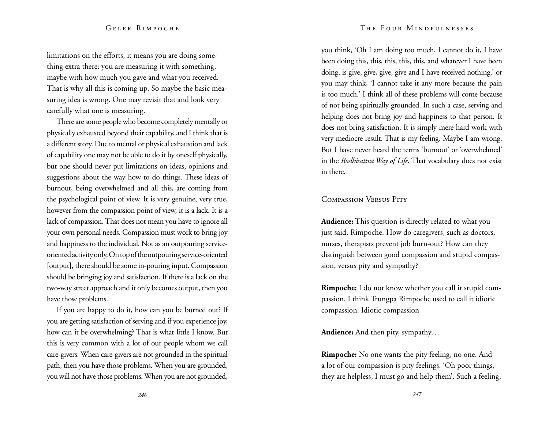#### The Four Mindfulnesses

#### Gelek Rimpoche

limitations on the efforts, it means you are doing something extra there: you are measuring it with something, maybe with how much you gave and what you received. That is why all this is coming up. So maybe the basic measuring idea is wrong. One may revisit that and look very carefully what one is measuring.

There are some people who become completely mentally or physically exhausted beyond their capability, and I think that is a different story. Due to mental or physical exhaustion and lack of capability one may not be able to do it by oneself physically, but one should never put limitations on ideas, opinions and suggestions about the way how to do things. These ideas of burnout, being overwhelmed and all this, are coming from the psychological point of view. It is very genuine, very true, however from the compassion point of view, it is a lack. It is a lack of compassion. That does not mean you have to ignore all your own personal needs. Compassion must work to bring joy and happiness to the individual. Not as an outpouring serviceoriented activity only. On top of the outpouring service-oriented [output], there should be some in-pouring input. Compassion should be bringing joy and satisfaction. If there is a lack on the two-way street approach and it only becomes output, then you have those problems.

If you are happy to do it, how can you be burned out? If you are getting satisfaction of serving and if you experience joy, how can it be overwhelming? That is what little I know. But this is very common with a lot of our people whom we call care-givers. When care-givers are not grounded in the spiritual path, then you have those problems. When you are grounded, you will not have those problems. When you are not grounded,

you think, 'Oh I am doing too much, I cannot do it, I have been doing this, this, this, this, this, and whatever I have been doing, is give, give, give, give and I have received nothing.' or you may think, 'I cannot take it any more because the pain is too much.' I think all of these problems will come because of not being spiritually grounded. In such a case, serving and helping does not bring joy and happiness to that person. It does not bring satisfaction. It is simply mere hard work with very mediocre result. That is my feeling. Maybe I am wrong. But I have never heard the terms 'burnout' or 'overwhelmed' in the *Bodhisattva Way of Life*. That vocabulary does not exist in there.

#### Compassion Versus Pity

**Audience:** This question is directly related to what you just said, Rimpoche. How do caregivers, such as doctors, nurses, therapists prevent job burn-out? How can they distinguish between good compassion and stupid compassion, versus pity and sympathy?

**Rimpoche:** I do not know whether you call it stupid compassion. I think Trungpa Rimpoche used to call it idiotic compassion. Idiotic compassion

**Audience:** And then pity, sympathy…

**Rimpoche:** No one wants the pity feeling, no one. And a lot of our compassion is pity feelings. 'Oh poor things, they are helpless, I must go and help them'. Such a feeling,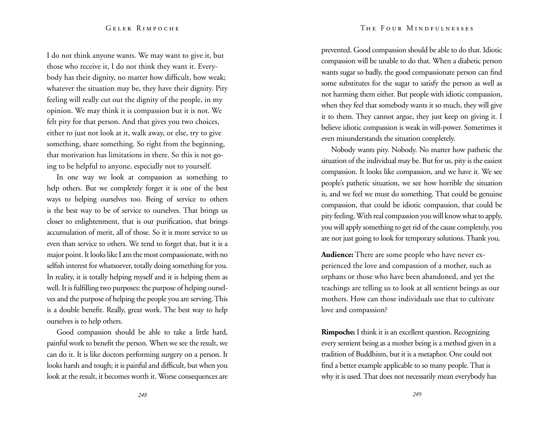I do not think anyone wants. We may want to give it, but those who receive it, I do not think they want it. Every body has their dignity, no matter how difficult, how weak; whatever the situation may be, they have their dignity. Pity feeling will really cut out the dignity of the people, in my opinion. We may think it is compassion but it is not. We felt pity for that person. And that gives you two choices, either to just not look at it, walk away, or else, try to give something, share something. So right from the beginning, that motivation has limitations in there. So this is not go ing to be helpful to anyone, especially not to yourself.

In one way we look at compassion as something to help others. But we completely forget it is one of the best ways to helping ourselves too. Being of service to others is the best way to be of service to ourselves. That brings us closer to enlightenment, that is our purification, that brings accumulation of merit, all of those. So it is more service to us even than service to others. We tend to forget that, but it is a major point. It looks like I am the most compassionate, with no selfish interest for whatsoever, totally doing something for you. In reality, it is totally helping myself and it is helping them as well. It is fulfilling two purposes: the purpose of helping oursel ves and the purpose of helping the people you are serving. This is a double benefit. Really, great work. The best way to help ourselves is to help others.

Good compassion should be able to take a little hard, painful work to benefit the person. When we see the result, we can do it. It is like doctors performing surgery on a person. It looks harsh and tough; it is painful and difficult, but when you look at the result, it becomes worth it. Worse consequences are

prevented. Good compassion should be able to do that. Idiotic compassion will be unable to do that. When a diabetic person wants sugar so badly, the good compassionate person can find some substitutes for the sugar to satisfy the person as well as not harming them either. But people with idiotic compassion, when they feel that somebody wants it so much, they will give it to them. They cannot argue, they just keep on giving it. I believe idiotic compassion is weak in will-power. Sometimes it even misunderstands the situation completely.

Nobody wants pity. Nobody. No matter how pathetic the situation of the individual may be. But for us, pity is the easiest compassion. It looks like compassion, and we have it. We see people's pathetic situation, we see how horrible the situation is, and we feel we must do something. That could be genuine compassion, that could be idiotic compassion, that could be pity feeling. With real compassion you will know what to apply, you will apply something to get rid of the cause completely, you are not just going to look for temporary solutions. Thank you.

**Audience:** There are some people who have never ex perienced the love and compassion of a mother, such as orphans or those who have been abandoned, and yet the teachings are telling us to look at all sentient beings as our mothers. How can those individuals use that to cultivate love and compassion?

**Rimpoche:** I think it is an excellent question. Recognizing every sentient being as a mother being is a method given in a tradition of Buddhism, but it is a metaphor. One could not find a better example applicable to so many people. That is why it is used. That does not necessarily mean everybody has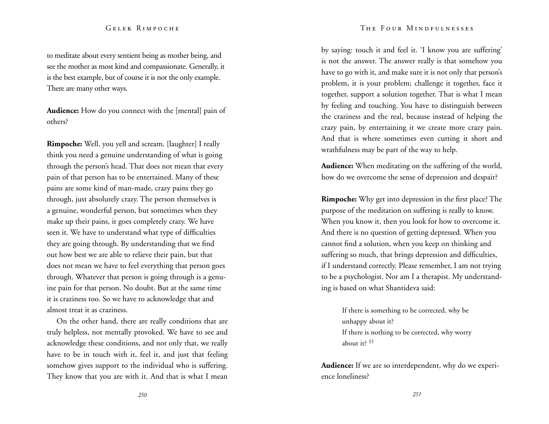to meditate about every sentient being as mother being, and see the mother as most kind and compassionate. Generally, it is the best example, but of course it is not the only example. There are many other ways.

**Audience:** How do you connect with the [mental] pain of others?

**Rimpoche:** Well, you yell and scream. [laughter] I really think you need a genuine understanding of what is going through the person's head. That does not mean that every pain of that person has to be entertained. Many of these pains are some kind of man-made, crazy pains they go through, just absolutely crazy. The person themselves is a genuine, wonderful person, but sometimes when they make up their pains, it goes completely crazy. We have seen it. We have to understand what type of difficulties they are going through. By understanding that we find out how best we are able to relieve their pain, but that does not mean we have to feel everything that person goes through. Whatever that person is going through is a genuine pain for that person. No doubt. But at the same time it is craziness too. So we have to acknowledge that and almost treat it as craziness.

On the other hand, there are really conditions that are truly helpless, not mentally provoked. We have to see and acknowledge these conditions, and not only that, we really have to be in touch with it, feel it, and just that feeling somehow gives support to the individual who is suffering. They know that you are with it. And that is what I mean

#### The Four Mindfulnesses

by saying: touch it and feel it. 'I know you are suffering' is not the answer. The answer really is that somehow you have to go with it, and make sure it is not only that person's problem, it is your problem; challenge it together, face it together, support a solution together. That is what I mean by feeling and touching. You have to distinguish between the craziness and the real, because instead of helping the crazy pain, by entertaining it we create more crazy pain. And that is where sometimes even cutting it short and wrathfulness may be part of the way to help.

**Audience:** When meditating on the suffering of the world, how do we overcome the sense of depression and despair?

**Rimpoche:** Why get into depression in the first place? The purpose of the meditation on suffering is really to know. When you know it, then you look for how to overcome it. And there is no question of getting depressed. When you cannot find a solution, when you keep on thinking and suffering so much, that brings depression and difficulties, if I understand correctly. Please remember, I am not trying to be a psychologist. Nor am I a therapist. My understanding is based on what Shantideva said:

> If there is something to be corrected, why be unhappy about it? If there is nothing to be corrected, why worry about it? <sup>53</sup>

**Audience:** If we are so interdependent, why do we experience loneliness?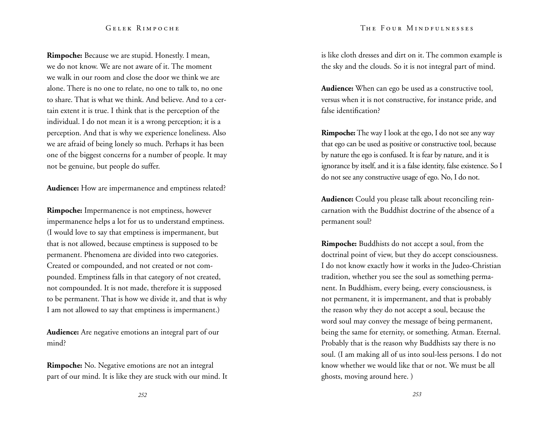#### The Four Mindfulnesses

#### Gelek Rimpoche

**Rimpoche:** Because we are stupid. Honestly. I mean, we do not know. We are not aware of it. The moment we walk in our room and close the door we think we are alone. There is no one to relate, no one to talk to, no one to share. That is what we think. And believe. And to a certain extent it is true. I think that is the perception of the individual. I do not mean it is a wrong perception; it is a perception. And that is why we experience loneliness. Also we are afraid of being lonely so much. Perhaps it has been one of the biggest concerns for a number of people. It may not be genuine, but people do suffer.

**Audience:** How are impermanence and emptiness related?

**Rimpoche:** Impermanence is not emptiness, however impermanence helps a lot for us to understand emptiness. (I would love to say that emptiness is impermanent, but that is not allowed, because emptiness is supposed to be permanent. Phenomena are divided into two categories. Created or compounded, and not created or not compounded. Emptiness falls in that category of not created, not compounded. It is not made, therefore it is supposed to be permanent. That is how we divide it, and that is why I am not allowed to say that emptiness is impermanent.)

**Audience:** Are negative emotions an integral part of our mind?

**Rimpoche:** No. Negative emotions are not an integral part of our mind. It is like they are stuck with our mind. It is like cloth dresses and dirt on it. The common example is the sky and the clouds. So it is not integral part of mind.

**Audience:** When can ego be used as a constructive tool, versus when it is not constructive, for instance pride, and false identification?

**Rimpoche:** The way I look at the ego, I do not see any way that ego can be used as positive or constructive tool, because by nature the ego is confused. It is fear by nature, and it is ignorance by itself, and it is a false identity, false existence. So I do not see any constructive usage of ego. No, I do not.

**Audience:** Could you please talk about reconciling reincarnation with the Buddhist doctrine of the absence of a permanent soul?

**Rimpoche:** Buddhists do not accept a soul, from the doctrinal point of view, but they do accept consciousness. I do not know exactly how it works in the Judeo-Christian tradition, whether you see the soul as something permanent. In Buddhism, every being, every consciousness, is not permanent, it is impermanent, and that is probably the reason why they do not accept a soul, because the word soul may convey the message of being permanent, being the same for eternity, or something. Atman. Eternal. Probably that is the reason why Buddhists say there is no soul. (I am making all of us into soul-less persons. I do not know whether we would like that or not. We must be all ghosts, moving around here. )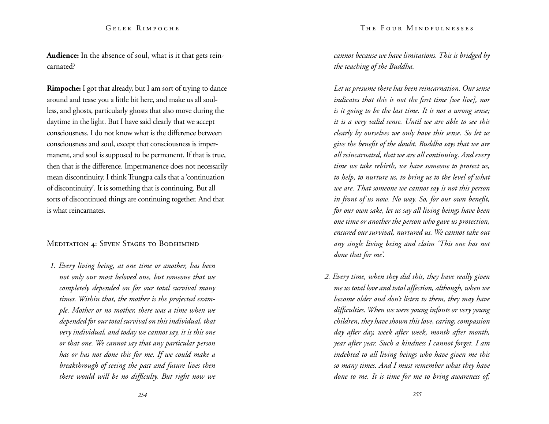**Audience:** In the absence of soul, what is it that gets reincarnated?

**Rimpoche:** I got that already, but I am sort of trying to dance around and tease you a little bit here, and make us all soulless, and ghosts, particularly ghosts that also move during the daytime in the light. But I have said clearly that we accept consciousness. I do not know what is the difference between consciousness and soul, except that consciousness is impermanent, and soul is supposed to be permanent. If that is true, then that is the difference. Impermanence does not necessarily mean discontinuity. I think Trungpa calls that a 'continuation of discontinuity'. It is something that is continuing. But all sorts of discontinued things are continuing together. And that is what reincarnates.

#### MEDITATION 4: SEVEN STAGES TO BODHIMIND

*1. Every living being, at one time or another, has been not only our most beloved one, but someone that we completely depended on for our total survival many times. Within that, the mother is the projected example. Mother or no mother, there was a time when we depended for our total survival on this individual, that very individual, and today we cannot say, it is this one or that one. We cannot say that any particular person has or has not done this for me. If we could make a breakthrough of seeing the past and future lives then there would will be no difficulty. But right now we* 

*cannot because we have limitations. This is bridged by the teaching of the Buddha.* 

*Let us presume there has been reincarnation. Our sense indicates that this is not the first time [we live], nor is it going to be the last time. It is not a wrong sense; it is a very valid sense. Until we are able to see this clearly by ourselves we only have this sense. So let us give the benefit of the doubt. Buddha says that we are all reincarnated, that we are all continuing. And every time we take rebirth, we have someone to protect us, to help, to nurture us, to bring us to the level of what we are. That someone we cannot say is not this person in front of us now. No way. So, for our own benefit, for our own sake, let us say all living beings have been one time or another the person who gave us protection, ensured our survival, nurtured us. We cannot take out any single living being and claim 'This one has not done that for me'.* 

*2. Every time, when they did this, they have really given me us total love and total affection, although, when we become older and don't listen to them, they may have difficulties. When we were young infants or very young children, they have shown this love, caring, compassion day after day, week after week, month after month, year after year. Such a kindness I cannot forget. I am indebted to all living beings who have given me this so many times. And I must remember what they have done to me. It is time for me to bring awareness of,*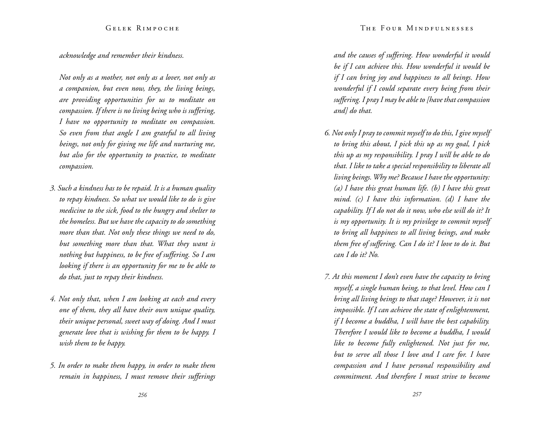## *acknowledge and remember their kindness.*

*Not only as a mother, not only as a lover, not only as a companion, but even now, they, the living beings, are providing opportunities for us to meditate on compassion. If there is no living being who is suffering, I have no opportunity to meditate on compassion. So even from that angle I am grateful to all living beings, not only for giving me life and nurturing me, but also for the opportunity to practice, to meditate compassion.* 

- *3. Such a kindness has to be repaid. It is a human quality to repay kindness. So what we would like to do is give medicine to the sick, food to the hungry and shelter to the homeless. But we have the capacity to do something more than that. Not only these things we need to do, but something more than that. What they want is nothing but happiness, to be free of suffering. So I am looking if there is an opportunity for me to be able to do that, just to repay their kindness.*
- *4. Not only that, when I am looking at each and every one of them, they all have their own unique quality, their unique personal, sweet way of doing. And I must generate love that is wishing for them to be happy. I wish them to be happy.*
- *5. In order to make them happy, in order to make them remain in happiness, I must remove their sufferings*

*and the causes of suffering. How wonderful it would be if I can achieve this. How wonderful it would be if I can bring joy and happiness to all beings. How wonderful if I could separate every being from their suffering. I pray I may be able to [have that compassion and] do that.* 

- *6. Not only I pray to commit myself to do this, I give myself to bring this about, I pick this up as my goal, I pick this up as my responsibility. I pray I will be able to do that. I like to take a special responsibility to liberate all living beings. Why me? Because I have the opportunity: (a) I have this great human life. (b) I have this great mind. (c) I have this information. (d) I have the capability. If I do not do it now, who else will do it? It is my opportunity. It is my privilege to commit myself to bring all happiness to all living beings, and make them free of suffering. Can I do it? I love to do it. But can I do it? No.*
- *7. At this moment I don't even have the capacity to bring myself, a single human being, to that level. How can I bring all living beings to that stage? However, it is not impossible. If I can achieve the state of enlightenment, if I become a buddha, I will have the best capability. Therefore I would like to become a buddha, I would like to become fully enlightened. Not just for me, but to serve all those I love and I care for. I have compassion and I have personal responsibility and commitment. And therefore I must strive to become*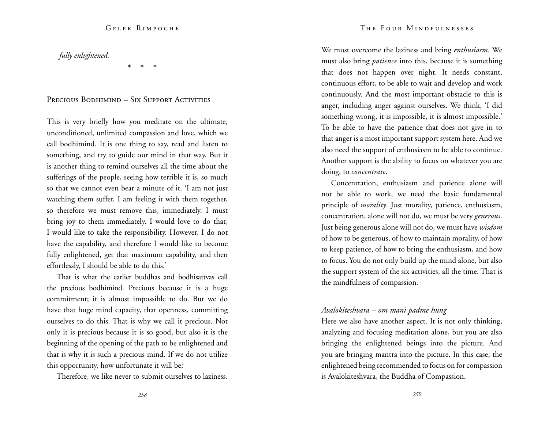*fully enlightened.* 

\* \* \*

## Precious Bodhimind – Six Support Activities

This is very briefly how you meditate on the ultimate, unconditioned, unlimited compassion and love, which we call bodhimind. It is one thing to say, read and listen to something, and try to guide our mind in that way. But it is another thing to remind ourselves all the time about the sufferings of the people, seeing how terrible it is, so much so that we cannot even bear a minute of it. 'I am not just watching them suffer, I am feeling it with them together, so therefore we must remove this, immediately. I must bring joy to them immediately. I would love to do that, I would like to take the responsibility. However, I do not have the capability, and therefore I would like to become fully enlightened, get that maximum capability, and then effortlessly, I should be able to do this.'

That is what the earlier buddhas and bodhisattvas call the precious bodhimind. Precious because it is a huge commitment; it is almost impossible to do. But we do have that huge mind capacity, that openness, committing ourselves to do this. That is why we call it precious. Not only it is precious because it is so good, but also it is the beginning of the opening of the path to be enlightened and that is why it is such a precious mind. If we do not utilize this opportunity, how unfortunate it will be?

Therefore, we like never to submit ourselves to laziness.

We must overcome the laziness and bring *enthusiasm*. We must also bring *patience* into this, because it is something that does not happen over night. It needs constant, continuous effort, to be able to wait and develop and work continuously. And the most important obstacle to this is anger, including anger against ourselves. We think, 'I did something wrong, it is impossible, it is almost impossible.' To be able to have the patience that does not give in to that anger is a most important support system here. And we also need the support of enthusiasm to be able to continue. Another support is the ability to focus on whatever you are doing, to *concentrate*.

Concentration, enthusiasm and patience alone will not be able to work, we need the basic fundamental principle of *morality*. Just morality, patience, enthusiasm, concentration, alone will not do, we must be very *generous*. Just being generous alone will not do, we must have *wisdom* of how to be generous, of how to maintain morality, of how to keep patience, of how to bring the enthusiasm, and how to focus. You do not only build up the mind alone, but also the support system of the six activities, all the time. That is the mindfulness of compassion.

## *Avalokiteshvara – om mani padme hung*

Here we also have another aspect. It is not only thinking, analyzing and focusing meditation alone, but you are also bringing the enlightened beings into the picture. And you are bringing mantra into the picture. In this case, the enlightened being recommended to focus on for compassion is Avalokiteshvara, the Buddha of Compassion.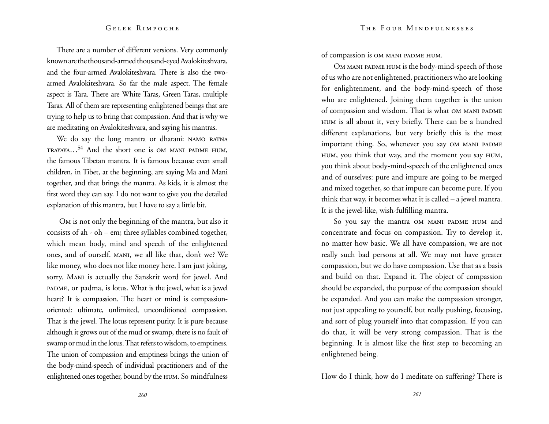There are a number of different versions. Very commonly known are the thousand-armed thousand-eyed Avalokiteshvara, and the four-armed Avalokiteshvara. There is also the twoarmed Avalokiteshvara. So far the male aspect. The female aspect is Tara. There are White Taras, Green Taras, multiple Taras. All of them are representing enlightened beings that are trying to help us to bring that compassion. And that is why we are meditating on Avalokiteshvara, and saying his mantras.

We do say the long mantra or dharani: NAMO RATNA trayaya…54 And the short one is om mani padme hum, the famous Tibetan mantra. It is famous because even small children, in Tibet, at the beginning, are saying Ma and Mani together, and that brings the mantra. As kids, it is almost the first word they can say. I do not want to give you the detailed explanation of this mantra, but I have to say a little bit.

Om is not only the beginning of the mantra, but also it consists of ah - oh – em; three syllables combined together, which mean body, mind and speech of the enlightened ones, and of ourself. mani, we all like that, don't we? We like money, who does not like money here. I am just joking, sorry. Mani is actually the Sanskrit word for jewel. And padme, or padma, is lotus. What is the jewel, what is a jewel heart? It is compassion. The heart or mind is compassionoriented: ultimate, unlimited, unconditioned compassion. That is the jewel. The lotus represent purity. It is pure because although it grows out of the mud or swamp, there is no fault of swamp or mud in the lotus. That refers to wisdom, to emptiness. The union of compassion and emptiness brings the union of the body-mind-speech of individual practitioners and of the enlightened ones together, bound by the hum. So mindfulness

of compassion is om mani padme hum.

OM MANI PADME HUM is the body-mind-speech of those of us who are not enlightened, practitioners who are looking for enlightenment, and the body-mind-speech of those who are enlightened. Joining them together is the union of compassion and wisdom. That is what OM MANI PADME hum is all about it, very briefly. There can be a hundred different explanations, but very briefly this is the most important thing. So, whenever you say OM MANI PADME hum, you think that way, and the moment you say hum, you think about body-mind-speech of the enlightened ones and of ourselves: pure and impure are going to be merged and mixed together, so that impure can become pure. If you think that way, it becomes what it is called – a jewel mantra. It is the jewel-like, wish-fulfilling mantra.

So you say the mantra OM MANI PADME HUM and concentrate and focus on compassion. Try to develop it, no matter how basic. We all have compassion, we are not really such bad persons at all. We may not have greater compassion, but we do have compassion. Use that as a basis and build on that. Expand it. The object of compassion should be expanded, the purpose of the compassion should be expanded. And you can make the compassion stronger, not just appealing to yourself, but really pushing, focusing, and sort of plug yourself into that compassion. If you can do that, it will be very strong compassion. That is the beginning. It is almost like the first step to becoming an enlightened being.

How do I think, how do I meditate on suffering? There is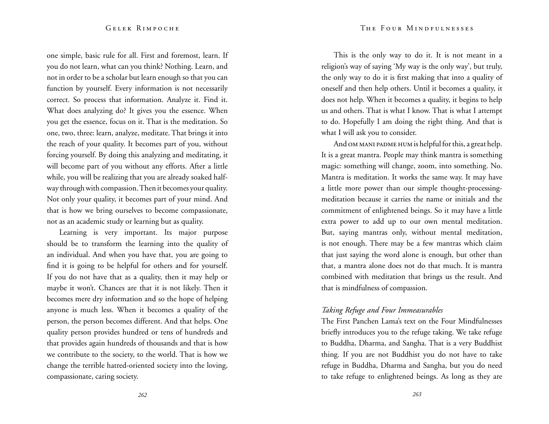one simple, basic rule for all. First and foremost, learn. If you do not learn, what can you think? Nothing. Learn, and not in order to be a scholar but learn enough so that you can function by yourself. Every information is not necessarily correct. So process that information. Analyze it. Find it. What does analyzing do? It gives you the essence. When you get the essence, focus on it. That is the meditation. So one, two, three: learn, analyze, meditate. That brings it into the reach of your quality. It becomes part of you, without forcing yourself. By doing this analyzing and meditating, it will become part of you without any efforts. After a little while, you will be realizing that you are already soaked halfway through with compassion. Then it becomes your quality. Not only your quality, it becomes part of your mind. And that is how we bring ourselves to become compassionate, not as an academic study or learning but as quality.

Learning is very important. Its major purpose should be to transform the learning into the quality of an individual. And when you have that, you are going to find it is going to be helpful for others and for yourself. If you do not have that as a quality, then it may help or maybe it won't. Chances are that it is not likely. Then it becomes mere dry information and so the hope of helping anyone is much less. When it becomes a quality of the person, the person becomes different. And that helps. One quality person provides hundred or tens of hundreds and that provides again hundreds of thousands and that is how we contribute to the society, to the world. That is how we change the terrible hatred-oriented society into the loving, compassionate, caring society.

This is the only way to do it. It is not meant in a religion's way of saying 'My way is the only way', but truly, the only way to do it is first making that into a quality of oneself and then help others. Until it becomes a quality, it does not help. When it becomes a quality, it begins to help us and others. That is what I know. That is what I attempt to do. Hopefully I am doing the right thing. And that is what I will ask you to consider.

And OM MANI PADME HUM is helpful for this, a great help. It is a great mantra. People may think mantra is something magic: something will change, zoom, into something. No. Mantra is meditation. It works the same way. It may have a little more power than our simple thought-processingmeditation because it carries the name or initials and the commitment of enlightened beings. So it may have a little extra power to add up to our own mental meditation. But, saying mantras only, without mental meditation, is not enough. There may be a few mantras which claim that just saying the word alone is enough, but other than that, a mantra alone does not do that much. It is mantra combined with meditation that brings us the result. And that is mindfulness of compassion.

## *Taking Refuge and Four Immeasurables*

The First Panchen Lama's text on the Four Mindfulnesses briefly introduces you to the refuge taking. We take refuge to Buddha, Dharma, and Sangha. That is a very Buddhist thing. If you are not Buddhist you do not have to take refuge in Buddha, Dharma and Sangha, but you do need to take refuge to enlightened beings. As long as they are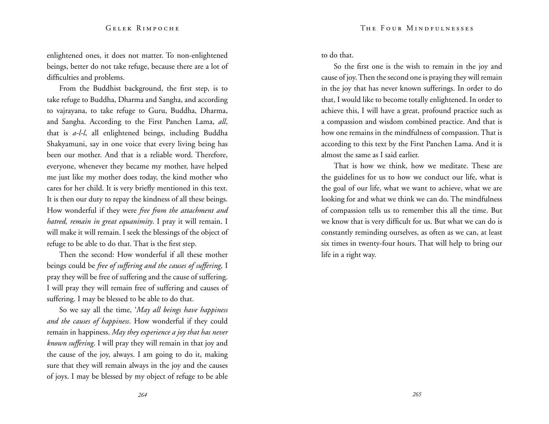enlightened ones, it does not matter. To non-enlightened beings, better do not take refuge, because there are a lot of difficulties and problems.

From the Buddhist background, the first step, is to take refuge to Buddha, Dharma and Sangha, and according to vajrayana, to take refuge to Guru, Buddha, Dharma, and Sangha. According to the First Panchen Lama, *all*, that is *a-l-l*, all enlightened beings, including Buddha Shakyamuni, say in one voice that every living being has been our mother. And that is a reliable word. Therefore, everyone, whenever they became my mother, have helped me just like my mother does today, the kind mother who cares for her child. It is very briefly mentioned in this text. It is then our duty to repay the kindness of all these beings. How wonderful if they were *free from the attachment and hatred, remain in great equanimity*. I pray it will remain. I will make it will remain. I seek the blessings of the object of refuge to be able to do that. That is the first step.

Then the second: How wonderful if all these mother beings could be *free of suffering and the causes of suffering,* I pray they will be free of suffering and the cause of suffering. I will pray they will remain free of suffering and causes of suffering. I may be blessed to be able to do that.

So we say all the time, '*May all beings have happiness and the causes of happiness*. How wonderful if they could remain in happiness. *May they experience a joy that has never known suffering*. I will pray they will remain in that joy and the cause of the joy, always. I am going to do it, making sure that they will remain always in the joy and the causes of joys. I may be blessed by my object of refuge to be able to do that.

So the first one is the wish to remain in the joy and cause of joy. Then the second one is praying they will remain in the joy that has never known sufferings. In order to do that, I would like to become totally enlightened. In order to achieve this, I will have a great, profound practice such as a compassion and wisdom combined practice. And that is how one remains in the mindfulness of compassion. That is according to this text by the First Panchen Lama. And it is almost the same as I said earlier.

That is how we think, how we meditate. These are the guidelines for us to how we conduct our life, what is the goal of our life, what we want to achieve, what we are looking for and what we think we can do. The mindfulness of compassion tells us to remember this all the time. But we know that is very difficult for us. But what we can do is constantly reminding ourselves, as often as we can, at least six times in twenty-four hours. That will help to bring our life in a right way.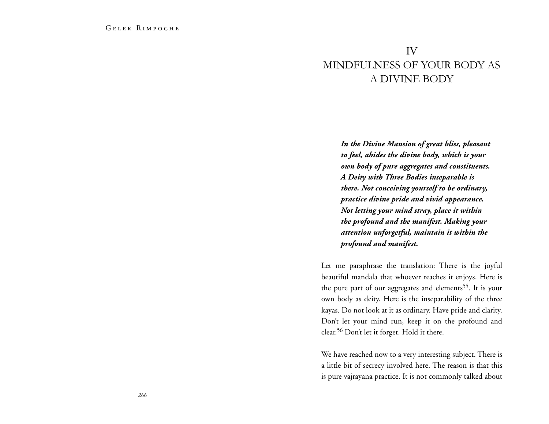# IV Mindfulness of your body as a divine body

*In the Divine Mansion of great bliss, pleasant to feel, abides the divine body, which is your own body of pure aggregates and constituents. A Deity with Three Bodies inseparable is there. Not conceiving yourself to be ordinary, practice divine pride and vivid appearance. Not letting your mind stray, place it within the profound and the manifest. Making your attention unforgetful, maintain it within the profound and manifest.*

Let me paraphrase the translation: There is the joyful beautiful mandala that whoever reaches it enjoys. Here is the pure part of our aggregates and elements<sup>55</sup>. It is your own body as deity. Here is the inseparability of the three kayas. Do not look at it as ordinary. Have pride and clarity. Don't let your mind run, keep it on the profound and clear.56 Don't let it forget. Hold it there.

We have reached now to a very interesting subject. There is a little bit of secrecy involved here. The reason is that this is pure vajrayana practice. It is not commonly talked about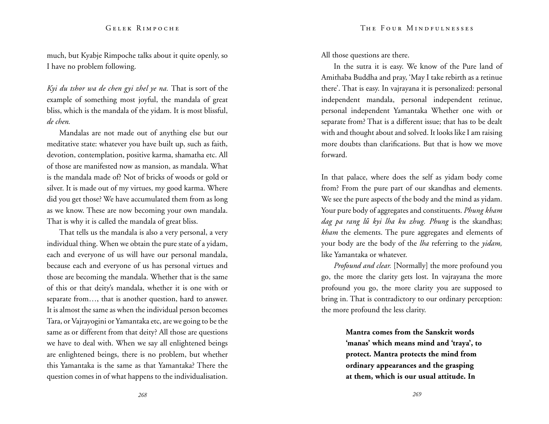much, but Kyabje Rimpoche talks about it quite openly, so I have no problem following.

*Kyi du tshor wa de chen gyi zhel ye na.* That is sort of the example of something most joyful, the mandala of great bliss, which is the mandala of the yidam. It is most blissful, *de chen.* 

Mandalas are not made out of anything else but our meditative state: whatever you have built up, such as faith, devotion, contemplation, positive karma, shamatha etc. All of those are manifested now as mansion, as mandala. What is the mandala made of? Not of bricks of woods or gold or silver. It is made out of my virtues, my good karma. Where did you get those? We have accumulated them from as long as we know. These are now becoming your own mandala. That is why it is called the mandala of great bliss.

That tells us the mandala is also a very personal, a very individual thing. When we obtain the pure state of a yidam, each and everyone of us will have our personal mandala, because each and everyone of us has personal virtues and those are becoming the mandala. Whether that is the same of this or that deity's mandala, whether it is one with or separate from…, that is another question, hard to answer. It is almost the same as when the individual person becomes Tara, or Vajrayogini or Yamantaka etc, are we going to be the same as or different from that deity? All those are questions we have to deal with. When we say all enlightened beings are enlightened beings, there is no problem, but whether this Yamantaka is the same as that Yamantaka? There the question comes in of what happens to the individualisation. All those questions are there.

In the sutra it is easy. We know of the Pure land of Amithaba Buddha and pray, 'May I take rebirth as a retinue there'. That is easy. In vajrayana it is personalized: personal independent mandala, personal independent retinue, personal independent Yamantaka Whether one with or separate from? That is a different issue; that has to be dealt with and thought about and solved. It looks like I am raising more doubts than clarifications. But that is how we move forward.

In that palace, where does the self as yidam body come from? From the pure part of our skandhas and elements. We see the pure aspects of the body and the mind as yidam. Your pure body of aggregates and constituents. *Phung kham dag pa rang lű kyi lha ku zhug. Phung* is the skandhas; *kham* the elements. The pure aggregates and elements of your body are the body of the *lha* referring to the *yidam,*  like Yamantaka or whatever.

*Profound and clear.* [Normally] the more profound you go, the more the clarity gets lost. In vajrayana the more profound you go, the more clarity you are supposed to bring in. That is contradictory to our ordinary perception: the more profound the less clarity.

> **Mantra comes from the Sanskrit words 'manas' which means mind and 'traya', to protect. Mantra protects the mind from ordinary appearances and the grasping at them, which is our usual attitude. In**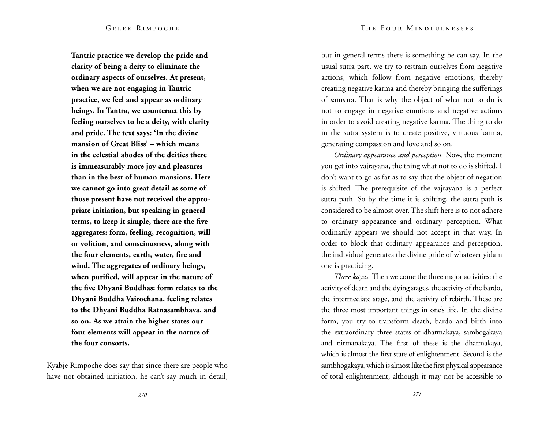**Tantric practice we develop the pride and clarity of being a deity to eliminate the ordinary aspects of ourselves. At present, when we are not engaging in Tantric practice, we feel and appear as ordinary beings. In Tantra, we counteract this by feeling ourselves to be a deity, with clarity and pride. The text says: 'In the divine mansion of Great Bliss' – which means in the celestial abodes of the deities there is immeasurably more joy and pleasures than in the best of human mansions. Here we cannot go into great detail as some of those present have not received the appropriate initiation, but speaking in general terms, to keep it simple, there are the five aggregates: form, feeling, recognition, will or volition, and consciousness, along with the four elements, earth, water, fire and wind. The aggregates of ordinary beings, when purified, will appear in the nature of the five Dhyani Buddhas: form relates to the Dhyani Buddha Vairochana, feeling relates to the Dhyani Buddha Ratnasambhava, and so on. As we attain the higher states our four elements will appear in the nature of the four consorts.**

Kyabje Rimpoche does say that since there are people who have not obtained initiation, he can't say much in detail,

but in general terms there is something he can say. In the usual sutra part, we try to restrain ourselves from negative actions, which follow from negative emotions, thereby creating negative karma and thereby bringing the sufferings of samsara. That is why the object of what not to do is not to engage in negative emotions and negative actions in order to avoid creating negative karma. The thing to do in the sutra system is to create positive, virtuous karma, generating compassion and love and so on.

*Ordinary appearance and perception.* Now, the moment you get into vajrayana, the thing what not to do is shifted. I don't want to go as far as to say that the object of negation is shifted. The prerequisite of the vajrayana is a perfect sutra path. So by the time it is shifting, the sutra path is considered to be almost over. The shift here is to not adhere to ordinary appearance and ordinary perception. What ordinarily appears we should not accept in that way. In order to block that ordinary appearance and perception, the individual generates the divine pride of whatever yidam one is practicing.

*Three kayas.* Then we come the three major activities: the activity of death and the dying stages, the activity of the bardo, the intermediate stage, and the activity of rebirth. These are the three most important things in one's life. In the divine form, you try to transform death, bardo and birth into the extraordinary three states of dharmakaya, sambogakaya and nirmanakaya. The first of these is the dharmakaya, which is almost the first state of enlightenment. Second is the sambhogakaya, which is almost like the first physical appearance of total enlightenment, although it may not be accessible to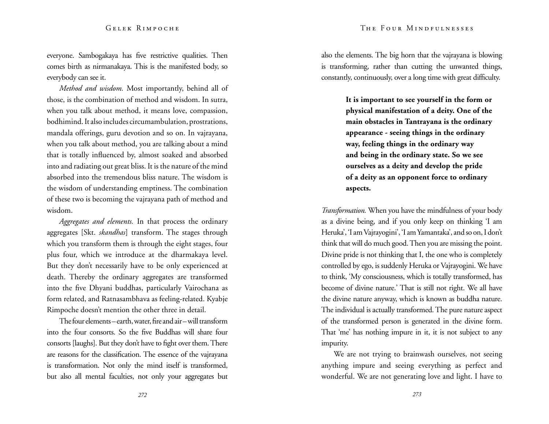everyone. Sambogakaya has five restrictive qualities. Then comes birth as nirmanakaya. This is the manifested body, so everybody can see it.

*Method and wisdom.* Most importantly, behind all of those, is the combination of method and wisdom. In sutra, when you talk about method, it means love, compassion, bodhimind. It also includes circumambulation, prostrations, mandala offerings, guru devotion and so on. In vajrayana, when you talk about method, you are talking about a mind that is totally influenced by, almost soaked and absorbed into and radiating out great bliss. It is the nature of the mind absorbed into the tremendous bliss nature. The wisdom is the wisdom of understanding emptiness. The combination of these two is becoming the vajrayana path of method and wisdom.

*Aggregates and elements.* In that process the ordinary aggregates [Skt. *skandhas*] transform. The stages through which you transform them is through the eight stages, four plus four, which we introduce at the dharmakaya level. But they don't necessarily have to be only experienced at death. Thereby the ordinary aggregates are transformed into the five Dhyani buddhas, particularly Vairochana as form related, and Ratnasambhava as feeling-related. Kyabje Rimpoche doesn't mention the other three in detail.

The four elements – earth, water, fire and air – will transform into the four consorts. So the five Buddhas will share four consorts [laughs]. But they don't have to fight over them. There are reasons for the classification. The essence of the vajrayana is transformation. Not only the mind itself is transformed, but also all mental faculties, not only your aggregates but also the elements. The big horn that the vajrayana is blowing is transforming, rather than cutting the unwanted things, constantly, continuously, over a long time with great difficulty.

> **It is important to see yourself in the form or physical manifestation of a deity. One of the main obstacles in Tantrayana is the ordinary appearance - seeing things in the ordinary way, feeling things in the ordinary way and being in the ordinary state. So we see ourselves as a deity and develop the pride of a deity as an opponent force to ordinary aspects.**

*Transformation.* When you have the mindfulness of your body as a divine being, and if you only keep on thinking 'I am Heruka', 'I am Vajrayogini', 'I am Yamantaka', and so on, I don't think that will do much good. Then you are missing the point. Divine pride is not thinking that I, the one who is completely controlled by ego, is suddenly Heruka or Vajrayogini. We have to think, 'My consciousness, which is totally transformed, has become of divine nature.' That is still not right. We all have the divine nature anyway, which is known as buddha nature. The individual is actually transformed. The pure nature aspect of the transformed person is generated in the divine form. That 'me' has nothing impure in it, it is not subject to any impurity.

We are not trying to brainwash ourselves, not seeing anything impure and seeing everything as perfect and wonderful. We are not generating love and light. I have to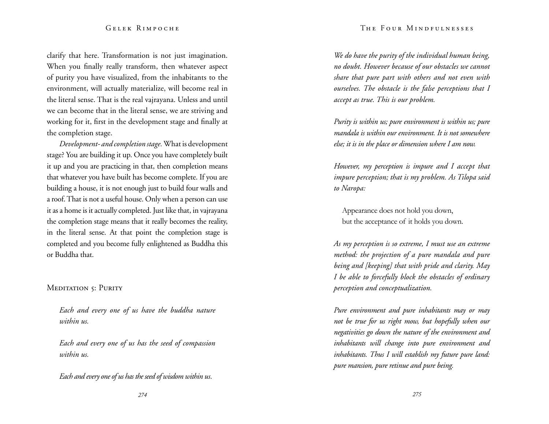#### The Four Mindfulnesses

#### Gelek Rimpoche

clarify that here. Transformation is not just imagination. When you finally really transform, then whatever aspect of purity you have visualized, from the inhabitants to the environment, will actually materialize, will become real in the literal sense. That is the real vajrayana. Unless and until we can become that in the literal sense, we are striving and working for it, first in the development stage and finally at the completion stage.

*Development- and completion stage.* What is development stage? You are building it up. Once you have completely built it up and you are practicing in that, then completion means that whatever you have built has become complete. If you are building a house, it is not enough just to build four walls and a roof. That is not a useful house. Only when a person can use it as a home is it actually completed. Just like that, in vajrayana the completion stage means that it really becomes the reality, in the literal sense. At that point the completion stage is completed and you become fully enlightened as Buddha this or Buddha that.

## MEDITATION 5: PURITY

*Each and every one of us have the buddha nature within us.* 

*Each and every one of us has the seed of compassion within us.* 

*Each and every one of us has the seed of wisdom within us.* 

*We do have the purity of the individual human being, no doubt. However because of our obstacles we cannot share that pure part with others and not even with ourselves. The obstacle is the false perceptions that I accept as true. This is our problem.* 

*Purity is within us; pure environment is within us; pure mandala is within our environment. It is not somewhere else; it is in the place or dimension where I am now.* 

*However, my perception is impure and I accept that impure perception; that is my problem. As Tilopa said to Naropa:* 

Appearance does not hold you down, but the acceptance of it holds you down.

*As my perception is so extreme, I must use an extreme method: the projection of a pure mandala and pure being and [keeping] that with pride and clarity. May I be able to forcefully block the obstacles of ordinary perception and conceptualization.* 

*Pure environment and pure inhabitants may or may not be true for us right mow, but hopefully when our negativities go down the nature of the environment and inhabitants will change into pure environment and inhabitants. Thus I will establish my future pure land: pure mansion, pure retinue and pure being.*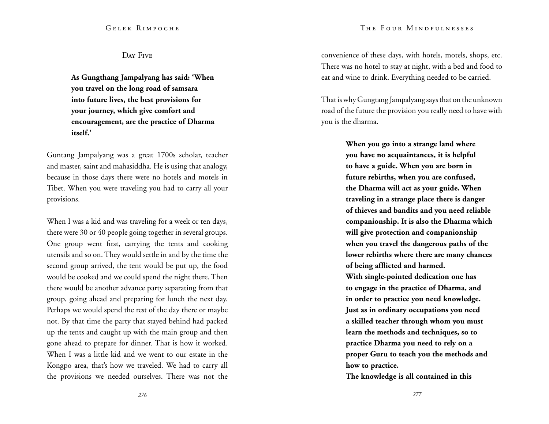## Day Five

**As Gungthang Jampalyang has said: 'When you travel on the long road of samsara into future lives, the best provisions for your journey, which give comfort and encouragement, are the practice of Dharma itself.'** 

Guntang Jampalyang was a great 1700s scholar, teacher and master, saint and mahasiddha. He is using that analogy, because in those days there were no hotels and motels in Tibet. When you were traveling you had to carry all your provisions.

When I was a kid and was traveling for a week or ten days, there were 30 or 40 people going together in several groups. One group went first, carrying the tents and cooking utensils and so on. They would settle in and by the time the second group arrived, the tent would be put up, the food would be cooked and we could spend the night there. Then there would be another advance party separating from that group, going ahead and preparing for lunch the next day. Perhaps we would spend the rest of the day there or maybe not. By that time the party that stayed behind had packed up the tents and caught up with the main group and then gone ahead to prepare for dinner. That is how it worked. When I was a little kid and we went to our estate in the Kongpo area, that's how we traveled. We had to carry all the provisions we needed ourselves. There was not the convenience of these days, with hotels, motels, shops, etc. There was no hotel to stay at night, with a bed and food to eat and wine to drink. Everything needed to be carried.

That is why Gungtang Jampalyang says that on the unknown road of the future the provision you really need to have with you is the dharma.

> **When you go into a strange land where you have no acquaintances, it is helpful to have a guide. When you are born in future rebirths, when you are confused, the Dharma will act as your guide. When traveling in a strange place there is danger of thieves and bandits and you need reliable companionship. It is also the Dharma which will give protection and companionship when you travel the dangerous paths of the lower rebirths where there are many chances of being afflicted and harmed.**

**With single-pointed dedication one has to engage in the practice of Dharma, and in order to practice you need knowledge. Just as in ordinary occupations you need a skilled teacher through whom you must learn the methods and techniques, so to practice Dharma you need to rely on a proper Guru to teach you the methods and how to practice.** 

**The knowledge is all contained in this**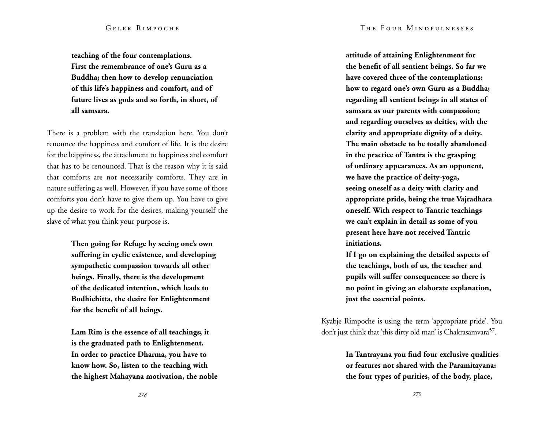**teaching of the four contemplations. First the remembrance of one's Guru as a Buddha; then how to develop renunciation of this life's happiness and comfort, and of future lives as gods and so forth, in short, of all samsara.** 

There is a problem with the translation here. You don't renounce the happiness and comfort of life. It is the desire for the happiness, the attachment to happiness and comfort that has to be renounced. That is the reason why it is said that comforts are not necessarily comforts. They are in nature suffering as well. However, if you have some of those comforts you don't have to give them up. You have to give up the desire to work for the desires, making yourself the slave of what you think your purpose is.

> **Then going for Refuge by seeing one's own suffering in cyclic existence, and developing sympathetic compassion towards all other beings. Finally, there is the development of the dedicated intention, which leads to Bodhichitta, the desire for Enlightenment for the benefit of all beings.**

**Lam Rim is the essence of all teachings; it is the graduated path to Enlightenment. In order to practice Dharma, you have to know how. So, listen to the teaching with the highest Mahayana motivation, the noble**  **attitude of attaining Enlightenment for the benefit of all sentient beings. So far we have covered three of the contemplations: how to regard one's own Guru as a Buddha; regarding all sentient beings in all states of samsara as our parents with compassion; and regarding ourselves as deities, with the clarity and appropriate dignity of a deity. The main obstacle to be totally abandoned in the practice of Tantra is the grasping of ordinary appearances. As an opponent, we have the practice of deity-yoga, seeing oneself as a deity with clarity and appropriate pride, being the true Vajradhara oneself. With respect to Tantric teachings we can't explain in detail as some of you present here have not received Tantric initiations.** 

**If I go on explaining the detailed aspects of the teachings, both of us, the teacher and pupils will suffer consequences: so there is no point in giving an elaborate explanation, just the essential points.** 

Kyabje Rimpoche is using the term 'appropriate pride'. You don't just think that 'this dirty old man' is Chakrasamvara<sup>57</sup>.

> **In Tantrayana you find four exclusive qualities or features not shared with the Paramitayana: the four types of purities, of the body, place,**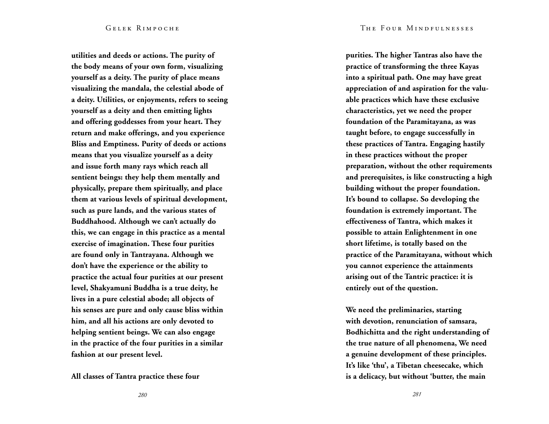**utilities and deeds or actions. The purity of the body means of your own form, visualizing yourself as a deity. The purity of place means visualizing the mandala, the celestial abode of a deity. Utilities, or enjoyments, refers to seeing yourself as a deity and then emitting lights and offering goddesses from your heart. They return and make offerings, and you experience Bliss and Emptiness. Purity of deeds or actions means that you visualize yourself as a deity and issue forth many rays which reach all sentient beings: they help them mentally and physically, prepare them spiritually, and place them at various levels of spiritual development, such as pure lands, and the various states of Buddhahood. Although we can't actually do this, we can engage in this practice as a mental exercise of imagination. These four purities are found only in Tantrayana. Although we don't have the experience or the ability to practice the actual four purities at our present level, Shakyamuni Buddha is a true deity, he lives in a pure celestial abode; all objects of his senses are pure and only cause bliss within him, and all his actions are only devoted to helping sentient beings. We can also engage in the practice of the four purities in a similar fashion at our present level.**

**All classes of Tantra practice these four** 

**purities. The higher Tantras also have the practice of transforming the three Kayas into a spiritual path. One may have great appreciation of and aspiration for the valuable practices which have these exclusive characteristics, yet we need the proper foundation of the Paramitayana, as was taught before, to engage successfully in these practices of Tantra. Engaging hastily in these practices without the proper preparation, without the other requirements and prerequisites, is like constructing a high building without the proper foundation. It's bound to collapse. So developing the foundation is extremely important. The effectiveness of Tantra, which makes it possible to attain Enlightenment in one short lifetime, is totally based on the practice of the Paramitayana, without which you cannot experience the attainments arising out of the Tantric practice: it is entirely out of the question.** 

**We need the preliminaries, starting with devotion, renunciation of samsara, Bodhichitta and the right understanding of the true nature of all phenomena, We need a genuine development of these principles. It's like 'thu', a Tibetan cheesecake, which is a delicacy, but without 'butter, the main**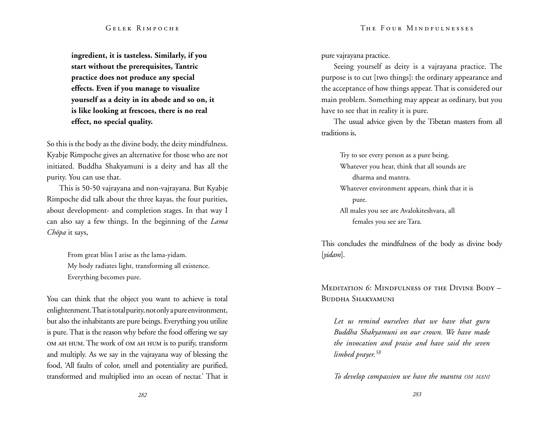**ingredient, it is tasteless. Similarly, if you start without the prerequisites, Tantric practice does not produce any special effects. Even if you manage to visualize yourself as a deity in its abode and so on, it is like looking at frescoes, there is no real effect, no special quality.** 

So this is the body as the divine body, the deity mindfulness. Kyabje Rimpoche gives an alternative for those who are not initiated. Buddha Shakyamuni is a deity and has all the purity. You can use that.

This is 50-50 vajrayana and non-vajrayana. But Kyabje Rimpoche did talk about the three kayas, the four purities, about development- and completion stages. In that way I can also say a few things. In the beginning of the *Lama Chöpa* it says,

> From great bliss I arise as the lama-yidam. My body radiates light, transforming all existence. Everything becomes pure.

You can think that the object you want to achieve is total enlightenment. That is total purity, not only a pure environment, but also the inhabitants are pure beings. Everything you utilize is pure. That is the reason why before the food offering we say om ah hum. The work of om ah hum is to purify, transform and multiply. As we say in the vajrayana way of blessing the food, 'All faults of color, smell and potentiality are purified, transformed and multiplied into an ocean of nectar.' That is pure vajrayana practice.

Seeing yourself as deity is a vajrayana practice. The purpose is to cut [two things]: the ordinary appearance and the acceptance of how things appear. That is considered our main problem. Something may appear as ordinary, but you have to see that in reality it is pure.

The usual advice given by the Tibetan masters from all traditions is,

Try to see every person as a pure being. Whatever you hear, think that all sounds are dharma and mantra. Whatever environment appears, think that it is pure. All males you see are Avalokiteshvara, all females you see are Tara.

This concludes the mindfulness of the body as divine body [*yidam*].

Meditation 6: Mindfulness of the Divine Body – Buddha Shakyamuni

*Let us remind ourselves that we have that guru Buddha Shakyamuni on our crown. We have made the invocation and praise and have said the seven limbed prayer.<sup>58</sup>*

*To develop compassion we have the mantra om mani*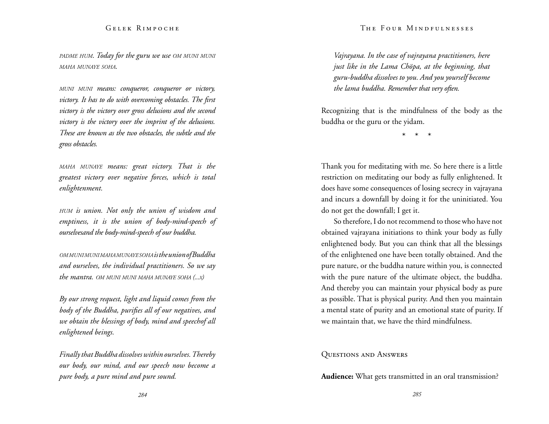#### The Four Mindfulnesses

#### Gelek Rimpoche

*padme hum. Today for the guru we use om muni muni maha munaye soha.*

*muni muni means: conqueror, conqueror or victory, victory. It has to do with overcoming obstacles. The first victory is the victory over gross delusions and the second victory is the victory over the imprint of the delusions. These are known as the two obstacles, the subtle and the gross obstacles.* 

*maha munaye means: great victory. That is the greatest victory over negative forces, which is total enlightenment.* 

*hum is union. Not only the union of wisdom and emptiness, it is the union of body-mind-speech of ourselvesand the body-mind-speech of our buddha.* 

*ommunimunimahamunayesoha is the union of Buddha and ourselves, the individual practitioners. So we say the mantra. om muni muni maha munaye soha (...x)*

*By our strong request, light and liquid comes from the body of the Buddha, purifies all of our negatives, and we obtain the blessings of body, mind and speechof all enlightened beings.*

*Finally that Buddha dissolves within ourselves. Thereby our body, our mind, and our speech now become a pure body, a pure mind and pure sound.* 

*Vajrayana. In the case of vajrayana practitioners, here just like in the Lama Chöpa, at the beginning, that guru-buddha dissolves to you. And you yourself become the lama buddha. Remember that very often.* 

Recognizing that is the mindfulness of the body as the buddha or the guru or the yidam.

\* \* \*

Thank you for meditating with me. So here there is a little restriction on meditating our body as fully enlightened. It does have some consequences of losing secrecy in vajrayana and incurs a downfall by doing it for the uninitiated. You do not get the downfall; I get it.

So therefore, I do not recommend to those who have not obtained vajrayana initiations to think your body as fully enlightened body. But you can think that all the blessings of the enlightened one have been totally obtained. And the pure nature, or the buddha nature within you, is connected with the pure nature of the ultimate object, the buddha. And thereby you can maintain your physical body as pure as possible. That is physical purity. And then you maintain a mental state of purity and an emotional state of purity. If we maintain that, we have the third mindfulness.

### Questions and Answers

**Audience:** What gets transmitted in an oral transmission?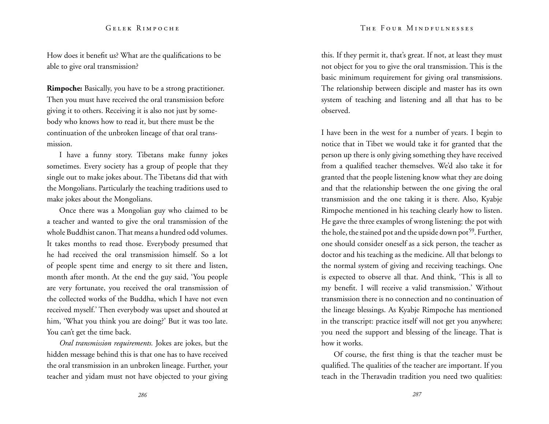How does it benefit us? What are the qualifications to be able to give oral transmission?

**Rimpoche:** Basically, you have to be a strong practitioner. Then you must have received the oral transmission before giving it to others. Receiving it is also not just by somebody who knows how to read it, but there must be the continuation of the unbroken lineage of that oral transmission.

I have a funny story. Tibetans make funny jokes sometimes. Every society has a group of people that they single out to make jokes about. The Tibetans did that with the Mongolians. Particularly the teaching traditions used to make jokes about the Mongolians.

Once there was a Mongolian guy who claimed to be a teacher and wanted to give the oral transmission of the whole Buddhist canon. That means a hundred odd volumes. It takes months to read those. Everybody presumed that he had received the oral transmission himself. So a lot of people spent time and energy to sit there and listen, month after month. At the end the guy said, 'You people are very fortunate, you received the oral transmission of the collected works of the Buddha, which I have not even received myself.' Then everybody was upset and shouted at him, 'What you think you are doing?' But it was too late. You can't get the time back.

*Oral transmission requirements.* Jokes are jokes, but the hidden message behind this is that one has to have received the oral transmission in an unbroken lineage. Further, your teacher and yidam must not have objected to your giving

this. If they permit it, that's great. If not, at least they must not object for you to give the oral transmission. This is the basic minimum requirement for giving oral transmissions. The relationship between disciple and master has its own system of teaching and listening and all that has to be observed.

I have been in the west for a number of years. I begin to notice that in Tibet we would take it for granted that the person up there is only giving something they have received from a qualified teacher themselves. We'd also take it for granted that the people listening know what they are doing and that the relationship between the one giving the oral transmission and the one taking it is there. Also, Kyabje Rimpoche mentioned in his teaching clearly how to listen. He gave the three examples of wrong listening: the pot with the hole, the stained pot and the upside down pot<sup>59</sup>. Further, one should consider oneself as a sick person, the teacher as doctor and his teaching as the medicine. All that belongs to the normal system of giving and receiving teachings. One is expected to observe all that. And think, 'This is all to my benefit. I will receive a valid transmission.' Without transmission there is no connection and no continuation of the lineage blessings. As Kyabje Rimpoche has mentioned in the transcript: practice itself will not get you anywhere; you need the support and blessing of the lineage. That is how it works.

Of course, the first thing is that the teacher must be qualified. The qualities of the teacher are important. If you teach in the Theravadin tradition you need two qualities: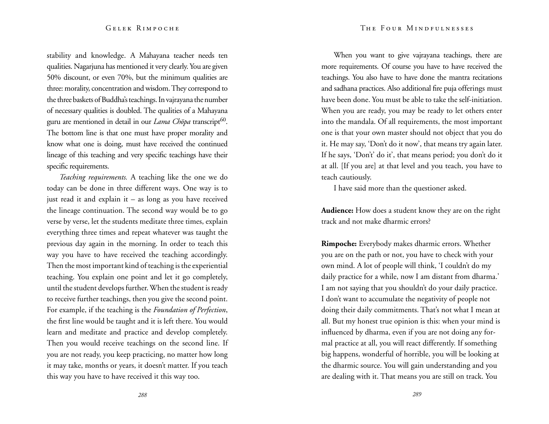stability and knowledge. A Mahayana teacher needs ten qualities. Nagarjuna has mentioned it very clearly. You are given 50% discount, or even 70%, but the minimum qualities are three: morality, concentration and wisdom. They correspond to the three baskets of Buddha's teachings. In vajrayana the number of necessary qualities is doubled. The qualities of a Mahayana guru are mentioned in detail in our *Lama Chöpa* transcript<sup>60</sup>. The bottom line is that one must have proper morality and know what one is doing, must have received the continued lineage of this teaching and very specific teachings have their specific requirements.

*Teaching requirements.* A teaching like the one we do today can be done in three different ways. One way is to just read it and explain it – as long as you have received the lineage continuation. The second way would be to go verse by verse, let the students meditate three times, explain everything three times and repeat whatever was taught the previous day again in the morning. In order to teach this way you have to have received the teaching accordingly. Then the most important kind of teaching is the experiential teaching. You explain one point and let it go completely, until the student develops further. When the student is ready to receive further teachings, then you give the second point. For example, if the teaching is the *Foundation of Perfection*, the first line would be taught and it is left there. You would learn and meditate and practice and develop completely. Then you would receive teachings on the second line. If you are not ready, you keep practicing, no matter how long it may take, months or years, it doesn't matter. If you teach this way you have to have received it this way too.

When you want to give vajrayana teachings, there are more requirements. Of course you have to have received the teachings. You also have to have done the mantra recitations and sadhana practices. Also additional fire puja offerings must have been done. You must be able to take the self-initiation. When you are ready, you may be ready to let others enter into the mandala. Of all requirements, the most important one is that your own master should not object that you do it. He may say, 'Don't do it now', that means try again later. If he says, 'Don't' do it', that means period; you don't do it at all. [If you are] at that level and you teach, you have to teach cautiously.

I have said more than the questioner asked.

**Audience:** How does a student know they are on the right track and not make dharmic errors?

**Rimpoche:** Everybody makes dharmic errors. Whether you are on the path or not, you have to check with your own mind. A lot of people will think, 'I couldn't do my daily practice for a while, now I am distant from dharma.' I am not saying that you shouldn't do your daily practice. I don't want to accumulate the negativity of people not doing their daily commitments. That's not what I mean at all. But my honest true opinion is this: when your mind is influenced by dharma, even if you are not doing any formal practice at all, you will react differently. If something big happens, wonderful of horrible, you will be looking at the dharmic source. You will gain understanding and you are dealing with it. That means you are still on track. You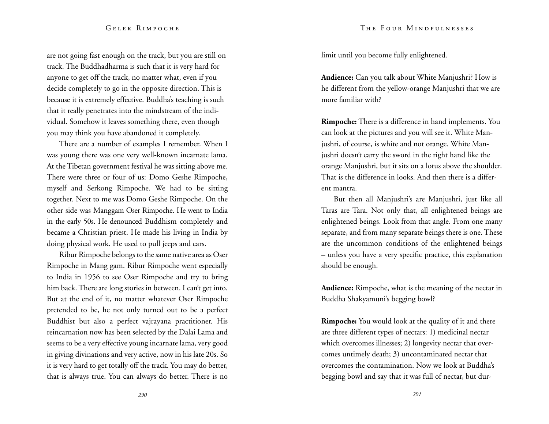are not going fast enough on the track, but you are still on track. The Buddhadharma is such that it is very hard for anyone to get off the track, no matter what, even if you decide completely to go in the opposite direction. This is because it is extremely effective. Buddha's teaching is such that it really penetrates into the mindstream of the individual. Somehow it leaves something there, even though you may think you have abandoned it completely.

There are a number of examples I remember. When I was young there was one very well-known incarnate lama. At the Tibetan government festival he was sitting above me. There were three or four of us: Domo Geshe Rimpoche, myself and Serkong Rimpoche. We had to be sitting together. Next to me was Domo Geshe Rimpoche. On the other side was Manggam Oser Rimpoche. He went to India in the early 50s. He denounced Buddhism completely and became a Christian priest. He made his living in India by doing physical work. He used to pull jeeps and cars.

Ribur Rimpoche belongs to the same native area as Oser Rimpoche in Mang gam. Ribur Rimpoche went especially to India in 1956 to see Oser Rimpoche and try to bring him back. There are long stories in between. I can't get into. But at the end of it, no matter whatever Oser Rimpoche pretended to be, he not only turned out to be a perfect Buddhist but also a perfect vajrayana practitioner. His reincarnation now has been selected by the Dalai Lama and seems to be a very effective young incarnate lama, very good in giving divinations and very active, now in his late 20s. So it is very hard to get totally off the track. You may do better, that is always true. You can always do better. There is no

limit until you become fully enlightened.

**Audience:** Can you talk about White Manjushri? How is he different from the yellow-orange Manjushri that we are more familiar with?

**Rimpoche:** There is a difference in hand implements. You can look at the pictures and you will see it. White Manjushri, of course, is white and not orange. White Manjushri doesn't carry the sword in the right hand like the orange Manjushri, but it sits on a lotus above the shoulder. That is the difference in looks. And then there is a different mantra.

But then all Manjushri's are Manjushri, just like all Taras are Tara. Not only that, all enlightened beings are enlightened beings. Look from that angle. From one many separate, and from many separate beings there is one. These are the uncommon conditions of the enlightened beings – unless you have a very specific practice, this explanation should be enough.

**Audience:** Rimpoche, what is the meaning of the nectar in Buddha Shakyamuni's begging bowl?

**Rimpoche:** You would look at the quality of it and there are three different types of nectars: 1) medicinal nectar which overcomes illnesses; 2) longevity nectar that overcomes untimely death; 3) uncontaminated nectar that overcomes the contamination. Now we look at Buddha's begging bowl and say that it was full of nectar, but dur-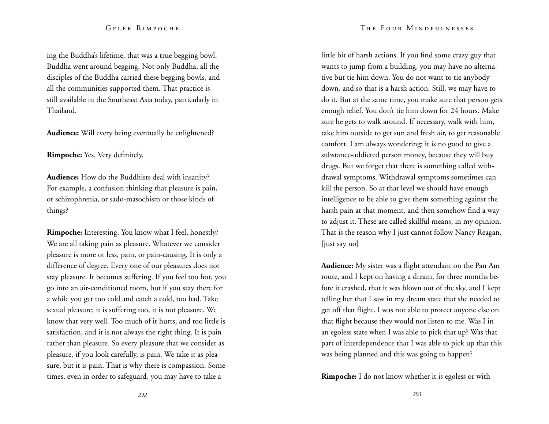#### The Four Mindfulnesses

#### Gelek Rimpoche

ing the Buddha's lifetime, that was a true begging bowl. Buddha went around begging. Not only Buddha, all the disciples of the Buddha carried these begging bowls, and all the communities supported them. That practice is still available in the Southeast Asia today, particularly in Thailand.

**Audience:** Will every being eventually be enlightened?

**Rimpoche:** Yes. Very definitely.

**Audience:** How do the Buddhists deal with insanity? For example, a confusion thinking that pleasure is pain, or schizophrenia, or sado-masochism or those kinds of things?

**Rimpoche:** Interesting. You know what I feel, honestly? We are all taking pain as pleasure. Whatever we consider pleasure is more or less, pain, or pain-causing. It is only a difference of degree. Every one of our pleasures does not stay pleasure. It becomes suffering. If you feel too hot, you go into an air-conditioned room, but if you stay there for a while you get too cold and catch a cold, too bad. Take sexual pleasure; it is suffering too, it is not pleasure. We know that very well. Too much of it hurts, and too little is satisfaction, and it is not always the right thing. It is pain rather than pleasure. So every pleasure that we consider as pleasure, if you look carefully, is pain. We take it as pleasure, but it is pain. That is why there is compassion. Sometimes, even in order to safeguard, you may have to take a

little bit of harsh actions. If you find some crazy guy that wants to jump from a building, you may have no alternative but tie him down. You do not want to tie anybody down, and so that is a harsh action. Still, we may have to do it. But at the same time, you make sure that person gets enough relief. You don't tie him down for 24 hours. Make sure he gets to walk around. If necessary, walk with him, take him outside to get sun and fresh air, to get reasonable comfort. I am always wondering: it is no good to give a substance-addicted person money, because they will buy drugs. But we forget that there is something called withdrawal symptoms. Withdrawal symptoms sometimes can kill the person. So at that level we should have enough intelligence to be able to give them something against the harsh pain at that moment, and then somehow find a way to adjust it. These are called skillful means, in my opinion. That is the reason why I just cannot follow Nancy Reagan. [just say no]

**Audience:** My sister was a flight attendant on the Pan Am route, and I kept on having a dream, for three months before it crashed, that it was blown out of the sky, and I kept telling her that I saw in my dream state that she needed to get off that flight. I was not able to protect anyone else on that flight because they would not listen to me. Was I in an egoless state when I was able to pick that up? Was that part of interdependence that I was able to pick up that this was being planned and this was going to happen?

**Rimpoche:** I do not know whether it is egoless or with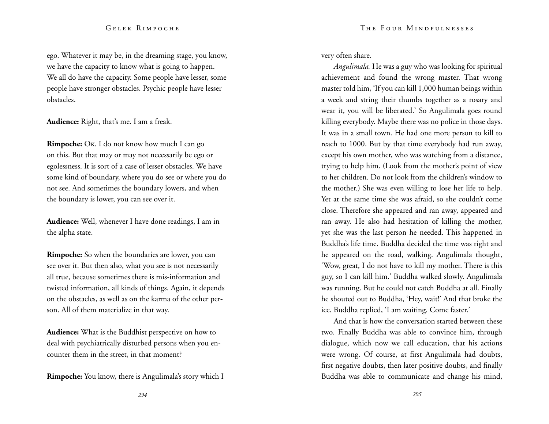ego. Whatever it may be, in the dreaming stage, you know, we have the capacity to know what is going to happen. We all do have the capacity. Some people have lesser, some people have stronger obstacles. Psychic people have lesser obstacles.

**Audience:** Right, that's me. I am a freak.

**Rimpoche:** Ok. I do not know how much I can go on this. But that may or may not necessarily be ego or egolessness. It is sort of a case of lesser obstacles. We have some kind of boundary, where you do see or where you do not see. And sometimes the boundary lowers, and when the boundary is lower, you can see over it.

**Audience:** Well, whenever I have done readings, I am in the alpha state.

**Rimpoche:** So when the boundaries are lower, you can see over it. But then also, what you see is not necessarily all true, because sometimes there is mis-information and twisted information, all kinds of things. Again, it depends on the obstacles, as well as on the karma of the other person. All of them materialize in that way.

**Audience:** What is the Buddhist perspective on how to deal with psychiatrically disturbed persons when you encounter them in the street, in that moment?

**Rimpoche:** You know, there is Angulimala's story which I

very often share.

*Angulimala.* He was a guy who was looking for spiritual achievement and found the wrong master. That wrong master told him, 'If you can kill 1,000 human beings within a week and string their thumbs together as a rosary and wear it, you will be liberated.' So Angulimala goes round killing everybody. Maybe there was no police in those days. It was in a small town. He had one more person to kill to reach to 1000. But by that time everybody had run away, except his own mother, who was watching from a distance, trying to help him. (Look from the mother's point of view to her children. Do not look from the children's window to the mother.) She was even willing to lose her life to help. Yet at the same time she was afraid, so she couldn't come close. Therefore she appeared and ran away, appeared and ran away. He also had hesitation of killing the mother, yet she was the last person he needed. This happened in Buddha's life time. Buddha decided the time was right and he appeared on the road, walking. Angulimala thought, 'Wow, great, I do not have to kill my mother. There is this guy, so I can kill him.' Buddha walked slowly. Angulimala was running. But he could not catch Buddha at all. Finally he shouted out to Buddha, 'Hey, wait!' And that broke the ice. Buddha replied, 'I am waiting. Come faster.'

And that is how the conversation started between these two. Finally Buddha was able to convince him, through dialogue, which now we call education, that his actions were wrong. Of course, at first Angulimala had doubts, first negative doubts, then later positive doubts, and finally Buddha was able to communicate and change his mind,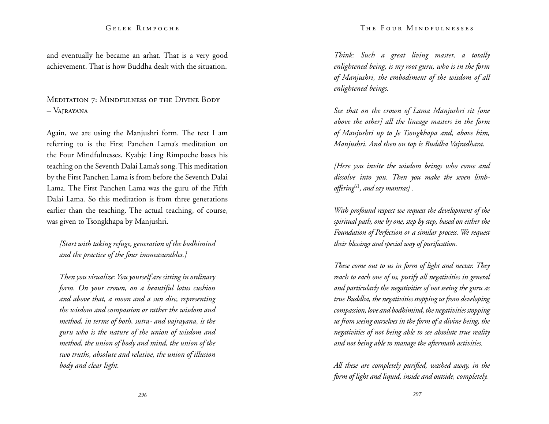and eventually he became an arhat. That is a very good achievement. That is how Buddha dealt with the situation.

MEDITATION 7: MINDFULNESS OF THE DIVINE BODY – Vajrayana

Again, we are using the Manjushri form. The text I am referring to is the First Panchen Lama's meditation on the Four Mindfulnesses. Kyabje Ling Rimpoche bases his teaching on the Seventh Dalai Lama's song. This meditation by the First Panchen Lama is from before the Seventh Dalai Lama. The First Panchen Lama was the guru of the Fifth Dalai Lama. So this meditation is from three generations earlier than the teaching. The actual teaching, of course, was given to Tsongkhapa by Manjushri.

*[Start with taking refuge, generation of the bodhimind and the practice of the four immeasurables.]* 

*Then you visualize: You yourself are sitting in ordinary form. On your crown, on a beautiful lotus cushion and above that, a moon and a sun disc, representing the wisdom and compassion or rather the wisdom and method, in terms of both, sutra- and vajrayana, is the guru who is the nature of the union of wisdom and method, the union of body and mind, the union of the two truths, absolute and relative, the union of illusion body and clear light.* 

*Think: Such a great living master, a totally enlightened being, is my root guru, who is in the form of Manjushri, the embodiment of the wisdom of all enlightened beings.* 

*See that on the crown of Lama Manjushri sit [one above the other] all the lineage masters in the form of Manjushri up to Je Tsongkhapa and, above him, Manjushri. And then on top is Buddha Vajradhara.* 

*[Here you invite the wisdom beings who come and dissolve into you. Then you make the seven limboffering*61*, and say mantras] .* 

*With profound respect we request the development of the spiritual path, one by one, step by step, based on either the Foundation of Perfection or a similar process. We request their blessings and special way of purification.* 

*These come out to us in form of light and nectar. They reach to each one of us, purify all negativities in general and particularly the negativities of not seeing the guru as true Buddha, the negativities stopping us from developing compassion, love and bodhimind, the negativities stopping us from seeing ourselves in the form of a divine being, the negativities of not being able to see absolute true reality and not being able to manage the aftermath activities.* 

*All these are completely purified, washed away, in the form of light and liquid, inside and outside, completely.*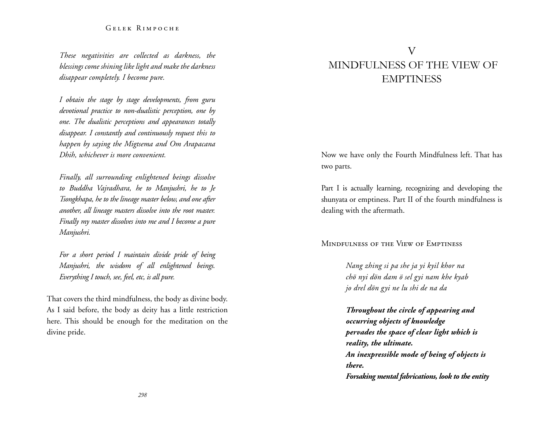*These negativities are collected as darkness, the blessings come shining like light and make the darkness disappear completely. I become pure.*

*I obtain the stage by stage developments, from guru devotional practice to non-dualistic perception, one by one. The dualistic perceptions and appearances totally disappear. I constantly and continuously request this to happen by saying the Migtsema and Om Arapacana Dhih, whichever is more convenient.*

*Finally, all surrounding enlightened beings dissolve to Buddha Vajradhara, he to Manjushri, he to Je Tsongkhapa, he to the lineage master below, and one after another, all lineage masters dissolve into the root master. Finally my master dissolves into me and I become a pure Manjushri.* 

*For a short period I maintain divide pride of being Manjushri, the wisdom of all enlightened beings. Everything I touch, see, feel, etc, is all pure.* 

That covers the third mindfulness, the body as divine body. As I said before, the body as deity has a little restriction here. This should be enough for the meditation on the divine pride.

# V Mindfulness of the view of **EMPTINESS**

Now we have only the Fourth Mindfulness left. That has two parts.

Part I is actually learning, recognizing and developing the shunyata or emptiness. Part II of the fourth mindfulness is dealing with the aftermath.

Mindfulness of the View of Emptiness

*Nang zhing si pa she ja yi kyil khor na chö nyi dön dam ö sel gyi nam khe kyab jo drel dön gyi ne lu shi de na da*

*Throughout the circle of appearing and occurring objects of knowledge pervades the space of clear light which is reality, the ultimate. An inexpressible mode of being of objects is there. Forsaking mental fabrications, look to the entity*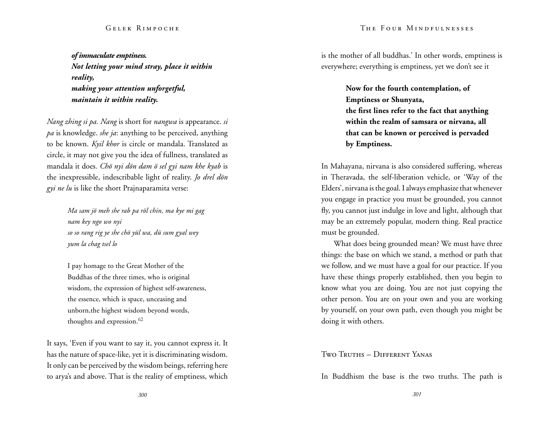*of immaculate emptiness. Not letting your mind stray, place it within reality, making your attention unforgetful, maintain it within reality.* 

*Nang zhing si pa. Nang* is short for *nangwa* is appearance. *si pa* is knowledge. *she ja*: anything to be perceived, anything to be known. *Kyil khor* is circle or mandala. Translated as circle, it may not give you the idea of fullness, translated as mandala it does. *Chö nyi dön dam ö sel gyi nam khe kyab* is the inexpressible, indescribable light of reality. *Jo drel dön gyi ne lu* is like the short Prajnaparamita verse:

> *Ma sam jö meh she rab pa röl chin, ma kye mi gag nam key ngo wo nyi so so rang rig ye she chö yül wa, dü sum gyal wey yum la chag tsel lo*

> I pay homage to the Great Mother of the Buddhas of the three times, who is original wisdom, the expression of highest self-awareness, the essence, which is space, unceasing and unborn,the highest wisdom beyond words, thoughts and expression.<sup>62</sup>

It says, 'Even if you want to say it, you cannot express it. It has the nature of space-like, yet it is discriminating wisdom. It only can be perceived by the wisdom beings, referring here to arya's and above. That is the reality of emptiness, which

#### The Four Mindfulnesses

is the mother of all buddhas.' In other words, emptiness is everywhere; everything is emptiness, yet we don't see it

> **Now for the fourth contemplation, of Emptiness or Shunyata, the first lines refer to the fact that anything within the realm of samsara or nirvana, all that can be known or perceived is pervaded by Emptiness.**

In Mahayana, nirvana is also considered suffering, whereas in Theravada, the self-liberation vehicle, or 'Way of the Elders', nirvana is the goal. I always emphasize that whenever you engage in practice you must be grounded, you cannot fly, you cannot just indulge in love and light, although that may be an extremely popular, modern thing. Real practice must be grounded.

What does being grounded mean? We must have three things: the base on which we stand, a method or path that we follow, and we must have a goal for our practice. If you have these things properly established, then you begin to know what you are doing. You are not just copying the other person. You are on your own and you are working by yourself, on your own path, even though you might be doing it with others.

#### Two Truths – Different Yanas

In Buddhism the base is the two truths. The path is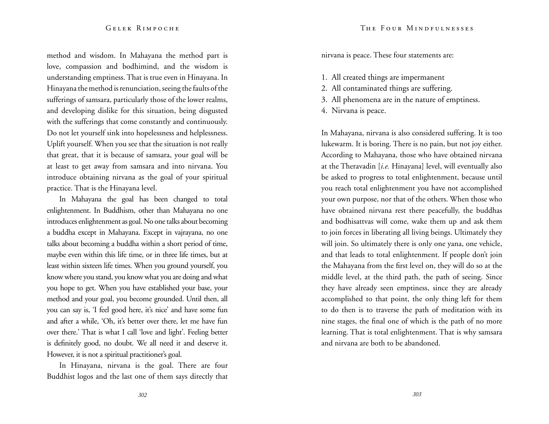method and wisdom. In Mahayana the method part is love, compassion and bodhimind, and the wisdom is understanding emptiness. That is true even in Hinayana. In Hinayana the method is renunciation, seeing the faults of the sufferings of samsara, particularly those of the lower realms, and developing dislike for this situation, being disgusted with the sufferings that come constantly and continuously. Do not let yourself sink into hopelessness and helplessness. Uplift yourself. When you see that the situation is not really that great, that it is because of samsara, your goal will be at least to get away from samsara and into nirvana. You introduce obtaining nirvana as the goal of your spiritual practice. That is the Hinayana level.

In Mahayana the goal has been changed to total enlightenment. In Buddhism, other than Mahayana no one introduces enlightenment as goal. No one talks about becoming a buddha except in Mahayana. Except in vajrayana, no one talks about becoming a buddha within a short period of time, maybe even within this life time, or in three life times, but at least within sixteen life times. When you ground yourself, you know where you stand, you know what you are doing and what you hope to get. When you have established your base, your method and your goal, you become grounded. Until then, all you can say is, 'I feel good here, it's nice' and have some fun and after a while, 'Oh, it's better over there, let me have fun over there.' That is what I call 'love and light'. Feeling better is definitely good, no doubt. We all need it and deserve it. However, it is not a spiritual practitioner's goal.

In Hinayana, nirvana is the goal. There are four Buddhist logos and the last one of them says directly that nirvana is peace. These four statements are:

- 1. All created things are impermanent
- 2. All contaminated things are suffering.
- 3. All phenomena are in the nature of emptiness.
- 4. Nirvana is peace.

In Mahayana, nirvana is also considered suffering. It is too lukewarm. It is boring. There is no pain, but not joy either. According to Mahayana, those who have obtained nirvana at the Theravadin [*i.e.* Hinayana] level, will eventually also be asked to progress to total enlightenment, because until you reach total enlightenment you have not accomplished your own purpose, nor that of the others. When those who have obtained nirvana rest there peacefully, the buddhas and bodhisattvas will come, wake them up and ask them to join forces in liberating all living beings. Ultimately they will join. So ultimately there is only one yana, one vehicle, and that leads to total enlightenment. If people don't join the Mahayana from the first level on, they will do so at the middle level, at the third path, the path of seeing. Since they have already seen emptiness, since they are already accomplished to that point, the only thing left for them to do then is to traverse the path of meditation with its nine stages, the final one of which is the path of no more learning. That is total enlightenment. That is why samsara and nirvana are both to be abandoned.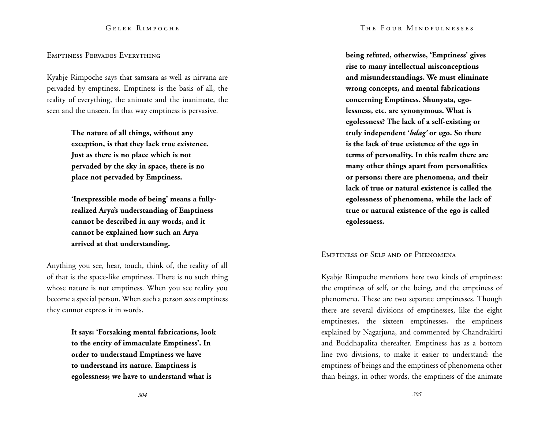#### Emptiness Pervades Everything

Kyabje Rimpoche says that samsara as well as nirvana are pervaded by emptiness. Emptiness is the basis of all, the reality of everything, the animate and the inanimate, the seen and the unseen. In that way emptiness is pervasive.

> **The nature of all things, without any exception, is that they lack true existence. Just as there is no place which is not pervaded by the sky in space, there is no place not pervaded by Emptiness.**

**'Inexpressible mode of being' means a fullyrealized Arya's understanding of Emptiness cannot be described in any words, and it cannot be explained how such an Arya arrived at that understanding.** 

Anything you see, hear, touch, think of, the reality of all of that is the space-like emptiness. There is no such thing whose nature is not emptiness. When you see reality you become a special person. When such a person sees emptiness they cannot express it in words.

> **It says: 'Forsaking mental fabrications, look to the entity of immaculate Emptiness'. In order to understand Emptiness we have to understand its nature. Emptiness is egolessness; we have to understand what is**

**being refuted, otherwise, 'Emptiness' gives rise to many intellectual misconceptions and misunderstandings. We must eliminate wrong concepts, and mental fabrications concerning Emptiness. Shunyata, egolessness, etc. are synonymous. What is egolessness? The lack of a self-existing or truly independent '***bdag'* **or ego. So there is the lack of true existence of the ego in terms of personality. In this realm there are many other things apart from personalities or persons: there are phenomena, and their lack of true or natural existence is called the egolessness of phenomena, while the lack of true or natural existence of the ego is called egolessness.** 

# Emptiness of Self and of Phenomena

Kyabje Rimpoche mentions here two kinds of emptiness: the emptiness of self, or the being, and the emptiness of phenomena. These are two separate emptinesses. Though there are several divisions of emptinesses, like the eight emptinesses, the sixteen emptinesses, the emptiness explained by Nagarjuna, and commented by Chandrakirti and Buddhapalita thereafter. Emptiness has as a bottom line two divisions, to make it easier to understand: the emptiness of beings and the emptiness of phenomena other than beings, in other words, the emptiness of the animate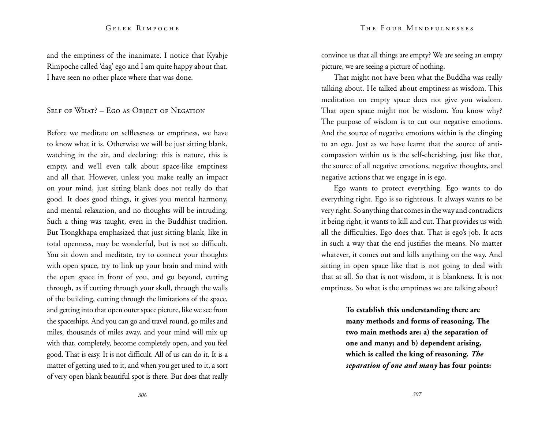#### The Four Mindfulnesses

#### Gelek Rimpoche

and the emptiness of the inanimate. I notice that Kyabje Rimpoche called 'dag' ego and I am quite happy about that. I have seen no other place where that was done.

SELF OF WHAT? – EGO AS OBJECT OF NEGATION

Before we meditate on selflessness or emptiness, we have to know what it is. Otherwise we will be just sitting blank, watching in the air, and declaring: this is nature, this is empty, and we'll even talk about space-like emptiness and all that. However, unless you make really an impact on your mind, just sitting blank does not really do that good. It does good things, it gives you mental harmony, and mental relaxation, and no thoughts will be intruding. Such a thing was taught, even in the Buddhist tradition. But Tsongkhapa emphasized that just sitting blank, like in total openness, may be wonderful, but is not so difficult. You sit down and meditate, try to connect your thoughts with open space, try to link up your brain and mind with the open space in front of you, and go beyond, cutting through, as if cutting through your skull, through the walls of the building, cutting through the limitations of the space, and getting into that open outer space picture, like we see from the spaceships. And you can go and travel round, go miles and miles, thousands of miles away, and your mind will mix up with that, completely, become completely open, and you feel good. That is easy. It is not difficult. All of us can do it. It is a matter of getting used to it, and when you get used to it, a sort of very open blank beautiful spot is there. But does that really convince us that all things are empty? We are seeing an empty picture, we are seeing a picture of nothing.

That might not have been what the Buddha was really talking about. He talked about emptiness as wisdom. This meditation on empty space does not give you wisdom. That open space might not be wisdom. You know why? The purpose of wisdom is to cut our negative emotions. And the source of negative emotions within is the clinging to an ego. Just as we have learnt that the source of anticompassion within us is the self-cherishing, just like that, the source of all negative emotions, negative thoughts, and negative actions that we engage in is ego.

Ego wants to protect everything. Ego wants to do everything right. Ego is so righteous. It always wants to be very right. So anything that comes in the way and contradicts it being right, it wants to kill and cut. That provides us with all the difficulties. Ego does that. That is ego's job. It acts in such a way that the end justifies the means. No matter whatever, it comes out and kills anything on the way. And sitting in open space like that is not going to deal with that at all. So that is not wisdom, it is blankness. It is not emptiness. So what is the emptiness we are talking about?

> **To establish this understanding there are many methods and forms of reasoning. The two main methods are: a) the separation of one and many; and b) dependent arising, which is called the king of reasoning.** *The separation of one and many* **has four points:**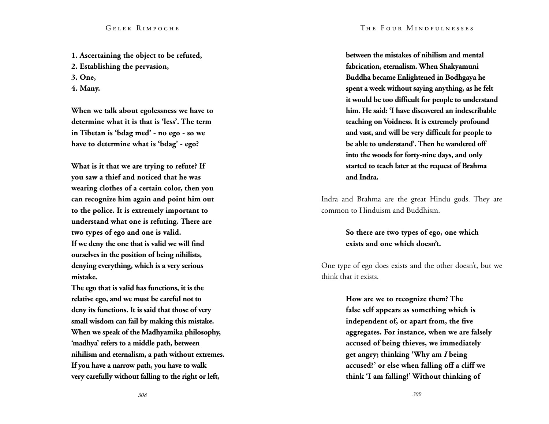**1. Ascertaining the object to be refuted, 2. Establishing the pervasion, 3. One, 4. Many.** 

**When we talk about egolessness we have to determine what it is that is 'less'. The term in Tibetan is 'bdag med' - no ego - so we have to determine what is 'bdag' - ego?** 

**What is it that we are trying to refute? If you saw a thief and noticed that he was wearing clothes of a certain color, then you can recognize him again and point him out to the police. It is extremely important to understand what one is refuting. There are two types of ego and one is valid. If we deny the one that is valid we will find ourselves in the position of being nihilists, denying everything, which is a very serious mistake.** 

**The ego that is valid has functions, it is the relative ego, and we must be careful not to deny its functions. It is said that those of very small wisdom can fail by making this mistake. When we speak of the Madhyamika philosophy, 'madhya' refers to a middle path, between nihilism and eternalism, a path without extremes. If you have a narrow path, you have to walk very carefully without falling to the right or left,** 

**between the mistakes of nihilism and mental fabrication, eternalism. When Shakyamuni Buddha became Enlightened in Bodhgaya he spent a week without saying anything, as he felt it would be too difficult for people to understand him. He said: 'I have discovered an indescribable teaching on Voidness. It is extremely profound and vast, and will be very difficult for people to be able to understand'. Then he wandered off into the woods for forty-nine days, and only started to teach later at the request of Brahma and Indra.** 

Indra and Brahma are the great Hindu gods. They are common to Hinduism and Buddhism.

# **So there are two types of ego, one which exists and one which doesn't.**

One type of ego does exists and the other doesn't, but we think that it exists.

> **How are we to recognize them? The false self appears as something which is independent of, or apart from, the five aggregates. For instance, when we are falsely accused of being thieves, we immediately get angry; thinking 'Why am** *I* **being accused?' or else when falling off a cliff we think 'I am falling!' Without thinking of**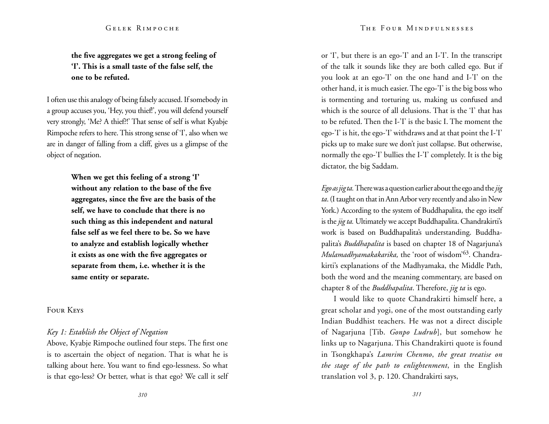# **the five aggregates we get a strong feeling of 'I'. This is a small taste of the false self, the one to be refuted.**

I often use this analogy of being falsely accused. If somebody in a group accuses you, 'Hey, you thief!', you will defend yourself very strongly, 'Me? A thief?!' That sense of self is what Kyabje Rimpoche refers to here. This strong sense of 'I', also when we are in danger of falling from a cliff, gives us a glimpse of the object of negation.

> **When we get this feeling of a strong 'I' without any relation to the base of the five aggregates, since the five are the basis of the self, we have to conclude that there is no such thing as this independent and natural false self as we feel there to be. So we have to analyze and establish logically whether it exists as one with the five aggregates or separate from them, i.e. whether it is the same entity or separate.**

Four Keys

# *Key 1: Establish the Object of Negation*

Above, Kyabje Rimpoche outlined four steps. The first one is to ascertain the object of negation. That is what he is talking about here. You want to find ego-lessness. So what is that ego-less? Or better, what is that ego? We call it self

or 'I', but there is an ego-'I' and an I-'I'. In the transcript of the talk it sounds like they are both called ego. But if you look at an ego-'I' on the one hand and I-'I' on the other hand, it is much easier. The ego-'I' is the big boss who is tormenting and torturing us, making us confused and which is the source of all delusions. That is the 'I' that has to be refuted. Then the I-'I' is the basic I. The moment the ego-'I' is hit, the ego-'I' withdraws and at that point the I-'I' picks up to make sure we don't just collapse. But otherwise, normally the ego-'I' bullies the I-'I' completely. It is the big dictator, the big Saddam.

*Ego as jig ta.* There was a question earlier about the ego and the *jig ta*. (I taught on that in Ann Arbor very recently and also in New York.) According to the system of Buddhapalita, the ego itself is the *jig ta.* Ultimately we accept Buddhapalita. Chandrakirti's work is based on Buddhapalita's understanding. Buddhapalita's *Buddhapalita* is based on chapter 18 of Nagarjuna's *Mulamadhyamakakarika,* the 'root of wisdom'63. Chandrakirti's explanations of the Madhyamaka, the Middle Path, both the word and the meaning commentary, are based on chapter 8 of the *Buddhapalita*. Therefore, *jig ta* is ego.

I would like to quote Chandrakirti himself here, a great scholar and yogi, one of the most outstanding early Indian Buddhist teachers. He was not a direct disciple of Nagarjuna [Tib. *Gonpo Ludrub*], but somehow he links up to Nagarjuna. This Chandrakirti quote is found in Tsongkhapa's *Lamrim Chenmo*, *the great treatise on the stage of the path to enlightenment*, in the English translation vol 3, p. 120. Chandrakirti says,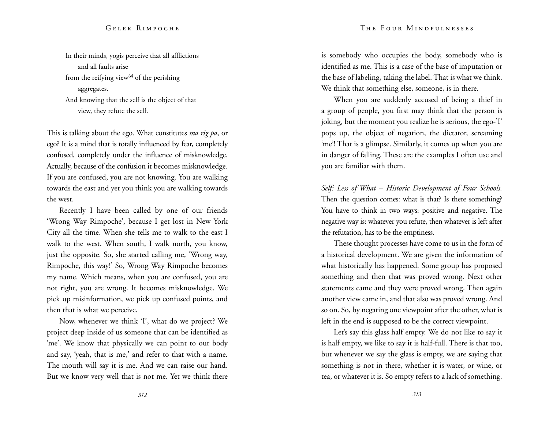In their minds, yogis perceive that all afflictions and all faults arise from the reifying view $^{64}$  of the perishing aggregates. And knowing that the self is the object of that view, they refute the self.

This is talking about the ego. What constitutes *ma rig pa*, or ego? It is a mind that is totally influenced by fear, completely confused, completely under the influence of misknowledge. Actually, because of the confusion it becomes misknowledge. If you are confused, you are not knowing. You are walking towards the east and yet you think you are walking towards the west.

Recently I have been called by one of our friends 'Wrong Way Rimpoche', because I get lost in New York City all the time. When she tells me to walk to the east I walk to the west. When south, I walk north, you know, just the opposite. So, she started calling me, 'Wrong way, Rimpoche, this way!' So, Wrong Way Rimpoche becomes my name. Which means, when you are confused, you are not right, you are wrong. It becomes misknowledge. We pick up misinformation, we pick up confused points, and then that is what we perceive.

Now, whenever we think 'I', what do we project? We project deep inside of us someone that can be identified as 'me'. We know that physically we can point to our body and say, 'yeah, that is me,' and refer to that with a name. The mouth will say it is me. And we can raise our hand. But we know very well that is not me. Yet we think there is somebody who occupies the body, somebody who is identified as me. This is a case of the base of imputation or the base of labeling, taking the label. That is what we think. We think that something else, someone, is in there.

When you are suddenly accused of being a thief in a group of people, you first may think that the person is joking, but the moment you realize he is serious, the ego-'I' pops up, the object of negation, the dictator, screaming 'me'! That is a glimpse. Similarly, it comes up when you are in danger of falling. These are the examples I often use and you are familiar with them.

*Self: Less of What – Historic Development of Four Schools.*  Then the question comes: what is that? Is there something? You have to think in two ways: positive and negative. The negative way is: whatever you refute, then whatever is left after the refutation, has to be the emptiness.

These thought processes have come to us in the form of a historical development. We are given the information of what historically has happened. Some group has proposed something and then that was proved wrong. Next other statements came and they were proved wrong. Then again another view came in, and that also was proved wrong. And so on. So, by negating one viewpoint after the other, what is left in the end is supposed to be the correct viewpoint.

Let's say this glass half empty. We do not like to say it is half empty, we like to say it is half-full. There is that too, but whenever we say the glass is empty, we are saying that something is not in there, whether it is water, or wine, or tea, or whatever it is. So empty refers to a lack of something.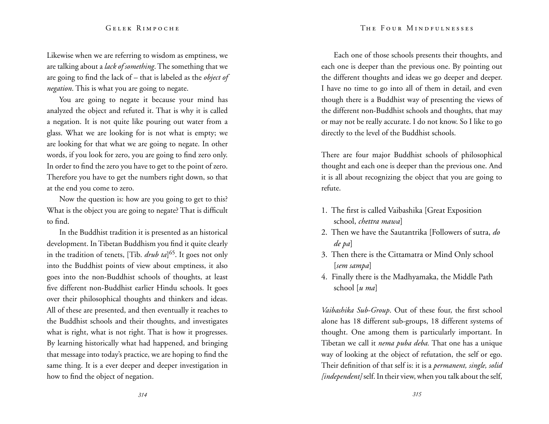Likewise when we are referring to wisdom as emptiness, we are talking about a *lack of something*. The something that we are going to find the lack of – that is labeled as the *object of negation*. This is what you are going to negate.

You are going to negate it because your mind has analyzed the object and refuted it. That is why it is called a negation. It is not quite like pouring out water from a glass. What we are looking for is not what is empty; we are looking for that what we are going to negate. In other words, if you look for zero, you are going to find zero only. In order to find the zero you have to get to the point of zero. Therefore you have to get the numbers right down, so that at the end you come to zero.

Now the question is: how are you going to get to this? What is the object you are going to negate? That is difficult to find.

In the Buddhist tradition it is presented as an historical development. In Tibetan Buddhism you find it quite clearly in the tradition of tenets, [Tib. *drub ta*] 65. It goes not only into the Buddhist points of view about emptiness, it also goes into the non-Buddhist schools of thoughts, at least five different non-Buddhist earlier Hindu schools. It goes over their philosophical thoughts and thinkers and ideas. All of these are presented, and then eventually it reaches to the Buddhist schools and their thoughts, and investigates what is right, what is not right. That is how it progresses. By learning historically what had happened, and bringing that message into today's practice, we are hoping to find the same thing. It is a ever deeper and deeper investigation in how to find the object of negation.

Each one of those schools presents their thoughts, and each one is deeper than the previous one. By pointing out the different thoughts and ideas we go deeper and deeper. I have no time to go into all of them in detail, and even though there is a Buddhist way of presenting the views of the different non-Buddhist schools and thoughts, that may or may not be really accurate. I do not know. So I like to go directly to the level of the Buddhist schools.

There are four major Buddhist schools of philosophical thought and each one is deeper than the previous one. And it is all about recognizing the object that you are going to refute.

- 1. The first is called Vaibashika [Great Exposition school, *chettra mawa*]
- 2. Then we have the Sautantrika [Followers of sutra, *do de pa*]
- 3. Then there is the Cittamatra or Mind Only school [*sem sampa*]
- 4. Finally there is the Madhyamaka, the Middle Path school [*u ma*]

*Vaibashika Sub-Group*. Out of these four, the first school alone has 18 different sub-groups, 18 different systems of thought. One among them is particularly important. In Tibetan we call it *nema puba deba.* That one has a unique way of looking at the object of refutation, the self or ego. Their definition of that self is: it is a *permanent, single, solid [independent]* self. In their view, when you talk about the self,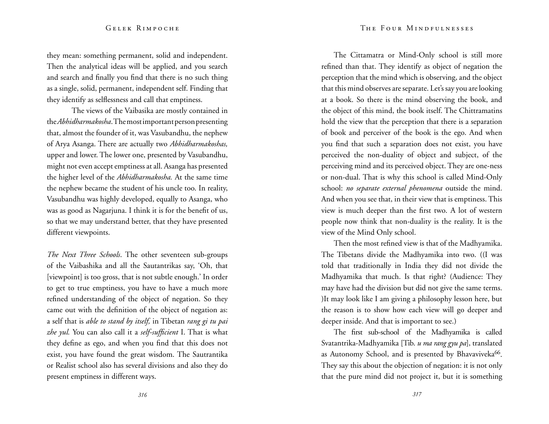they mean: something permanent, solid and independent. Then the analytical ideas will be applied, and you search and search and finally you find that there is no such thing as a single, solid, permanent, independent self. Finding that they identify as selflessness and call that emptiness.

The views of the Vaibasika are mostly contained in the *Abhidharmakosha*. The most important person presenting that, almost the founder of it, was Vasubandhu, the nephew of Arya Asanga. There are actually two *Abhidharmakoshas,*  upper and lower. The lower one, presented by Vasubandhu, might not even accept emptiness at all. Asanga has presented the higher level of the *Abhidharmakosha.* At the same time the nephew became the student of his uncle too. In reality, Vasubandhu was highly developed, equally to Asanga, who was as good as Nagarjuna. I think it is for the benefit of us, so that we may understand better, that they have presented different viewpoints.

*The Next Three Schools*. The other seventeen sub-groups of the Vaibashika and all the Sautantrikas say, 'Oh, that [viewpoint] is too gross, that is not subtle enough.' In order to get to true emptiness, you have to have a much more refined understanding of the object of negation. So they came out with the definition of the object of negation as: a self that is *able to stand by itself,* in Tibetan *rang gi tu pai zhe yul.* You can also call it a *self-sufficient* I. That is what they define as ego, and when you find that this does not exist, you have found the great wisdom. The Sautrantika or Realist school also has several divisions and also they do present emptiness in different ways.

The Cittamatra or Mind-Only school is still more refined than that. They identify as object of negation the perception that the mind which is observing, and the object that this mind observes are separate. Let's say you are looking at a book. So there is the mind observing the book, and the object of this mind, the book itself. The Chittramatins hold the view that the perception that there is a separation of book and perceiver of the book is the ego. And when you find that such a separation does not exist, you have perceived the non-duality of object and subject, of the perceiving mind and its perceived object. They are one-ness or non-dual. That is why this school is called Mind-Only school: *no separate external phenomena* outside the mind. And when you see that, in their view that is emptiness. This view is much deeper than the first two. A lot of western people now think that non-duality is the reality. It is the view of the Mind Only school.

Then the most refined view is that of the Madhyamika. The Tibetans divide the Madhyamika into two. ((I was told that traditionally in India they did not divide the Madhyamika that much. Is that right? (Audience: They may have had the division but did not give the same terms. )It may look like I am giving a philosophy lesson here, but the reason is to show how each view will go deeper and deeper inside. And that is important to see.)

The first sub-school of the Madhyamika is called Svatantrika-Madhyamika [Tib. *u ma rang gyu pa*], translated as Autonomy School, and is presented by Bhavaviveka<sup>66</sup>. They say this about the objection of negation: it is not only that the pure mind did not project it, but it is something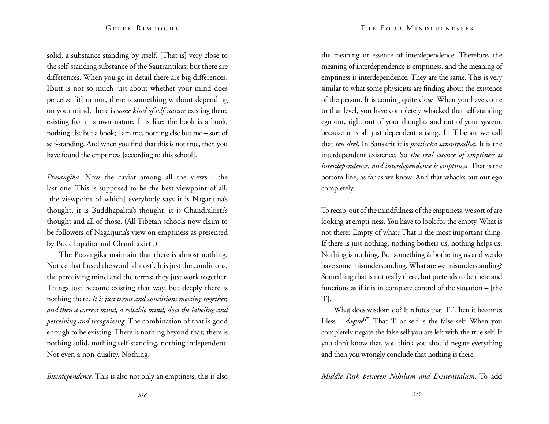solid, a substance standing by itself. [That is] very close to the self-standing substance of the Sautrantikas, but there are differences. When you go in detail there are big differences. IButt is not so much just about whether your mind does perceive [it] or not, there is something without depending on your mind, there is *some kind of self-nature* existing there, existing from its own nature. It is like: the book is a book, nothing else but a book; I am me, nothing else but me – sort of self-standing. And when you find that this is not true, then you have found the emptiness [according to this school].

*Prasangika*. Now the caviar among all the views - the last one. This is supposed to be the best viewpoint of all, [the viewpoint of which] everybody says it is Nagarjuna's thought, it is Buddhapalita's thought, it is Chandrakirti's thought and all of those. (All Tibetan schools now claim to be followers of Nagarjuna's view on emptiness as presented by Buddhapalita and Chandrakirti.)

The Prasangika maintain that there is almost nothing. Notice that I used the word 'almost'. It is just the conditions, the perceiving mind and the terms; they just work together. Things just become existing that way, but deeply there is nothing there. *It is just terms and conditions meeting together, and then a correct mind, a reliable mind, does the labeling and perceiving and recognizing.* The combination of that is good enough to be existing. There is nothing beyond that; there is nothing solid, nothing self-standing, nothing independent. Not even a non-duality. Nothing.

*Interdependence.* This is also not only an emptiness, this is also

the meaning or essence of interdependence. Therefore, the meaning of interdependence is emptiness, and the meaning of emptiness is interdependence. They are the same. This is very similar to what some physicists are finding about the existence of the person. It is coming quite close. When you have come to that level, you have completely whacked that self-standing ego out, right out of your thoughts and out of your system, because it is all just dependent arising. In Tibetan we call that *ten drel*. In Sanskrit it is *praticcha samutpadha*. It is the interdependent existence. So *the real essence of emptiness is interdependence, and interdependence is emptiness*. That is the bottom line, as far as we know. And that whacks out our ego completely.

To recap, out of the mindfulness of the emptiness, we sort of are looking at empti-ness. You have to look for the empty. What is not there? Empty of what? That is the most important thing. If there is just nothing, nothing bothers us, nothing helps us. Nothing is nothing. But something *is* bothering us and we do have some misunderstanding. What are we misunderstanding? Something that is not really there, but pretends to be there and functions as if it is in complete control of the situation – [the 'I'].

What does wisdom do? It refutes that 'I'. Then it becomes I-less – *dagme*67. That 'I' or self is the false self. When you completely negate the false self you are left with the true self. If you don't know that, you think you should negate everything and then you wrongly conclude that nothing is there.

*Middle Path between Nihilism and Existentialism*. To add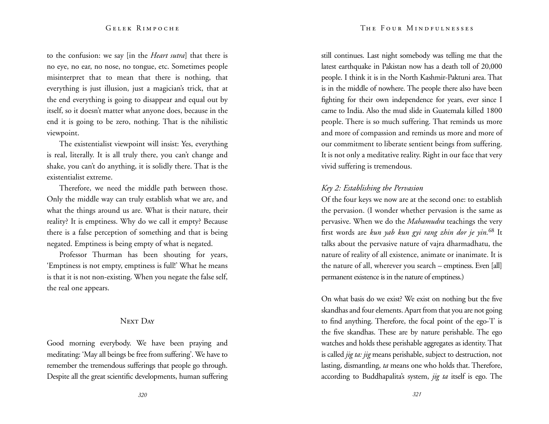to the confusion: we say [in the *Heart sutra*] that there is no eye, no ear, no nose, no tongue, etc. Sometimes people misinterpret that to mean that there is nothing, that everything is just illusion, just a magician's trick, that at the end everything is going to disappear and equal out by itself, so it doesn't matter what anyone does, because in the end it is going to be zero, nothing. That is the nihilistic viewpoint.

The existentialist viewpoint will insist: Yes, everything is real, literally. It is all truly there, you can't change and shake, you can't do anything, it is solidly there. That is the existentialist extreme.

Therefore, we need the middle path between those. Only the middle way can truly establish what we are, and what the things around us are. What is their nature, their reality? It is emptiness. Why do we call it empty? Because there is a false perception of something and that is being negated. Emptiness is being empty of what is negated.

Professor Thurman has been shouting for years, 'Emptiness is not empty, emptiness is full!' What he means is that it is not non-existing. When you negate the false self, the real one appears.

#### NEXT DAY

Good morning everybody. We have been praying and meditating: 'May all beings be free from suffering'. We have to remember the tremendous sufferings that people go through. Despite all the great scientific developments, human suffering still continues. Last night somebody was telling me that the latest earthquake in Pakistan now has a death toll of 20,000 people. I think it is in the North Kashmir-Paktuni area. That is in the middle of nowhere. The people there also have been fighting for their own independence for years, ever since I came to India. Also the mud slide in Guatemala killed 1800 people. There is so much suffering. That reminds us more and more of compassion and reminds us more and more of our commitment to liberate sentient beings from suffering. It is not only a meditative reality. Right in our face that very vivid suffering is tremendous.

# *Key 2: Establishing the Pervasion*

Of the four keys we now are at the second one: to establish the pervasion. (I wonder whether pervasion is the same as pervasive. When we do the *Mahamudra* teachings the very first words are *kun yab kun gyi rang zhin dor je yin.*68 It talks about the pervasive nature of vajra dharmadhatu, the nature of reality of all existence, animate or inanimate. It is the nature of all, wherever you search – emptiness. Even [all] permanent existence is in the nature of emptiness.)

On what basis do we exist? We exist on nothing but the five skandhas and four elements. Apart from that you are not going to find anything. Therefore, the focal point of the ego-'I' is the five skandhas. These are by nature perishable. The ego watches and holds these perishable aggregates as identity. That is called *jig ta: jig* means perishable, subject to destruction, not lasting, dismantling, *ta* means one who holds that. Therefore, according to Buddhapalita's system, *jig ta* itself is ego. The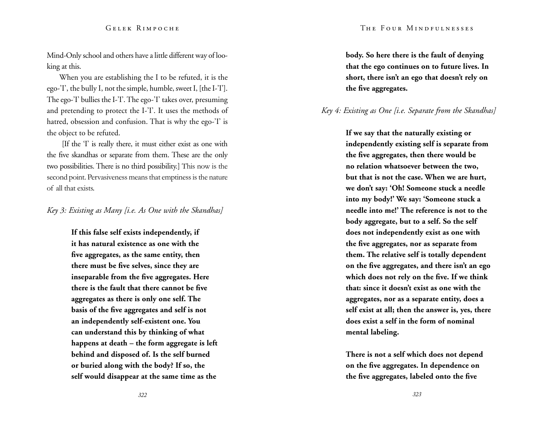Mind-Only school and others have a little different way of looking at this.

When you are establishing the I to be refuted, it is the ego-'I', the bully I, not the simple, humble, sweet I, [the I-'I']. The ego-'I' bullies the I-'I'. The ego-'I' takes over, presuming and pretending to protect the I-'I'. It uses the methods of hatred, obsession and confusion. That is why the ego-'I' is the object to be refuted.

 [If the 'I' is really there, it must either exist as one with the five skandhas or separate from them. These are the only two possibilities. There is no third possibility.] This now is the second point. Pervasiveness means that emptiness is the nature of all that exists.

### *Key 3: Existing as Many [i.e. As One with the Skandhas]*

**If this false self exists independently, if it has natural existence as one with the five aggregates, as the same entity, then there must be five selves, since they are inseparable from the five aggregates. Here there is the fault that there cannot be five aggregates as there is only one self. The basis of the five aggregates and self is not an independently self-existent one. You can understand this by thinking of what happens at death – the form aggregate is left behind and disposed of. Is the self burned or buried along with the body? If so, the self would disappear at the same time as the** 

**body. So here there is the fault of denying that the ego continues on to future lives. In short, there isn't an ego that doesn't rely on the five aggregates.** 

# *Key 4: Existing as One [i.e. Separate from the Skandhas]*

**If we say that the naturally existing or independently existing self is separate from the five aggregates, then there would be no relation whatsoever between the two, but that is not the case. When we are hurt, we don't say: 'Oh! Someone stuck a needle into my body!' We say: 'Someone stuck a needle into me!' The reference is not to the body aggregate, but to a self. So the self does not independently exist as one with the five aggregates, nor as separate from them. The relative self is totally dependent on the five aggregates, and there isn't an ego which does not rely on the five. If we think that: since it doesn't exist as one with the aggregates, nor as a separate entity, does a self exist at all; then the answer is, yes, there does exist a self in the form of nominal mental labeling.** 

**There is not a self which does not depend on the five aggregates. In dependence on the five aggregates, labeled onto the five**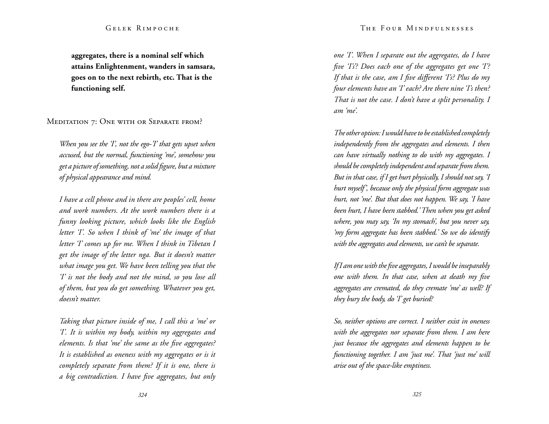**aggregates, there is a nominal self which attains Enlightenment, wanders in samsara, goes on to the next rebirth, etc. That is the functioning self.** 

MEDITATION 7: ONE WITH OR SEPARATE FROM?

*When you see the 'I', not the ego-'I' that gets upset when accused, but the normal, functioning 'me', somehow you get a picture of something, not a solid figure, but a mixture of physical appearance and mind.* 

*I have a cell phone and in there are peoples' cell, home and work numbers. At the work numbers there is a funny looking picture, which looks like the English letter 'I'. So when I think of 'me' the image of that letter 'I' comes up for me. When I think in Tibetan I get the image of the letter nga. But it doesn't matter what image you get. We have been telling you that the 'I' is not the body and not the mind, so you lose all of them, but you do get something. Whatever you get, doesn't matter.* 

*Taking that picture inside of me, I call this a 'me' or 'I'. It is within my body, within my aggregates and elements. Is that 'me' the same as the five aggregates? It is established as oneness with my aggregates or is it completely separate from them? If it is one, there is a big contradiction. I have five aggregates, but only* 

*one 'I'. When I separate out the aggregates, do I have five 'I's'? Does each one of the aggregates get one 'I'? If that is the case, am I five different 'I's? Plus do my four elements have an 'I' each? Are there nine 'I's then? That is not the case. I don't have a split personality. I am 'me'.* 

*The other option: I would have to be established completely independently from the aggregates and elements. I then can have virtually nothing to do with my aggregates. I should be completely independent and separate from them. But in that case, if I get hurt physically, I should not say, 'I hurt myself', because only the physical form aggregate was hurt, not 'me'. But that does not happen. We say, 'I have been hurt, I have been stabbed.' Then when you get asked where, you may say, 'In my stomach', but you never say, 'my form aggregate has been stabbed.' So we do identify with the aggregates and elements, we can't be separate.* 

*If I am one with the five aggregates, I would be inseparably one with them. In that case, when at death my five aggregates are cremated, do they cremate 'me' as well? If they bury the body, do 'I' get buried?* 

*So, neither options are correct. I neither exist in oneness with the aggregates nor separate from them. I am here just because the aggregates and elements happen to be functioning together. I am 'just me'. That 'just me' will arise out of the space-like emptiness.*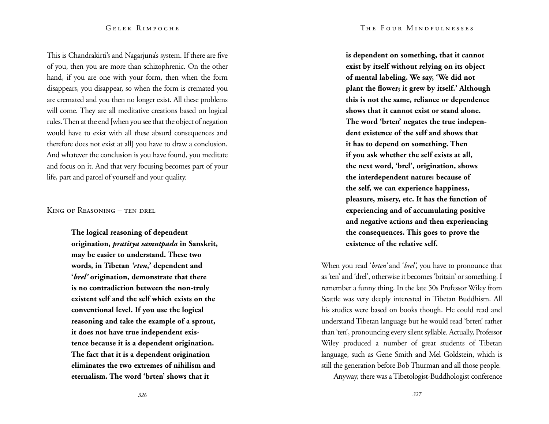This is Chandrakirti's and Nagarjuna's system. If there are five of you, then you are more than schizophrenic. On the other hand, if you are one with your form, then when the form disappears, you disappear, so when the form is cremated you are cremated and you then no longer exist. All these problems will come. They are all meditative creations based on logical rules. Then at the end [when you see that the object of negation would have to exist with all these absurd consequences and therefore does not exist at all] you have to draw a conclusion. And whatever the conclusion is you have found, you meditate and focus on it. And that very focusing becomes part of your life, part and parcel of yourself and your quality.

King of Reasoning – ten drel

**The logical reasoning of dependent origination,** *pratitya samutpada* **in Sanskrit, may be easier to understand. These two words, in Tibetan** *'rten***,' dependent and '***brel'* **origination, demonstrate that there is no contradiction between the non-truly existent self and the self which exists on the conventional level. If you use the logical reasoning and take the example of a sprout, it does not have true independent existence because it is a dependent origination. The fact that it is a dependent origination eliminates the two extremes of nihilism and eternalism. The word 'brten' shows that it** 

**is dependent on something, that it cannot exist by itself without relying on its object of mental labeling. We say, 'We did not plant the flower; it grew by itself.' Although this is not the same, reliance or dependence shows that it cannot exist or stand alone. The word 'brten' negates the true independent existence of the self and shows that it has to depend on something. Then if you ask whether the self exists at all, the next word, 'brel', origination, shows the interdependent nature: because of the self, we can experience happiness, pleasure, misery, etc. It has the function of experiencing and of accumulating positive and negative actions and then experiencing the consequences. This goes to prove the existence of the relative self.** 

When you read '*brten'* and '*brel'*, you have to pronounce that as 'ten' and 'drel', otherwise it becomes 'britain' or something. I remember a funny thing. In the late 50s Professor Wiley from Seattle was very deeply interested in Tibetan Buddhism. All his studies were based on books though. He could read and understand Tibetan language but he would read 'brten' rather than 'ten', pronouncing every silent syllable. Actually, Professor Wiley produced a number of great students of Tibetan language, such as Gene Smith and Mel Goldstein, which is still the generation before Bob Thurman and all those people.

Anyway, there was a Tibetologist-Buddhologist conference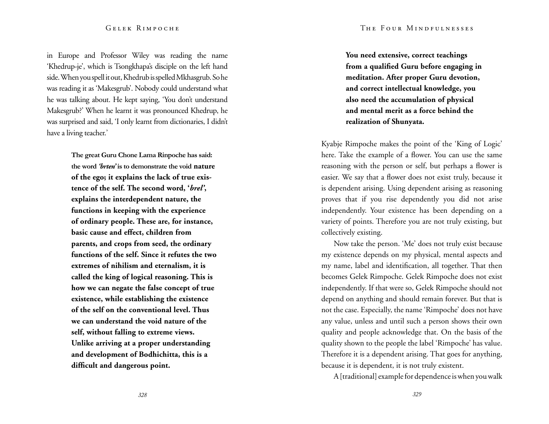in Europe and Professor Wiley was reading the name 'Khedrup-je', which is Tsongkhapa's disciple on the left hand side. When you spell it out, Khedrub is spelled Mkhasgrub. So he was reading it as 'Makesgrub'. Nobody could understand what he was talking about. He kept saying, 'You don't understand Makesgrub?' When he learnt it was pronounced Khedrup, he was surprised and said, 'I only learnt from dictionaries, I didn't have a living teacher.'

> **The great Guru Chone Lama Rinpoche has said: the word** *'brten'* **is to demonstrate the void nature of the ego; it explains the lack of true existence of the self. The second word, '***brel'***, explains the interdependent nature, the functions in keeping with the experience of ordinary people. These are, for instance, basic cause and effect, children from parents, and crops from seed, the ordinary functions of the self. Since it refutes the two extremes of nihilism and eternalism, it is called the king of logical reasoning. This is how we can negate the false concept of true existence, while establishing the existence of the self on the conventional level. Thus we can understand the void nature of the self, without falling to extreme views. Unlike arriving at a proper understanding and development of Bodhichitta, this is a difficult and dangerous point.**

**You need extensive, correct teachings from a qualified Guru before engaging in meditation. After proper Guru devotion, and correct intellectual knowledge, you also need the accumulation of physical and mental merit as a force behind the realization of Shunyata.** 

Kyabje Rimpoche makes the point of the 'King of Logic' here. Take the example of a flower. You can use the same reasoning with the person or self, but perhaps a flower is easier. We say that a flower does not exist truly, because it is dependent arising. Using dependent arising as reasoning proves that if you rise dependently you did not arise independently. Your existence has been depending on a variety of points. Therefore you are not truly existing, but collectively existing.

Now take the person. 'Me' does not truly exist because my existence depends on my physical, mental aspects and my name, label and identification, all together. That then becomes Gelek Rimpoche. Gelek Rimpoche does not exist independently. If that were so, Gelek Rimpoche should not depend on anything and should remain forever. But that is not the case. Especially, the name 'Rimpoche' does not have any value, unless and until such a person shows their own quality and people acknowledge that. On the basis of the quality shown to the people the label 'Rimpoche' has value. Therefore it is a dependent arising. That goes for anything, because it is dependent, it is not truly existent.

A [traditional] example for dependence is when you walk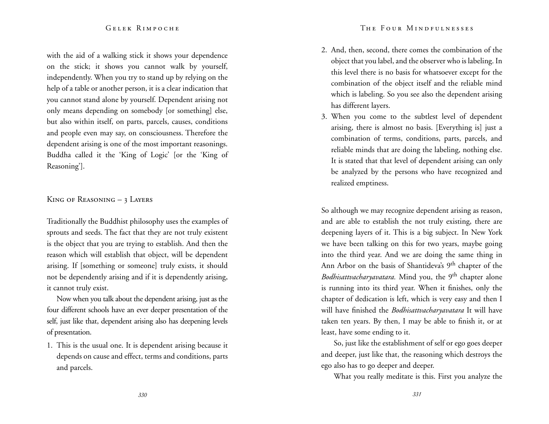with the aid of a walking stick it shows your dependence on the stick; it shows you cannot walk by yourself, independently. When you try to stand up by relying on the help of a table or another person, it is a clear indication that you cannot stand alone by yourself. Dependent arising not only means depending on somebody [or something] else, but also within itself, on parts, parcels, causes, conditions and people even may say, on consciousness. Therefore the dependent arising is one of the most important reasonings. Buddha called it the 'King of Logic' [or the 'King of Reasoning'].

#### King of Reasoning  $-3$  Layers

Traditionally the Buddhist philosophy uses the examples of sprouts and seeds. The fact that they are not truly existent is the object that you are trying to establish. And then the reason which will establish that object, will be dependent arising. If [something or someone] truly exists, it should not be dependently arising and if it is dependently arising, it cannot truly exist.

Now when you talk about the dependent arising, just as the four different schools have an ever deeper presentation of the self, just like that, dependent arising also has deepening levels of presentation.

1. This is the usual one. It is dependent arising because it depends on cause and effect, terms and conditions, parts and parcels.

- 2. And, then, second, there comes the combination of the object that you label, and the observer who is labeling. In this level there is no basis for whatsoever except for the combination of the object itself and the reliable mind which is labeling. So you see also the dependent arising has different layers.
- 3. When you come to the subtlest level of dependent arising, there is almost no basis. [Everything is] just a combination of terms, conditions, parts, parcels, and reliable minds that are doing the labeling, nothing else. It is stated that that level of dependent arising can only be analyzed by the persons who have recognized and realized emptiness.

So although we may recognize dependent arising as reason, and are able to establish the not truly existing, there are deepening layers of it. This is a big subject. In New York we have been talking on this for two years, maybe going into the third year. And we are doing the same thing in Ann Arbor on the basis of Shantideva's 9<sup>th</sup> chapter of the *Bodhisattvacharyavatara*. Mind you, the 9<sup>th</sup> chapter alone is running into its third year. When it finishes, only the chapter of dedication is left, which is very easy and then I will have finished the *Bodhisattvacharyavatara* It will have taken ten years. By then, I may be able to finish it, or at least, have some ending to it.

So, just like the establishment of self or ego goes deeper and deeper, just like that, the reasoning which destroys the ego also has to go deeper and deeper.

What you really meditate is this. First you analyze the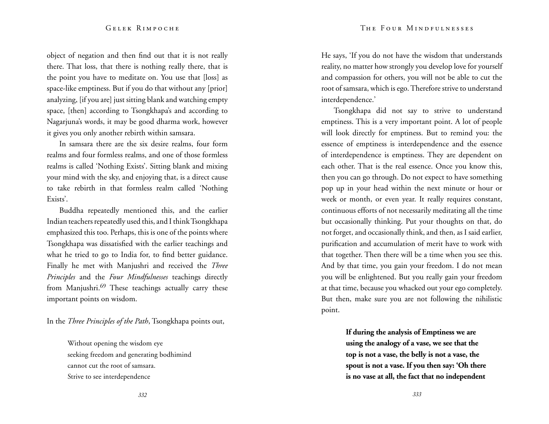object of negation and then find out that it is not really there. That loss, that there is nothing really there, that is the point you have to meditate on. You use that [loss] as space-like emptiness. But if you do that without any [prior] analyzing, [if you are] just sitting blank and watching empty space, [then] according to Tsongkhapa's and according to Nagarjuna's words, it may be good dharma work, however it gives you only another rebirth within samsara.

In samsara there are the six desire realms, four form realms and four formless realms, and one of those formless realms is called 'Nothing Exists'. Sitting blank and mixing your mind with the sky, and enjoying that, is a direct cause to take rebirth in that formless realm called 'Nothing Exists'.

Buddha repeatedly mentioned this, and the earlier Indian teachers repeatedly used this, and I think Tsongkhapa emphasized this too. Perhaps, this is one of the points where Tsongkhapa was dissatisfied with the earlier teachings and what he tried to go to India for, to find better guidance. Finally he met with Manjushri and received the *Three Principles* and the *Four Mindfulnesses* teachings directly from Manjushri.<sup>69</sup> These teachings actually carry these important points on wisdom.

In the *Three Principles of the Path*, Tsongkhapa points out,

Without opening the wisdom eye seeking freedom and generating bodhimind cannot cut the root of samsara. Strive to see interdependence

He says, 'If you do not have the wisdom that understands reality, no matter how strongly you develop love for yourself and compassion for others, you will not be able to cut the root of samsara, which is ego. Therefore strive to understand interdependence.'

Tsongkhapa did not say to strive to understand emptiness. This is a very important point. A lot of people will look directly for emptiness. But to remind you: the essence of emptiness is interdependence and the essence of interdependence is emptiness. They are dependent on each other. That is the real essence. Once you know this, then you can go through. Do not expect to have something pop up in your head within the next minute or hour or week or month, or even year. It really requires constant, continuous efforts of not necessarily meditating all the time but occasionally thinking. Put your thoughts on that, do not forget, and occasionally think, and then, as I said earlier, purification and accumulation of merit have to work with that together. Then there will be a time when you see this. And by that time, you gain your freedom. I do not mean you will be enlightened. But you really gain your freedom at that time, because you whacked out your ego completely. But then, make sure you are not following the nihilistic point.

> **If during the analysis of Emptiness we are using the analogy of a vase, we see that the top is not a vase, the belly is not a vase, the spout is not a vase. If you then say: 'Oh there is no vase at all, the fact that no independent**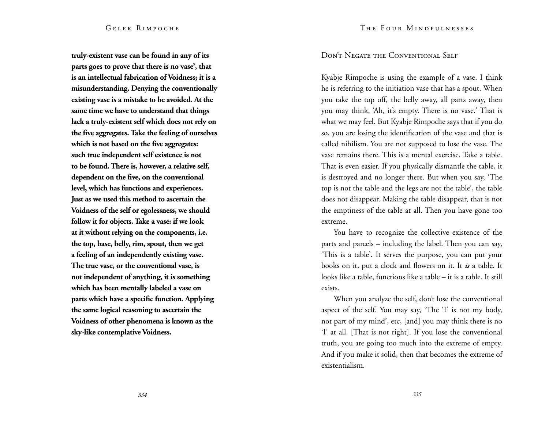**truly-existent vase can be found in any of its parts goes to prove that there is no vase', that is an intellectual fabrication of Voidness; it is a misunderstanding. Denying the conventionally existing vase is a mistake to be avoided. At the same time we have to understand that things lack a truly-existent self which does not rely on the five aggregates. Take the feeling of ourselves which is not based on the five aggregates: such true independent self existence is not to be found. There is, however, a relative self, dependent on the five, on the conventional level, which has functions and experiences. Just as we used this method to ascertain the Voidness of the self or egolessness, we should follow it for objects. Take a vase: if we look at it without relying on the components, i.e. the top, base, belly, rim, spout, then we get a feeling of an independently existing vase. The true vase, or the conventional vase, is not independent of anything, it is something which has been mentally labeled a vase on parts which have a specific function. Applying the same logical reasoning to ascertain the Voidness of other phenomena is known as the sky-like contemplative Voidness.** 

# Don't Negate the Conventional Self

Kyabje Rimpoche is using the example of a vase. I think he is referring to the initiation vase that has a spout. When you take the top off, the belly away, all parts away, then you may think, 'Ah, it's empty. There is no vase.' That is what we may feel. But Kyabje Rimpoche says that if you do so, you are losing the identification of the vase and that is called nihilism. You are not supposed to lose the vase. The vase remains there. This is a mental exercise. Take a table. That is even easier. If you physically dismantle the table, it is destroyed and no longer there. But when you say, 'The top is not the table and the legs are not the table', the table does not disappear. Making the table disappear, that is not the emptiness of the table at all. Then you have gone too extreme.

You have to recognize the collective existence of the parts and parcels – including the label. Then you can say, 'This is a table'. It serves the purpose, you can put your books on it, put a clock and flowers on it. It *is* a table. It looks like a table, functions like a table – it is a table. It still exists.

When you analyze the self, don't lose the conventional aspect of the self. You may say, 'The 'I' is not my body, not part of my mind', etc, [and] you may think there is no 'I' at all. [That is not right]. If you lose the conventional truth, you are going too much into the extreme of empty. And if you make it solid, then that becomes the extreme of existentialism.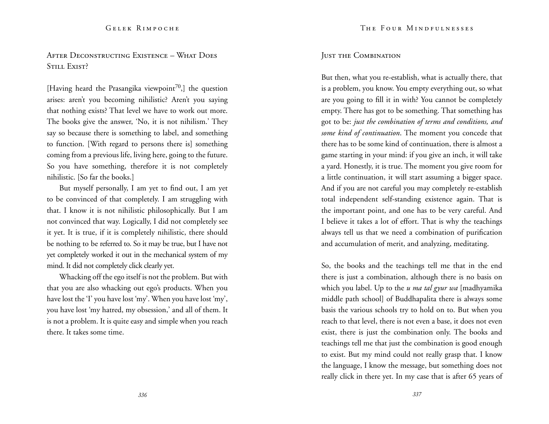After Deconstructing Existence – What Does STILL EXIST?

[Having heard the Prasangika viewpoint<sup>70</sup>,] the question arises: aren't you becoming nihilistic? Aren't you saying that nothing exists? That level we have to work out more. The books give the answer, 'No, it is not nihilism.' They say so because there is something to label, and something to function. [With regard to persons there is] something coming from a previous life, living here, going to the future. So you have something, therefore it is not completely nihilistic. [So far the books.]

But myself personally, I am yet to find out, I am yet to be convinced of that completely. I am struggling with that. I know it is not nihilistic philosophically. But I am not convinced that way. Logically, I did not completely see it yet. It is true, if it is completely nihilistic, there should be nothing to be referred to. So it may be true, but I have not yet completely worked it out in the mechanical system of my mind. It did not completely click clearly yet.

Whacking off the ego itself is not the problem. But with that you are also whacking out ego's products. When you have lost the 'I' you have lost 'my'. When you have lost 'my', you have lost 'my hatred, my obsession,' and all of them. It is not a problem. It is quite easy and simple when you reach there. It takes some time.

# Just the Combination

But then, what you re-establish, what is actually there, that is a problem, you know. You empty everything out, so what are you going to fill it in with? You cannot be completely empty. There has got to be something. That something has got to be: *just the combination of terms and conditions, and some kind of continuation*. The moment you concede that there has to be some kind of continuation, there is almost a game starting in your mind: if you give an inch, it will take a yard. Honestly, it is true. The moment you give room for a little continuation, it will start assuming a bigger space. And if you are not careful you may completely re-establish total independent self-standing existence again. That is the important point, and one has to be very careful. And I believe it takes a lot of effort. That is why the teachings always tell us that we need a combination of purification and accumulation of merit, and analyzing, meditating.

So, the books and the teachings tell me that in the end there is just a combination, although there is no basis on which you label. Up to the *u ma tal gyur wa* [madhyamika middle path school] of Buddhapalita there is always some basis the various schools try to hold on to. But when you reach to that level, there is not even a base, it does not even exist, there is just the combination only. The books and teachings tell me that just the combination is good enough to exist. But my mind could not really grasp that. I know the language, I know the message, but something does not really click in there yet. In my case that is after 65 years of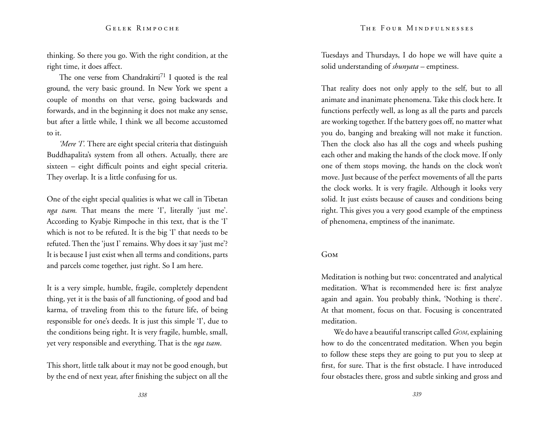thinking. So there you go. With the right condition, at the right time, it does affect.

The one verse from Chandrakirti<sup>71</sup> I quoted is the real ground, the very basic ground. In New York we spent a couple of months on that verse, going backwards and forwards, and in the beginning it does not make any sense, but after a little while, I think we all become accustomed to it.

*'Mere T*'. There are eight special criteria that distinguish Buddhapalita's system from all others. Actually, there are sixteen – eight difficult points and eight special criteria. They overlap. It is a little confusing for us.

One of the eight special qualities is what we call in Tibetan *nga tsam.* That means the mere 'I', literally 'just me'. According to Kyabje Rimpoche in this text, that is the 'I' which is not to be refuted. It is the big 'I' that needs to be refuted. Then the 'just I' remains. Why does it say 'just me'? It is because I just exist when all terms and conditions, parts and parcels come together, just right. So I am here.

It is a very simple, humble, fragile, completely dependent thing, yet it is the basis of all functioning, of good and bad karma, of traveling from this to the future life, of being responsible for one's deeds. It is just this simple 'I', due to the conditions being right. It is very fragile, humble, small, yet very responsible and everything. That is the *nga tsam*.

This short, little talk about it may not be good enough, but by the end of next year, after finishing the subject on all the Tuesdays and Thursdays, I do hope we will have quite a solid understanding of *shunyata* – emptiness.

That reality does not only apply to the self, but to all animate and inanimate phenomena. Take this clock here. It functions perfectly well, as long as all the parts and parcels are working together. If the battery goes off, no matter what you do, banging and breaking will not make it function. Then the clock also has all the cogs and wheels pushing each other and making the hands of the clock move. If only one of them stops moving, the hands on the clock won't move. Just because of the perfect movements of all the parts the clock works. It is very fragile. Although it looks very solid. It just exists because of causes and conditions being right. This gives you a very good example of the emptiness of phenomena, emptiness of the inanimate.

#### Gom

Meditation is nothing but two: concentrated and analytical meditation. What is recommended here is: first analyze again and again. You probably think, 'Nothing is there'. At that moment, focus on that. Focusing is concentrated meditation.

We do have a beautiful transcript called *Gom*, explaining how to do the concentrated meditation. When you begin to follow these steps they are going to put you to sleep at first, for sure. That is the first obstacle. I have introduced four obstacles there, gross and subtle sinking and gross and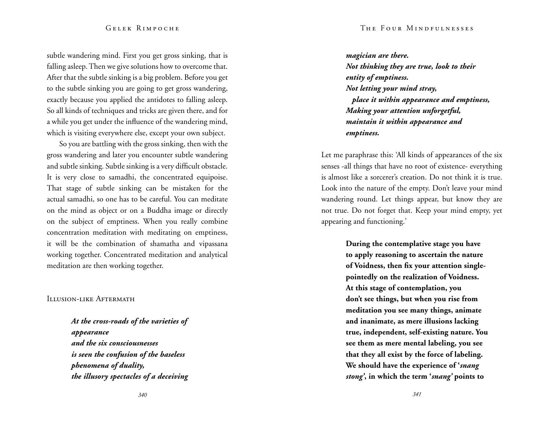#### The Four Mindfulnesses

#### Gelek Rimpoche

subtle wandering mind. First you get gross sinking, that is falling asleep. Then we give solutions how to overcome that. After that the subtle sinking is a big problem. Before you get to the subtle sinking you are going to get gross wandering, exactly because you applied the antidotes to falling asleep. So all kinds of techniques and tricks are given there, and for a while you get under the influence of the wandering mind, which is visiting everywhere else, except your own subject.

So you are battling with the gross sinking, then with the gross wandering and later you encounter subtle wandering and subtle sinking. Subtle sinking is a very difficult obstacle. It is very close to samadhi, the concentrated equipoise. That stage of subtle sinking can be mistaken for the actual samadhi, so one has to be careful. You can meditate on the mind as object or on a Buddha image or directly on the subject of emptiness. When you really combine concentration meditation with meditating on emptiness, it will be the combination of shamatha and vipassana working together. Concentrated meditation and analytical meditation are then working together.

#### Illusion-like Aftermath

*At the cross-roads of the varieties of appearance and the six consciousnesses is seen the confusion of the baseless phenomena of duality, the illusory spectacles of a deceiving* 

*magician are there. Not thinking they are true, look to their entity of emptiness. Not letting your mind stray, place it within appearance and emptiness, Making your attention unforgetful, maintain it within appearance and emptiness.* 

Let me paraphrase this: 'All kinds of appearances of the six senses -all things that have no root of existence- everything is almost like a sorcerer's creation. Do not think it is true. Look into the nature of the empty. Don't leave your mind wandering round. Let things appear, but know they are not true. Do not forget that. Keep your mind empty, yet appearing and functioning.'

> **During the contemplative stage you have to apply reasoning to ascertain the nature of Voidness, then fix your attention singlepointedly on the realization of Voidness. At this stage of contemplation, you don't see things, but when you rise from meditation you see many things, animate and inanimate, as mere illusions lacking true, independent, self-existing nature. You see them as mere mental labeling, you see that they all exist by the force of labeling. We should have the experience of '***snang stong'***, in which the term '***snang'* **points to**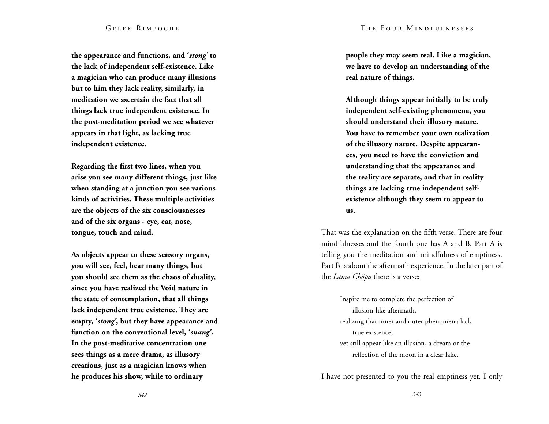#### The Four Mindfulnesses

#### Gelek Rimpoche

**the appearance and functions, and '***stong'* **to the lack of independent self-existence. Like a magician who can produce many illusions but to him they lack reality, similarly, in meditation we ascertain the fact that all things lack true independent existence. In the post-meditation period we see whatever appears in that light, as lacking true independent existence.** 

**Regarding the first two lines, when you arise you see many different things, just like when standing at a junction you see various kinds of activities. These multiple activities are the objects of the six consciousnesses and of the six organs - eye, ear, nose, tongue, touch and mind.** 

**As objects appear to these sensory organs, you will see, feel, hear many things, but you should see them as the chaos of duality, since you have realized the Void nature in the state of contemplation, that all things lack independent true existence. They are empty, '***stong'***, but they have appearance and function on the conventional level, '***snang'***. In the post-meditative concentration one sees things as a mere drama, as illusory creations, just as a magician knows when he produces his show, while to ordinary** 

**people they may seem real. Like a magician, we have to develop an understanding of the real nature of things.**

**Although things appear initially to be truly independent self-existing phenomena, you should understand their illusory nature. You have to remember your own realization of the illusory nature. Despite appearan ces, you need to have the conviction and understanding that the appearance and the reality are separate, and that in reality things are lacking true independent selfexistence although they seem to appear to us.**

That was the explanation on the fifth verse. There are four mindfulnesses and the fourth one has A and B. Part A is telling you the meditation and mindfulness of emptiness. Part B is about the aftermath experience. In the later part of the *Lama Chöpa* there is a verse:

Inspire me to complete the perfection of illusion-like aftermath, realizing that inner and outer phenomena lack true existence, yet still appear like an illusion, a dream or the reflection of the moon in a clear lake.

I have not presented to you the real emptiness yet. I only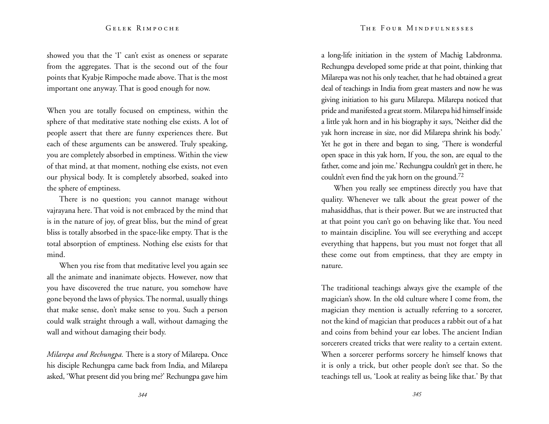showed you that the 'I' can't exist as oneness or separate from the aggregates. That is the second out of the four points that Kyabje Rimpoche made above. That is the most important one anyway. That is good enough for now.

When you are totally focused on emptiness, within the sphere of that meditative state nothing else exists. A lot of people assert that there are funny experiences there. But each of these arguments can be answered. Truly speaking, you are completely absorbed in emptiness. Within the view of that mind, at that moment, nothing else exists, not even our physical body. It is completely absorbed, soaked into the sphere of emptiness.

There is no question; you cannot manage without vajrayana here. That void is not embraced by the mind that is in the nature of joy, of great bliss, but the mind of great bliss is totally absorbed in the space-like empty. That is the total absorption of emptiness. Nothing else exists for that mind.

When you rise from that meditative level you again see all the animate and inanimate objects. However, now that you have discovered the true nature, you somehow have gone beyond the laws of physics. The normal, usually things that make sense, don't make sense to you. Such a person could walk straight through a wall, without damaging the wall and without damaging their body.

*Milarepa and Rechungpa.* There is a story of Milarepa. Once his disciple Rechungpa came back from India, and Milarepa asked, 'What present did you bring me?' Rechungpa gave him a long-life initiation in the system of Machig Labdronma. Rechungpa developed some pride at that point, thinking that Milarepa was not his only teacher, that he had obtained a great deal of teachings in India from great masters and now he was giving initiation to his guru Milarepa. Milarepa noticed that pride and manifested a great storm. Milarepa hid himself inside a little yak horn and in his biography it says, 'Neither did the yak horn increase in size, nor did Milarepa shrink his body.' Yet he got in there and began to sing, 'There is wonderful open space in this yak horn, If you, the son, are equal to the father, come and join me.' Rechungpa couldn't get in there, he couldn't even find the yak horn on the ground.72

When you really see emptiness directly you have that quality. Whenever we talk about the great power of the mahasiddhas, that is their power. But we are instructed that at that point you can't go on behaving like that. You need to maintain discipline. You will see everything and accept everything that happens, but you must not forget that all these come out from emptiness, that they are empty in nature.

The traditional teachings always give the example of the magician's show. In the old culture where I come from, the magician they mention is actually referring to a sorcerer, not the kind of magician that produces a rabbit out of a hat and coins from behind your ear lobes. The ancient Indian sorcerers created tricks that were reality to a certain extent. When a sorcerer performs sorcery he himself knows that it is only a trick, but other people don't see that. So the teachings tell us, 'Look at reality as being like that.' By that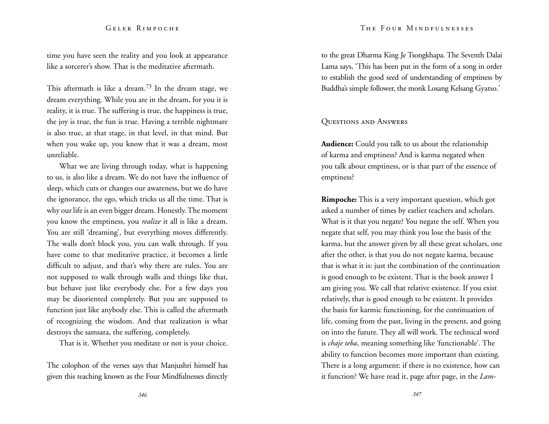#### The Four Mindfulnesses

#### Gelek Rimpoche

time you have seen the reality and you look at appearance like a sorcerer's show. That is the meditative aftermath.

This aftermath is like a dream.<sup>73</sup> In the dream stage, we dream everything. While you are in the dream, for you it is reality, it is true. The suffering is true, the happiness is true, the joy is true, the fun is true. Having a terrible nightmare is also true, at that stage, in that level, in that mind. But when you wake up, you know that it was a dream, most unreliable.

What we are living through today, what is happening to us, is also like a dream. We do not have the influence of sleep, which cuts or changes our awareness, but we do have the ignorance, the ego, which tricks us all the time. That is why our life is an even bigger dream. Honestly. The moment you know the emptiness, you *realize* it all is like a dream. You are still 'dreaming', but everything moves differently. The walls don't block you, you can walk through. If you have come to that meditative practice, it becomes a little difficult to adjust, and that's why there are rules. You are not supposed to walk through walls and things like that, but behave just like everybody else. For a few days you may be disoriented completely. But you are supposed to function just like anybody else. This is called the aftermath of recognizing the wisdom. And that realization is what destroys the samsara, the suffering, completely.

That is it. Whether you meditate or not is your choice.

The colophon of the verses says that Manjushri himself has given this teaching known as the Four Mindfulnesses directly

to the great Dharma King Je Tsongkhapa. The Seventh Dalai Lama says, 'This has been put in the form of a song in order to establish the good seed of understanding of emptiness by Buddha's simple follower, the monk Losang Kelsang Gyatso.'

#### Questions and Answers

**Audience:** Could you talk to us about the relationship of karma and emptiness? And is karma negated when you talk about emptiness, or is that part of the essence of emptiness?

**Rimpoche:** This is a very important question, which got asked a number of times by earlier teachers and scholars. What is it that you negate? You negate the self. When you negate that self, you may think you lose the basis of the karma, but the answer given by all these great scholars, one after the other, is that you do not negate karma, because that is what it is: just the combination of the continuation is good enough to be existent. That is the book answer I am giving you. We call that relative existence. If you exist relatively, that is good enough to be existent. It provides the basis for karmic functioning, for the continuation of life, coming from the past, living in the present, and going on into the future. They all will work. The technical word is *chaje teba*, meaning something like 'functionable'. The ability to function becomes more important than existing. There is a long argument: if there is no existence, how can it function? We have read it, page after page, in the *Lam-*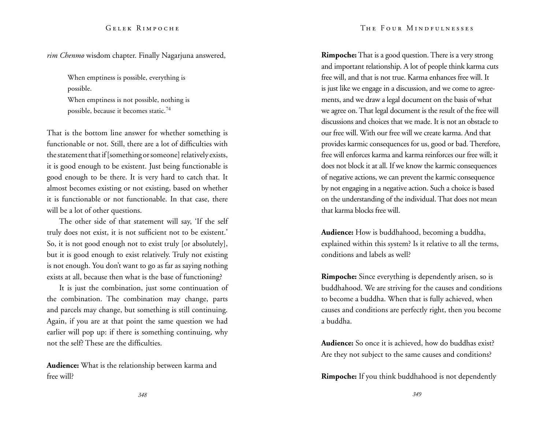*rim Chenmo* wisdom chapter. Finally Nagarjuna answered,

When emptiness is possible, everything is possible.

When emptiness is not possible, nothing is possible, because it becomes static.<sup>74</sup>

That is the bottom line answer for whether something is functionable or not. Still, there are a lot of difficulties with the statement that if [something or someone] relatively exists, it is good enough to be existent. Just being functionable is good enough to be there. It is very hard to catch that. It almost becomes existing or not existing, based on whether it is functionable or not functionable. In that case, there will be a lot of other questions.

The other side of that statement will say, 'If the self truly does not exist, it is not sufficient not to be existent.' So, it is not good enough not to exist truly [or absolutely], but it is good enough to exist relatively. Truly not existing is not enough. You don't want to go as far as saying nothing exists at all, because then what is the base of functioning?

It is just the combination, just some continuation of the combination. The combination may change, parts and parcels may change, but something is still continuing. Again, if you are at that point the same question we had earlier will pop up: if there is something continuing, why not the self? These are the difficulties.

**Audience:** What is the relationship between karma and free will?

**Rimpoche:** That is a good question. There is a very strong and important relationship. A lot of people think karma cuts free will, and that is not true. Karma enhances free will. It is just like we engage in a discussion, and we come to agreements, and we draw a legal document on the basis of what we agree on. That legal document is the result of the free will discussions and choices that we made. It is not an obstacle to our free will. With our free will we create karma. And that provides karmic consequences for us, good or bad. Therefore, free will enforces karma and karma reinforces our free will; it does not block it at all. If we know the karmic consequences of negative actions, we can prevent the karmic consequence by not engaging in a negative action. Such a choice is based on the understanding of the individual. That does not mean that karma blocks free will.

**Audience:** How is buddhahood, becoming a buddha, explained within this system? Is it relative to all the terms, conditions and labels as well?

**Rimpoche:** Since everything is dependently arisen, so is buddhahood. We are striving for the causes and conditions to become a buddha. When that is fully achieved, when causes and conditions are perfectly right, then you become a buddha.

**Audience:** So once it is achieved, how do buddhas exist? Are they not subject to the same causes and conditions?

**Rimpoche:** If you think buddhahood is not dependently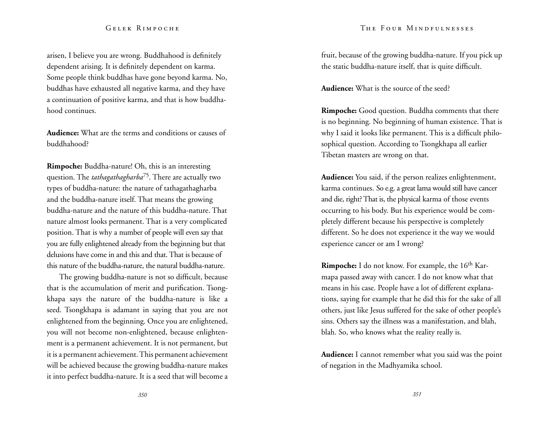### The Four Mindfulnesses

### Gelek Rimpoche

arisen, I believe you are wrong. Buddhahood is definitely dependent arising. It is definitely dependent on karma. Some people think buddhas have gone beyond karma. No, buddhas have exhausted all negative karma, and they have a continuation of positive karma, and that is how buddhahood continues.

**Audience:** What are the terms and conditions or causes of buddhahood?

**Rimpoche:** Buddha-nature! Oh, this is an interesting question. The *tathagathagharba*75. There are actually two types of buddha-nature: the nature of tathagathagharba and the buddha-nature itself. That means the growing buddha-nature and the nature of this buddha-nature. That nature almost looks permanent. That is a very complicated position. That is why a number of people will even say that you are fully enlightened already from the beginning but that delusions have come in and this and that. That is because of this nature of the buddha-nature, the natural buddha-nature.

The growing buddha-nature is not so difficult, because that is the accumulation of merit and purification. Tsongkhapa says the nature of the buddha-nature is like a seed. Tsongkhapa is adamant in saying that you are not enlightened from the beginning. Once you are enlightened, you will not become non-enlightened, because enlightenment is a permanent achievement. It is not permanent, but it is a permanent achievement. This permanent achievement will be achieved because the growing buddha-nature makes it into perfect buddha-nature. It is a seed that will become a fruit, because of the growing buddha-nature. If you pick up the static buddha-nature itself, that is quite difficult.

**Audience:** What is the source of the seed?

**Rimpoche:** Good question. Buddha comments that there is no beginning. No beginning of human existence. That is why I said it looks like permanent. This is a difficult philosophical question. According to Tsongkhapa all earlier Tibetan masters are wrong on that.

**Audience:** You said, if the person realizes enlightenment, karma continues. So e.g. a great lama would still have cancer and die, right? That is, the physical karma of those events occurring to his body. But his experience would be completely different because his perspective is completely different. So he does not experience it the way we would experience cancer or am I wrong?

**Rimpoche:** I do not know. For example, the 16<sup>th</sup> Karmapa passed away with cancer. I do not know what that means in his case. People have a lot of different explanations, saying for example that he did this for the sake of all others, just like Jesus suffered for the sake of other people's sins. Others say the illness was a manifestation, and blah, blah. So, who knows what the reality really is.

**Audience:** I cannot remember what you said was the point of negation in the Madhyamika school.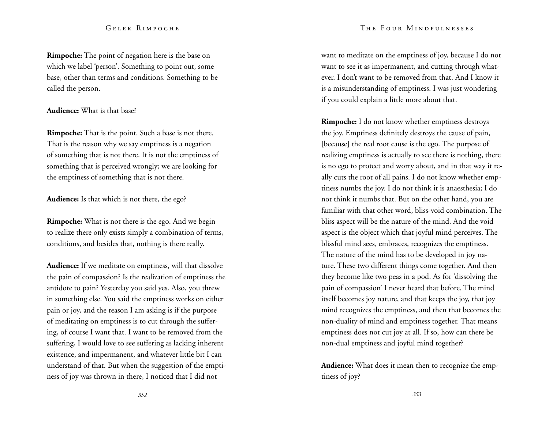**Rimpoche:** The point of negation here is the base on which we label 'person'. Something to point out, some base, other than terms and conditions. Something to be called the person.

## **Audience:** What is that base?

**Rimpoche:** That is the point. Such a base is not there. That is the reason why we say emptiness is a negation of something that is not there. It is not the emptiness of something that is perceived wrongly; we are looking for the emptiness of something that is not there.

**Audience:** Is that which is not there, the ego?

**Rimpoche:** What is not there is the ego. And we begin to realize there only exists simply a combination of terms, conditions, and besides that, nothing is there really.

**Audience:** If we meditate on emptiness, will that dissolve the pain of compassion? Is the realization of emptiness the antidote to pain? Yesterday you said yes. Also, you threw in something else. You said the emptiness works on either pain or joy, and the reason I am asking is if the purpose of meditating on emptiness is to cut through the suffering, of course I want that. I want to be removed from the suffering, I would love to see suffering as lacking inherent existence, and impermanent, and whatever little bit I can understand of that. But when the suggestion of the emptiness of joy was thrown in there, I noticed that I did not

want to meditate on the emptiness of joy, because I do not want to see it as impermanent, and cutting through whatever. I don't want to be removed from that. And I know it is a misunderstanding of emptiness. I was just wondering if you could explain a little more about that.

**Rimpoche:** I do not know whether emptiness destroys the joy. Emptiness definitely destroys the cause of pain, [because] the real root cause is the ego. The purpose of realizing emptiness is actually to see there is nothing, there is no ego to protect and worry about, and in that way it really cuts the root of all pains. I do not know whether emptiness numbs the joy. I do not think it is anaesthesia; I do not think it numbs that. But on the other hand, you are familiar with that other word, bliss-void combination. The bliss aspect will be the nature of the mind. And the void aspect is the object which that joyful mind perceives. The blissful mind sees, embraces, recognizes the emptiness. The nature of the mind has to be developed in joy nature. These two different things come together. And then they become like two peas in a pod. As for 'dissolving the pain of compassion' I never heard that before. The mind itself becomes joy nature, and that keeps the joy, that joy mind recognizes the emptiness, and then that becomes the non-duality of mind and emptiness together. That means emptiness does not cut joy at all. If so, how can there be non-dual emptiness and joyful mind together?

**Audience:** What does it mean then to recognize the emptiness of joy?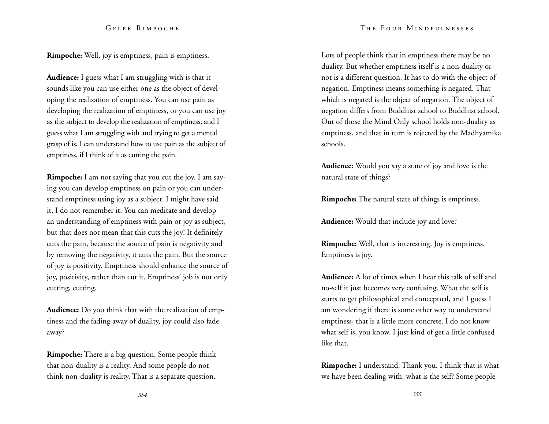**Rimpoche:** Well, joy is emptiness, pain is emptiness.

**Audience:** I guess what I am struggling with is that it sounds like you can use either one as the object of developing the realization of emptiness. You can use pain as developing the realization of emptiness, or you can use joy as the subject to develop the realization of emptiness, and I guess what I am struggling with and trying to get a mental grasp of is, I can understand how to use pain as the subject of emptiness, if I think of it as cutting the pain.

**Rimpoche:** I am not saying that you cut the joy. I am saying you can develop emptiness on pain or you can understand emptiness using joy as a subject. I might have said it, I do not remember it. You can meditate and develop an understanding of emptiness with pain or joy as subject, but that does not mean that this cuts the joy! It definitely cuts the pain, because the source of pain is negativity and by removing the negativity, it cuts the pain. But the source of joy is positivity. Emptiness should enhance the source of joy, positivity, rather than cut it. Emptiness' job is not only cutting, cutting.

**Audience:** Do you think that with the realization of emptiness and the fading away of duality, joy could also fade away?

**Rimpoche:** There is a big question. Some people think that non-duality is a reality. And some people do not think non-duality is reality. That is a separate question.

Lots of people think that in emptiness there may be no duality. But whether emptiness itself is a non-duality or not is a different question. It has to do with the object of negation. Emptiness means something is negated. That which is negated is the object of negation. The object of negation differs from Buddhist school to Buddhist school. Out of those the Mind Only school holds non-duality as emptiness, and that in turn is rejected by the Madhyamika schools.

**Audience:** Would you say a state of joy and love is the natural state of things?

**Rimpoche:** The natural state of things is emptiness.

**Audience:** Would that include joy and love?

**Rimpoche:** Well, that is interesting. Joy is emptiness. Emptiness is joy.

**Audience:** A lot of times when I hear this talk of self and no-self it just becomes very confusing. What the self is starts to get philosophical and conceptual, and I guess I am wondering if there is some other way to understand emptiness, that is a little more concrete. I do not know what self is, you know. I just kind of get a little confused like that.

**Rimpoche:** I understand. Thank you. I think that is what we have been dealing with: what is the self? Some people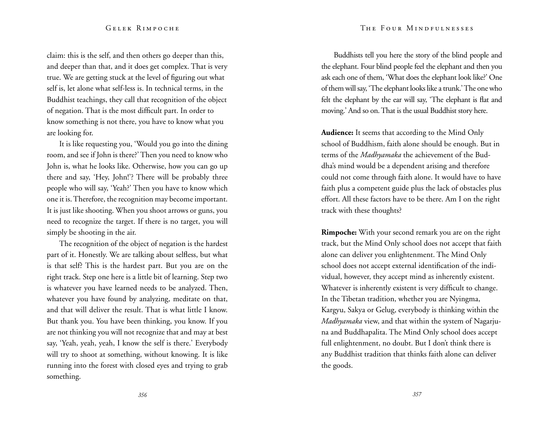claim: this is the self, and then others go deeper than this, and deeper than that, and it does get complex. That is very true. We are getting stuck at the level of figuring out what self is, let alone what self-less is. In technical terms, in the Buddhist teachings, they call that recognition of the object of negation. That is the most difficult part. In order to know something is not there, you have to know what you are looking for.

It is like requesting you, 'Would you go into the dining room, and see if John is there?' Then you need to know who John is, what he looks like. Otherwise, how you can go up there and say, 'Hey, John!'? There will be probably three people who will say, 'Yeah?' Then you have to know which one it is. Therefore, the recognition may become important. It is just like shooting. When you shoot arrows or guns, you need to recognize the target. If there is no target, you will simply be shooting in the air.

The recognition of the object of negation is the hardest part of it. Honestly. We are talking about selfless, but what is that self? This is the hardest part. But you are on the right track. Step one here is a little bit of learning. Step two is whatever you have learned needs to be analyzed. Then, whatever you have found by analyzing, meditate on that, and that will deliver the result. That is what little I know. But thank you. You have been thinking, you know. If you are not thinking you will not recognize that and may at best say, 'Yeah, yeah, yeah, I know the self is there.' Everybody will try to shoot at something, without knowing. It is like running into the forest with closed eyes and trying to grab something.

Buddhists tell you here the story of the blind people and the elephant. Four blind people feel the elephant and then you ask each one of them, 'What does the elephant look like?' One of them will say, 'The elephant looks like a trunk.' The one who felt the elephant by the ear will say, 'The elephant is flat and moving.' And so on. That is the usual Buddhist story here.

**Audience:** It seems that according to the Mind Only school of Buddhism, faith alone should be enough. But in terms of the *Madhyamaka* the achievement of the Buddha's mind would be a dependent arising and therefore could not come through faith alone. It would have to have faith plus a competent guide plus the lack of obstacles plus effort. All these factors have to be there. Am I on the right track with these thoughts?

**Rimpoche:** With your second remark you are on the right track, but the Mind Only school does not accept that faith alone can deliver you enlightenment. The Mind Only school does not accept external identification of the individual, however, they accept mind as inherently existent. Whatever is inherently existent is very difficult to change. In the Tibetan tradition, whether you are Nyingma, Kargyu, Sakya or Gelug, everybody is thinking within the *Madhyamaka* view, and that within the system of Nagarjuna and Buddhapalita. The Mind Only school does accept full enlightenment, no doubt. But I don't think there is any Buddhist tradition that thinks faith alone can deliver the goods.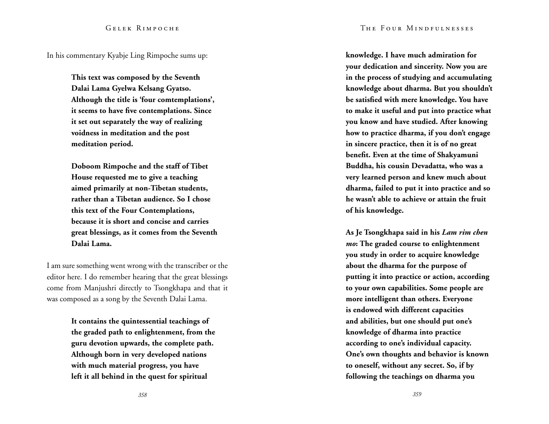In his commentary Kyabje Ling Rimpoche sums up:

**This text was composed by the Seventh Dalai Lama Gyelwa Kelsang Gyatso. Although the title is 'four comtemplations', it seems to have five contemplations. Since it set out separately the way of realizing voidness in meditation and the post meditation period.** 

**Doboom Rimpoche and the staff of Tibet House requested me to give a teaching aimed primarily at non-Tibetan students, rather than a Tibetan audience. So I chose this text of the Four Contemplations, because it is short and concise and carries great blessings, as it comes from the Seventh Dalai Lama.** 

I am sure something went wrong with the transcriber or the editor here. I do remember hearing that the great blessings come from Manjushri directly to Tsongkhapa and that it was composed as a song by the Seventh Dalai Lama.

> **It contains the quintessential teachings of the graded path to enlightenment, from the guru devotion upwards, the complete path. Although born in very developed nations with much material progress, you have left it all behind in the quest for spiritual**

**knowledge. I have much admiration for your dedication and sincerity. Now you are in the process of studying and accumulating knowledge about dharma. But you shouldn't be satisfied with mere knowledge. You have to make it useful and put into practice what you know and have studied. After knowing how to practice dharma, if you don't engage in sincere practice, then it is of no great benefit. Even at the time of Shakyamuni Buddha, his cousin Devadatta, who was a very learned person and knew much about dharma, failed to put it into practice and so he wasn't able to achieve or attain the fruit of his knowledge.** 

**As Je Tsongkhapa said in his** *Lam rim chen mo***: The graded course to enlightenment you study in order to acquire knowledge about the dharma for the purpose of putting it into practice or action, according to your own capabilities. Some people are more intelligent than others. Everyone is endowed with different capacities and abilities, but one should put one's knowledge of dharma into practice according to one's individual capacity. One's own thoughts and behavior is known to oneself, without any secret. So, if by following the teachings on dharma you**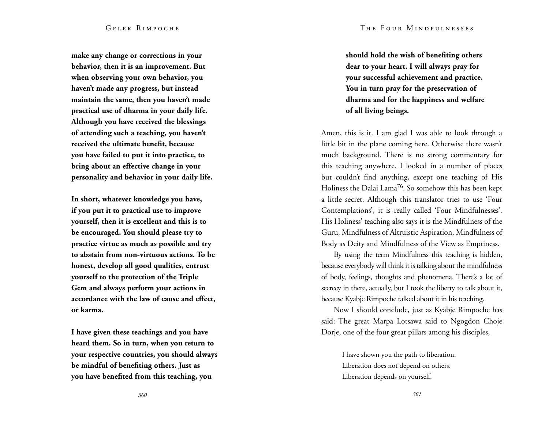### The Four Mindfulnesses

### Gelek Rimpoche

**make any change or corrections in your behavior, then it is an improvement. But when observing your own behavior, you haven't made any progress, but instead maintain the same, then you haven't made practical use of dharma in your daily life. Although you have received the blessings of attending such a teaching, you haven't received the ultimate benefit, because you have failed to put it into practice, to bring about an effective change in your personality and behavior in your daily life.** 

**In short, whatever knowledge you have, if you put it to practical use to improve yourself, then it is excellent and this is to be encouraged. You should please try to practice virtue as much as possible and try to abstain from non-virtuous actions. To be honest, develop all good qualities, entrust yourself to the protection of the Triple Gem and always perform your actions in accordance with the law of cause and effect, or karma.** 

**I have given these teachings and you have heard them. So in turn, when you return to your respective countries, you should always be mindful of benefiting others. Just as you have benefited from this teaching, you** 

**should hold the wish of benefiting others dear to your heart. I will always pray for your successful achievement and practice. You in turn pray for the preservation of dharma and for the happiness and welfare of all living beings.** 

Amen, this is it. I am glad I was able to look through a little bit in the plane coming here. Otherwise there wasn't much background. There is no strong commentary for this teaching anywhere. I looked in a number of places but couldn't find anything, except one teaching of His Holiness the Dalai Lama<sup>76</sup>. So somehow this has been kept a little secret. Although this translator tries to use 'Four Contemplations', it is really called 'Four Mindfulnesses'. His Holiness' teaching also says it is the Mindfulness of the Guru, Mindfulness of Altruistic Aspiration, Mindfulness of Body as Deity and Mindfulness of the View as Emptiness.

By using the term Mindfulness this teaching is hidden, because everybody will think it is talking about the mindfulness of body, feelings, thoughts and phenomena. There's a lot of secrecy in there, actually, but I took the liberty to talk about it, because Kyabje Rimpoche talked about it in his teaching.

Now I should conclude, just as Kyabje Rimpoche has said: The great Marpa Lotsawa said to Ngogdon Choje Dorje, one of the four great pillars among his disciples,

> I have shown you the path to liberation. Liberation does not depend on others. Liberation depends on yourself.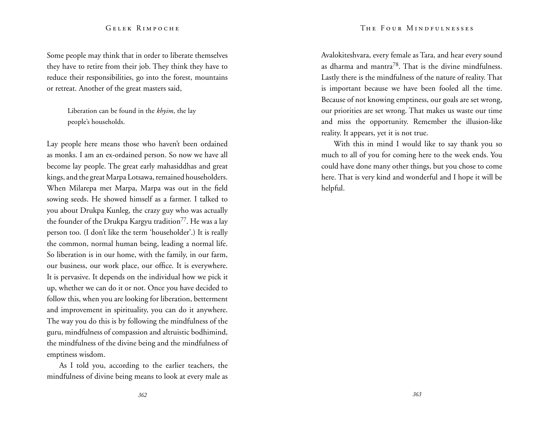Some people may think that in order to liberate themselves they have to retire from their job. They think they have to reduce their responsibilities, go into the forest, mountains or retreat. Another of the great masters said,

> Liberation can be found in the *khyim*, the lay people's households.

Lay people here means those who haven't been ordained as monks. I am an ex-ordained person. So now we have all become lay people. The great early mahasiddhas and great kings, and the great Marpa Lotsawa, remained householders. When Milarepa met Marpa, Marpa was out in the field sowing seeds. He showed himself as a farmer. I talked to you about Drukpa Kunleg, the crazy guy who was actually the founder of the Drukpa Kargyu tradition<sup>77</sup>. He was a lay person too. (I don't like the term 'householder'.) It is really the common, normal human being, leading a normal life. So liberation is in our home, with the family, in our farm, our business, our work place, our office. It is everywhere. It is pervasive. It depends on the individual how we pick it up, whether we can do it or not. Once you have decided to follow this, when you are looking for liberation, betterment and improvement in spirituality, you can do it anywhere. The way you do this is by following the mindfulness of the guru, mindfulness of compassion and altruistic bodhimind, the mindfulness of the divine being and the mindfulness of emptiness wisdom.

As I told you, according to the earlier teachers, the mindfulness of divine being means to look at every male as

The Four Mindfulnesses

Avalokiteshvara, every female as Tara, and hear every sound as dharma and mantra78. That is the divine mindfulness. Lastly there is the mindfulness of the nature of reality. That is important because we have been fooled all the time. Because of not knowing emptiness, our goals are set wrong, our priorities are set wrong. That makes us waste our time and miss the opportunity. Remember the illusion-like reality. It appears, yet it is not true.

With this in mind I would like to say thank you so much to all of you for coming here to the week ends. You could have done many other things, but you chose to come here. That is very kind and wonderful and I hope it will be helpful.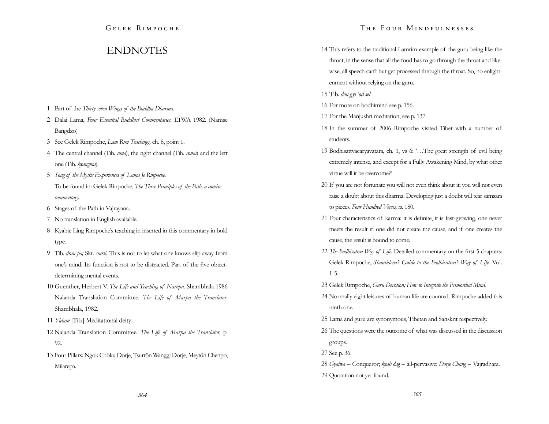# **ENDNOTES**

- 1 Part of the *Thirty-seven Wings of the Buddha-Dharma*.
- 2 Dalai Lama, *Four Essential Buddhist Commentaries.* LTWA 1982. (Namse Bangdzo)
- 3 See Gelek Rimpoche, *Lam Rim Teachings,* ch. 8, point 1.
- 4 The central channel (Tib. *uma*), the right channel (Tib. *roma*) and the left one (Tib. *kyangma*).
- 5 *Song of the Mystic Experiences of Lama Je Rinpoche.* To be found in: Gelek Rinpoche, *The Three Principles of the Path, a concise commentary.*
- 6 Stages of the Path in Vajrayana.
- 7 No translation in English available.
- 8 Kyabje Ling Rimpoche's teaching in inserted in this commentary in bold type.
- 9 Tib. *dran pa;* Skt. *smrti.* This is not to let what one knows slip away from one's mind. Its function is not to be distracted. Part of the five objectdetermining mental events.
- 10 Guenther, Herbert V. *The Life and Teaching of Naropa*. Shambhala 1986 Nalanda Translation Committee. *The Life of Marpa the Translator*. Shambhala, 1982.
- 11 *Yidam* [Tib.] Meditational deity.
- 12 Nalanda Translation Committee. *The Life of Marpa the Translator,* p. 92.
- 13 Four Pillars: Ngok Chöku Dorje, Tsurtön Wanggi Dorje, Meytön Chenpo, Milarepa.

## The Four Mindfulnesses

- 14 This refers to the traditional Lamrim example of the guru being like the throat, in the sense that all the food has to go through the throat and likewise, all speech can't but get processed through the throat. So, no enlightenment without relying on the guru.
- 15 Tib. *don gyi 'od sel*
- 16 For more on bodhimind see p. 156.
- 17 For the Manjushri meditation, see p. 137
- 18 In the summer of 2006 Rimpoche visited Tibet with a number of students.
- 19 Bodhisattvacaryavatara, ch. 1, vs 6: '…The great strength of evil being extremely intense, and except for a Fully Awakening Mind, by what other virtue will it be overcome?'
- 20 If you are not fortunate you will not even think about it; you will not even raise a doubt about this dharma. Developing just a doubt will tear samsara to pieces. *Four Hundred Verses, vs*. 180.
- 21 Four characteristics of karma: it is definite, it is fast-growing, one never meets the result if one did not create the cause, and if one creates the cause, the result is bound to come.
- 22 *The Bodhisattva Way of Life.* Detailed commentary on the first 5 chapters: Gelek Rimpoche, *Shantideva's Guide to the Bodhisattva's Way of Life.* Vol. 1-5.
- 23 Gelek Rimpoche, *Guru Devotion; How to Integrate the Primordial Mind.*
- 24 Normally eight leisures of human life are counted. Rimpoche added this ninth one.
- 25 Lama and guru are synonymous, Tibetan and Sanskrit respectively.
- 26 The questions were the outcome of what was discussed in the discussion groups.
- 27 See p. 36.
- 28 *Gyalwa* = Conqueror; *kyab dag* = all-pervasive; *Dorje Chang* = Vajradhara.
- 29 Quotation not yet found.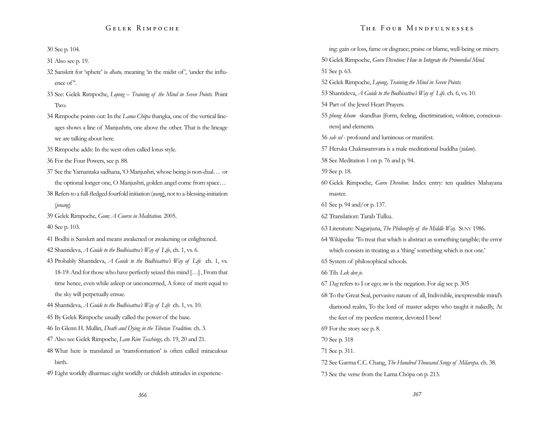30 See p. 104.

31 Also see p. 19.

- 32 Sanskrit for 'sphere' is *dhatu,* meaning 'in the midst of', 'under the influence of''.
- 33 See: Gelek Rimpoche, *Lojong Training of the Mind in Seven Points.* Point Two*.*
- 34 Rimpoche points out: In the *Lama Chöpa* thangka, one of the vertical lineages shows a line of Manjushris, one above the other. That is the lineage we are talking about here.
- 35 Rimpoche adds: In the west often called lotus style.
- 36 For the Four Powers, see p. 88.
- 37 See the Yamantaka sadhana, 'O Manjushri, whose being is non-dual… or the optional longer one, O Manjushri, golden angel come from space…
- 38 Refers to a full-fledged fourfold initiation (*wang*), not to a-blessing-initiation (*jenang*)
- 39 Gelek Rimpoche, *Gom; A Course in Meditation.* 2005.

40 See p. 103.

- 41 Bodhi is Sanskrit and means awakened or awakening or enlightened.
- 42 Shantideva, *A Guide to the Bodhisattva's Way of Life*, ch. 1, vs. 6.
- 43 Probably Shantideva, *A Guide to the Bodhisattva's Way of Life* ch. 1, vs. 18-19: And for those who have perfectly seized this mind […] , From that time hence, even while asleep or unconcerned, A force of merit equal to the sky will perpetually ensue.
- 44 Shantideva, *A Guide to the Bodhisattva's Way of Life* ch. 1, vs. 10.
- 45 By Gelek Rimpoche usually called the power of the base.
- 46 In Glenn H. Mullin, *Death and Dying in the Tibetan Tradition.* ch. 3.
- 47 Also see Gelek Rimpoche, *Lam Rim Teachings,* ch. 19, 20 and 21.
- 48 What here is translated as 'transformation' is often called miraculous birth.
- 49 Eight worldly dharmas: eight worldly or childish attitudes in experienc-

## The Four Mindfulnesses

ing: gain or loss, fame or disgrace; praise or blame, well-being or misery. 50 Gelek Rimpoche, *Guru Devotion: How to Integrate the Primordial Mind.*  51 See p. 63. 52 Gelek Rimpoche, *Lojong, Training the Mind in Seven Points.*  53 Shantideva, *A Guide to the Bodhisattva's Way of Life.* ch. 6, vs. 10. 54 Part of the Jewel Heart Prayers. 55 *phung kham* skandhas [form, feeling, discrimination, volition, consciousness] and elements. 56 *sab sel* - profound and luminous or manifest. 57 Heruka Chakrasamvara is a male meditational buddha (*yidam*). 58 See Meditation 1 on p. 76 and p. 94. 59 See p. 18. 60 Gelek Rimpoche, *Guru Devotion.* Index entry: ten qualities Mahayana master. 61 See p. 94 and/or p. 137. 62 Translation: Tarab Tulku. 63 Literature: Nagarjuna, *The Philosophy of the Middle Way.* Suny 1986. 64 Wikipedia: 'To treat that which is abstract as something tangible; the error which consists in treating as a 'thing' something which is not one.' 65 System of philosophical schools. 66 Tib. *Lek den je*. 67 *Dag* refers to I or ego; *me* is the negation. For *dag* see p. 305 68 To the Great Seal, pervasive nature of all, Indivisible, inexpressible mind's diamond realm, To the lord of master adepts who taught it nakedly, At the feet of my peerless mentor, devoted I bow! 69 For the story see p. 8. 70 See p. 318 71 See p. 311. 72 See Garma C.C. Chang, *The Hundred Thousand Songs of Milarepa.* ch. 38. 73 See the verse from the Lama Chöpa on p. 213.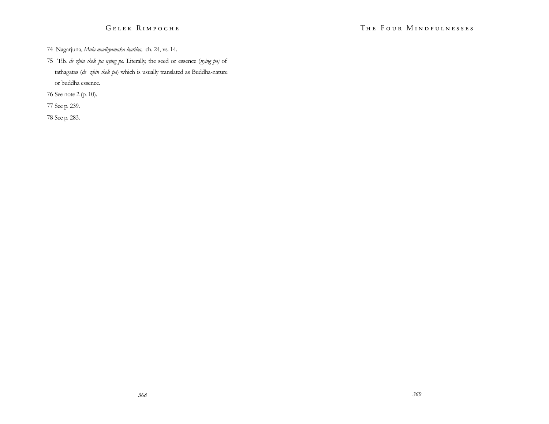- 74 Nagarjuna, *Mula-madhyamaka-karika,* ch. 24, vs. 14.
- 75 Tib. *de zhin shek pa nying po.* Literally, the seed or essence (*nying po)* of tathagatas (*de zhin shek pa*) which is usually translated as Buddha-nature or buddha essence.
- 76 See note 2 (p. 10).
- 77 See p. 239.
- 78 See p. 283.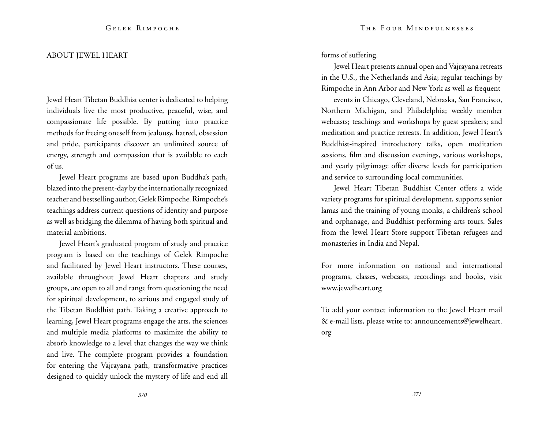## ABOUT JEWEL HEART

Jewel Heart Tibetan Buddhist center is dedicated to helping individuals live the most productive, peaceful, wise, and compassionate life possible. By putting into practice methods for freeing oneself from jealousy, hatred, obsession and pride, participants discover an unlimited source of energy, strength and compassion that is available to each of us.

Jewel Heart programs are based upon Buddha's path, blazed into the present-day by the internationally recognized teacher and bestselling author, Gelek Rimpoche. Rimpoche's teachings address current questions of identity and purpose as well as bridging the dilemma of having both spiritual and material ambitions.

Jewel Heart's graduated program of study and practice program is based on the teachings of Gelek Rimpoche and facilitated by Jewel Heart instructors. These courses, available throughout Jewel Heart chapters and study groups, are open to all and range from questioning the need for spiritual development, to serious and engaged study of the Tibetan Buddhist path. Taking a creative approach to learning, Jewel Heart programs engage the arts, the sciences and multiple media platforms to maximize the ability to absorb knowledge to a level that changes the way we think and live. The complete program provides a foundation for entering the Vajrayana path, transformative practices designed to quickly unlock the mystery of life and end all forms of suffering.

Jewel Heart presents annual open and Vajrayana retreats in the U.S., the Netherlands and Asia; regular teachings by Rimpoche in Ann Arbor and New York as well as frequent

events in Chicago, Cleveland, Nebraska, San Francisco, Northern Michigan, and Philadelphia; weekly member webcasts; teachings and workshops by guest speakers; and meditation and practice retreats. In addition, Jewel Heart's Buddhist-inspired introductory talks, open meditation sessions, film and discussion evenings, various workshops, and yearly pilgrimage offer diverse levels for participation and service to surrounding local communities.

Jewel Heart Tibetan Buddhist Center offers a wide variety programs for spiritual development, supports senior lamas and the training of young monks, a children's school and orphanage, and Buddhist performing arts tours. Sales from the Jewel Heart Store support Tibetan refugees and monasteries in India and Nepal.

For more information on national and international programs, classes, webcasts, recordings and books, visit www.jewelheart.org

To add your contact information to the Jewel Heart mail & e-mail lists, please write to: announcements@jewelheart. org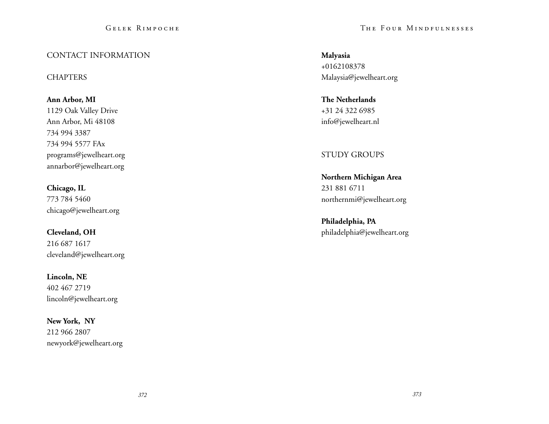# CONTACT INFORMATION

# **CHAPTERS**

**Ann Arbor, MI**  1129 Oak Valley Drive Ann Arbor, Mi 48108 734 994 3387 734 994 5577 FAx programs@jewelheart.org annarbor@jewelheart.org

**Chicago, IL**  773 784 5460 chicago@jewelheart.org

**Cleveland, OH**  216 687 1617 cleveland@jewelheart.org

**Lincoln, NE**  402 467 2719 lincoln@jewelheart.org

**New York, NY** 212 966 2807 newyork@jewelheart.org The Four Mindfulnesses

**Malyasia**  +0162108378 Malaysia@jewelheart.org

**The Netherlands**  +31 24 322 6985 info@jewelheart.nl

STUDY GROUPS

**Northern Michigan Area**  231 881 6711 northernmi@jewelheart.org

**Philadelphia, PA**  philadelphia@jewelheart.org